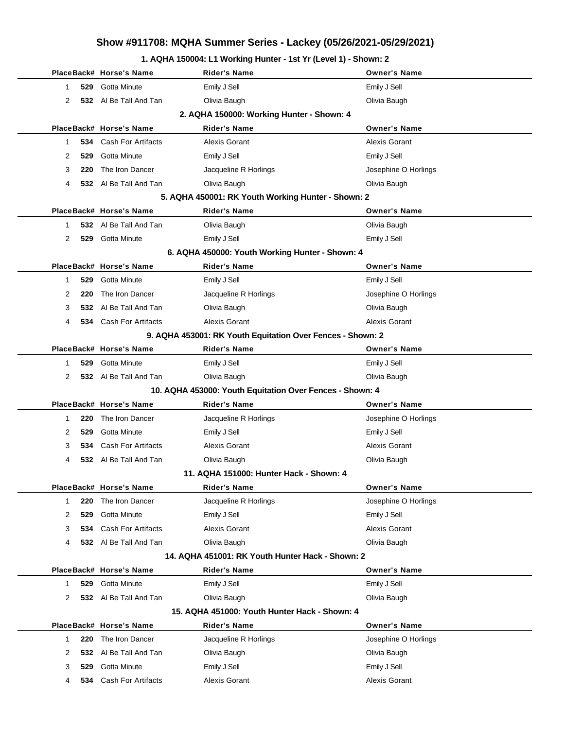### **1. AQHA 150004: L1 Working Hunter - 1st Yr (Level 1) - Shown: 2**

|                                           |     | PlaceBack# Horse's Name       | Rider's Name                                                     | <b>Owner's Name</b>  |  |  |
|-------------------------------------------|-----|-------------------------------|------------------------------------------------------------------|----------------------|--|--|
| 1                                         |     | 529 Gotta Minute              | Emily J Sell                                                     | Emily J Sell         |  |  |
| 2                                         |     | 532 Al Be Tall And Tan        | Olivia Baugh                                                     | Olivia Baugh         |  |  |
| 2. AQHA 150000: Working Hunter - Shown: 4 |     |                               |                                                                  |                      |  |  |
|                                           |     | PlaceBack# Horse's Name       | <b>Rider's Name</b>                                              | <b>Owner's Name</b>  |  |  |
| 1                                         |     | 534 Cash For Artifacts        | <b>Alexis Gorant</b>                                             | Alexis Gorant        |  |  |
| 2                                         | 529 | Gotta Minute                  | Emily J Sell                                                     | Emily J Sell         |  |  |
| 3                                         | 220 | The Iron Dancer               | Jacqueline R Horlings                                            | Josephine O Horlings |  |  |
| 4                                         |     | 532 Al Be Tall And Tan        | Olivia Baugh                                                     | Olivia Baugh         |  |  |
|                                           |     |                               | 5. AQHA 450001: RK Youth Working Hunter - Shown: 2               |                      |  |  |
|                                           |     | PlaceBack# Horse's Name       | <b>Rider's Name</b>                                              | <b>Owner's Name</b>  |  |  |
| 1.                                        |     | 532 Al Be Tall And Tan        | Olivia Baugh                                                     | Olivia Baugh         |  |  |
| 2                                         |     | 529 Gotta Minute              | Emily J Sell                                                     | Emily J Sell         |  |  |
|                                           |     |                               | 6. AQHA 450000: Youth Working Hunter - Shown: 4                  |                      |  |  |
|                                           |     | PlaceBack# Horse's Name       | <b>Rider's Name</b>                                              | <b>Owner's Name</b>  |  |  |
| 1                                         |     | 529 Gotta Minute              | Emily J Sell                                                     | Emily J Sell         |  |  |
| 2                                         | 220 | The Iron Dancer               | Jacqueline R Horlings                                            | Josephine O Horlings |  |  |
| 3                                         | 532 | Al Be Tall And Tan            | Olivia Baugh                                                     | Olivia Baugh         |  |  |
| 4                                         |     | <b>534</b> Cash For Artifacts | <b>Alexis Gorant</b>                                             | <b>Alexis Gorant</b> |  |  |
|                                           |     |                               | 9. AQHA 453001: RK Youth Equitation Over Fences - Shown: 2       |                      |  |  |
|                                           |     | PlaceBack# Horse's Name       | Rider's Name                                                     | <b>Owner's Name</b>  |  |  |
| 1                                         |     | 529 Gotta Minute              | Emily J Sell                                                     | Emily J Sell         |  |  |
| 2                                         |     | 532 Al Be Tall And Tan        | Olivia Baugh                                                     | Olivia Baugh         |  |  |
|                                           |     |                               | 10. AQHA 453000: Youth Equitation Over Fences - Shown: 4         |                      |  |  |
|                                           |     | PlaceBack# Horse's Name       | <b>Rider's Name</b>                                              | <b>Owner's Name</b>  |  |  |
| 1                                         | 220 | The Iron Dancer               | Jacqueline R Horlings                                            | Josephine O Horlings |  |  |
| 2                                         | 529 | Gotta Minute                  | Emily J Sell                                                     | Emily J Sell         |  |  |
| 3                                         |     | 534 Cash For Artifacts        | <b>Alexis Gorant</b>                                             | Alexis Gorant        |  |  |
| 4                                         |     | 532 Al Be Tall And Tan        | Olivia Baugh                                                     | Olivia Baugh         |  |  |
|                                           |     |                               | 11. AQHA 151000: Hunter Hack - Shown: 4                          |                      |  |  |
|                                           |     | PlaceBack# Horse's Name       | <b>Rider's Name</b>                                              | <b>Owner's Name</b>  |  |  |
| 1                                         | 220 | The Iron Dancer               | Jacqueline R Horlings                                            | Josephine O Horlings |  |  |
| 2                                         | 529 | Gotta Minute                  | Emily J Sell                                                     | Emily J Sell         |  |  |
| 3                                         |     | 534 Cash For Artifacts        | <b>Alexis Gorant</b>                                             | <b>Alexis Gorant</b> |  |  |
| 4                                         |     | 532 Al Be Tall And Tan        | Olivia Baugh<br>14. AQHA 451001: RK Youth Hunter Hack - Shown: 2 | Olivia Baugh         |  |  |
|                                           |     | PlaceBack# Horse's Name       |                                                                  | <b>Owner's Name</b>  |  |  |
| 1                                         | 529 | Gotta Minute                  | Rider's Name                                                     |                      |  |  |
| 2                                         |     |                               | Emily J Sell                                                     | Emily J Sell         |  |  |
|                                           |     | 532 Al Be Tall And Tan        | Olivia Baugh<br>15. AQHA 451000: Youth Hunter Hack - Shown: 4    | Olivia Baugh         |  |  |
|                                           |     | PlaceBack# Horse's Name       | Rider's Name                                                     | <b>Owner's Name</b>  |  |  |
| 1                                         | 220 | The Iron Dancer               | Jacqueline R Horlings                                            | Josephine O Horlings |  |  |
| 2                                         | 532 | Al Be Tall And Tan            | Olivia Baugh                                                     | Olivia Baugh         |  |  |
| 3                                         | 529 | Gotta Minute                  | Emily J Sell                                                     | Emily J Sell         |  |  |
| 4                                         |     | <b>534</b> Cash For Artifacts | Alexis Gorant                                                    | Alexis Gorant        |  |  |
|                                           |     |                               |                                                                  |                      |  |  |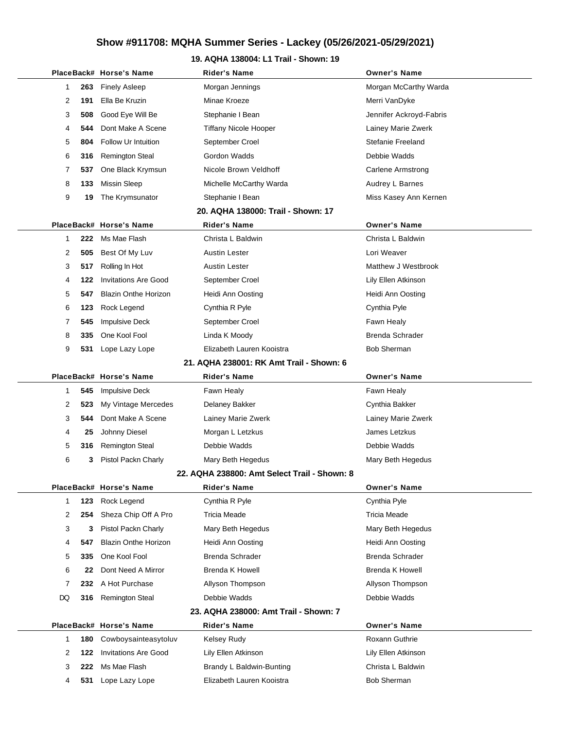### **19. AQHA 138004: L1 Trail - Shown: 19**

|  |              |     | PlaceBack# Horse's Name     | Rider's Name                                 | <b>Owner's Name</b>      |  |
|--|--------------|-----|-----------------------------|----------------------------------------------|--------------------------|--|
|  | 1            | 263 | <b>Finely Asleep</b>        | Morgan Jennings                              | Morgan McCarthy Warda    |  |
|  | 2            | 191 | Ella Be Kruzin              | Minae Kroeze                                 | Merri VanDyke            |  |
|  | 3            | 508 | Good Eye Will Be            | Stephanie I Bean                             | Jennifer Ackroyd-Fabris  |  |
|  | 4            | 544 | Dont Make A Scene           | <b>Tiffany Nicole Hooper</b>                 | Lainey Marie Zwerk       |  |
|  | 5            | 804 | Follow Ur Intuition         | September Croel                              | Stefanie Freeland        |  |
|  | 6            | 316 | <b>Remington Steal</b>      | Gordon Wadds                                 | Debbie Wadds             |  |
|  | 7            | 537 | One Black Krymsun           | Nicole Brown Veldhoff                        | <b>Carlene Armstrong</b> |  |
|  | 8            | 133 | <b>Missin Sleep</b>         | Michelle McCarthy Warda                      | Audrey L Barnes          |  |
|  | 9            | 19  | The Krymsunator             | Stephanie I Bean                             | Miss Kasey Ann Kernen    |  |
|  |              |     |                             | 20. AQHA 138000: Trail - Shown: 17           |                          |  |
|  |              |     | PlaceBack# Horse's Name     | Rider's Name                                 | <b>Owner's Name</b>      |  |
|  | $\mathbf{1}$ | 222 | Ms Mae Flash                | Christa L Baldwin                            | Christa L Baldwin        |  |
|  | 2            | 505 | Best Of My Luv              | Austin Lester                                | Lori Weaver              |  |
|  | 3            | 517 | Rolling In Hot              | Austin Lester                                | Matthew J Westbrook      |  |
|  | 4            | 122 | <b>Invitations Are Good</b> | September Croel                              | Lily Ellen Atkinson      |  |
|  | 5            | 547 | <b>Blazin Onthe Horizon</b> | Heidi Ann Oosting                            | Heidi Ann Oosting        |  |
|  | 6            | 123 | Rock Legend                 | Cynthia R Pyle                               | Cynthia Pyle             |  |
|  | 7            | 545 | <b>Impulsive Deck</b>       | September Croel                              | Fawn Healy               |  |
|  | 8            | 335 | One Kool Fool               | Linda K Moody                                | Brenda Schrader          |  |
|  | 9            | 531 | Lope Lazy Lope              | Elizabeth Lauren Kooistra                    | <b>Bob Sherman</b>       |  |
|  |              |     |                             | 21. AQHA 238001: RK Amt Trail - Shown: 6     |                          |  |
|  |              |     | PlaceBack# Horse's Name     | Rider's Name                                 | <b>Owner's Name</b>      |  |
|  | 1            | 545 | <b>Impulsive Deck</b>       | Fawn Healy                                   | Fawn Healy               |  |
|  | 2            | 523 | My Vintage Mercedes         | Delaney Bakker                               | Cynthia Bakker           |  |
|  | 3            | 544 | Dont Make A Scene           | Lainey Marie Zwerk                           | Lainey Marie Zwerk       |  |
|  | 4            | 25  | Johnny Diesel               | Morgan L Letzkus                             | James Letzkus            |  |
|  | 5            | 316 | <b>Remington Steal</b>      | Debbie Wadds                                 | Debbie Wadds             |  |
|  | 6            | 3   | Pistol Packn Charly         | Mary Beth Hegedus                            | Mary Beth Hegedus        |  |
|  |              |     |                             | 22. AQHA 238800: Amt Select Trail - Shown: 8 |                          |  |
|  |              |     | PlaceBack# Horse's Name     | Rider's Name                                 | <b>Owner's Name</b>      |  |
|  | $\mathbf{1}$ | 123 | Rock Legend                 | Cynthia R Pyle                               | Cynthia Pyle             |  |
|  | 2            | 254 | Sheza Chip Off A Pro        | Tricia Meade                                 | <b>Tricia Meade</b>      |  |
|  | 3            | 3   | Pistol Packn Charly         | Mary Beth Hegedus                            | Mary Beth Hegedus        |  |
|  | 4            | 547 | <b>Blazin Onthe Horizon</b> | Heidi Ann Oosting                            | Heidi Ann Oosting        |  |
|  | 5            | 335 | One Kool Fool               | Brenda Schrader                              | Brenda Schrader          |  |
|  | 6            | 22  | Dont Need A Mirror          | Brenda K Howell                              | Brenda K Howell          |  |
|  | 7            | 232 | A Hot Purchase              | Allyson Thompson                             | Allyson Thompson         |  |
|  | DQ           | 316 | <b>Remington Steal</b>      | Debbie Wadds                                 | Debbie Wadds             |  |
|  |              |     |                             | 23. AQHA 238000: Amt Trail - Shown: 7        |                          |  |
|  |              |     | PlaceBack# Horse's Name     | <b>Rider's Name</b>                          | <b>Owner's Name</b>      |  |
|  | 1            | 180 | Cowboysainteasytoluv        | <b>Kelsey Rudy</b>                           | Roxann Guthrie           |  |
|  | 2            | 122 | <b>Invitations Are Good</b> | Lily Ellen Atkinson                          | Lily Ellen Atkinson      |  |
|  | 3            | 222 | Ms Mae Flash                | Brandy L Baldwin-Bunting                     | Christa L Baldwin        |  |
|  | 4            | 531 | Lope Lazy Lope              | Elizabeth Lauren Kooistra                    | <b>Bob Sherman</b>       |  |
|  |              |     |                             |                                              |                          |  |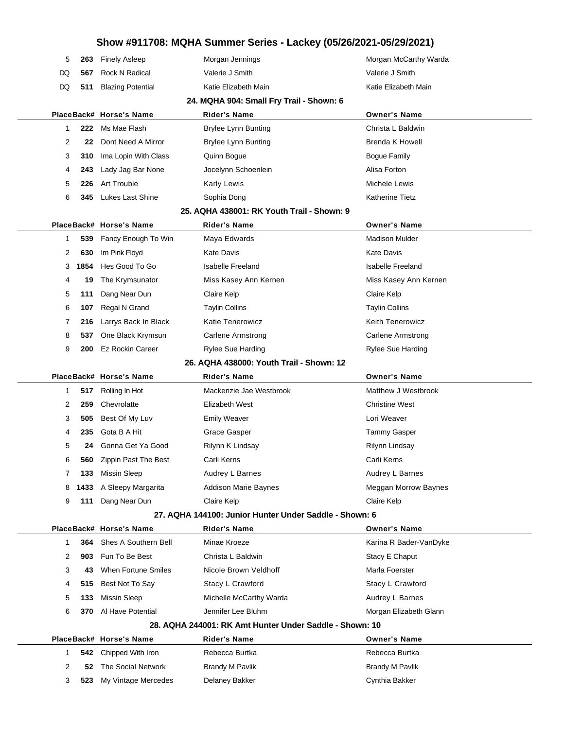|  | 5  | 263  | <b>Finely Asleep</b>     | Morgan Jennings                                         | Morgan McCarthy Warda    |
|--|----|------|--------------------------|---------------------------------------------------------|--------------------------|
|  | DQ | 567  | <b>Rock N Radical</b>    | Valerie J Smith                                         | Valerie J Smith          |
|  | DQ | 511  | <b>Blazing Potential</b> | Katie Elizabeth Main                                    | Katie Elizabeth Main     |
|  |    |      |                          | 24. MQHA 904: Small Fry Trail - Shown: 6                |                          |
|  |    |      | PlaceBack# Horse's Name  | <b>Rider's Name</b>                                     | <b>Owner's Name</b>      |
|  | 1  | 222  | Ms Mae Flash             | <b>Brylee Lynn Bunting</b>                              | Christa L Baldwin        |
|  | 2  | 22   | Dont Need A Mirror       | <b>Brylee Lynn Bunting</b>                              | <b>Brenda K Howell</b>   |
|  | 3  | 310  | Ima Lopin With Class     | Quinn Bogue                                             | <b>Bogue Family</b>      |
|  | 4  | 243  | Lady Jag Bar None        | Jocelynn Schoenlein                                     | Alisa Forton             |
|  | 5  | 226  | Art Trouble              | <b>Karly Lewis</b>                                      | Michele Lewis            |
|  | 6  | 345  | Lukes Last Shine         | Sophia Dong                                             | <b>Katherine Tietz</b>   |
|  |    |      |                          | 25. AQHA 438001: RK Youth Trail - Shown: 9              |                          |
|  |    |      | PlaceBack# Horse's Name  | Rider's Name                                            | <b>Owner's Name</b>      |
|  | 1  | 539  | Fancy Enough To Win      | Maya Edwards                                            | <b>Madison Mulder</b>    |
|  | 2  | 630  | Im Pink Floyd            | <b>Kate Davis</b>                                       | <b>Kate Davis</b>        |
|  | 3  | 1854 | Hes Good To Go           | <b>Isabelle Freeland</b>                                | <b>Isabelle Freeland</b> |
|  | 4  | 19   | The Krymsunator          | Miss Kasey Ann Kernen                                   | Miss Kasey Ann Kernen    |
|  | 5  | 111  | Dang Near Dun            | Claire Kelp                                             | Claire Kelp              |
|  | 6  | 107  | Regal N Grand            | <b>Taylin Collins</b>                                   | <b>Taylin Collins</b>    |
|  | 7  | 216  | Larrys Back In Black     | <b>Katie Tenerowicz</b>                                 | <b>Keith Tenerowicz</b>  |
|  | 8  | 537  | One Black Krymsun        | <b>Carlene Armstrong</b>                                | <b>Carlene Armstrong</b> |
|  | 9  | 200  | <b>Ez Rockin Career</b>  | Rylee Sue Harding                                       | <b>Rylee Sue Harding</b> |
|  |    |      |                          | 26. AQHA 438000: Youth Trail - Shown: 12                |                          |
|  |    |      | PlaceBack# Horse's Name  | Rider's Name                                            | <b>Owner's Name</b>      |
|  | 1  | 517  | Rolling In Hot           | Mackenzie Jae Westbrook                                 | Matthew J Westbrook      |
|  | 2  | 259  | Chevrolatte              | Elizabeth West                                          | <b>Christine West</b>    |
|  | 3  | 505  | Best Of My Luv           | <b>Emily Weaver</b>                                     | Lori Weaver              |
|  | 4  | 235  | Gota B A Hit             | Grace Gasper                                            | <b>Tammy Gasper</b>      |
|  | 5  | 24   | Gonna Get Ya Good        | Rilynn K Lindsay                                        | Rilynn Lindsay           |
|  | 6  | 560  | Zippin Past The Best     | Carli Kerns                                             | Carli Kerns              |
|  | 7  | 133  | Missin Sleep             | Audrey L Barnes                                         | Audrey L Barnes          |
|  | 8  | 1433 | A Sleepy Margarita       | <b>Addison Marie Baynes</b>                             | Meggan Morrow Baynes     |
|  | 9  | 111  | Dang Near Dun            | Claire Kelp                                             | Claire Kelp              |
|  |    |      |                          | 27. AQHA 144100: Junior Hunter Under Saddle - Shown: 6  |                          |
|  |    |      | PlaceBack# Horse's Name  | <b>Rider's Name</b>                                     | <b>Owner's Name</b>      |
|  | 1  | 364  | Shes A Southern Bell     | Minae Kroeze                                            | Karina R Bader-VanDyke   |
|  | 2  | 903  | Fun To Be Best           | Christa L Baldwin                                       | Stacy E Chaput           |
|  | 3  | 43   | When Fortune Smiles      | Nicole Brown Veldhoff                                   | Marla Foerster           |
|  | 4  | 515  | Best Not To Say          | Stacy L Crawford                                        | Stacy L Crawford         |
|  | 5  | 133  | <b>Missin Sleep</b>      | Michelle McCarthy Warda                                 | Audrey L Barnes          |
|  | 6  | 370  | Al Have Potential        | Jennifer Lee Bluhm                                      | Morgan Elizabeth Glann   |
|  |    |      |                          | 28. AQHA 244001: RK Amt Hunter Under Saddle - Shown: 10 |                          |
|  |    |      | PlaceBack# Horse's Name  | <b>Rider's Name</b>                                     | <b>Owner's Name</b>      |
|  | 1  | 542  | Chipped With Iron        | Rebecca Burtka                                          | Rebecca Burtka           |
|  | 2  | 52   | The Social Network       | <b>Brandy M Pavlik</b>                                  | <b>Brandy M Pavlik</b>   |
|  |    |      |                          |                                                         |                          |
|  | 3  | 523  | My Vintage Mercedes      | Delaney Bakker                                          | Cynthia Bakker           |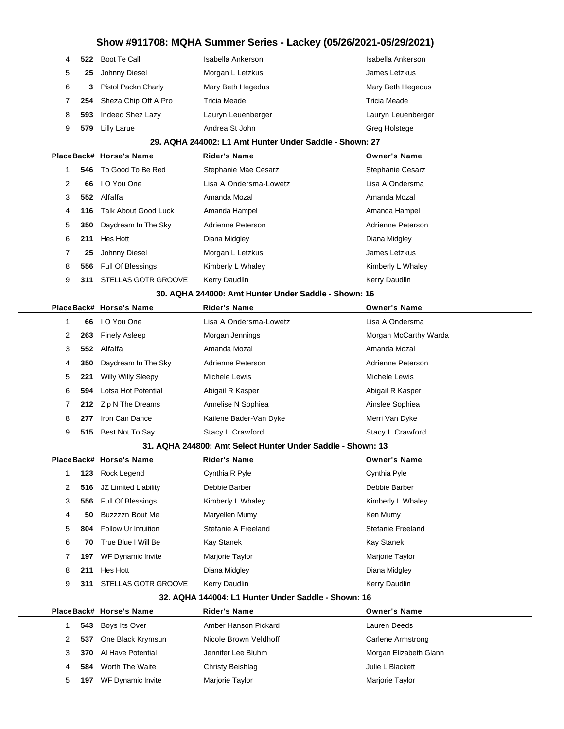| $\overline{4}$ |     | 522 Boot Te Call         | Isabella Ankerson  | Isabella Ankerson  |
|----------------|-----|--------------------------|--------------------|--------------------|
| 5              | 25  | Johnny Diesel            | Morgan L Letzkus   | James Letzkus      |
| 6              | 3   | Pistol Packn Charly      | Mary Beth Hegedus  | Mary Beth Hegedus  |
| 7              |     | 254 Sheza Chip Off A Pro | Tricia Meade       | Tricia Meade       |
| 8              | 593 | Indeed Shez Lazy         | Lauryn Leuenberger | Lauryn Leuenberger |
| 9              | 579 | <b>Lilly Larue</b>       | Andrea St John     | Greg Holstege      |
|                |     |                          |                    |                    |

### **29. AQHA 244002: L1 Amt Hunter Under Saddle - Shown: 27**

|   |     | PlaceBack# Horse's Name    | <b>Rider's Name</b>    | <b>Owner's Name</b>     |
|---|-----|----------------------------|------------------------|-------------------------|
|   |     | 546 To Good To Be Red      | Stephanie Mae Cesarz   | <b>Stephanie Cesarz</b> |
| 2 | 66  | I O You One                | Lisa A Ondersma-Lowetz | Lisa A Ondersma         |
| 3 |     | 552 Alfalfa                | Amanda Mozal           | Amanda Mozal            |
| 4 |     | 116 Talk About Good Luck   | Amanda Hampel          | Amanda Hampel           |
| 5 | 350 | Daydream In The Sky        | Adrienne Peterson      | Adrienne Peterson       |
| 6 | 211 | Hes Hott                   | Diana Midgley          | Diana Midgley           |
| 7 | 25  | Johnny Diesel              | Morgan L Letzkus       | James Letzkus           |
| 8 | 556 | Full Of Blessings          | Kimberly L Whaley      | Kimberly L Whaley       |
| 9 | 311 | <b>STELLAS GOTR GROOVE</b> | Kerry Daudlin          | Kerry Daudlin           |
|   |     |                            |                        |                         |

### **30. AQHA 244000: Amt Hunter Under Saddle - Shown: 16**

|   |     | PlaceBack# Horse's Name   | <b>Rider's Name</b>    | <b>Owner's Name</b>   |
|---|-----|---------------------------|------------------------|-----------------------|
|   |     |                           |                        |                       |
|   | 66  | I O You One               | Lisa A Ondersma-Lowetz | Lisa A Ondersma       |
| 2 | 263 | <b>Finely Asleep</b>      | Morgan Jennings        | Morgan McCarthy Warda |
| 3 | 552 | Alfalfa                   | Amanda Mozal           | Amanda Mozal          |
| 4 | 350 | Daydream In The Sky       | Adrienne Peterson      | Adrienne Peterson     |
| 5 | 221 | <b>Willy Willy Sleepy</b> | Michele Lewis          | Michele Lewis         |
| 6 | 594 | Lotsa Hot Potential       | Abigail R Kasper       | Abigail R Kasper      |
|   | 212 | Zip N The Dreams          | Annelise N Sophiea     | Ainslee Sophiea       |
| 8 | 277 | Iron Can Dance            | Kailene Bader-Van Dyke | Merri Van Dyke        |
| 9 | 515 | Best Not To Say           | Stacy L Crawford       | Stacy L Crawford      |
|   |     |                           |                        |                       |

#### **31. AQHA 244800: Amt Select Hunter Under Saddle - Shown: 13**

|                      |     | PlaceBack# Horse's Name    | <b>Rider's Name</b> | <b>Owner's Name</b> |  |
|----------------------|-----|----------------------------|---------------------|---------------------|--|
|                      | 123 | Rock Legend                | Cynthia R Pyle      | Cynthia Pyle        |  |
| $\mathbf{2}^{\circ}$ | 516 | JZ Limited Liability       | Debbie Barber       | Debbie Barber       |  |
| 3                    | 556 | Full Of Blessings          | Kimberly L Whaley   | Kimberly L Whaley   |  |
| 4                    | 50  | Buzzzzn Bout Me            | Maryellen Mumy      | Ken Mumy            |  |
| 5                    | 804 | <b>Follow Ur Intuition</b> | Stefanie A Freeland | Stefanie Freeland   |  |
| 6                    | 70  | True Blue I Will Be        | Kay Stanek          | Kay Stanek          |  |
|                      | 197 | WF Dynamic Invite          | Marjorie Taylor     | Marjorie Taylor     |  |
| 8                    | 211 | Hes Hott                   | Diana Midgley       | Diana Midgley       |  |
| 9                    | 311 | <b>STELLAS GOTR GROOVE</b> | Kerry Daudlin       | Kerry Daudlin       |  |

#### **32. AQHA 144004: L1 Hunter Under Saddle - Shown: 16**

|   |     | PlaceBack# Horse's Name | <b>Rider's Name</b>   | <b>Owner's Name</b>      |
|---|-----|-------------------------|-----------------------|--------------------------|
|   |     | 543 Boys Its Over       | Amber Hanson Pickard  | Lauren Deeds             |
|   | 537 | One Black Krymsun       | Nicole Brown Veldhoff | <b>Carlene Armstrong</b> |
|   | 370 | Al Have Potential       | Jennifer Lee Bluhm    | Morgan Elizabeth Glann   |
| 4 | 584 | Worth The Waite         | Christy Beishlag      | Julie L Blackett         |
| 5 | 197 | WF Dynamic Invite       | Marjorie Taylor       | Marjorie Taylor          |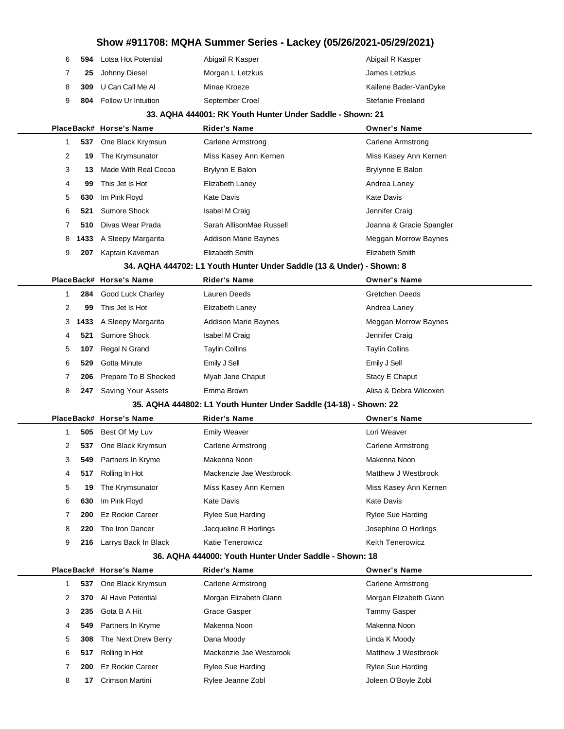| Abigail R Kasper      |
|-----------------------|
| James Letzkus         |
| Kailene Bader-VanDyke |
| Stefanie Freeland     |
|                       |

#### **33. AQHA 444001: RK Youth Hunter Under Saddle - Shown: 21**

|   |     |                      | <b>Rider's Name</b>                                                                                      | <b>Owner's Name</b>                                                   |
|---|-----|----------------------|----------------------------------------------------------------------------------------------------------|-----------------------------------------------------------------------|
|   | 537 | One Black Krymsun    | Carlene Armstrong                                                                                        | Carlene Armstrong                                                     |
| 2 | 19  | The Krymsunator      | Miss Kasey Ann Kernen                                                                                    | Miss Kasey Ann Kernen                                                 |
| 3 | 13  | Made With Real Cocoa | Brylynn E Balon                                                                                          | Brylynne E Balon                                                      |
| 4 | 99  | This Jet Is Hot      | Elizabeth Laney                                                                                          | Andrea Laney                                                          |
| 5 | 630 | Im Pink Floyd        | Kate Davis                                                                                               | <b>Kate Davis</b>                                                     |
| 6 | 521 | Sumore Shock         | Isabel M Craig                                                                                           | Jennifer Craig                                                        |
|   | 510 |                      | Sarah AllisonMae Russell                                                                                 | Joanna & Gracie Spangler                                              |
| 8 |     |                      | Addison Marie Baynes                                                                                     | Meggan Morrow Baynes                                                  |
| 9 | 207 | Kaptain Kaveman      | Elizabeth Smith                                                                                          | Elizabeth Smith                                                       |
|   |     |                      |                                                                                                          |                                                                       |
|   |     |                      | <b>Rider's Name</b>                                                                                      | <b>Owner's Name</b>                                                   |
|   | 284 | Good Luck Charley    | Lauren Deeds                                                                                             | <b>Gretchen Deeds</b>                                                 |
| 2 | 99  | This Jet Is Hot      | Elizabeth Laney                                                                                          | Andrea Laney                                                          |
|   |     |                      | PlaceBack# Horse's Name<br>Divas Wear Prada<br><b>1433</b> A Sleepy Margarita<br>PlaceBack# Horse's Name | 34. AQHA 444702: L1 Youth Hunter Under Saddle (13 & Under) - Shown: 8 |

| 3 | 1433 | A Sleepy Margarita        | <b>Addison Marie Baynes</b> | Meggan Morrow Baynes   |
|---|------|---------------------------|-----------------------------|------------------------|
|   | 521  | Sumore Shock              | <b>Isabel M Craig</b>       | Jennifer Craig         |
| 5 | 107  | Regal N Grand             | <b>Taylin Collins</b>       | <b>Taylin Collins</b>  |
| 6 | 529  | Gotta Minute              | Emily J Sell                | Emily J Sell           |
|   |      | 206 Prepare To B Shocked  | Myah Jane Chaput            | Stacy E Chaput         |
| 8 | 247  | <b>Saving Your Assets</b> | Emma Brown                  | Alisa & Debra Wilcoxen |
|   |      |                           |                             |                        |

#### **35. AQHA 444802: L1 Youth Hunter Under Saddle (14-18) - Shown: 22**

|                      |     | PlaceBack# Horse's Name | <b>Rider's Name</b>      | <b>Owner's Name</b>      |  |
|----------------------|-----|-------------------------|--------------------------|--------------------------|--|
|                      |     | 505 Best Of My Luv      | <b>Emily Weaver</b>      | Lori Weaver              |  |
| $\mathbf{2}^{\circ}$ | 537 | One Black Krymsun       | Carlene Armstrong        | Carlene Armstrong        |  |
| 3                    |     | 549 Partners In Kryme   | Makenna Noon             | Makenna Noon             |  |
| 4                    | 517 | Rolling In Hot          | Mackenzie Jae Westbrook  | Matthew J Westbrook      |  |
| 5                    | 19  | The Krymsunator         | Miss Kasey Ann Kernen    | Miss Kasey Ann Kernen    |  |
| 6                    | 630 | Im Pink Floyd           | <b>Kate Davis</b>        | <b>Kate Davis</b>        |  |
|                      | 200 | Ez Rockin Career        | <b>Rylee Sue Harding</b> | <b>Rylee Sue Harding</b> |  |
| 8                    | 220 | The Iron Dancer         | Jacqueline R Horlings    | Josephine O Horlings     |  |
| 9                    | 216 | Larrys Back In Black    | <b>Katie Tenerowicz</b>  | <b>Keith Tenerowicz</b>  |  |

#### **36. AQHA 444000: Youth Hunter Under Saddle - Shown: 18**

|   |     | PlaceBack# Horse's Name | <b>Rider's Name</b>     | <b>Owner's Name</b>    |
|---|-----|-------------------------|-------------------------|------------------------|
|   | 537 | One Black Krymsun       | Carlene Armstrong       | Carlene Armstrong      |
| 2 | 370 | Al Have Potential       | Morgan Elizabeth Glann  | Morgan Elizabeth Glann |
| 3 | 235 | Gota B A Hit            | Grace Gasper            | Tammy Gasper           |
| 4 | 549 | Partners In Kryme       | Makenna Noon            | Makenna Noon           |
| 5 | 308 | The Next Drew Berry     | Dana Moody              | Linda K Moody          |
| 6 | 517 | Rolling In Hot          | Mackenzie Jae Westbrook | Matthew J Westbrook    |
|   | 200 | <b>Ez Rockin Career</b> | Rylee Sue Harding       | Rylee Sue Harding      |
| 8 | 17  | Crimson Martini         | Rylee Jeanne Zobl       | Joleen O'Boyle Zobl    |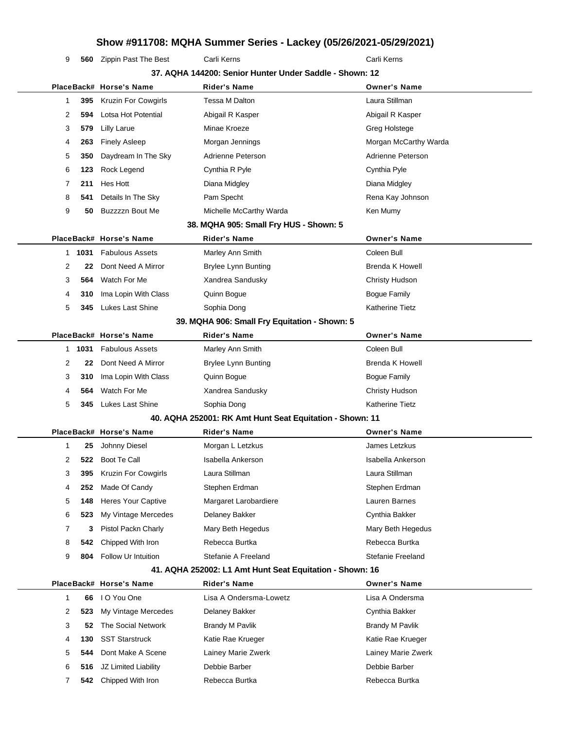**560** Zippin Past The Best Carli Kerns Carli Kerns Carli Kerns

|   |      |                            | 37. AQHA 144200: Senior Hunter Under Saddle - Shown: 12  |                        |
|---|------|----------------------------|----------------------------------------------------------|------------------------|
|   |      | PlaceBack# Horse's Name    | <b>Rider's Name</b>                                      | <b>Owner's Name</b>    |
| 1 | 395  | <b>Kruzin For Cowgirls</b> | Tessa M Dalton                                           | Laura Stillman         |
| 2 | 594  | Lotsa Hot Potential        | Abigail R Kasper                                         | Abigail R Kasper       |
| 3 | 579  | Lilly Larue                | Minae Kroeze                                             | <b>Greg Holstege</b>   |
| 4 | 263  | <b>Finely Asleep</b>       | Morgan Jennings                                          | Morgan McCarthy Warda  |
| 5 | 350  | Daydream In The Sky        | Adrienne Peterson                                        | Adrienne Peterson      |
| 6 | 123  | Rock Legend                | Cynthia R Pyle                                           | Cynthia Pyle           |
| 7 | 211  | Hes Hott                   | Diana Midgley                                            | Diana Midgley          |
| 8 | 541  | Details In The Sky         | Pam Specht                                               | Rena Kay Johnson       |
| 9 | 50   | Buzzzzn Bout Me            | Michelle McCarthy Warda                                  | Ken Mumy               |
|   |      |                            | 38. MQHA 905: Small Fry HUS - Shown: 5                   |                        |
|   |      | PlaceBack# Horse's Name    | <b>Rider's Name</b>                                      | <b>Owner's Name</b>    |
| 1 | 1031 | <b>Fabulous Assets</b>     | Marley Ann Smith                                         | Coleen Bull            |
| 2 | 22   | Dont Need A Mirror         | <b>Brylee Lynn Bunting</b>                               | Brenda K Howell        |
| 3 | 564  | Watch For Me               | Xandrea Sandusky                                         | Christy Hudson         |
| 4 | 310  | Ima Lopin With Class       | Quinn Bogue                                              | <b>Bogue Family</b>    |
| 5 | 345  | <b>Lukes Last Shine</b>    | Sophia Dong                                              | <b>Katherine Tietz</b> |
|   |      |                            | 39. MQHA 906: Small Fry Equitation - Shown: 5            |                        |
|   |      | PlaceBack# Horse's Name    | <b>Rider's Name</b>                                      | <b>Owner's Name</b>    |
| 1 | 1031 | <b>Fabulous Assets</b>     | Marley Ann Smith                                         | Coleen Bull            |
| 2 | 22   | Dont Need A Mirror         | <b>Brylee Lynn Bunting</b>                               | <b>Brenda K Howell</b> |
| 3 | 310  | Ima Lopin With Class       | Quinn Bogue                                              | <b>Bogue Family</b>    |
| 4 | 564  | Watch For Me               | Xandrea Sandusky                                         | Christy Hudson         |
| 5 | 345  | Lukes Last Shine           | Sophia Dong                                              | <b>Katherine Tietz</b> |
|   |      |                            | 40. AQHA 252001: RK Amt Hunt Seat Equitation - Shown: 11 |                        |
|   |      | PlaceBack# Horse's Name    | <b>Rider's Name</b>                                      | <b>Owner's Name</b>    |
| 1 | 25   | Johnny Diesel              | Morgan L Letzkus                                         | James Letzkus          |
| 2 | 522  | Boot Te Call               | Isabella Ankerson                                        | Isabella Ankerson      |
| 3 | 395  | Kruzin For Cowgirls        | Laura Stillman                                           | Laura Stillman         |
| 4 | 252  | Made Of Candy              | Stephen Erdman                                           | Stephen Erdman         |
| 5 | 148  | Heres Your Captive         | Margaret Larobardiere                                    | Lauren Barnes          |
| 6 | 523  | My Vintage Mercedes        | Delaney Bakker                                           | Cynthia Bakker         |
| 7 | 3    | Pistol Packn Charly        | Mary Beth Hegedus                                        | Mary Beth Hegedus      |
| 8 | 542  | Chipped With Iron          | Rebecca Burtka                                           | Rebecca Burtka         |
| 9 | 804  | Follow Ur Intuition        | Stefanie A Freeland                                      | Stefanie Freeland      |
|   |      |                            | 41. AQHA 252002: L1 Amt Hunt Seat Equitation - Shown: 16 |                        |
|   |      | PlaceBack# Horse's Name    | <b>Rider's Name</b>                                      | <b>Owner's Name</b>    |
| 1 | 66   | I O You One                | Lisa A Ondersma-Lowetz                                   | Lisa A Ondersma        |
| 2 | 523  | My Vintage Mercedes        | Delaney Bakker                                           | Cynthia Bakker         |
| 3 | 52   | The Social Network         | <b>Brandy M Pavlik</b>                                   | <b>Brandy M Pavlik</b> |
| 4 | 130  | <b>SST Starstruck</b>      | Katie Rae Krueger                                        | Katie Rae Krueger      |
| 5 | 544  | Dont Make A Scene          | Lainey Marie Zwerk                                       | Lainey Marie Zwerk     |
| 6 | 516  | JZ Limited Liability       | Debbie Barber                                            | Debbie Barber          |
| 7 |      | 542 Chipped With Iron      | Rebecca Burtka                                           | Rebecca Burtka         |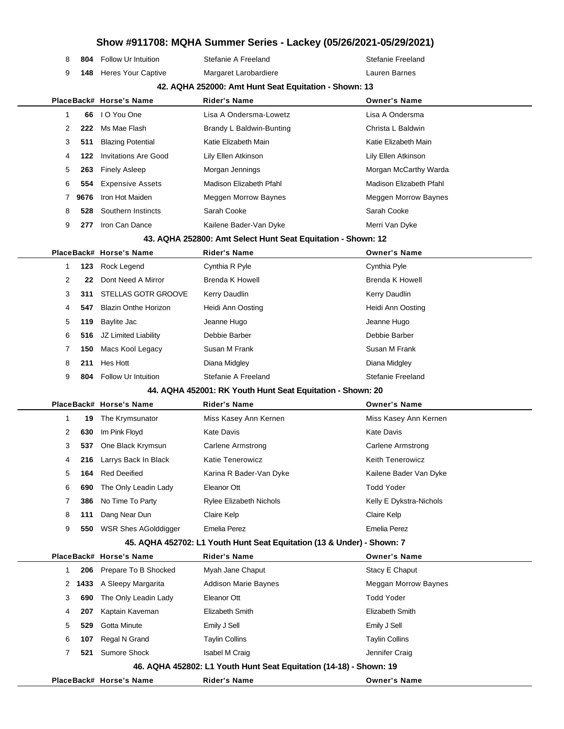|  | 8 | 804  | Follow Ur Intuition         | Stefanie A Freeland                                                    | Stefanie Freeland        |
|--|---|------|-----------------------------|------------------------------------------------------------------------|--------------------------|
|  | 9 | 148  | Heres Your Captive          | Margaret Larobardiere                                                  | Lauren Barnes            |
|  |   |      |                             | 42. AQHA 252000: Amt Hunt Seat Equitation - Shown: 13                  |                          |
|  |   |      | PlaceBack# Horse's Name     | <b>Rider's Name</b>                                                    | <b>Owner's Name</b>      |
|  | 1 | 66   | I O You One                 | Lisa A Ondersma-Lowetz                                                 | Lisa A Ondersma          |
|  | 2 | 222  | Ms Mae Flash                | Brandy L Baldwin-Bunting                                               | Christa L Baldwin        |
|  | 3 | 511  | <b>Blazing Potential</b>    | Katie Elizabeth Main                                                   | Katie Elizabeth Main     |
|  | 4 | 122  | <b>Invitations Are Good</b> | Lily Ellen Atkinson                                                    | Lily Ellen Atkinson      |
|  | 5 | 263  | <b>Finely Asleep</b>        | Morgan Jennings                                                        | Morgan McCarthy Warda    |
|  | 6 | 554  | <b>Expensive Assets</b>     | Madison Elizabeth Pfahl                                                | Madison Elizabeth Pfahl  |
|  | 7 | 9676 | Iron Hot Maiden             | <b>Meggen Morrow Baynes</b>                                            | Meggen Morrow Baynes     |
|  | 8 | 528  | Southern Instincts          | Sarah Cooke                                                            | Sarah Cooke              |
|  | 9 | 277  | Iron Can Dance              | Kailene Bader-Van Dyke                                                 | Merri Van Dyke           |
|  |   |      |                             | 43. AQHA 252800: Amt Select Hunt Seat Equitation - Shown: 12           |                          |
|  |   |      | PlaceBack# Horse's Name     | <b>Rider's Name</b>                                                    | <b>Owner's Name</b>      |
|  | 1 | 123  | Rock Legend                 | Cynthia R Pyle                                                         | Cynthia Pyle             |
|  | 2 | 22   | Dont Need A Mirror          | Brenda K Howell                                                        | <b>Brenda K Howell</b>   |
|  | 3 | 311  | STELLAS GOTR GROOVE         | Kerry Daudlin                                                          | Kerry Daudlin            |
|  | 4 | 547  | <b>Blazin Onthe Horizon</b> | Heidi Ann Oosting                                                      | Heidi Ann Oosting        |
|  | 5 | 119  | Baylite Jac                 | Jeanne Hugo                                                            | Jeanne Hugo              |
|  | 6 | 516  | JZ Limited Liability        | Debbie Barber                                                          | Debbie Barber            |
|  | 7 | 150  | Macs Kool Legacy            | Susan M Frank                                                          | Susan M Frank            |
|  | 8 | 211  | Hes Hott                    | Diana Midgley                                                          | Diana Midgley            |
|  | 9 | 804  | <b>Follow Ur Intuition</b>  | Stefanie A Freeland                                                    | Stefanie Freeland        |
|  |   |      |                             | 44. AQHA 452001: RK Youth Hunt Seat Equitation - Shown: 20             |                          |
|  |   |      | PlaceBack# Horse's Name     | <b>Rider's Name</b>                                                    | <b>Owner's Name</b>      |
|  | 1 | 19   | The Krymsunator             | Miss Kasey Ann Kernen                                                  | Miss Kasey Ann Kernen    |
|  | 2 | 630  | Im Pink Floyd               | <b>Kate Davis</b>                                                      | <b>Kate Davis</b>        |
|  | 3 | 537  | One Black Krymsun           | <b>Carlene Armstrong</b>                                               | <b>Carlene Armstrong</b> |
|  | 4 |      | 216 Larrys Back In Black    | Katie Tenerowicz                                                       | <b>Keith Tenerowicz</b>  |
|  | 5 | 164  | <b>Red Deeified</b>         | Karina R Bader-Van Dyke                                                | Kailene Bader Van Dyke   |
|  | 6 | 690  | The Only Leadin Lady        | Eleanor Ott                                                            | <b>Todd Yoder</b>        |
|  | 7 | 386  | No Time To Party            | <b>Rylee Elizabeth Nichols</b>                                         | Kelly E Dykstra-Nichols  |
|  | 8 | 111  | Dang Near Dun               | Claire Kelp                                                            | Claire Kelp              |
|  | 9 |      | 550 WSR Shes AGolddigger    | <b>Emelia Perez</b>                                                    | <b>Emelia Perez</b>      |
|  |   |      |                             | 45. AQHA 452702: L1 Youth Hunt Seat Equitation (13 & Under) - Shown: 7 |                          |
|  |   |      | PlaceBack# Horse's Name     | <b>Rider's Name</b>                                                    | <b>Owner's Name</b>      |
|  | 1 | 206  | Prepare To B Shocked        | Myah Jane Chaput                                                       | Stacy E Chaput           |
|  | 2 | 1433 | A Sleepy Margarita          | <b>Addison Marie Baynes</b>                                            | Meggan Morrow Baynes     |
|  | 3 | 690  | The Only Leadin Lady        | Eleanor Ott                                                            | <b>Todd Yoder</b>        |
|  | 4 | 207  | Kaptain Kaveman             | Elizabeth Smith                                                        | Elizabeth Smith          |
|  | 5 | 529  | Gotta Minute                | Emily J Sell                                                           | Emily J Sell             |
|  | 6 | 107  | Regal N Grand               | <b>Taylin Collins</b>                                                  | <b>Taylin Collins</b>    |
|  | 7 | 521  | Sumore Shock                | Isabel M Craig                                                         | Jennifer Craig           |
|  |   |      |                             | 46. AQHA 452802: L1 Youth Hunt Seat Equitation (14-18) - Shown: 19     |                          |
|  |   |      | PlaceBack# Horse's Name     | Rider's Name                                                           | <b>Owner's Name</b>      |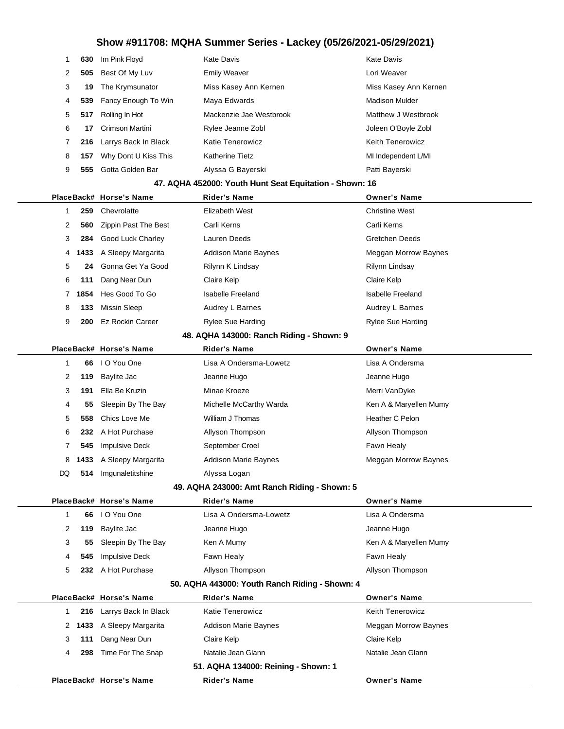| 1   | 630  | Im Pink Floyd           | <b>Kate Davis</b>                                       | <b>Kate Davis</b>           |
|-----|------|-------------------------|---------------------------------------------------------|-----------------------------|
| 2   | 505  | Best Of My Luv          | <b>Emily Weaver</b>                                     | Lori Weaver                 |
| 3   | 19   | The Krymsunator         | Miss Kasey Ann Kernen                                   | Miss Kasey Ann Kernen       |
| 4   | 539  | Fancy Enough To Win     | Maya Edwards                                            | <b>Madison Mulder</b>       |
| 5   | 517  | Rolling In Hot          | Mackenzie Jae Westbrook                                 | Matthew J Westbrook         |
| 6   | 17   | Crimson Martini         | Rylee Jeanne Zobl                                       | Joleen O'Boyle Zobl         |
| 7   | 216  | Larrys Back In Black    | <b>Katie Tenerowicz</b>                                 | <b>Keith Tenerowicz</b>     |
| 8   | 157  | Why Dont U Kiss This    | <b>Katherine Tietz</b>                                  | MI Independent L/MI         |
| 9   | 555  | Gotta Golden Bar        | Alyssa G Bayerski                                       | Patti Bayerski              |
|     |      |                         | 47. AQHA 452000: Youth Hunt Seat Equitation - Shown: 16 |                             |
|     |      | PlaceBack# Horse's Name | <b>Rider's Name</b>                                     | <b>Owner's Name</b>         |
| 1   | 259  | Chevrolatte             | Elizabeth West                                          | <b>Christine West</b>       |
| 2   | 560  | Zippin Past The Best    | Carli Kerns                                             | Carli Kerns                 |
| 3   | 284  | Good Luck Charley       | Lauren Deeds                                            | <b>Gretchen Deeds</b>       |
| 4   | 1433 | A Sleepy Margarita      | Addison Marie Baynes                                    | <b>Meggan Morrow Baynes</b> |
| 5   | 24   | Gonna Get Ya Good       | Rilynn K Lindsay                                        | Rilynn Lindsay              |
| 6   | 111  | Dang Near Dun           | Claire Kelp                                             | Claire Kelp                 |
| 7   | 1854 | Hes Good To Go          | <b>Isabelle Freeland</b>                                | <b>Isabelle Freeland</b>    |
| 8   | 133  | <b>Missin Sleep</b>     | Audrey L Barnes                                         | Audrey L Barnes             |
| 9   | 200  | <b>Ez Rockin Career</b> | <b>Rylee Sue Harding</b>                                | <b>Rylee Sue Harding</b>    |
|     |      |                         | 48. AQHA 143000: Ranch Riding - Shown: 9                |                             |
|     |      | PlaceBack# Horse's Name | <b>Rider's Name</b>                                     | <b>Owner's Name</b>         |
| 1   | 66   | I O You One             | Lisa A Ondersma-Lowetz                                  | Lisa A Ondersma             |
| 2   | 119  | Baylite Jac             | Jeanne Hugo                                             | Jeanne Hugo                 |
| 3   | 191  | Ella Be Kruzin          | Minae Kroeze                                            | Merri VanDyke               |
| 4   | 55   | Sleepin By The Bay      | Michelle McCarthy Warda                                 | Ken A & Maryellen Mumy      |
| 5   | 558  | Chics Love Me           | William J Thomas                                        | Heather C Pelon             |
| 6   | 232  | A Hot Purchase          | Allyson Thompson                                        | Allyson Thompson            |
| 7   | 545  | <b>Impulsive Deck</b>   | September Croel                                         | Fawn Healy                  |
| 8   |      | 1433 A Sleepy Margarita | Addison Marie Baynes                                    | Meggan Morrow Baynes        |
| DQ. |      | 514 Imgunaletitshine    | Alyssa Logan                                            |                             |
|     |      |                         | 49. AQHA 243000: Amt Ranch Riding - Shown: 5            |                             |
|     |      | PlaceBack# Horse's Name | <b>Rider's Name</b>                                     | <b>Owner's Name</b>         |
| 1   | 66   | I O You One             | Lisa A Ondersma-Lowetz                                  | Lisa A Ondersma             |
| 2   | 119  | Baylite Jac             | Jeanne Hugo                                             | Jeanne Hugo                 |
| 3   | 55   | Sleepin By The Bay      | Ken A Mumy                                              | Ken A & Maryellen Mumy      |
| 4   | 545  | <b>Impulsive Deck</b>   | Fawn Healy                                              | Fawn Healy                  |
| 5   | 232. | A Hot Purchase          | Allyson Thompson                                        | Allyson Thompson            |
|     |      |                         | 50. AQHA 443000: Youth Ranch Riding - Shown: 4          |                             |
|     |      | PlaceBack# Horse's Name | <b>Rider's Name</b>                                     | <b>Owner's Name</b>         |
| 1   | 216  | Larrys Back In Black    | Katie Tenerowicz                                        | <b>Keith Tenerowicz</b>     |
| 2   | 1433 | A Sleepy Margarita      | Addison Marie Baynes                                    | Meggan Morrow Baynes        |
| 3   | 111  | Dang Near Dun           | Claire Kelp                                             | Claire Kelp                 |
| 4   | 298  | Time For The Snap       | Natalie Jean Glann                                      | Natalie Jean Glann          |
|     |      |                         | 51. AQHA 134000: Reining - Shown: 1                     |                             |
|     |      | PlaceBack# Horse's Name | <b>Rider's Name</b>                                     | <b>Owner's Name</b>         |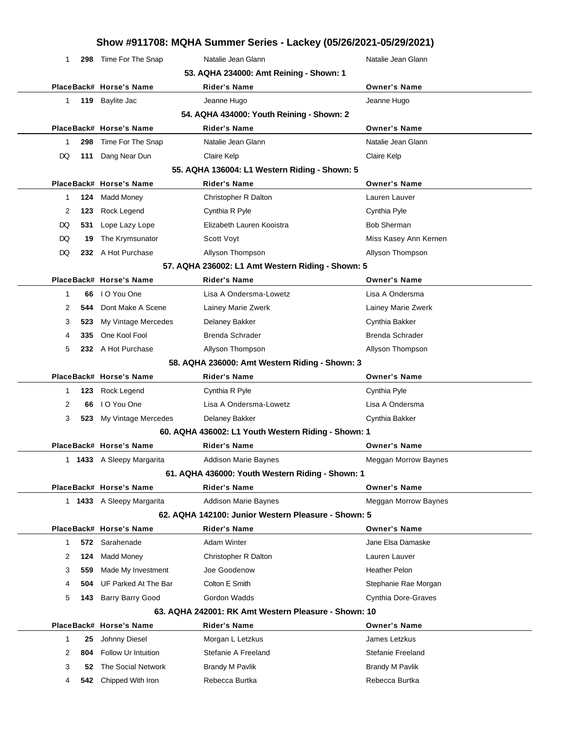|    |     |                           | Show #911708: MQHA Summer Series - Lackey (05/26/2021-05/29/2021) |                            |
|----|-----|---------------------------|-------------------------------------------------------------------|----------------------------|
| 1  | 298 | Time For The Snap         | Natalie Jean Glann                                                | Natalie Jean Glann         |
|    |     |                           | 53. AQHA 234000: Amt Reining - Shown: 1                           |                            |
|    |     | PlaceBack# Horse's Name   | <b>Rider's Name</b>                                               | <b>Owner's Name</b>        |
| 1  |     | 119 Baylite Jac           | Jeanne Hugo                                                       | Jeanne Hugo                |
|    |     |                           | 54. AQHA 434000: Youth Reining - Shown: 2                         |                            |
|    |     | PlaceBack# Horse's Name   | Rider's Name                                                      | <b>Owner's Name</b>        |
| 1  | 298 | Time For The Snap         | Natalie Jean Glann                                                | Natalie Jean Glann         |
| DQ | 111 | Dang Near Dun             | Claire Kelp                                                       | Claire Kelp                |
|    |     |                           | 55. AQHA 136004: L1 Western Riding - Shown: 5                     |                            |
|    |     | PlaceBack# Horse's Name   | <b>Rider's Name</b>                                               | <b>Owner's Name</b>        |
| 1  | 124 | <b>Madd Money</b>         | Christopher R Dalton                                              | Lauren Lauver              |
| 2  | 123 | Rock Legend               | Cynthia R Pyle                                                    | Cynthia Pyle               |
| DQ | 531 | Lope Lazy Lope            | Elizabeth Lauren Kooistra                                         | <b>Bob Sherman</b>         |
| DQ | 19  | The Krymsunator           | Scott Voyt                                                        | Miss Kasey Ann Kernen      |
| DQ |     | 232 A Hot Purchase        | Allyson Thompson                                                  | Allyson Thompson           |
|    |     |                           | 57. AQHA 236002: L1 Amt Western Riding - Shown: 5                 |                            |
|    |     | PlaceBack# Horse's Name   | <b>Rider's Name</b>                                               | <b>Owner's Name</b>        |
| 1  | 66  | I O You One               | Lisa A Ondersma-Lowetz                                            | Lisa A Ondersma            |
| 2  | 544 | Dont Make A Scene         | Lainey Marie Zwerk                                                | Lainey Marie Zwerk         |
| 3  | 523 | My Vintage Mercedes       | <b>Delaney Bakker</b>                                             | Cynthia Bakker             |
| 4  | 335 | One Kool Fool             | Brenda Schrader                                                   | Brenda Schrader            |
| 5  |     | 232 A Hot Purchase        | Allyson Thompson                                                  | Allyson Thompson           |
|    |     |                           | 58. AQHA 236000: Amt Western Riding - Shown: 3                    |                            |
|    |     | PlaceBack# Horse's Name   | Rider's Name                                                      | <b>Owner's Name</b>        |
| 1  | 123 | Rock Legend               | Cynthia R Pyle                                                    | Cynthia Pyle               |
| 2  | 66  | I O You One               | Lisa A Ondersma-Lowetz                                            | Lisa A Ondersma            |
| 3  | 523 | My Vintage Mercedes       | Delaney Bakker                                                    | Cynthia Bakker             |
|    |     |                           | 60. AQHA 436002: L1 Youth Western Riding - Shown: 1               |                            |
|    |     | PlaceBack# Horse's Name   | <b>Rider's Name</b>                                               | <b>Owner's Name</b>        |
|    |     | 1 1433 A Sleepy Margarita | <b>Addison Marie Baynes</b>                                       | Meggan Morrow Baynes       |
|    |     |                           | 61. AQHA 436000: Youth Western Riding - Shown: 1                  |                            |
|    |     | PlaceBack# Horse's Name   | Rider's Name                                                      | <b>Owner's Name</b>        |
|    |     | 1 1433 A Sleepy Margarita | <b>Addison Marie Baynes</b>                                       | Meggan Morrow Baynes       |
|    |     |                           | 62. AQHA 142100: Junior Western Pleasure - Shown: 5               |                            |
|    |     | PlaceBack# Horse's Name   | <b>Rider's Name</b>                                               | <b>Owner's Name</b>        |
| 1  |     | 572 Sarahenade            | <b>Adam Winter</b>                                                | Jane Elsa Damaske          |
| 2  | 124 | <b>Madd Money</b>         | Christopher R Dalton                                              | Lauren Lauver              |
| 3  | 559 | Made My Investment        | Joe Goodenow                                                      | <b>Heather Pelon</b>       |
| 4  | 504 | UF Parked At The Bar      | Colton E Smith                                                    | Stephanie Rae Morgan       |
| 5  | 143 | <b>Barry Barry Good</b>   | Gordon Wadds                                                      | <b>Cynthia Dore-Graves</b> |
|    |     |                           | 63. AQHA 242001: RK Amt Western Pleasure - Shown: 10              |                            |
|    |     | PlaceBack# Horse's Name   | Rider's Name                                                      | <b>Owner's Name</b>        |
| 1  | 25  | Johnny Diesel             | Morgan L Letzkus                                                  | James Letzkus              |
| 2  | 804 | Follow Ur Intuition       | Stefanie A Freeland                                               | Stefanie Freeland          |
| 3  | 52  | The Social Network        | <b>Brandy M Pavlik</b>                                            | <b>Brandy M Pavlik</b>     |
| 4  | 542 | Chipped With Iron         | Rebecca Burtka                                                    | Rebecca Burtka             |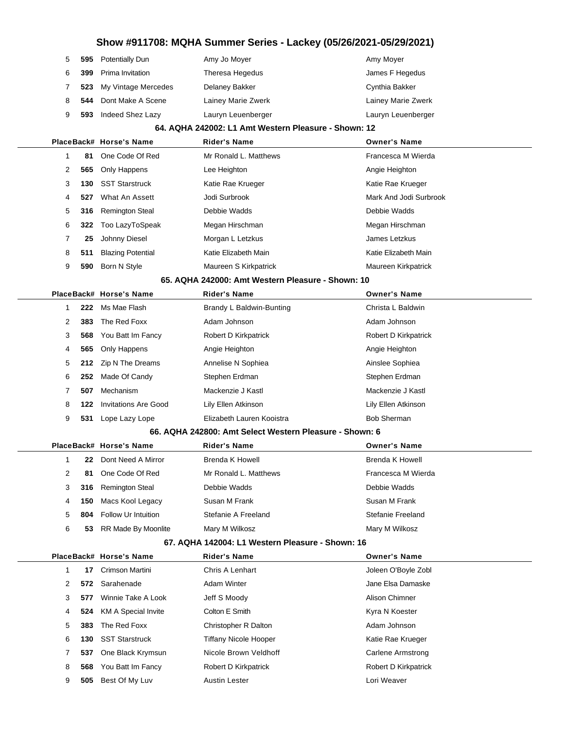| 5 | 595 | <b>Potentially Dun</b>      | Amy Jo Moyer                                            | Amy Moyer              |
|---|-----|-----------------------------|---------------------------------------------------------|------------------------|
| 6 | 399 | Prima Invitation            | Theresa Hegedus                                         | James F Hegedus        |
| 7 | 523 | My Vintage Mercedes         | Delaney Bakker                                          | Cynthia Bakker         |
| 8 | 544 | Dont Make A Scene           | Lainey Marie Zwerk                                      | Lainey Marie Zwerk     |
| 9 | 593 | Indeed Shez Lazy            | Lauryn Leuenberger                                      | Lauryn Leuenberger     |
|   |     |                             | 64. AQHA 242002: L1 Amt Western Pleasure - Shown: 12    |                        |
|   |     | PlaceBack# Horse's Name     | <b>Rider's Name</b>                                     | <b>Owner's Name</b>    |
| 1 | 81  | One Code Of Red             | Mr Ronald L. Matthews                                   | Francesca M Wierda     |
| 2 | 565 | Only Happens                | Lee Heighton                                            | Angie Heighton         |
| 3 | 130 | <b>SST Starstruck</b>       | Katie Rae Krueger                                       | Katie Rae Krueger      |
| 4 | 527 | What An Assett              | Jodi Surbrook                                           | Mark And Jodi Surbrook |
| 5 | 316 | <b>Remington Steal</b>      | Debbie Wadds                                            | Debbie Wadds           |
| 6 | 322 | Too LazyToSpeak             | Megan Hirschman                                         | Megan Hirschman        |
| 7 | 25  | Johnny Diesel               | Morgan L Letzkus                                        | James Letzkus          |
| 8 | 511 | <b>Blazing Potential</b>    | Katie Elizabeth Main                                    | Katie Elizabeth Main   |
| 9 | 590 | Born N Style                | Maureen S Kirkpatrick                                   | Maureen Kirkpatrick    |
|   |     |                             | 65. AQHA 242000: Amt Western Pleasure - Shown: 10       |                        |
|   |     | PlaceBack# Horse's Name     | Rider's Name                                            | <b>Owner's Name</b>    |
| 1 | 222 | Ms Mae Flash                | Brandy L Baldwin-Bunting                                | Christa L Baldwin      |
| 2 | 383 | The Red Foxx                | Adam Johnson                                            | Adam Johnson           |
| 3 | 568 | You Batt Im Fancy           | Robert D Kirkpatrick                                    | Robert D Kirkpatrick   |
| 4 | 565 | Only Happens                | Angie Heighton                                          | Angie Heighton         |
| 5 | 212 | Zip N The Dreams            | Annelise N Sophiea                                      | Ainslee Sophiea        |
| 6 | 252 | Made Of Candy               | Stephen Erdman                                          | Stephen Erdman         |
| 7 | 507 | Mechanism                   | Mackenzie J Kastl                                       | Mackenzie J Kastl      |
| 8 | 122 | <b>Invitations Are Good</b> | Lily Ellen Atkinson                                     | Lily Ellen Atkinson    |
| 9 | 531 | Lope Lazy Lope              | Elizabeth Lauren Kooistra                               | <b>Bob Sherman</b>     |
|   |     |                             | 66. AQHA 242800: Amt Select Western Pleasure - Shown: 6 |                        |
|   |     | PlaceBack# Horse's Name     | <b>Rider's Name</b>                                     | <b>Owner's Name</b>    |
| 1 | 22  | Dont Need A Mirror          | Brenda K Howell                                         | Brenda K Howell        |
| 2 | 81  | One Code Of Red             | Mr Ronald L. Matthews                                   | Francesca M Wierda     |
| 3 | 316 | Remington Steal             | Debbie Wadds                                            | Debbie Wadds           |
| 4 | 150 | Macs Kool Legacy            | Susan M Frank                                           | Susan M Frank          |
| 5 | 804 | Follow Ur Intuition         | Stefanie A Freeland                                     | Stefanie Freeland      |
| 6 | 53  | RR Made By Moonlite         | Mary M Wilkosz                                          | Mary M Wilkosz         |
|   |     |                             | 67. AQHA 142004: L1 Western Pleasure - Shown: 16        |                        |
|   |     | PlaceBack# Horse's Name     | <b>Rider's Name</b>                                     | <b>Owner's Name</b>    |
| 1 | 17  | <b>Crimson Martini</b>      | Chris A Lenhart                                         | Joleen O'Boyle Zobl    |
| 2 | 572 | Sarahenade                  | <b>Adam Winter</b>                                      | Jane Elsa Damaske      |
| 3 | 577 | Winnie Take A Look          | Jeff S Moody                                            | Alison Chimner         |
| 4 | 524 | <b>KM A Special Invite</b>  | Colton E Smith                                          | Kyra N Koester         |
| 5 | 383 | The Red Foxx                | Christopher R Dalton                                    | Adam Johnson           |
| 6 | 130 | <b>SST Starstruck</b>       | <b>Tiffany Nicole Hooper</b>                            | Katie Rae Krueger      |
| 7 | 537 | One Black Krymsun           | Nicole Brown Veldhoff                                   | Carlene Armstrong      |
| 8 | 568 | You Batt Im Fancy           | Robert D Kirkpatrick                                    | Robert D Kirkpatrick   |
| 9 | 505 | Best Of My Luv              | <b>Austin Lester</b>                                    | Lori Weaver            |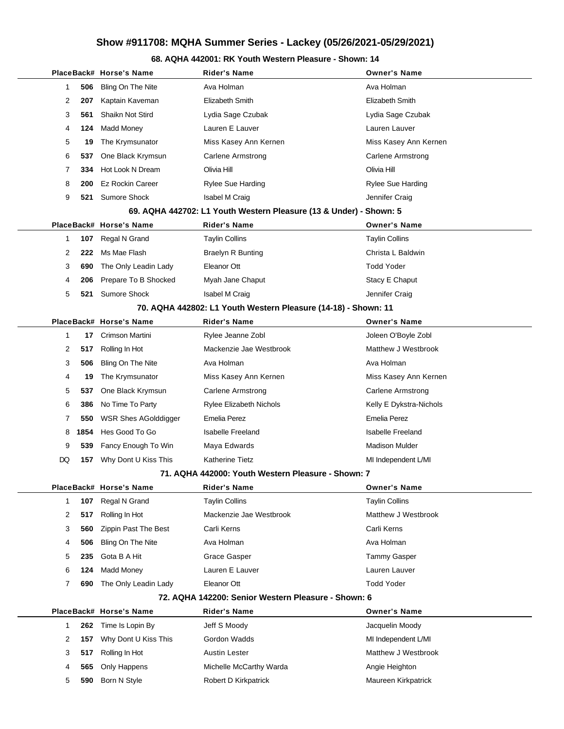### **68. AQHA 442001: RK Youth Western Pleasure - Shown: 14**

|  |    |      | PlaceBack# Horse's Name | <b>Rider's Name</b>                                                | <b>Owner's Name</b>      |
|--|----|------|-------------------------|--------------------------------------------------------------------|--------------------------|
|  | 1  | 506  | Bling On The Nite       | Ava Holman                                                         | Ava Holman               |
|  | 2  | 207  | Kaptain Kaveman         | Elizabeth Smith                                                    | Elizabeth Smith          |
|  | 3  | 561  | Shaikn Not Stird        | Lydia Sage Czubak                                                  | Lydia Sage Czubak        |
|  | 4  | 124  | Madd Money              | Lauren E Lauver                                                    | Lauren Lauver            |
|  | 5  | 19   | The Krymsunator         | Miss Kasey Ann Kernen                                              | Miss Kasey Ann Kernen    |
|  | 6  | 537  | One Black Krymsun       | <b>Carlene Armstrong</b>                                           | <b>Carlene Armstrong</b> |
|  | 7  | 334  | Hot Look N Dream        | Olivia Hill                                                        | Olivia Hill              |
|  | 8  | 200  | <b>Ez Rockin Career</b> | Rylee Sue Harding                                                  | Rylee Sue Harding        |
|  | 9  | 521  | <b>Sumore Shock</b>     | <b>Isabel M Craig</b>                                              | Jennifer Craig           |
|  |    |      |                         | 69. AQHA 442702: L1 Youth Western Pleasure (13 & Under) - Shown: 5 |                          |
|  |    |      | PlaceBack# Horse's Name | <b>Rider's Name</b>                                                | <b>Owner's Name</b>      |
|  | 1  | 107  | Regal N Grand           | <b>Taylin Collins</b>                                              | <b>Taylin Collins</b>    |
|  | 2  | 222  | Ms Mae Flash            | <b>Braelyn R Bunting</b>                                           | Christa L Baldwin        |
|  | 3  | 690  | The Only Leadin Lady    | Eleanor Ott                                                        | <b>Todd Yoder</b>        |
|  | 4  | 206  | Prepare To B Shocked    | Myah Jane Chaput                                                   | Stacy E Chaput           |
|  | 5  | 521  | Sumore Shock            | Isabel M Craig                                                     | Jennifer Craig           |
|  |    |      |                         | 70. AQHA 442802: L1 Youth Western Pleasure (14-18) - Shown: 11     |                          |
|  |    |      | PlaceBack# Horse's Name | <b>Rider's Name</b>                                                | <b>Owner's Name</b>      |
|  | 1  | 17   | Crimson Martini         | Rylee Jeanne Zobl                                                  | Joleen O'Boyle Zobl      |
|  | 2  | 517  | Rolling In Hot          | Mackenzie Jae Westbrook                                            | Matthew J Westbrook      |
|  | 3  | 506  | Bling On The Nite       | Ava Holman                                                         | Ava Holman               |
|  | 4  | 19   | The Krymsunator         | Miss Kasey Ann Kernen                                              | Miss Kasey Ann Kernen    |
|  | 5  | 537  | One Black Krymsun       | Carlene Armstrong                                                  | <b>Carlene Armstrong</b> |
|  | 6  | 386  | No Time To Party        | <b>Rylee Elizabeth Nichols</b>                                     | Kelly E Dykstra-Nichols  |
|  | 7  | 550  | WSR Shes AGolddigger    | Emelia Perez                                                       | <b>Emelia Perez</b>      |
|  | 8  | 1854 | Hes Good To Go          | <b>Isabelle Freeland</b>                                           | <b>Isabelle Freeland</b> |
|  | 9  | 539  | Fancy Enough To Win     | Maya Edwards                                                       | <b>Madison Mulder</b>    |
|  | DQ | 157  | Why Dont U Kiss This    | Katherine Tietz                                                    | MI Independent L/MI      |
|  |    |      |                         | 71. AQHA 442000: Youth Western Pleasure - Shown: 7                 |                          |
|  |    |      | PlaceBack# Horse's Name | <b>Rider's Name</b>                                                | <b>Owner's Name</b>      |
|  | 1  | 107  | Regal N Grand           | <b>Taylin Collins</b>                                              | <b>Taylin Collins</b>    |
|  | 2  | 517  | Rolling In Hot          | Mackenzie Jae Westbrook                                            | Matthew J Westbrook      |
|  | 3  | 560  | Zippin Past The Best    | Carli Kerns                                                        | Carli Kerns              |
|  | 4  | 506  | Bling On The Nite       | Ava Holman                                                         | Ava Holman               |
|  | 5  | 235  | Gota B A Hit            | Grace Gasper                                                       | Tammy Gasper             |
|  | 6  | 124  | <b>Madd Money</b>       | Lauren E Lauver                                                    | Lauren Lauver            |
|  | 7  | 690  | The Only Leadin Lady    | Eleanor Ott                                                        | <b>Todd Yoder</b>        |
|  |    |      |                         | 72. AQHA 142200: Senior Western Pleasure - Shown: 6                |                          |
|  |    |      | PlaceBack# Horse's Name | <b>Rider's Name</b>                                                | <b>Owner's Name</b>      |
|  | 1  | 262  | Time Is Lopin By        | Jeff S Moody                                                       | Jacquelin Moody          |
|  | 2  | 157  | Why Dont U Kiss This    | Gordon Wadds                                                       | MI Independent L/MI      |
|  | 3  | 517  | Rolling In Hot          | Austin Lester                                                      | Matthew J Westbrook      |
|  | 4  | 565  | Only Happens            | Michelle McCarthy Warda                                            | Angie Heighton           |
|  | 5  | 590  | Born N Style            | Robert D Kirkpatrick                                               | Maureen Kirkpatrick      |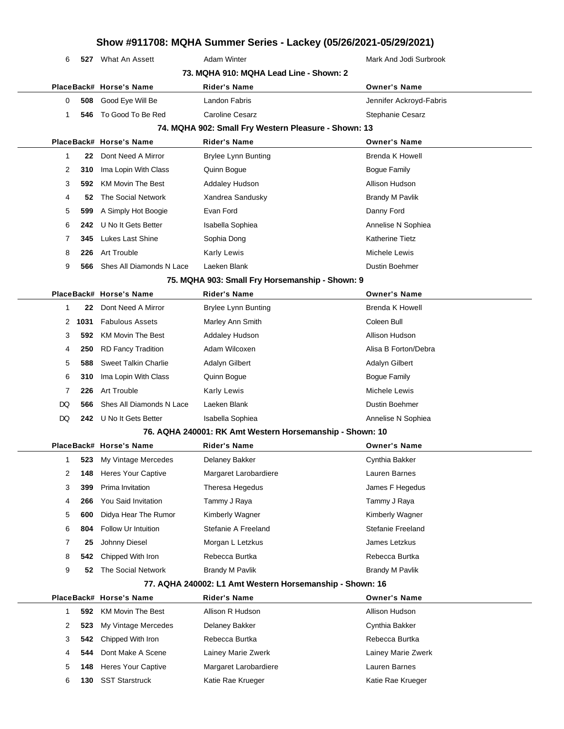| 6            | 527  | What An Assett              | <b>Adam Winter</b>                                       | Mark And Jodi Surbrook   |
|--------------|------|-----------------------------|----------------------------------------------------------|--------------------------|
|              |      |                             | 73. MQHA 910: MQHA Lead Line - Shown: 2                  |                          |
|              |      | PlaceBack# Horse's Name     | <b>Rider's Name</b>                                      | <b>Owner's Name</b>      |
| 0            | 508  | Good Eye Will Be            | Landon Fabris                                            | Jennifer Ackroyd-Fabris  |
| 1            | 546  | To Good To Be Red           | <b>Caroline Cesarz</b>                                   | Stephanie Cesarz         |
|              |      |                             | 74. MQHA 902: Small Fry Western Pleasure - Shown: 13     |                          |
|              |      | PlaceBack# Horse's Name     | <b>Rider's Name</b>                                      | <b>Owner's Name</b>      |
| 1            | 22   | Dont Need A Mirror          | <b>Brylee Lynn Bunting</b>                               | Brenda K Howell          |
| 2            | 310  | Ima Lopin With Class        | Quinn Bogue                                              | <b>Bogue Family</b>      |
| 3            | 592. | <b>KM Movin The Best</b>    | <b>Addaley Hudson</b>                                    | Allison Hudson           |
| 4            | 52   | The Social Network          | Xandrea Sandusky                                         | <b>Brandy M Pavlik</b>   |
| 5            | 599  | A Simply Hot Boogie         | Evan Ford                                                | Danny Ford               |
| 6            | 242  | U No It Gets Better         | Isabella Sophiea                                         | Annelise N Sophiea       |
| 7            | 345  | <b>Lukes Last Shine</b>     | Sophia Dong                                              | <b>Katherine Tietz</b>   |
| 8            | 226  | Art Trouble                 | Karly Lewis                                              | Michele Lewis            |
| 9            | 566  | Shes All Diamonds N Lace    | Laeken Blank                                             | Dustin Boehmer           |
|              |      |                             | 75. MQHA 903: Small Fry Horsemanship - Shown: 9          |                          |
|              |      | PlaceBack# Horse's Name     | <b>Rider's Name</b>                                      | <b>Owner's Name</b>      |
| 1            | 22   | Dont Need A Mirror          | <b>Brylee Lynn Bunting</b>                               | <b>Brenda K Howell</b>   |
| 2            | 1031 | <b>Fabulous Assets</b>      | Marley Ann Smith                                         | Coleen Bull              |
| 3            | 592  | <b>KM Movin The Best</b>    | <b>Addaley Hudson</b>                                    | Allison Hudson           |
| 4            | 250  | <b>RD Fancy Tradition</b>   | Adam Wilcoxen                                            | Alisa B Forton/Debra     |
| 5            | 588  | <b>Sweet Talkin Charlie</b> | <b>Adalyn Gilbert</b>                                    | <b>Adalyn Gilbert</b>    |
| 6            | 310  | Ima Lopin With Class        | Quinn Bogue                                              | <b>Bogue Family</b>      |
| 7            | 226  | Art Trouble                 | Karly Lewis                                              | Michele Lewis            |
| DQ           | 566  | Shes All Diamonds N Lace    | Laeken Blank                                             | Dustin Boehmer           |
| DQ           | 242  | U No It Gets Better         | Isabella Sophiea                                         | Annelise N Sophiea       |
|              |      |                             | 76. AQHA 240001: RK Amt Western Horsemanship - Shown: 10 |                          |
|              |      | PlaceBack# Horse's Name     | <b>Rider's Name</b>                                      | <b>Owner's Name</b>      |
| 1            | 523  | My Vintage Mercedes         | Delaney Bakker                                           | Cynthia Bakker           |
| 2            | 148  | <b>Heres Your Captive</b>   | Margaret Larobardiere                                    | Lauren Barnes            |
| 3            | 399  | Prima Invitation            | Theresa Hegedus                                          | James F Hegedus          |
| 4            | 266  | You Said Invitation         | Tammy J Raya                                             | Tammy J Raya             |
| 5            | 600  | Didya Hear The Rumor        | Kimberly Wagner                                          | Kimberly Wagner          |
| 6            | 804  | Follow Ur Intuition         | Stefanie A Freeland                                      | <b>Stefanie Freeland</b> |
| 7            | 25   | Johnny Diesel               | Morgan L Letzkus                                         | James Letzkus            |
| 8            | 542  | Chipped With Iron           | Rebecca Burtka                                           | Rebecca Burtka           |
| 9            | 52   | The Social Network          | <b>Brandy M Pavlik</b>                                   | <b>Brandy M Pavlik</b>   |
|              |      |                             | 77. AQHA 240002: L1 Amt Western Horsemanship - Shown: 16 |                          |
|              |      | PlaceBack# Horse's Name     | Rider's Name                                             | <b>Owner's Name</b>      |
| $\mathbf{1}$ | 592  | <b>KM Movin The Best</b>    | Allison R Hudson                                         | Allison Hudson           |
| 2            | 523  | My Vintage Mercedes         | Delaney Bakker                                           | Cynthia Bakker           |
| 3            | 542  | Chipped With Iron           | Rebecca Burtka                                           | Rebecca Burtka           |
| 4            | 544  | Dont Make A Scene           | Lainey Marie Zwerk                                       | Lainey Marie Zwerk       |
| 5            | 148  | <b>Heres Your Captive</b>   | Margaret Larobardiere                                    | Lauren Barnes            |
| 6            | 130  | <b>SST Starstruck</b>       | Katie Rae Krueger                                        | Katie Rae Krueger        |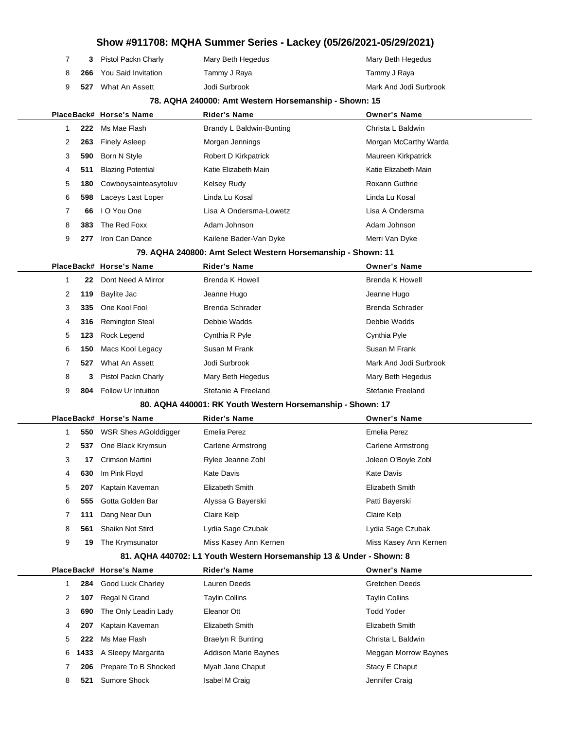|              |      |                             | Show #911708: MQHA Summer Series - Lackey (05/26/2021-05/29/2021)    |                        |
|--------------|------|-----------------------------|----------------------------------------------------------------------|------------------------|
| 7            | 3    | Pistol Packn Charly         | Mary Beth Hegedus                                                    | Mary Beth Hegedus      |
| 8            | 266  | <b>You Said Invitation</b>  | Tammy J Raya                                                         | Tammy J Raya           |
| 9            | 527  | What An Assett              | Jodi Surbrook                                                        | Mark And Jodi Surbrook |
|              |      |                             | 78. AQHA 240000: Amt Western Horsemanship - Shown: 15                |                        |
|              |      | PlaceBack# Horse's Name     | <b>Rider's Name</b>                                                  | <b>Owner's Name</b>    |
| 1            | 222  | Ms Mae Flash                | Brandy L Baldwin-Bunting                                             | Christa L Baldwin      |
| 2            | 263  | <b>Finely Asleep</b>        | Morgan Jennings                                                      | Morgan McCarthy Warda  |
| 3            | 590  | Born N Style                | Robert D Kirkpatrick                                                 | Maureen Kirkpatrick    |
| 4            | 511  | <b>Blazing Potential</b>    | Katie Elizabeth Main                                                 | Katie Elizabeth Main   |
| 5            | 180  | Cowboysainteasytoluv        | Kelsey Rudy                                                          | <b>Roxann Guthrie</b>  |
| 6            | 598  | Laceys Last Loper           | Linda Lu Kosal                                                       | Linda Lu Kosal         |
| 7            | 66   | I O You One                 | Lisa A Ondersma-Lowetz                                               | Lisa A Ondersma        |
| 8            | 383  | The Red Foxx                | Adam Johnson                                                         | Adam Johnson           |
| 9            | 277  | Iron Can Dance              | Kailene Bader-Van Dyke                                               | Merri Van Dyke         |
|              |      |                             | 79. AQHA 240800: Amt Select Western Horsemanship - Shown: 11         |                        |
|              |      | PlaceBack# Horse's Name     | <b>Rider's Name</b>                                                  | <b>Owner's Name</b>    |
| $\mathbf{1}$ | 22   | Dont Need A Mirror          | <b>Brenda K Howell</b>                                               | Brenda K Howell        |
| 2            | 119  | Baylite Jac                 | Jeanne Hugo                                                          | Jeanne Hugo            |
| 3            | 335  | One Kool Fool               | Brenda Schrader                                                      | Brenda Schrader        |
| 4            | 316  | <b>Remington Steal</b>      | Debbie Wadds                                                         | Debbie Wadds           |
| 5            | 123  | Rock Legend                 | Cynthia R Pyle                                                       | Cynthia Pyle           |
| 6            | 150  | Macs Kool Legacy            | Susan M Frank                                                        | Susan M Frank          |
| 7            | 527  | What An Assett              | Jodi Surbrook                                                        | Mark And Jodi Surbrook |
| 8            | 3    | Pistol Packn Charly         | Mary Beth Hegedus                                                    | Mary Beth Hegedus      |
| 9            | 804  | Follow Ur Intuition         | Stefanie A Freeland                                                  | Stefanie Freeland      |
|              |      |                             | 80. AQHA 440001: RK Youth Western Horsemanship - Shown: 17           |                        |
|              |      | PlaceBack# Horse's Name     | <b>Rider's Name</b>                                                  | <b>Owner's Name</b>    |
| 1            | 550  | <b>WSR Shes AGolddigger</b> | <b>Emelia Perez</b>                                                  | <b>Emelia Perez</b>    |
| 2            | 537  | One Black Krymsun           | Carlene Armstrong                                                    | Carlene Armstrong      |
| 3            | 17   | Crimson Martini             | Rylee Jeanne Zobl                                                    | Joleen O'Boyle Zobl    |
| 4            | 630  | Im Pink Floyd               | <b>Kate Davis</b>                                                    | <b>Kate Davis</b>      |
| 5            | 207  | Kaptain Kaveman             | Elizabeth Smith                                                      | Elizabeth Smith        |
| 6            | 555  | Gotta Golden Bar            | Alyssa G Bayerski                                                    | Patti Bayerski         |
| 7            | 111  | Dang Near Dun               | Claire Kelp                                                          | Claire Kelp            |
| 8            | 561  | Shaikn Not Stird            | Lydia Sage Czubak                                                    | Lydia Sage Czubak      |
| 9            | 19   | The Krymsunator             | Miss Kasey Ann Kernen                                                | Miss Kasey Ann Kernen  |
|              |      |                             | 81. AQHA 440702: L1 Youth Western Horsemanship 13 & Under - Shown: 8 |                        |
|              |      | PlaceBack# Horse's Name     | <b>Rider's Name</b>                                                  | <b>Owner's Name</b>    |
| $\mathbf{1}$ | 284  | Good Luck Charley           | Lauren Deeds                                                         | <b>Gretchen Deeds</b>  |
| 2            | 107  | Regal N Grand               | <b>Taylin Collins</b>                                                | <b>Taylin Collins</b>  |
| 3            | 690  | The Only Leadin Lady        | Eleanor Ott                                                          | <b>Todd Yoder</b>      |
| 4            | 207  | Kaptain Kaveman             | Elizabeth Smith                                                      | Elizabeth Smith        |
| 5            | 222  | Ms Mae Flash                | <b>Braelyn R Bunting</b>                                             | Christa L Baldwin      |
| 6            | 1433 | A Sleepy Margarita          | Addison Marie Baynes                                                 | Meggan Morrow Baynes   |
| 7            | 206  | Prepare To B Shocked        | Myah Jane Chaput                                                     | Stacy E Chaput         |
| 8            | 521  | Sumore Shock                | Isabel M Craig                                                       | Jennifer Craig         |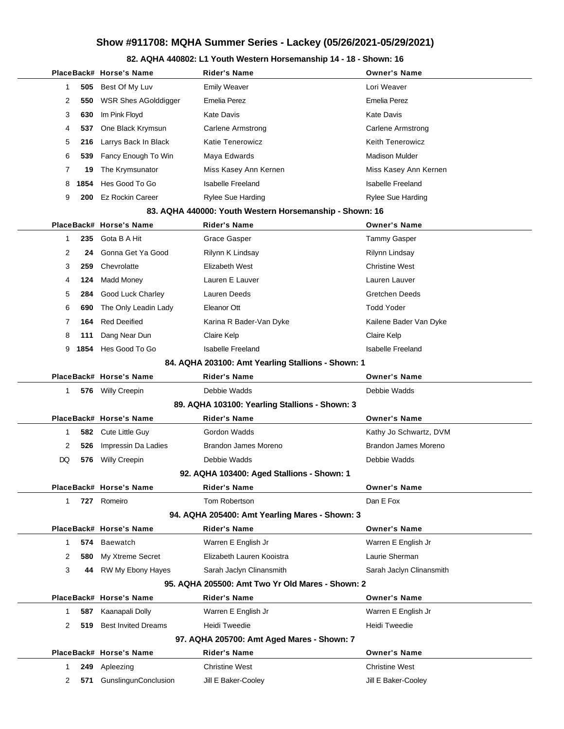### **82. AQHA 440802: L1 Youth Western Horsemanship 14 - 18 - Shown: 16**

|              |      | PlaceBack# Horse's Name    | Rider's Name                                            | <b>Owner's Name</b>      |
|--------------|------|----------------------------|---------------------------------------------------------|--------------------------|
| 1            | 505  | Best Of My Luv             | <b>Emily Weaver</b>                                     | Lori Weaver              |
| 2            |      | 550 WSR Shes AGolddigger   | <b>Emelia Perez</b>                                     | <b>Emelia Perez</b>      |
| 3            | 630  | Im Pink Floyd              | Kate Davis                                              | <b>Kate Davis</b>        |
| 4            | 537  | One Black Krymsun          | <b>Carlene Armstrong</b>                                | <b>Carlene Armstrong</b> |
| 5            | 216  | Larrys Back In Black       | <b>Katie Tenerowicz</b>                                 | <b>Keith Tenerowicz</b>  |
| 6            | 539  | Fancy Enough To Win        | Maya Edwards                                            | <b>Madison Mulder</b>    |
| 7            | 19   | The Krymsunator            | Miss Kasey Ann Kernen                                   | Miss Kasey Ann Kernen    |
| 8            | 1854 | Hes Good To Go             | <b>Isabelle Freeland</b>                                | <b>Isabelle Freeland</b> |
| 9            |      | 200 Ez Rockin Career       | <b>Rylee Sue Harding</b>                                | <b>Rylee Sue Harding</b> |
|              |      |                            | 83. AQHA 440000: Youth Western Horsemanship - Shown: 16 |                          |
|              |      | PlaceBack# Horse's Name    | <b>Rider's Name</b>                                     | <b>Owner's Name</b>      |
| $\mathbf 1$  | 235  | Gota B A Hit               | Grace Gasper                                            | <b>Tammy Gasper</b>      |
| 2            | 24   | Gonna Get Ya Good          | Rilynn K Lindsay                                        | Rilynn Lindsay           |
| 3            | 259  | Chevrolatte                | Elizabeth West                                          | <b>Christine West</b>    |
| 4            | 124  | Madd Money                 | Lauren E Lauver                                         | Lauren Lauver            |
| 5            | 284  | Good Luck Charley          | Lauren Deeds                                            | <b>Gretchen Deeds</b>    |
| 6            | 690  | The Only Leadin Lady       | Eleanor Ott                                             | <b>Todd Yoder</b>        |
| 7            | 164  | <b>Red Deeified</b>        | Karina R Bader-Van Dyke                                 | Kailene Bader Van Dyke   |
| 8            | 111  | Dang Near Dun              | Claire Kelp                                             | Claire Kelp              |
| 9            | 1854 | Hes Good To Go             | <b>Isabelle Freeland</b>                                | <b>Isabelle Freeland</b> |
|              |      |                            | 84. AQHA 203100: Amt Yearling Stallions - Shown: 1      |                          |
|              |      | PlaceBack# Horse's Name    | <b>Rider's Name</b>                                     | <b>Owner's Name</b>      |
| $\mathbf{1}$ | 576  | Willy Creepin              | Debbie Wadds                                            | Debbie Wadds             |
|              |      |                            | 89. AQHA 103100: Yearling Stallions - Shown: 3          |                          |
|              |      | PlaceBack# Horse's Name    | <b>Rider's Name</b>                                     | <b>Owner's Name</b>      |
| 1            |      | 582 Cute Little Guy        | Gordon Wadds                                            | Kathy Jo Schwartz, DVM   |
| 2            | 526  | Impressin Da Ladies        | Brandon James Moreno                                    | Brandon James Moreno     |
| DQ           | 576  | <b>Willy Creepin</b>       | Debbie Wadds                                            | Debbie Wadds             |
|              |      |                            | 92. AQHA 103400: Aged Stallions - Shown: 1              |                          |
|              |      | PlaceBack# Horse's Name    | <b>Rider's Name</b>                                     | <b>Owner's Name</b>      |
| $\mathbf{1}$ | 727  | Romeiro                    | Tom Robertson                                           | Dan E Fox                |
|              |      |                            | 94. AQHA 205400: Amt Yearling Mares - Shown: 3          |                          |
|              |      | PlaceBack# Horse's Name    | <b>Rider's Name</b>                                     | <b>Owner's Name</b>      |
| $\mathbf{1}$ |      | 574 Baewatch               | Warren E English Jr                                     | Warren E English Jr      |
| 2            |      | 580 My Xtreme Secret       | Elizabeth Lauren Kooistra                               | Laurie Sherman           |
| 3            |      | 44 RW My Ebony Hayes       | Sarah Jaclyn Clinansmith                                | Sarah Jaclyn Clinansmith |
|              |      |                            | 95. AQHA 205500: Amt Two Yr Old Mares - Shown: 2        |                          |
|              |      | PlaceBack# Horse's Name    | <b>Rider's Name</b>                                     | <b>Owner's Name</b>      |
| $\mathbf{1}$ | 587  | Kaanapali Dolly            | Warren E English Jr                                     | Warren E English Jr      |
| 2            | 519. | <b>Best Invited Dreams</b> | <b>Heidi Tweedie</b>                                    | Heidi Tweedie            |
|              |      |                            | 97. AQHA 205700: Amt Aged Mares - Shown: 7              |                          |
|              |      | PlaceBack# Horse's Name    | <b>Rider's Name</b>                                     | <b>Owner's Name</b>      |
| $\mathbf{1}$ | 249  | Apleezing                  | <b>Christine West</b>                                   | <b>Christine West</b>    |
| 2            | 571  | GunslingunConclusion       | Jill E Baker-Cooley                                     | Jill E Baker-Cooley      |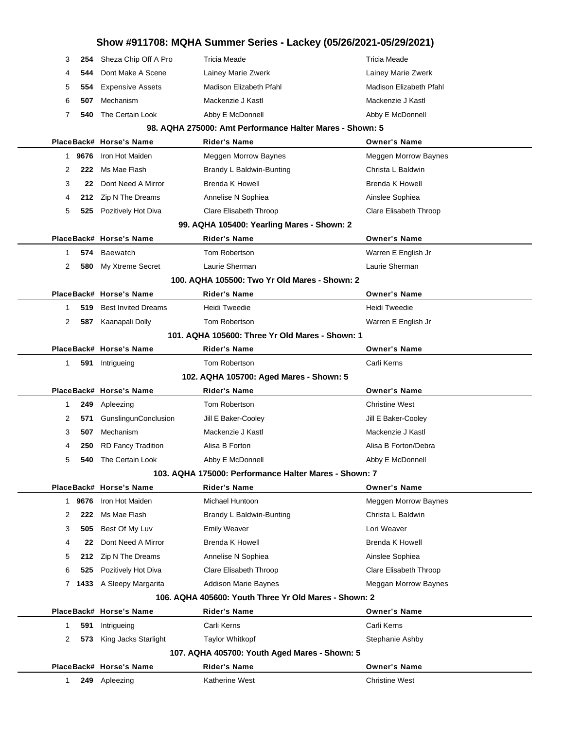|    |        |                                | Show #911708: MQHA Summer Series - Lackey (05/26/2021-05/29/2021)                    |                                           |
|----|--------|--------------------------------|--------------------------------------------------------------------------------------|-------------------------------------------|
| 3  |        | 254 Sheza Chip Off A Pro       | Tricia Meade                                                                         | <b>Tricia Meade</b>                       |
| 4  | 544    | Dont Make A Scene              | Lainey Marie Zwerk                                                                   | Lainey Marie Zwerk                        |
| 5  | 554    | Expensive Assets               | Madison Elizabeth Pfahl                                                              | Madison Elizabeth Pfahl                   |
| 6  | 507    | Mechanism                      | Mackenzie J Kastl                                                                    | Mackenzie J Kastl                         |
| 7  | 540    | The Certain Look               | Abby E McDonnell                                                                     | Abby E McDonnell                          |
|    |        |                                | 98. AQHA 275000: Amt Performance Halter Mares - Shown: 5                             |                                           |
|    |        | PlaceBack# Horse's Name        | <b>Rider's Name</b>                                                                  | <b>Owner's Name</b>                       |
|    | 1 9676 | Iron Hot Maiden                | Meggen Morrow Baynes                                                                 | <b>Meggen Morrow Baynes</b>               |
| 2  | 222    | Ms Mae Flash                   | Brandy L Baldwin-Bunting                                                             | Christa L Baldwin                         |
| 3  | 22     | Dont Need A Mirror             | <b>Brenda K Howell</b>                                                               | <b>Brenda K Howell</b>                    |
| 4  |        | 212 Zip N The Dreams           | Annelise N Sophiea                                                                   | Ainslee Sophiea                           |
| 5  |        | 525 Pozitively Hot Diva        | Clare Elisabeth Throop                                                               | Clare Elisabeth Throop                    |
|    |        |                                | 99. AQHA 105400: Yearling Mares - Shown: 2                                           |                                           |
|    |        | PlaceBack# Horse's Name        | <b>Rider's Name</b>                                                                  | <b>Owner's Name</b>                       |
| 1  |        | 574 Baewatch                   | Tom Robertson                                                                        | Warren E English Jr                       |
| 2  |        | 580 My Xtreme Secret           | Laurie Sherman                                                                       | Laurie Sherman                            |
|    |        |                                | 100. AQHA 105500: Two Yr Old Mares - Shown: 2                                        |                                           |
|    |        | PlaceBack# Horse's Name        | <b>Rider's Name</b>                                                                  | <b>Owner's Name</b>                       |
| 1  | 519    | <b>Best Invited Dreams</b>     | Heidi Tweedie                                                                        | Heidi Tweedie                             |
| 2  | 587    | Kaanapali Dolly                | Tom Robertson                                                                        | Warren E English Jr                       |
|    |        |                                | 101. AQHA 105600: Three Yr Old Mares - Shown: 1                                      |                                           |
|    |        | PlaceBack# Horse's Name        | <b>Rider's Name</b>                                                                  | <b>Owner's Name</b>                       |
| 1  |        | 591 Intrigueing                | Tom Robertson                                                                        | Carli Kerns                               |
|    |        |                                | 102. AQHA 105700: Aged Mares - Shown: 5                                              |                                           |
|    |        | PlaceBack# Horse's Name        | <b>Rider's Name</b>                                                                  | <b>Owner's Name</b>                       |
| 1  | 249    | Apleezing                      | Tom Robertson                                                                        | <b>Christine West</b>                     |
| 2  | 571    | GunslingunConclusion           | Jill E Baker-Cooley                                                                  | Jill E Baker-Cooley                       |
| 3  | 507    | Mechanism                      | Mackenzie J Kastl                                                                    | Mackenzie J Kastl                         |
| 4  |        | <b>250</b> RD Fancy Tradition  | Alisa B Forton                                                                       | Alisa B Forton/Debra                      |
| 5  |        | 540 The Certain Look           | Abby E McDonnell                                                                     | Abby E McDonnell                          |
|    |        |                                | 103. AQHA 175000: Performance Halter Mares - Shown: 7                                |                                           |
|    |        | PlaceBack# Horse's Name        | <b>Rider's Name</b>                                                                  | <b>Owner's Name</b>                       |
|    | 1 9676 | Iron Hot Maiden                | Michael Huntoon                                                                      | Meggen Morrow Baynes<br>Christa L Baldwin |
| 2  | 222    | Ms Mae Flash<br>Best Of My Luv | Brandy L Baldwin-Bunting                                                             |                                           |
| 3  | 505    |                                | <b>Emily Weaver</b>                                                                  | Lori Weaver                               |
| 4  | 22     | Dont Need A Mirror             | <b>Brenda K Howell</b>                                                               | <b>Brenda K Howell</b>                    |
| 5  |        | 212 Zip N The Dreams           | Annelise N Sophiea                                                                   | Ainslee Sophiea                           |
| 6  | 525    | Pozitively Hot Diva            | Clare Elisabeth Throop                                                               | Clare Elisabeth Throop                    |
|    |        | 7 1433 A Sleepy Margarita      | <b>Addison Marie Baynes</b><br>106. AQHA 405600: Youth Three Yr Old Mares - Shown: 2 | Meggan Morrow Baynes                      |
|    |        | PlaceBack# Horse's Name        | <b>Rider's Name</b>                                                                  | <b>Owner's Name</b>                       |
| 1. | 591    | Intrigueing                    | Carli Kerns                                                                          | Carli Kerns                               |
| 2  | 573    | King Jacks Starlight           | <b>Taylor Whitkopf</b>                                                               | Stephanie Ashby                           |
|    |        |                                | 107. AQHA 405700: Youth Aged Mares - Shown: 5                                        |                                           |
|    |        | PlaceBack# Horse's Name        | <b>Rider's Name</b>                                                                  | Owner's Name                              |
| 1  |        | 249 Apleezing                  | Katherine West                                                                       | <b>Christine West</b>                     |
|    |        |                                |                                                                                      |                                           |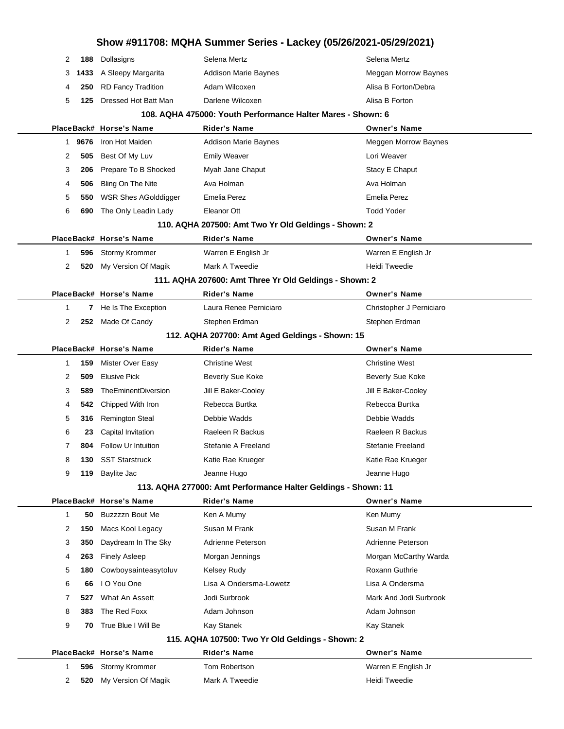# **Show #911708: MQHA Summer Series - Lackey (05/26/2021-05/29/2021) 188** Dollasigns Selena Mertz **Selena Mertz** Selena Mertz **1433** A Sleepy Margarita **Addison Marie Baynes** Meggan Morrow Baynes RD Fancy Tradition **Adam Wilcoxen** Alisa B Forton/Debra **125** Dressed Hot Batt Man Darlene Wilcoxen **Alisa B Forton 108. AQHA 475000: Youth Performance Halter Mares - Shown: 6 PlaceBack# Horse's Name Rider's Name Owner's Name 9676** Iron Hot Maiden **Addison Marie Baynes** Meggen Morrow Baynes **505** Best Of My Luv **Emily Weaver Lori Weaver Lori Weaver 206** Prepare To B Shocked Myah Jane Chaput Number 2006 Prepare To B Stacy E Chaput **506** Bling On The Nite **Ava Holman** Ava Holman Ava Holman Ava Holman **550** WSR Shes AGolddigger Emelia Perez **Emelia Perez** Emelia Perez **690** The Only Leadin Lady Eleanor Ott Todd Yoder **110. AQHA 207500: Amt Two Yr Old Geldings - Shown: 2 PlaceBack# Horse's Name Rider's Name Owner's Name 596** Stormy Krommer Warren E English Jr Warren E English Jr **520** My Version Of Magik Mark A Tweedie **Heidi Tweedie** Heidi Tweedie **111. AQHA 207600: Amt Three Yr Old Geldings - Shown: 2 PlaceBack# Horse's Name Rider's Name Owner's Name 7** He Is The Exception Laura Renee Perniciaro **Christopher J Perniciaro 252** Made Of Candy Stephen Erdman Stephen Erdman Stephen Erdman **112. AQHA 207700: Amt Aged Geldings - Shown: 15 PlaceBack# Horse's Name Rider's Name Owner's Name 159** Mister Over Easy Christine West Christine West **509** Elusive Pick **Beverly Sue Koke** Beverly Sue Koke Beverly Sue Koke **589** TheEminentDiversion Jill E Baker-Cooley Jill E Baker-Cooley **542** Chipped With Iron **Rebecca Burtka** Rebect Rebect Rebecca Burtka **316** Remington Steal Debbie Wadds Debbie Wadds **23** Capital Invitation Raeleen R Backus Raeleen R Backus **804** Follow Ur Intuition Stefanie A Freeland Stefanie Reeland Stefanie Freeland **130** SST Starstruck **Katie Rae Krueger** Katie Rae Krueger Katie Rae Krueger **119** Baylite Jac Jeanne Hugo Jeanne Hugo **113. AQHA 277000: Amt Performance Halter Geldings - Shown: 11 PlaceBack# Horse's Name Rider's Name Owner's Name 50** Buzzzzn Bout Me Ken A Mumy Ken Mumy Ken Mumy **150** Macs Kool Legacy Susan M Frank Susan M Frank Susan M Frank **350** Daydream In The Sky Adrienne Peterson **Adrienne Peterson** Adrienne Peterson **263** Finely Asleep Morgan Jennings Morgan McCarthy Warda **180** Cowboysainteasytoluv Kelsey Rudy **Roxann** Guthrie **66** I O You One Lisa A Ondersma-Lowetz Lisa A Ondersma What An Assett **328** Jodi Surbrook Mark And Jodi Surbrook **383** The Red Foxx **Adam Johnson** Adam Johnson Adam Johnson **70** True Blue I Will Be Kay Stanek **Kay Stanek Kay Stanek Kay Stanek Kay Stanek Kay Stanek 115. AQHA 107500: Two Yr Old Geldings - Shown: 2 PlaceBack# Horse's Name Rider's Name Owner's Name 596** Stormy Krommer Tom Robertson **Warren E English Jr 520** My Version Of Magik Mark A Tweedie **Mark A Tweedie** Heidi Tweedie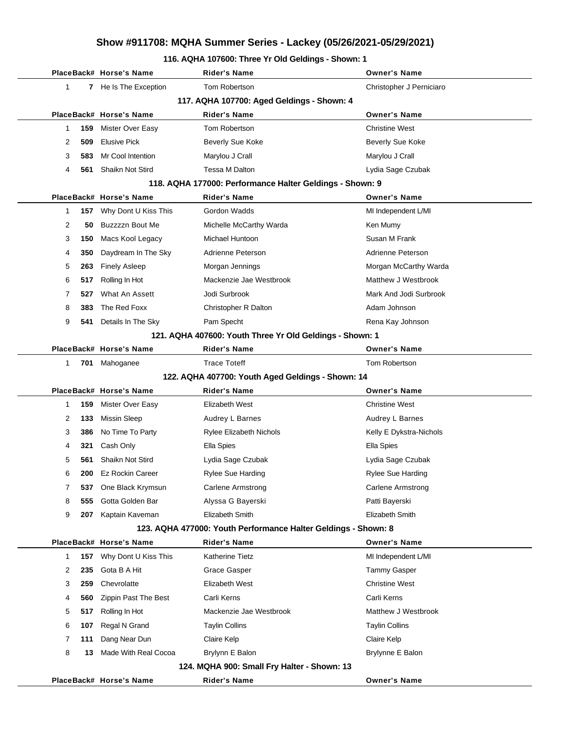### **116. AQHA 107600: Three Yr Old Geldings - Shown: 1**

|   |     | PlaceBack# Horse's Name                           | <b>Rider's Name</b>                                            | <b>Owner's Name</b>      |  |
|---|-----|---------------------------------------------------|----------------------------------------------------------------|--------------------------|--|
| 1 |     | 7 He Is The Exception                             | Tom Robertson                                                  | Christopher J Perniciaro |  |
|   |     |                                                   | 117. AQHA 107700: Aged Geldings - Shown: 4                     |                          |  |
|   |     | PlaceBack# Horse's Name                           | <b>Rider's Name</b>                                            | <b>Owner's Name</b>      |  |
| 1 | 159 | <b>Mister Over Easy</b>                           | Tom Robertson                                                  | <b>Christine West</b>    |  |
| 2 | 509 | <b>Elusive Pick</b>                               | <b>Beverly Sue Koke</b>                                        | Beverly Sue Koke         |  |
| 3 | 583 | Mr Cool Intention                                 | Marylou J Crall                                                | Marylou J Crall          |  |
| 4 | 561 | Shaikn Not Stird                                  | <b>Tessa M Dalton</b>                                          | Lydia Sage Czubak        |  |
|   |     |                                                   | 118. AQHA 177000: Performance Halter Geldings - Shown: 9       |                          |  |
|   |     | PlaceBack# Horse's Name                           | Rider's Name                                                   | <b>Owner's Name</b>      |  |
| 1 | 157 | Why Dont U Kiss This                              | Gordon Wadds                                                   | MI Independent L/MI      |  |
| 2 | 50  | Buzzzzn Bout Me                                   | Michelle McCarthy Warda                                        | Ken Mumy                 |  |
| 3 | 150 | Macs Kool Legacy                                  | Michael Huntoon                                                | Susan M Frank            |  |
| 4 | 350 | Daydream In The Sky                               | Adrienne Peterson                                              | Adrienne Peterson        |  |
| 5 | 263 | <b>Finely Asleep</b>                              | Morgan Jennings                                                | Morgan McCarthy Warda    |  |
| 6 | 517 | Rolling In Hot                                    | Mackenzie Jae Westbrook                                        | Matthew J Westbrook      |  |
| 7 | 527 | What An Assett                                    | Jodi Surbrook                                                  | Mark And Jodi Surbrook   |  |
| 8 | 383 | The Red Foxx                                      | Christopher R Dalton                                           | Adam Johnson             |  |
| 9 | 541 | Details In The Sky                                | Pam Specht                                                     | Rena Kay Johnson         |  |
|   |     |                                                   | 121. AQHA 407600: Youth Three Yr Old Geldings - Shown: 1       |                          |  |
|   |     | PlaceBack# Horse's Name                           | <b>Rider's Name</b>                                            | <b>Owner's Name</b>      |  |
| 1 |     | 701 Mahoganee                                     | <b>Trace Toteff</b>                                            | Tom Robertson            |  |
|   |     | 122. AQHA 407700: Youth Aged Geldings - Shown: 14 |                                                                |                          |  |
|   |     | PlaceBack# Horse's Name                           | <b>Rider's Name</b>                                            | <b>Owner's Name</b>      |  |
| 1 | 159 | Mister Over Easy                                  | Elizabeth West                                                 | <b>Christine West</b>    |  |
| 2 | 133 | Missin Sleep                                      | Audrey L Barnes                                                | Audrey L Barnes          |  |
| 3 | 386 | No Time To Party                                  | <b>Rylee Elizabeth Nichols</b>                                 | Kelly E Dykstra-Nichols  |  |
| 4 | 321 | Cash Only                                         | Ella Spies                                                     | Ella Spies               |  |
| 5 | 561 | Shaikn Not Stird                                  | Lydia Sage Czubak                                              | Lydia Sage Czubak        |  |
| 6 | 200 | Ez Rockin Career                                  | Rylee Sue Harding                                              | <b>Rylee Sue Harding</b> |  |
| 7 | 537 | One Black Krymsun                                 | <b>Carlene Armstrong</b>                                       | Carlene Armstrong        |  |
| 8 | 555 | Gotta Golden Bar                                  | Alyssa G Bayerski                                              | Patti Bayerski           |  |
| 9 | 207 | Kaptain Kaveman                                   | Elizabeth Smith                                                | Elizabeth Smith          |  |
|   |     |                                                   | 123. AQHA 477000: Youth Performance Halter Geldings - Shown: 8 |                          |  |
|   |     | PlaceBack# Horse's Name                           | <b>Rider's Name</b>                                            | <b>Owner's Name</b>      |  |
| 1 | 157 | Why Dont U Kiss This                              | Katherine Tietz                                                | MI Independent L/MI      |  |
| 2 | 235 | Gota B A Hit                                      | <b>Grace Gasper</b>                                            | Tammy Gasper             |  |
| 3 | 259 | Chevrolatte                                       | Elizabeth West                                                 | <b>Christine West</b>    |  |
| 4 | 560 | Zippin Past The Best                              | Carli Kerns                                                    | Carli Kerns              |  |
| 5 | 517 | Rolling In Hot                                    | Mackenzie Jae Westbrook                                        | Matthew J Westbrook      |  |
| 6 | 107 | Regal N Grand                                     | <b>Taylin Collins</b>                                          | <b>Taylin Collins</b>    |  |
| 7 | 111 | Dang Near Dun                                     | Claire Kelp                                                    | Claire Kelp              |  |
| 8 | 13  | Made With Real Cocoa                              | Brylynn E Balon                                                | Brylynne E Balon         |  |
|   |     |                                                   | 124. MQHA 900: Small Fry Halter - Shown: 13                    |                          |  |
|   |     | PlaceBack# Horse's Name                           | <b>Rider's Name</b>                                            | <b>Owner's Name</b>      |  |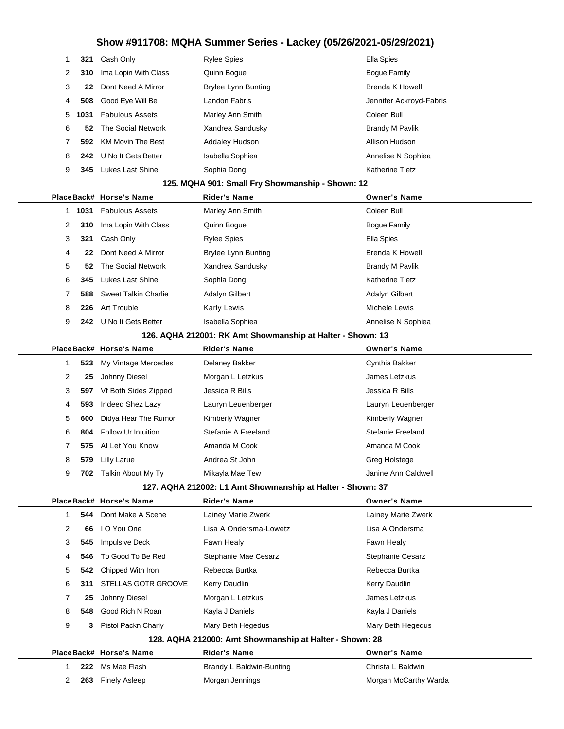| 1  | 321  | Cash Only                   | <b>Rylee Spies</b>                                         | <b>Ella Spies</b>        |
|----|------|-----------------------------|------------------------------------------------------------|--------------------------|
| 2  | 310  | Ima Lopin With Class        | Quinn Bogue                                                | <b>Bogue Family</b>      |
| 3  | 22   | Dont Need A Mirror          | <b>Brylee Lynn Bunting</b>                                 | <b>Brenda K Howell</b>   |
| 4  | 508  | Good Eye Will Be            | Landon Fabris                                              | Jennifer Ackroyd-Fabris  |
| 5  | 1031 | <b>Fabulous Assets</b>      | Marley Ann Smith                                           | Coleen Bull              |
| 6  | 52   | The Social Network          | Xandrea Sandusky                                           | <b>Brandy M Pavlik</b>   |
| 7  | 592. | <b>KM Movin The Best</b>    | <b>Addaley Hudson</b>                                      | Allison Hudson           |
| 8  | 242. | U No It Gets Better         | Isabella Sophiea                                           | Annelise N Sophiea       |
| 9  | 345  | <b>Lukes Last Shine</b>     | Sophia Dong                                                | Katherine Tietz          |
|    |      |                             | 125. MQHA 901: Small Fry Showmanship - Shown: 12           |                          |
|    |      | PlaceBack# Horse's Name     | <b>Rider's Name</b>                                        | <b>Owner's Name</b>      |
| 1. | 1031 | <b>Fabulous Assets</b>      | Marley Ann Smith                                           | Coleen Bull              |
| 2  | 310  | Ima Lopin With Class        | Quinn Bogue                                                | <b>Bogue Family</b>      |
| 3  | 321  | Cash Only                   | <b>Rylee Spies</b>                                         | Ella Spies               |
| 4  | 22   | Dont Need A Mirror          | <b>Brylee Lynn Bunting</b>                                 | <b>Brenda K Howell</b>   |
| 5  | 52   | The Social Network          | Xandrea Sandusky                                           | <b>Brandy M Pavlik</b>   |
| 6  | 345  | <b>Lukes Last Shine</b>     | Sophia Dong                                                | Katherine Tietz          |
| 7  | 588  | <b>Sweet Talkin Charlie</b> | Adalyn Gilbert                                             | Adalyn Gilbert           |
| 8  | 226  | Art Trouble                 | Karly Lewis                                                | Michele Lewis            |
| 9  |      | 242 U No It Gets Better     | Isabella Sophiea                                           | Annelise N Sophiea       |
|    |      |                             | 126. AQHA 212001: RK Amt Showmanship at Halter - Shown: 13 |                          |
|    |      | PlaceBack# Horse's Name     | <b>Rider's Name</b>                                        | <b>Owner's Name</b>      |
| 1  | 523  | My Vintage Mercedes         | Delaney Bakker                                             | Cynthia Bakker           |
| 2  | 25   | Johnny Diesel               | Morgan L Letzkus                                           | James Letzkus            |
| 3  | 597  | Vf Both Sides Zipped        | Jessica R Bills                                            | Jessica R Bills          |
| 4  | 593  | Indeed Shez Lazy            | Lauryn Leuenberger                                         | Lauryn Leuenberger       |
| 5  | 600  | Didya Hear The Rumor        | Kimberly Wagner                                            | Kimberly Wagner          |
| 6  | 804  | Follow Ur Intuition         | Stefanie A Freeland                                        | <b>Stefanie Freeland</b> |
| 7  | 575  | Al Let You Know             | Amanda M Cook                                              | Amanda M Cook            |
| 8  | 579  | <b>Lilly Larue</b>          | Andrea St John                                             | Greg Holstege            |
| 9  |      | 702 Talkin About My Ty      | Mikayla Mae Tew                                            | Janine Ann Caldwell      |
|    |      |                             | 127. AQHA 212002: L1 Amt Showmanship at Halter - Shown: 37 |                          |
|    |      | PlaceBack# Horse's Name     | <b>Rider's Name</b>                                        | <b>Owner's Name</b>      |
| 1  | 544  | Dont Make A Scene           | Lainey Marie Zwerk                                         | Lainey Marie Zwerk       |
| 2  | 66   | I O You One                 | Lisa A Ondersma-Lowetz                                     | Lisa A Ondersma          |
| 3  | 545  | <b>Impulsive Deck</b>       | Fawn Healy                                                 | Fawn Healy               |
| 4  | 546  | To Good To Be Red           | Stephanie Mae Cesarz                                       | <b>Stephanie Cesarz</b>  |
| 5  | 542  | Chipped With Iron           | Rebecca Burtka                                             | Rebecca Burtka           |
| 6  | 311  | STELLAS GOTR GROOVE         | Kerry Daudlin                                              | Kerry Daudlin            |
| 7  | 25   | Johnny Diesel               | Morgan L Letzkus                                           | James Letzkus            |
| 8  | 548  | Good Rich N Roan            | Kayla J Daniels                                            | Kayla J Daniels          |
| 9  | 3    | Pistol Packn Charly         | Mary Beth Hegedus                                          | Mary Beth Hegedus        |
|    |      |                             | 128. AQHA 212000: Amt Showmanship at Halter - Shown: 28    |                          |
|    |      | PlaceBack# Horse's Name     | <b>Rider's Name</b>                                        | <b>Owner's Name</b>      |
| 1  | 222  | Ms Mae Flash                | Brandy L Baldwin-Bunting                                   | Christa L Baldwin        |
| 2  | 263  | <b>Finely Asleep</b>        | Morgan Jennings                                            | Morgan McCarthy Warda    |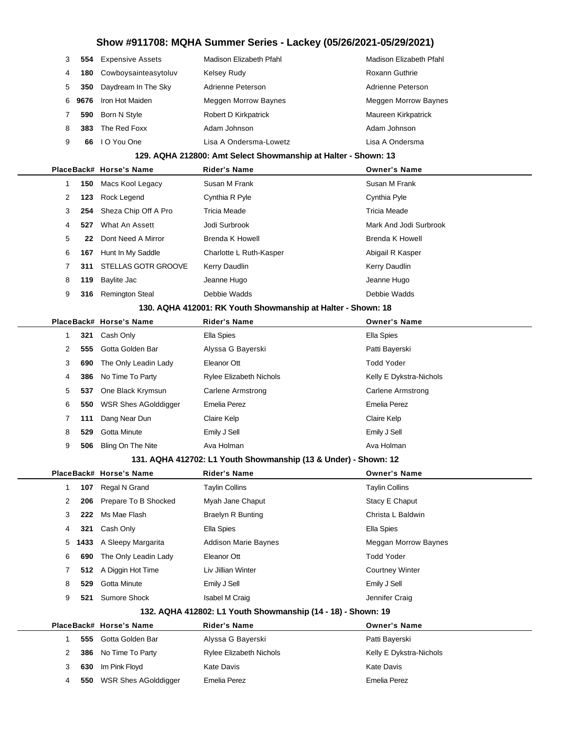# **Show #911708: MQHA Summer Series - Lackey (05/26/2021-05/29/2021) 554** Expensive Assets Madison Elizabeth Pfahl Madison Elizabeth Pfahl **180** Cowboysainteasytoluv Kelsey Rudy **Kelsey Rudy Roxann Guthrie 350** Daydream In The Sky Adrienne Peterson **Adrienne Peterson** Adrienne Peterson **9676** Iron Hot Maiden Meggen Morrow Baynes Meggen Morrow Baynes **590** Born N Style **Robert D Kirkpatrick** Maureen Kirkpatrick **383** The Red Foxx **Adam Johnson** Adam Johnson Adam Johnson **66** I O You One Lisa A Ondersma-Lowetz Lisa A Ondersma **129. AQHA 212800: Amt Select Showmanship at Halter - Shown: 13 PlaceBack# Horse's Name Rider's Name Owner's Name 150** Macs Kool Legacy Susan M Frank Susan M Frank Susan M Frank **123** Rock Legend Cynthia R Pyle Cynthia Pyle Cynthia Pyle **254** Sheza Chip Off A Pro Tricia Meade Tricia Meade **527** What An Assett **Mark And Jodi Surbrook** Mark And Jodi Surbrook Mark And Jodi Surbrook **22** Dont Need A Mirror Brenda K Howell Brenda K Howell Brenda K Howell **167** Hunt In My Saddle **Charlotte L Ruth-Kasper Abigail R Kasper** Abigail R Kasper **311** STELLAS GOTR GROOVE Kerry Daudlin Kerry Daudlin **119** Baylite Jac **Canne Hugo** Jeanne Hugo **Jeanne Hugo** Jeanne Hugo **316** Remington Steal Debbie Wadds Debbie Wadds **130. AQHA 412001: RK Youth Showmanship at Halter - Shown: 18 PlaceBack# Horse's Name Rider's Name Owner's Name 321** Cash Only Ella Spies Ella Spies **555** Gotta Golden Bar **Alyssa G Bayerski** Patti Bayerski **690** The Only Leadin Lady Eleanor Ott Todd Yoder **386** No Time To Party **Rylee Elizabeth Nichols** Kelly E Dykstra-Nichols **537** One Black Krymsun Carlene Armstrong Carlene Armstrong Carlene Armstrong **550** WSR Shes AGolddigger Emelia Perez Emelia Perez **111** Dang Near Dun Claire Kelp Claire Kelp

#### **131. AQHA 412702: L1 Youth Showmanship (13 & Under) - Shown: 12**

 **529** Gotta Minute Emily J Sell Emily J Sell **506** Bling On The Nite **Ava Holman** Ava Holman Ava Holman

|   |                                                             | PlaceBack# Horse's Name   | <b>Rider's Name</b>         | <b>Owner's Name</b>    |  |  |  |
|---|-------------------------------------------------------------|---------------------------|-----------------------------|------------------------|--|--|--|
|   | 107                                                         | Regal N Grand             | <b>Taylin Collins</b>       | <b>Taylin Collins</b>  |  |  |  |
| 2 |                                                             | 206 Prepare To B Shocked  | Myah Jane Chaput            | Stacy E Chaput         |  |  |  |
| 3 | 222                                                         | Ms Mae Flash              | <b>Braelyn R Bunting</b>    | Christa L Baldwin      |  |  |  |
| 4 | 321                                                         | Cash Only                 | Ella Spies                  | Ella Spies             |  |  |  |
|   |                                                             | 5 1433 A Sleepy Margarita | <b>Addison Marie Baynes</b> | Meggan Morrow Baynes   |  |  |  |
| 6 | 690                                                         | The Only Leadin Lady      | Eleanor Ott                 | <b>Todd Yoder</b>      |  |  |  |
| 7 |                                                             | 512 A Diggin Hot Time     | Liv Jillian Winter          | <b>Courtney Winter</b> |  |  |  |
| 8 | 529                                                         | Gotta Minute              | Emily J Sell                | Emily J Sell           |  |  |  |
| 9 | 521                                                         | Sumore Shock              | <b>Isabel M Craig</b>       | Jennifer Craig         |  |  |  |
|   | 132 AOHA 412802: L1 Vouth Chowmanchin (14 - 18) - Chown: 10 |                           |                             |                        |  |  |  |

#### **132. AQHA 412802: L1 Youth Showmanship (14 - 18) - Shown: 19**

|   |     | PlaceBack# Horse's Name     | <b>Rider's Name</b>            | <b>Owner's Name</b>     |
|---|-----|-----------------------------|--------------------------------|-------------------------|
|   | 555 | Gotta Golden Bar            | Alyssa G Bayerski              | Patti Bayerski          |
|   |     | <b>386</b> No Time To Party | <b>Rylee Elizabeth Nichols</b> | Kelly E Dykstra-Nichols |
|   |     | 630 Im Pink Floyd           | Kate Davis                     | Kate Davis              |
| 4 | 550 | WSR Shes AGolddigger        | Emelia Perez                   | Emelia Perez            |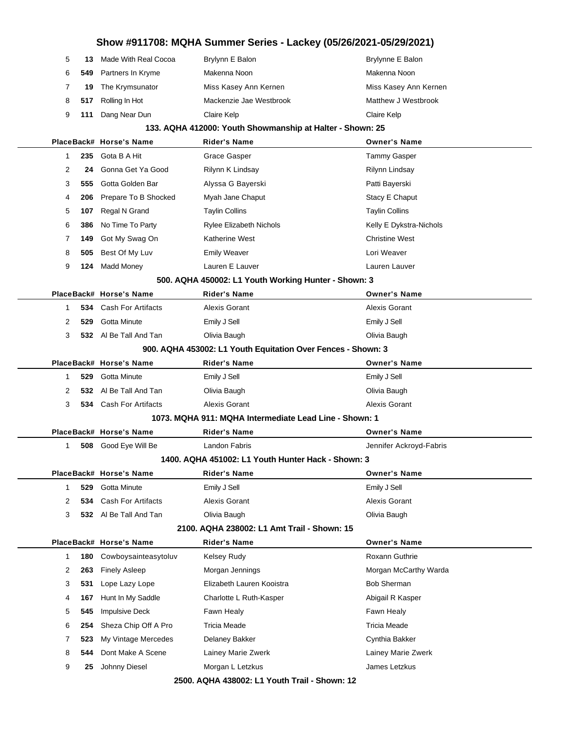|                                                              |      |                             | Show #911708: MQHA Summer Series - Lackey (05/26/2021-05/29/2021) |                         |
|--------------------------------------------------------------|------|-----------------------------|-------------------------------------------------------------------|-------------------------|
| 5                                                            | 13   | Made With Real Cocoa        | Brylynn E Balon                                                   | Brylynne E Balon        |
| 6                                                            | 549  | Partners In Kryme           | Makenna Noon                                                      | Makenna Noon            |
| 7                                                            | 19   | The Krymsunator             | Miss Kasey Ann Kernen                                             | Miss Kasey Ann Kernen   |
| 8                                                            | 517  | Rolling In Hot              | Mackenzie Jae Westbrook                                           | Matthew J Westbrook     |
| 9                                                            | 111  | Dang Near Dun               | Claire Kelp                                                       | Claire Kelp             |
|                                                              |      |                             | 133. AQHA 412000: Youth Showmanship at Halter - Shown: 25         |                         |
|                                                              |      | PlaceBack# Horse's Name     | <b>Rider's Name</b>                                               | <b>Owner's Name</b>     |
| $\mathbf{1}$                                                 | 235  | Gota B A Hit                | <b>Grace Gasper</b>                                               | <b>Tammy Gasper</b>     |
| 2                                                            | 24   | Gonna Get Ya Good           | Rilynn K Lindsay                                                  | Rilynn Lindsay          |
| 3                                                            | 555  | Gotta Golden Bar            | Alyssa G Bayerski                                                 | Patti Bayerski          |
| 4                                                            | 206  | Prepare To B Shocked        | Myah Jane Chaput                                                  | Stacy E Chaput          |
| 5                                                            | 107  | Regal N Grand               | <b>Taylin Collins</b>                                             | <b>Taylin Collins</b>   |
| 6                                                            | 386  | No Time To Party            | Rylee Elizabeth Nichols                                           | Kelly E Dykstra-Nichols |
| 7                                                            | 149  | Got My Swag On              | Katherine West                                                    | <b>Christine West</b>   |
| 8                                                            | 505  | Best Of My Luv              | <b>Emily Weaver</b>                                               | Lori Weaver             |
| 9                                                            | 124  | <b>Madd Money</b>           | Lauren E Lauver                                                   | Lauren Lauver           |
|                                                              |      |                             | 500. AQHA 450002: L1 Youth Working Hunter - Shown: 3              |                         |
|                                                              |      | PlaceBack# Horse's Name     | <b>Rider's Name</b>                                               | <b>Owner's Name</b>     |
| 1                                                            | 534  | Cash For Artifacts          | Alexis Gorant                                                     | Alexis Gorant           |
| 2                                                            | 529  | <b>Gotta Minute</b>         | Emily J Sell                                                      | Emily J Sell            |
| 3                                                            |      | 532 Al Be Tall And Tan      | Olivia Baugh                                                      | Olivia Baugh            |
| 900. AQHA 453002: L1 Youth Equitation Over Fences - Shown: 3 |      |                             |                                                                   |                         |
|                                                              |      | PlaceBack# Horse's Name     | <b>Rider's Name</b>                                               | Owner's Name            |
| $\mathbf{1}$                                                 | 529  | Gotta Minute                | Emily J Sell                                                      | Emily J Sell            |
| 2                                                            | 532. | Al Be Tall And Tan          | Olivia Baugh                                                      | Olivia Baugh            |
| 3                                                            | 534  | <b>Cash For Artifacts</b>   | Alexis Gorant                                                     | Alexis Gorant           |
|                                                              |      |                             | 1073. MQHA 911: MQHA Intermediate Lead Line - Shown: 1            |                         |
|                                                              |      | PlaceBack# Horse's Name     | <b>Rider's Name</b>                                               | <b>Owner's Name</b>     |
| 1                                                            |      | <b>508</b> Good Eye Will Be | Landon Fabris                                                     | Jennifer Ackroyd-Fabris |
|                                                              |      |                             | 1400. AQHA 451002: L1 Youth Hunter Hack - Shown: 3                |                         |
|                                                              |      | PlaceBack# Horse's Name     | <b>Rider's Name</b>                                               | <b>Owner's Name</b>     |
| $\mathbf{1}$                                                 | 529  | Gotta Minute                | Emily J Sell                                                      | Emily J Sell            |
| 2                                                            | 534  | Cash For Artifacts          | Alexis Gorant                                                     | Alexis Gorant           |
| 3                                                            | 532  | Al Be Tall And Tan          | Olivia Baugh                                                      | Olivia Baugh            |
|                                                              |      |                             | 2100, AQHA 238002: L1 Amt Trail - Shown: 15                       |                         |
|                                                              |      | PlaceBack# Horse's Name     | <b>Rider's Name</b>                                               | <b>Owner's Name</b>     |
| $\mathbf{1}$                                                 | 180  | Cowboysainteasytoluv        | Kelsey Rudy                                                       | Roxann Guthrie          |
| 2                                                            | 263  | <b>Finely Asleep</b>        | Morgan Jennings                                                   | Morgan McCarthy Warda   |
| 3                                                            | 531  | Lope Lazy Lope              | Elizabeth Lauren Kooistra                                         | <b>Bob Sherman</b>      |
| 4                                                            | 167  | Hunt In My Saddle           | Charlotte L Ruth-Kasper                                           | Abigail R Kasper        |
| 5                                                            | 545  | <b>Impulsive Deck</b>       | Fawn Healy                                                        | Fawn Healy              |
| 6                                                            | 254  | Sheza Chip Off A Pro        | <b>Tricia Meade</b>                                               | <b>Tricia Meade</b>     |
| 7                                                            | 523  | My Vintage Mercedes         | Delaney Bakker                                                    | Cynthia Bakker          |
| 8                                                            | 544  | Dont Make A Scene           | Lainey Marie Zwerk                                                | Lainey Marie Zwerk      |
| 9                                                            | 25   | Johnny Diesel               | Morgan L Letzkus                                                  | James Letzkus           |
|                                                              |      | <b>OEOO</b>                 | $QIII$ $1200000.14$ $V2$                                          |                         |

**2500. AQHA 438002: L1 Youth Trail - Shown: 12**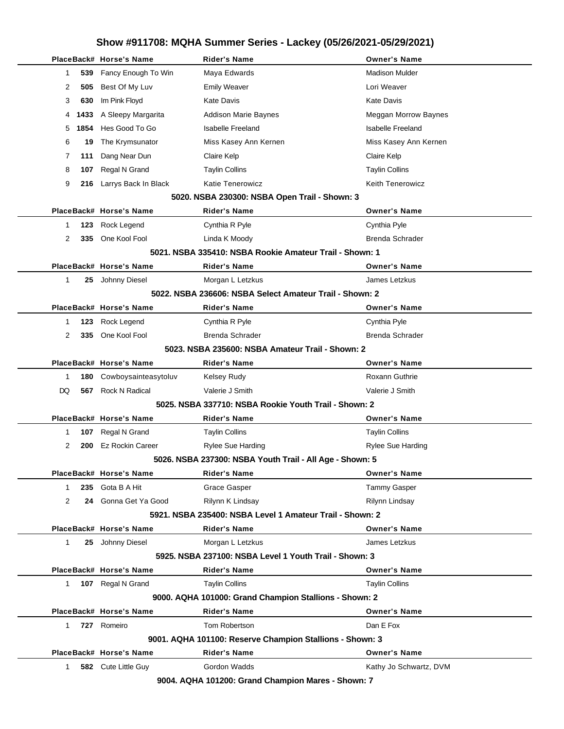|    |      | PlaceBack# Horse's Name | <b>Rider's Name</b>                                        | <b>Owner's Name</b>      |
|----|------|-------------------------|------------------------------------------------------------|--------------------------|
| 1  | 539  | Fancy Enough To Win     | Maya Edwards                                               | <b>Madison Mulder</b>    |
| 2  | 505  | Best Of My Luv          | <b>Emily Weaver</b>                                        | Lori Weaver              |
| 3  | 630  | Im Pink Floyd           | <b>Kate Davis</b>                                          | <b>Kate Davis</b>        |
| 4  | 1433 | A Sleepy Margarita      | <b>Addison Marie Baynes</b>                                | Meggan Morrow Baynes     |
| 5  | 1854 | Hes Good To Go          | <b>Isabelle Freeland</b>                                   | <b>Isabelle Freeland</b> |
| 6  | 19   | The Krymsunator         | Miss Kasey Ann Kernen                                      | Miss Kasey Ann Kernen    |
| 7  | 111  | Dang Near Dun           | Claire Kelp                                                | Claire Kelp              |
| 8  | 107  | Regal N Grand           | <b>Taylin Collins</b>                                      | <b>Taylin Collins</b>    |
| 9  | 216  | Larrys Back In Black    | <b>Katie Tenerowicz</b>                                    | <b>Keith Tenerowicz</b>  |
|    |      |                         | 5020. NSBA 230300: NSBA Open Trail - Shown: 3              |                          |
|    |      | PlaceBack# Horse's Name | <b>Rider's Name</b>                                        | <b>Owner's Name</b>      |
| 1  | 123  | Rock Legend             | Cynthia R Pyle                                             | Cynthia Pyle             |
| 2  | 335  | One Kool Fool           | Linda K Moody                                              | <b>Brenda Schrader</b>   |
|    |      |                         | 5021. NSBA 335410: NSBA Rookie Amateur Trail - Shown: 1    |                          |
|    |      | PlaceBack# Horse's Name | <b>Rider's Name</b>                                        | <b>Owner's Name</b>      |
| 1  |      | 25 Johnny Diesel        | Morgan L Letzkus                                           | James Letzkus            |
|    |      |                         | 5022. NSBA 236606: NSBA Select Amateur Trail - Shown: 2    |                          |
|    |      | PlaceBack# Horse's Name | <b>Rider's Name</b>                                        | <b>Owner's Name</b>      |
| 1  | 123  | Rock Legend             | Cynthia R Pyle                                             | Cynthia Pyle             |
| 2  | 335  | One Kool Fool           | Brenda Schrader                                            | <b>Brenda Schrader</b>   |
|    |      |                         | 5023, NSBA 235600: NSBA Amateur Trail - Shown: 2           |                          |
|    |      | PlaceBack# Horse's Name | <b>Rider's Name</b>                                        | <b>Owner's Name</b>      |
| 1  | 180  | Cowboysainteasytoluv    | <b>Kelsey Rudy</b>                                         | <b>Roxann Guthrie</b>    |
| DQ | 567  | <b>Rock N Radical</b>   | Valerie J Smith                                            | Valerie J Smith          |
|    |      |                         | 5025, NSBA 337710: NSBA Rookie Youth Trail - Shown: 2      |                          |
|    |      | PlaceBack# Horse's Name | <b>Rider's Name</b>                                        | <b>Owner's Name</b>      |
| 1  | 107  | Regal N Grand           | <b>Taylin Collins</b>                                      | <b>Taylin Collins</b>    |
| 2  | 200  | <b>Ez Rockin Career</b> | <b>Rylee Sue Harding</b>                                   | <b>Rylee Sue Harding</b> |
|    |      |                         | 5026. NSBA 237300: NSBA Youth Trail - All Age - Shown: 5   |                          |
|    |      | PlaceBack# Horse's Name | <b>Rider's Name</b>                                        | <b>Owner's Name</b>      |
| 1. | 235  | Gota B A Hit            | Grace Gasper                                               | <b>Tammy Gasper</b>      |
| 2  |      | 24 Gonna Get Ya Good    | Rilynn K Lindsay                                           | Rilynn Lindsay           |
|    |      |                         | 5921. NSBA 235400: NSBA Level 1 Amateur Trail - Shown: 2   |                          |
|    |      | PlaceBack# Horse's Name | <b>Rider's Name</b>                                        | <b>Owner's Name</b>      |
| 1  |      | 25 Johnny Diesel        | Morgan L Letzkus                                           | James Letzkus            |
|    |      |                         | 5925, NSBA 237100: NSBA Level 1 Youth Trail - Shown: 3     |                          |
|    |      | PlaceBack# Horse's Name | <b>Rider's Name</b>                                        | <b>Owner's Name</b>      |
| 1  |      | 107 Regal N Grand       | <b>Taylin Collins</b>                                      | <b>Taylin Collins</b>    |
|    |      |                         | 9000. AQHA 101000: Grand Champion Stallions - Shown: 2     |                          |
|    |      | PlaceBack# Horse's Name | <b>Rider's Name</b>                                        | <b>Owner's Name</b>      |
| 1. |      | 727 Romeiro             | Tom Robertson                                              | Dan E Fox                |
|    |      |                         | 9001. AQHA 101100: Reserve Champion Stallions - Shown: 3   |                          |
|    |      | PlaceBack# Horse's Name | <b>Rider's Name</b>                                        | <b>Owner's Name</b>      |
| 1. |      | 582 Cute Little Guy     | Gordon Wadds                                               | Kathy Jo Schwartz, DVM   |
|    |      |                         | $0.004$ , $0.0114$ , $404200$ , $0.0004$ , $0.0004$<br>CL. | $\rightarrow$            |

**9004. AQHA 101200: Grand Champion Mares - Shown: 7**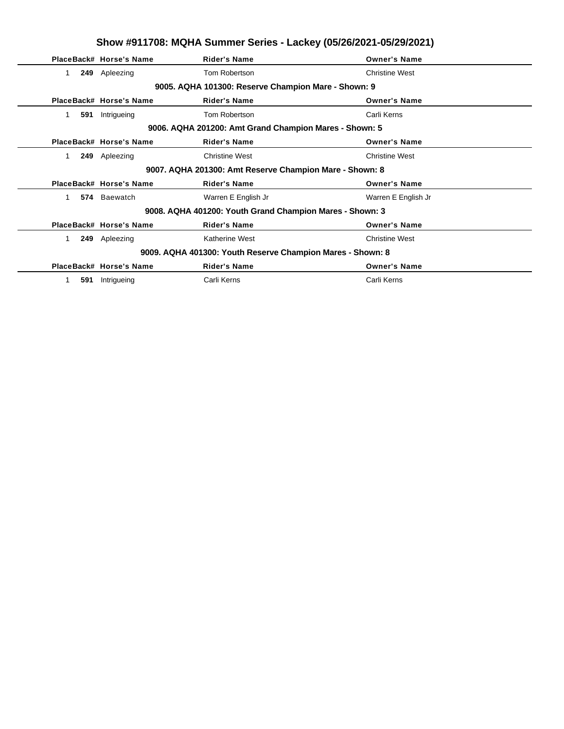|           | Show #911708: MQHA Summer Series - Lackey (05/26/2021-05/29/2021) |                                                            |                       |  |  |
|-----------|-------------------------------------------------------------------|------------------------------------------------------------|-----------------------|--|--|
|           | PlaceBack# Horse's Name                                           | <b>Rider's Name</b>                                        | <b>Owner's Name</b>   |  |  |
| 1.        | 249 Apleezing                                                     | Tom Robertson                                              | <b>Christine West</b> |  |  |
|           |                                                                   | 9005. AQHA 101300: Reserve Champion Mare - Shown: 9        |                       |  |  |
|           | PlaceBack# Horse's Name                                           | <b>Rider's Name</b>                                        | <b>Owner's Name</b>   |  |  |
| 1<br>591  | Intrigueing                                                       | Tom Robertson                                              | Carli Kerns           |  |  |
|           |                                                                   | 9006. AQHA 201200: Amt Grand Champion Mares - Shown: 5     |                       |  |  |
|           | PlaceBack# Horse's Name                                           | <b>Rider's Name</b>                                        | <b>Owner's Name</b>   |  |  |
| 249<br>1. | Apleezing                                                         | <b>Christine West</b>                                      | <b>Christine West</b> |  |  |
|           |                                                                   | 9007. AQHA 201300: Amt Reserve Champion Mare - Shown: 8    |                       |  |  |
|           | PlaceBack# Horse's Name                                           | <b>Rider's Name</b>                                        | <b>Owner's Name</b>   |  |  |
| 1         | 574 Baewatch                                                      | Warren E English Jr                                        | Warren E English Jr   |  |  |
|           |                                                                   | 9008. AQHA 401200: Youth Grand Champion Mares - Shown: 3   |                       |  |  |
|           | PlaceBack# Horse's Name                                           | <b>Rider's Name</b>                                        | <b>Owner's Name</b>   |  |  |
| 1.<br>249 | Apleezing                                                         | <b>Katherine West</b>                                      | <b>Christine West</b> |  |  |
|           |                                                                   | 9009. AQHA 401300: Youth Reserve Champion Mares - Shown: 8 |                       |  |  |
|           | PlaceBack# Horse's Name                                           | <b>Rider's Name</b>                                        | <b>Owner's Name</b>   |  |  |
| 591       | Intrigueing                                                       | Carli Kerns                                                | Carli Kerns           |  |  |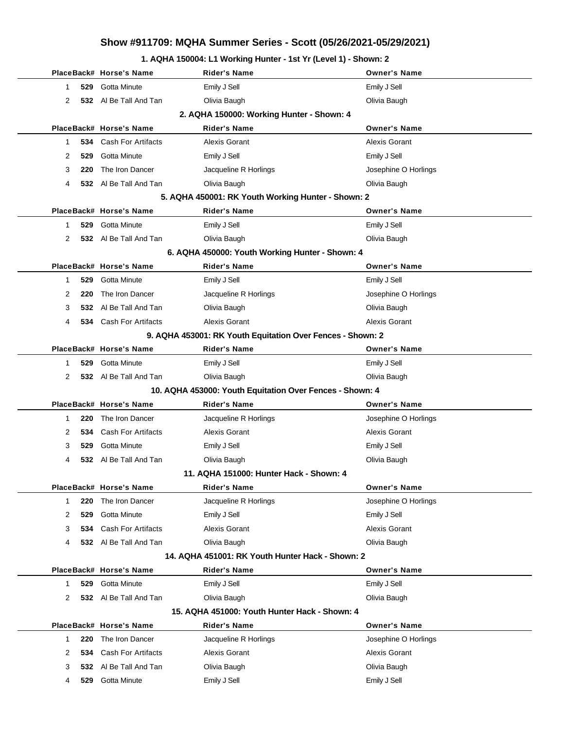### **1. AQHA 150004: L1 Working Hunter - 1st Yr (Level 1) - Shown: 2**

|                | PlaceBack# Horse's Name   | Rider's Name                                               | <b>Owner's Name</b>  |
|----------------|---------------------------|------------------------------------------------------------|----------------------|
| 1.             | 529 Gotta Minute          | Emily J Sell                                               | Emily J Sell         |
| $\overline{2}$ | 532 Al Be Tall And Tan    | Olivia Baugh                                               | Olivia Baugh         |
|                |                           | 2. AQHA 150000: Working Hunter - Shown: 4                  |                      |
|                | PlaceBack# Horse's Name   | <b>Rider's Name</b>                                        | <b>Owner's Name</b>  |
| 1.             | 534 Cash For Artifacts    | Alexis Gorant                                              | Alexis Gorant        |
| 2<br>529       | Gotta Minute              | Emily J Sell                                               | Emily J Sell         |
| 3<br>220       | The Iron Dancer           | Jacqueline R Horlings                                      | Josephine O Horlings |
| 4              | 532 Al Be Tall And Tan    | Olivia Baugh                                               | Olivia Baugh         |
|                |                           | 5. AQHA 450001: RK Youth Working Hunter - Shown: 2         |                      |
|                | PlaceBack# Horse's Name   | <b>Rider's Name</b>                                        | <b>Owner's Name</b>  |
| 1.             | 529 Gotta Minute          | Emily J Sell                                               | Emily J Sell         |
| 2              | 532 Al Be Tall And Tan    | Olivia Baugh                                               | Olivia Baugh         |
|                |                           | 6. AQHA 450000: Youth Working Hunter - Shown: 4            |                      |
|                | PlaceBack# Horse's Name   | <b>Rider's Name</b>                                        | <b>Owner's Name</b>  |
| 1.             | 529 Gotta Minute          | Emily J Sell                                               | Emily J Sell         |
| 2<br>220       | The Iron Dancer           | Jacqueline R Horlings                                      | Josephine O Horlings |
| 3              | 532 Al Be Tall And Tan    | Olivia Baugh                                               | Olivia Baugh         |
| 4              | 534 Cash For Artifacts    | <b>Alexis Gorant</b>                                       | <b>Alexis Gorant</b> |
|                |                           | 9. AQHA 453001: RK Youth Equitation Over Fences - Shown: 2 |                      |
|                | PlaceBack# Horse's Name   | <b>Rider's Name</b>                                        | <b>Owner's Name</b>  |
| 1.             | 529 Gotta Minute          | Emily J Sell                                               | Emily J Sell         |
| 2              | 532 Al Be Tall And Tan    | Olivia Baugh                                               | Olivia Baugh         |
|                |                           | 10. AQHA 453000: Youth Equitation Over Fences - Shown: 4   |                      |
|                | PlaceBack# Horse's Name   | <b>Rider's Name</b>                                        | <b>Owner's Name</b>  |
| 1              | The Iron Dancer<br>220    | Jacqueline R Horlings                                      | Josephine O Horlings |
| 2              | 534 Cash For Artifacts    | Alexis Gorant                                              | Alexis Gorant        |
| 3              | Gotta Minute<br>529       | Emily J Sell                                               | Emily J Sell         |
| 4              | 532 Al Be Tall And Tan    | Olivia Baugh                                               | Olivia Baugh         |
|                |                           | 11. AQHA 151000: Hunter Hack - Shown: 4                    |                      |
|                | PlaceBack# Horse's Name   | Rider's Name                                               | <b>Owner's Name</b>  |
| 1              | The Iron Dancer<br>220    | Jacqueline R Horlings                                      | Josephine O Horlings |
| 2<br>529       | Gotta Minute              | Emily J Sell                                               | Emily J Sell         |
| 3              | 534 Cash For Artifacts    | <b>Alexis Gorant</b>                                       | <b>Alexis Gorant</b> |
| 4              | 532 Al Be Tall And Tan    | Olivia Baugh                                               | Olivia Baugh         |
|                |                           | 14. AQHA 451001: RK Youth Hunter Hack - Shown: 2           |                      |
|                | PlaceBack# Horse's Name   | <b>Rider's Name</b>                                        | <b>Owner's Name</b>  |
| 1              | 529 Gotta Minute          | Emily J Sell                                               | Emily J Sell         |
| 2              | 532 Al Be Tall And Tan    | Olivia Baugh                                               | Olivia Baugh         |
|                |                           | 15. AQHA 451000: Youth Hunter Hack - Shown: 4              |                      |
|                | PlaceBack# Horse's Name   | <b>Rider's Name</b>                                        | <b>Owner's Name</b>  |
| 220<br>1.      | The Iron Dancer           | Jacqueline R Horlings                                      | Josephine O Horlings |
| 2<br>534       | <b>Cash For Artifacts</b> | Alexis Gorant                                              | Alexis Gorant        |
| 3              | 532 Al Be Tall And Tan    | Olivia Baugh                                               | Olivia Baugh         |
| 4              | 529 Gotta Minute          | Emily J Sell                                               | Emily J Sell         |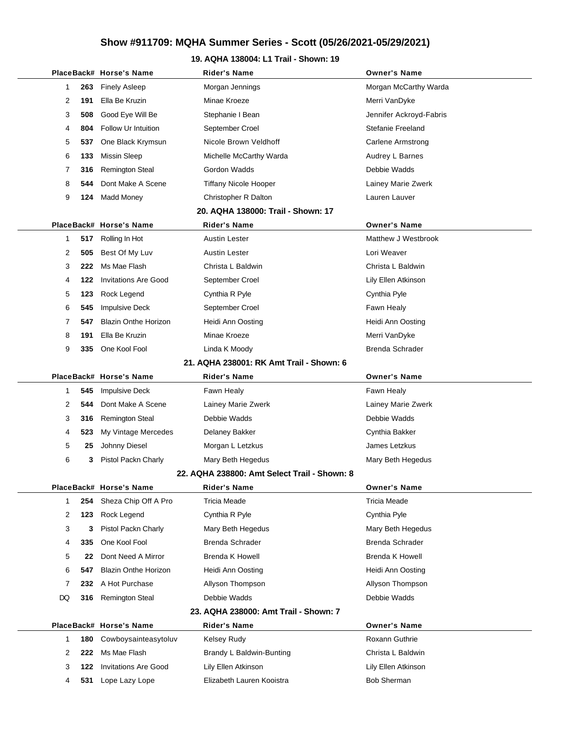### **19. AQHA 138004: L1 Trail - Shown: 19**

|              |     | PlaceBack# Horse's Name     | <b>Rider's Name</b>                          | <b>Owner's Name</b>      |
|--------------|-----|-----------------------------|----------------------------------------------|--------------------------|
| 1            | 263 | <b>Finely Asleep</b>        | Morgan Jennings                              | Morgan McCarthy Warda    |
| 2            | 191 | Ella Be Kruzin              | Minae Kroeze                                 | Merri VanDyke            |
| 3            | 508 | Good Eye Will Be            | Stephanie I Bean                             | Jennifer Ackroyd-Fabris  |
| 4            | 804 | Follow Ur Intuition         | September Croel                              | Stefanie Freeland        |
| 5            | 537 | One Black Krymsun           | Nicole Brown Veldhoff                        | <b>Carlene Armstrong</b> |
| 6            | 133 | <b>Missin Sleep</b>         | Michelle McCarthy Warda                      | Audrey L Barnes          |
| 7            | 316 | <b>Remington Steal</b>      | <b>Gordon Wadds</b>                          | Debbie Wadds             |
| 8            | 544 | Dont Make A Scene           | <b>Tiffany Nicole Hooper</b>                 | Lainey Marie Zwerk       |
| 9            | 124 | Madd Money                  | Christopher R Dalton                         | Lauren Lauver            |
|              |     |                             | 20. AQHA 138000: Trail - Shown: 17           |                          |
|              |     | PlaceBack# Horse's Name     | Rider's Name                                 | <b>Owner's Name</b>      |
| $\mathbf 1$  | 517 | Rolling In Hot              | <b>Austin Lester</b>                         | Matthew J Westbrook      |
| 2            | 505 | Best Of My Luv              | Austin Lester                                | Lori Weaver              |
| 3            | 222 | Ms Mae Flash                | Christa L Baldwin                            | Christa L Baldwin        |
| 4            | 122 | <b>Invitations Are Good</b> | September Croel                              | Lily Ellen Atkinson      |
| 5            | 123 | Rock Legend                 | Cynthia R Pyle                               | Cynthia Pyle             |
| 6            | 545 | <b>Impulsive Deck</b>       | September Croel                              | Fawn Healy               |
| 7            | 547 | <b>Blazin Onthe Horizon</b> | Heidi Ann Oosting                            | Heidi Ann Oosting        |
| 8            | 191 | Ella Be Kruzin              | Minae Kroeze                                 | Merri VanDyke            |
| 9            | 335 | One Kool Fool               | Linda K Moody                                | Brenda Schrader          |
|              |     |                             | 21. AQHA 238001: RK Amt Trail - Shown: 6     |                          |
|              |     | PlaceBack# Horse's Name     | <b>Rider's Name</b>                          | <b>Owner's Name</b>      |
| 1            | 545 | <b>Impulsive Deck</b>       | Fawn Healy                                   | Fawn Healy               |
| 2            | 544 | Dont Make A Scene           | Lainey Marie Zwerk                           | Lainey Marie Zwerk       |
| 3            | 316 | <b>Remington Steal</b>      | Debbie Wadds                                 | Debbie Wadds             |
| 4            | 523 | My Vintage Mercedes         | Delaney Bakker                               | Cynthia Bakker           |
| 5            | 25  | Johnny Diesel               | Morgan L Letzkus                             | James Letzkus            |
| 6            | 3   | Pistol Packn Charly         | Mary Beth Hegedus                            | Mary Beth Hegedus        |
|              |     |                             | 22. AQHA 238800: Amt Select Trail - Shown: 8 |                          |
|              |     | PlaceBack# Horse's Name     | <b>Rider's Name</b>                          | <b>Owner's Name</b>      |
| $\mathbf{1}$ | 254 | Sheza Chip Off A Pro        | <b>Tricia Meade</b>                          | <b>Tricia Meade</b>      |
| 2            | 123 | Rock Legend                 | Cynthia R Pyle                               | Cynthia Pyle             |
| 3            | 3   | Pistol Packn Charly         | Mary Beth Hegedus                            | Mary Beth Hegedus        |
| 4            | 335 | One Kool Fool               | <b>Brenda Schrader</b>                       | <b>Brenda Schrader</b>   |
| 5            | 22  | Dont Need A Mirror          | <b>Brenda K Howell</b>                       | <b>Brenda K Howell</b>   |
| 6            | 547 | <b>Blazin Onthe Horizon</b> | Heidi Ann Oosting                            | Heidi Ann Oosting        |
| 7            | 232 | A Hot Purchase              | Allyson Thompson                             | Allyson Thompson         |
| DQ           | 316 | <b>Remington Steal</b>      | Debbie Wadds                                 | Debbie Wadds             |
|              |     |                             | 23. AQHA 238000: Amt Trail - Shown: 7        |                          |
|              |     | PlaceBack# Horse's Name     | <b>Rider's Name</b>                          | <b>Owner's Name</b>      |
| $\mathbf{1}$ | 180 | Cowboysainteasytoluv        | Kelsey Rudy                                  | Roxann Guthrie           |
| 2            | 222 | Ms Mae Flash                | Brandy L Baldwin-Bunting                     | Christa L Baldwin        |
| 3            | 122 | <b>Invitations Are Good</b> | Lily Ellen Atkinson                          | Lily Ellen Atkinson      |
| 4            | 531 | Lope Lazy Lope              | Elizabeth Lauren Kooistra                    | Bob Sherman              |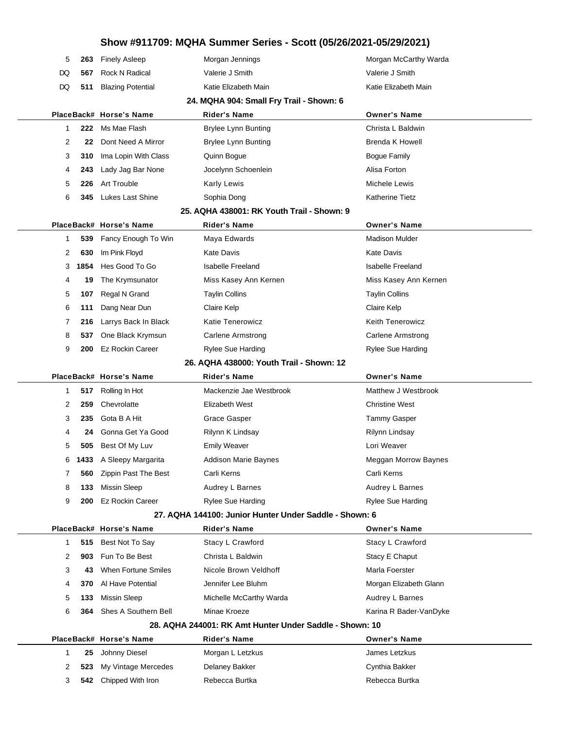| 5                                        | 263       | <b>Finely Asleep</b>       | Morgan Jennings                                         | Morgan McCarthy Warda    |  |  |
|------------------------------------------|-----------|----------------------------|---------------------------------------------------------|--------------------------|--|--|
| DQ                                       | 567       | <b>Rock N Radical</b>      | Valerie J Smith                                         | Valerie J Smith          |  |  |
| DQ                                       | 511       | <b>Blazing Potential</b>   | Katie Elizabeth Main                                    | Katie Elizabeth Main     |  |  |
| 24. MQHA 904: Small Fry Trail - Shown: 6 |           |                            |                                                         |                          |  |  |
|                                          |           | PlaceBack# Horse's Name    | <b>Rider's Name</b>                                     | <b>Owner's Name</b>      |  |  |
| 1                                        | 222       | Ms Mae Flash               | <b>Brylee Lynn Bunting</b>                              | Christa L Baldwin        |  |  |
| 2                                        | 22        | Dont Need A Mirror         | <b>Brylee Lynn Bunting</b>                              | <b>Brenda K Howell</b>   |  |  |
| 3                                        | 310       | Ima Lopin With Class       | Quinn Bogue                                             | <b>Bogue Family</b>      |  |  |
| 4                                        | 243       | Lady Jag Bar None          | Jocelynn Schoenlein                                     | Alisa Forton             |  |  |
| 5                                        | 226       | <b>Art Trouble</b>         | <b>Karly Lewis</b>                                      | Michele Lewis            |  |  |
| 6                                        | 345       | <b>Lukes Last Shine</b>    | Sophia Dong                                             | <b>Katherine Tietz</b>   |  |  |
|                                          |           |                            | 25. AQHA 438001: RK Youth Trail - Shown: 9              |                          |  |  |
|                                          |           | PlaceBack# Horse's Name    | Rider's Name                                            | <b>Owner's Name</b>      |  |  |
| 1                                        | 539       | Fancy Enough To Win        | Maya Edwards                                            | <b>Madison Mulder</b>    |  |  |
|                                          | 2<br>630  | Im Pink Floyd              | <b>Kate Davis</b>                                       | <b>Kate Davis</b>        |  |  |
|                                          | 1854<br>3 | Hes Good To Go             | <b>Isabelle Freeland</b>                                | <b>Isabelle Freeland</b> |  |  |
| 4                                        | 19        | The Krymsunator            | Miss Kasey Ann Kernen                                   | Miss Kasey Ann Kernen    |  |  |
| 5                                        | 107       | Regal N Grand              | <b>Taylin Collins</b>                                   | <b>Taylin Collins</b>    |  |  |
| 6                                        | 111       | Dang Near Dun              | Claire Kelp                                             | Claire Kelp              |  |  |
| 7                                        | 216       | Larrys Back In Black       | <b>Katie Tenerowicz</b>                                 | Keith Tenerowicz         |  |  |
| 8                                        | 537       | One Black Krymsun          | <b>Carlene Armstrong</b>                                | <b>Carlene Armstrong</b> |  |  |
| 9                                        | 200       | <b>Ez Rockin Career</b>    | <b>Rylee Sue Harding</b>                                | <b>Rylee Sue Harding</b> |  |  |
|                                          |           |                            | 26. AQHA 438000: Youth Trail - Shown: 12                |                          |  |  |
|                                          |           | PlaceBack# Horse's Name    | Rider's Name                                            | <b>Owner's Name</b>      |  |  |
| 1                                        | 517       | Rolling In Hot             | Mackenzie Jae Westbrook                                 | Matthew J Westbrook      |  |  |
|                                          | 2<br>259  | Chevrolatte                | Elizabeth West                                          | <b>Christine West</b>    |  |  |
|                                          | 3<br>235  | Gota B A Hit               | Grace Gasper                                            | <b>Tammy Gasper</b>      |  |  |
| 4                                        | 24        | Gonna Get Ya Good          | Rilynn K Lindsay                                        | Rilynn Lindsay           |  |  |
| 5                                        | 505       | Best Of My Luv             | <b>Emily Weaver</b>                                     | Lori Weaver              |  |  |
| 6                                        | 1433      | A Sleepy Margarita         | Addison Marie Baynes                                    | Meggan Morrow Baynes     |  |  |
| 7                                        |           | 560 Zippin Past The Best   | Carli Kerns                                             | Carli Kerns              |  |  |
| 8                                        | 133       | Missin Sleep               | Audrey L Barnes                                         | Audrey L Barnes          |  |  |
| 9                                        | 200       | <b>Ez Rockin Career</b>    | Rylee Sue Harding                                       | <b>Rylee Sue Harding</b> |  |  |
|                                          |           |                            | 27. AQHA 144100: Junior Hunter Under Saddle - Shown: 6  |                          |  |  |
|                                          |           | PlaceBack# Horse's Name    | <b>Rider's Name</b>                                     | <b>Owner's Name</b>      |  |  |
|                                          | 1<br>515  | Best Not To Say            | Stacy L Crawford                                        | Stacy L Crawford         |  |  |
|                                          | 2<br>903  | Fun To Be Best             | Christa L Baldwin                                       | Stacy E Chaput           |  |  |
|                                          | 3<br>43   | <b>When Fortune Smiles</b> | Nicole Brown Veldhoff                                   | Marla Foerster           |  |  |
| 4                                        | 370       | Al Have Potential          | Jennifer Lee Bluhm                                      | Morgan Elizabeth Glann   |  |  |
|                                          | 5<br>133  | <b>Missin Sleep</b>        | Michelle McCarthy Warda                                 | Audrey L Barnes          |  |  |
|                                          | 6<br>364. | Shes A Southern Bell       | Minae Kroeze                                            | Karina R Bader-VanDyke   |  |  |
|                                          |           |                            | 28. AQHA 244001: RK Amt Hunter Under Saddle - Shown: 10 |                          |  |  |
|                                          |           | PlaceBack# Horse's Name    | Rider's Name                                            | <b>Owner's Name</b>      |  |  |
|                                          | 1<br>25   | Johnny Diesel              | Morgan L Letzkus                                        | James Letzkus            |  |  |
|                                          | 2<br>523  | My Vintage Mercedes        | Delaney Bakker                                          | Cynthia Bakker           |  |  |
|                                          | 3<br>542  | Chipped With Iron          | Rebecca Burtka                                          | Rebecca Burtka           |  |  |
|                                          |           |                            |                                                         |                          |  |  |

 $\overline{\phantom{0}}$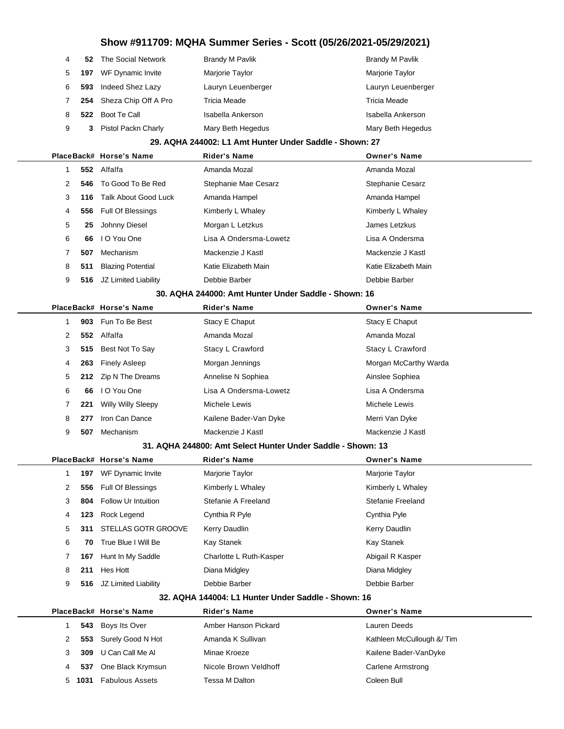|  |   |     | Show #911709: MQHA Summer Series - Scott (05/26/2021-05/29/2021) |                                                             |                           |  |
|--|---|-----|------------------------------------------------------------------|-------------------------------------------------------------|---------------------------|--|
|  | 4 | 52  | The Social Network                                               | <b>Brandy M Pavlik</b>                                      | <b>Brandy M Pavlik</b>    |  |
|  | 5 | 197 | WF Dynamic Invite                                                | Marjorie Taylor                                             | Marjorie Taylor           |  |
|  | 6 | 593 | Indeed Shez Lazy                                                 | Lauryn Leuenberger                                          | Lauryn Leuenberger        |  |
|  | 7 | 254 | Sheza Chip Off A Pro                                             | Tricia Meade                                                | Tricia Meade              |  |
|  | 8 | 522 | Boot Te Call                                                     | Isabella Ankerson                                           | Isabella Ankerson         |  |
|  | 9 | 3.  | Pistol Packn Charly                                              | Mary Beth Hegedus                                           | Mary Beth Hegedus         |  |
|  |   |     |                                                                  | 29. AQHA 244002: L1 Amt Hunter Under Saddle - Shown: 27     |                           |  |
|  |   |     | PlaceBack# Horse's Name                                          | Rider's Name                                                | <b>Owner's Name</b>       |  |
|  | 1 |     | 552 Alfalfa                                                      | Amanda Mozal                                                | Amanda Mozal              |  |
|  | 2 | 546 | To Good To Be Red                                                | Stephanie Mae Cesarz                                        | <b>Stephanie Cesarz</b>   |  |
|  | 3 | 116 | <b>Talk About Good Luck</b>                                      | Amanda Hampel                                               | Amanda Hampel             |  |
|  | 4 | 556 | Full Of Blessings                                                | Kimberly L Whaley                                           | Kimberly L Whaley         |  |
|  | 5 | 25  | Johnny Diesel                                                    | Morgan L Letzkus                                            | James Letzkus             |  |
|  | 6 | 66  | I O You One                                                      | Lisa A Ondersma-Lowetz                                      | Lisa A Ondersma           |  |
|  | 7 | 507 | Mechanism                                                        | Mackenzie J Kastl                                           | Mackenzie J Kastl         |  |
|  | 8 | 511 | <b>Blazing Potential</b>                                         | Katie Elizabeth Main                                        | Katie Elizabeth Main      |  |
|  | 9 | 516 | JZ Limited Liability                                             | Debbie Barber                                               | Debbie Barber             |  |
|  |   |     |                                                                  | 30. AQHA 244000: Amt Hunter Under Saddle - Shown: 16        |                           |  |
|  |   |     | PlaceBack# Horse's Name                                          | <b>Rider's Name</b>                                         | <b>Owner's Name</b>       |  |
|  | 1 | 903 | Fun To Be Best                                                   | Stacy E Chaput                                              | Stacy E Chaput            |  |
|  | 2 | 552 | Alfalfa                                                          | Amanda Mozal                                                | Amanda Mozal              |  |
|  | 3 | 515 | Best Not To Say                                                  | Stacy L Crawford                                            | Stacy L Crawford          |  |
|  | 4 | 263 | <b>Finely Asleep</b>                                             | Morgan Jennings                                             | Morgan McCarthy Warda     |  |
|  | 5 | 212 | Zip N The Dreams                                                 | Annelise N Sophiea                                          | Ainslee Sophiea           |  |
|  | 6 | 66  | I O You One                                                      | Lisa A Ondersma-Lowetz                                      | Lisa A Ondersma           |  |
|  | 7 | 221 | Willy Willy Sleepy                                               | Michele Lewis                                               | Michele Lewis             |  |
|  | 8 | 277 | Iron Can Dance                                                   | Kailene Bader-Van Dyke                                      | Merri Van Dyke            |  |
|  | 9 | 507 | Mechanism                                                        | Mackenzie J Kastl                                           | Mackenzie J Kastl         |  |
|  |   |     |                                                                  | 31. AQHA 244800: Amt Select Hunter Under Saddle - Shown: 13 |                           |  |
|  |   |     | PlaceBack# Horse's Name                                          | Rider's Name                                                | <b>Owner's Name</b>       |  |
|  | 1 | 197 | WF Dynamic Invite                                                | Marjorie Taylor                                             | Marjorie Taylor           |  |
|  | 2 | 556 | <b>Full Of Blessings</b>                                         | Kimberly L Whaley                                           | Kimberly L Whaley         |  |
|  | 3 | 804 | Follow Ur Intuition                                              | Stefanie A Freeland                                         | Stefanie Freeland         |  |
|  | 4 | 123 | Rock Legend                                                      | Cynthia R Pyle                                              | Cynthia Pyle              |  |
|  | 5 | 311 | <b>STELLAS GOTR GROOVE</b>                                       | Kerry Daudlin                                               | Kerry Daudlin             |  |
|  | 6 | 70  | True Blue I Will Be                                              | Kay Stanek                                                  | Kay Stanek                |  |
|  | 7 | 167 | Hunt In My Saddle                                                | Charlotte L Ruth-Kasper                                     | Abigail R Kasper          |  |
|  | 8 | 211 | Hes Hott                                                         | Diana Midgley                                               | Diana Midgley             |  |
|  | 9 | 516 | JZ Limited Liability                                             | Debbie Barber                                               | Debbie Barber             |  |
|  |   |     |                                                                  | 32. AQHA 144004: L1 Hunter Under Saddle - Shown: 16         |                           |  |
|  |   |     | PlaceBack# Horse's Name                                          | Rider's Name                                                | <b>Owner's Name</b>       |  |
|  | 1 | 543 | Boys Its Over                                                    | Amber Hanson Pickard                                        | Lauren Deeds              |  |
|  | 2 | 553 | Surely Good N Hot                                                | Amanda K Sullivan                                           | Kathleen McCullough & Tim |  |
|  | 3 | 309 | U Can Call Me Al                                                 | Minae Kroeze                                                | Kailene Bader-VanDyke     |  |
|  | 4 | 537 | One Black Krymsun                                                | Nicole Brown Veldhoff                                       | <b>Carlene Armstrong</b>  |  |
|  | 5 |     | 1031 Fabulous Assets                                             | Tessa M Dalton                                              | Coleen Bull               |  |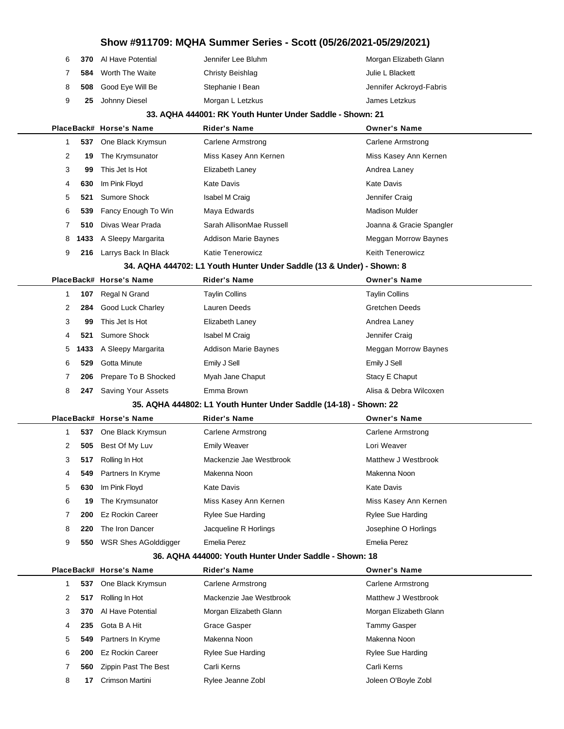|    | 6 370 Al Have Potential | Jennifer Lee Bluhm | Morgan Elizabeth Glann  |
|----|-------------------------|--------------------|-------------------------|
| 7  | 584 Worth The Waite     | Christy Beishlag   | Julie L Blackett        |
| 8. | 508 Good Eye Will Be    | Stephanie I Bean   | Jennifer Ackroyd-Fabris |
| 9  | 25 Johnny Diesel        | Morgan L Letzkus   | James Letzkus           |
|    |                         |                    |                         |

#### **33. AQHA 444001: RK Youth Hunter Under Saddle - Shown: 21**

|   |     | PlaceBack# Horse's Name | <b>Rider's Name</b>         | <b>Owner's Name</b>      |
|---|-----|-------------------------|-----------------------------|--------------------------|
|   |     | 537 One Black Krymsun   | Carlene Armstrong           | Carlene Armstrong        |
| 2 | 19. | The Krymsunator         | Miss Kasey Ann Kernen       | Miss Kasey Ann Kernen    |
| 3 | 99  | This Jet Is Hot         | Elizabeth Laney             | Andrea Laney             |
| 4 | 630 | Im Pink Floyd           | Kate Davis                  | Kate Davis               |
| 5 |     | 521 Sumore Shock        | Isabel M Craig              | Jennifer Craig           |
| 6 |     | 539 Fancy Enough To Win | Maya Edwards                | <b>Madison Mulder</b>    |
|   | 510 | Divas Wear Prada        | Sarah AllisonMae Russell    | Joanna & Gracie Spangler |
| 8 |     | 1433 A Sleepy Margarita | <b>Addison Marie Baynes</b> | Meggan Morrow Baynes     |
| 9 | 216 | Larrys Back In Black    | <b>Katie Tenerowicz</b>     | <b>Keith Tenerowicz</b>  |
|   |     |                         |                             |                          |

### **34. AQHA 444702: L1 Youth Hunter Under Saddle (13 & Under) - Shown: 8**

|   |     | PlaceBack# Horse's Name   | <b>Rider's Name</b>         | <b>Owner's Name</b>    |
|---|-----|---------------------------|-----------------------------|------------------------|
|   | 107 | Regal N Grand             | Taylin Collins              | <b>Taylin Collins</b>  |
| 2 | 284 | Good Luck Charley         | Lauren Deeds                | <b>Gretchen Deeds</b>  |
| 3 | 99  | This Jet Is Hot           | Elizabeth Laney             | Andrea Laney           |
| 4 | 521 | Sumore Shock              | Isabel M Craig              | Jennifer Craig         |
|   |     | 5 1433 A Sleepy Margarita | <b>Addison Marie Baynes</b> | Meggan Morrow Baynes   |
| 6 | 529 | Gotta Minute              | Emily J Sell                | Emily J Sell           |
|   |     | 206 Prepare To B Shocked  | Myah Jane Chaput            | Stacy E Chaput         |
| 8 | 247 | Saving Your Assets        | Emma Brown                  | Alisa & Debra Wilcoxen |

#### **35. AQHA 444802: L1 Youth Hunter Under Saddle (14-18) - Shown: 22**

|   |     | PlaceBack# Horse's Name     | <b>Rider's Name</b>     | <b>Owner's Name</b>      |
|---|-----|-----------------------------|-------------------------|--------------------------|
|   | 537 | One Black Krymsun           | Carlene Armstrong       | Carlene Armstrong        |
| 2 | 505 | Best Of My Luv              | <b>Emily Weaver</b>     | Lori Weaver              |
| 3 | 517 | Rolling In Hot              | Mackenzie Jae Westbrook | Matthew J Westbrook      |
| 4 |     | 549 Partners In Kryme       | Makenna Noon            | Makenna Noon             |
| 5 | 630 | Im Pink Floyd               | Kate Davis              | <b>Kate Davis</b>        |
| 6 | 19  | The Krymsunator             | Miss Kasey Ann Kernen   | Miss Kasey Ann Kernen    |
| 7 | 200 | <b>Ez Rockin Career</b>     | Rylee Sue Harding       | <b>Rylee Sue Harding</b> |
| 8 | 220 | The Iron Dancer             | Jacqueline R Horlings   | Josephine O Horlings     |
| 9 | 550 | <b>WSR Shes AGolddigger</b> | Emelia Perez            | Emelia Perez             |
|   |     |                             |                         |                          |

#### **36. AQHA 444000: Youth Hunter Under Saddle - Shown: 18**

|   |     | PlaceBack# Horse's Name | <b>Rider's Name</b>      | <b>Owner's Name</b>      |
|---|-----|-------------------------|--------------------------|--------------------------|
|   | 537 | One Black Krymsun       | Carlene Armstrong        | Carlene Armstrong        |
| 2 | 517 | Rolling In Hot          | Mackenzie Jae Westbrook  | Matthew J Westbrook      |
| 3 | 370 | Al Have Potential       | Morgan Elizabeth Glann   | Morgan Elizabeth Glann   |
| 4 | 235 | Gota B A Hit            | Grace Gasper             | Tammy Gasper             |
| 5 |     | 549 Partners In Kryme   | Makenna Noon             | Makenna Noon             |
| 6 | 200 | Ez Rockin Career        | <b>Rylee Sue Harding</b> | <b>Rylee Sue Harding</b> |
|   | 560 | Zippin Past The Best    | Carli Kerns              | Carli Kerns              |
| 8 | 17  | Crimson Martini         | Rylee Jeanne Zobl        | Joleen O'Boyle Zobl      |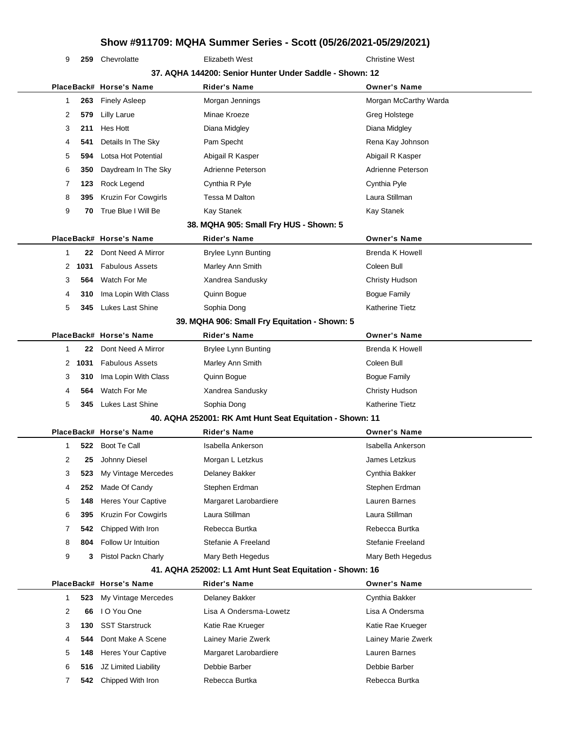**259** Chevrolatte **Elizabeth West** Christine West

| 37. AQHA 144200: Senior Hunter Under Saddle - Shown: 12 |   |      |                            |                                                          |                        |  |  |
|---------------------------------------------------------|---|------|----------------------------|----------------------------------------------------------|------------------------|--|--|
|                                                         |   |      | PlaceBack# Horse's Name    | Rider's Name                                             | <b>Owner's Name</b>    |  |  |
|                                                         | 1 | 263  | <b>Finely Asleep</b>       | Morgan Jennings                                          | Morgan McCarthy Warda  |  |  |
|                                                         | 2 | 579  | <b>Lilly Larue</b>         | Minae Kroeze                                             | Greg Holstege          |  |  |
|                                                         | 3 | 211  | Hes Hott                   | Diana Midgley                                            | Diana Midgley          |  |  |
|                                                         | 4 | 541  | Details In The Sky         | Pam Specht                                               | Rena Kay Johnson       |  |  |
|                                                         | 5 | 594  | Lotsa Hot Potential        | Abigail R Kasper                                         | Abigail R Kasper       |  |  |
|                                                         | 6 | 350  | Daydream In The Sky        | Adrienne Peterson                                        | Adrienne Peterson      |  |  |
|                                                         | 7 | 123  | Rock Legend                | Cynthia R Pyle                                           | Cynthia Pyle           |  |  |
|                                                         | 8 | 395  | Kruzin For Cowgirls        | Tessa M Dalton                                           | Laura Stillman         |  |  |
|                                                         | 9 | 70   | True Blue I Will Be        | Kay Stanek                                               | <b>Kay Stanek</b>      |  |  |
|                                                         |   |      |                            | 38. MQHA 905: Small Fry HUS - Shown: 5                   |                        |  |  |
|                                                         |   |      | PlaceBack# Horse's Name    | Rider's Name                                             | <b>Owner's Name</b>    |  |  |
|                                                         | 1 | 22   | Dont Need A Mirror         | <b>Brylee Lynn Bunting</b>                               | <b>Brenda K Howell</b> |  |  |
|                                                         | 2 | 1031 | <b>Fabulous Assets</b>     | Marley Ann Smith                                         | Coleen Bull            |  |  |
|                                                         | 3 | 564  | Watch For Me               | Xandrea Sandusky                                         | Christy Hudson         |  |  |
|                                                         | 4 | 310  | Ima Lopin With Class       | Quinn Bogue                                              | <b>Bogue Family</b>    |  |  |
|                                                         | 5 | 345  | Lukes Last Shine           | Sophia Dong                                              | <b>Katherine Tietz</b> |  |  |
|                                                         |   |      |                            | 39. MQHA 906: Small Fry Equitation - Shown: 5            |                        |  |  |
|                                                         |   |      | PlaceBack# Horse's Name    | <b>Rider's Name</b>                                      | <b>Owner's Name</b>    |  |  |
|                                                         | 1 | 22   | Dont Need A Mirror         | <b>Brylee Lynn Bunting</b>                               | <b>Brenda K Howell</b> |  |  |
|                                                         | 2 | 1031 | <b>Fabulous Assets</b>     | Marley Ann Smith                                         | Coleen Bull            |  |  |
|                                                         | 3 | 310  | Ima Lopin With Class       | Quinn Bogue                                              | <b>Bogue Family</b>    |  |  |
|                                                         | 4 | 564  | Watch For Me               | Xandrea Sandusky                                         | Christy Hudson         |  |  |
|                                                         | 5 | 345  | Lukes Last Shine           | Sophia Dong                                              | <b>Katherine Tietz</b> |  |  |
|                                                         |   |      |                            | 40. AQHA 252001: RK Amt Hunt Seat Equitation - Shown: 11 |                        |  |  |
|                                                         |   |      | PlaceBack# Horse's Name    | <b>Rider's Name</b>                                      | <b>Owner's Name</b>    |  |  |
|                                                         | 1 | 522  | Boot Te Call               | Isabella Ankerson                                        | Isabella Ankerson      |  |  |
|                                                         | 2 | 25   | Johnny Diesel              | Morgan L Letzkus                                         | James Letzkus          |  |  |
|                                                         | 3 | 523  | My Vintage Mercedes        | Delaney Bakker                                           | Cynthia Bakker         |  |  |
|                                                         | 4 | 252  | Made Of Candy              | Stephen Erdman                                           | Stephen Erdman         |  |  |
|                                                         | 5 | 148  | <b>Heres Your Captive</b>  | Margaret Larobardiere                                    | Lauren Barnes          |  |  |
|                                                         | 6 | 395  | <b>Kruzin For Cowgirls</b> | Laura Stillman                                           | Laura Stillman         |  |  |
|                                                         | 7 | 542  | Chipped With Iron          | Rebecca Burtka                                           | Rebecca Burtka         |  |  |
|                                                         | 8 | 804  | Follow Ur Intuition        | Stefanie A Freeland                                      | Stefanie Freeland      |  |  |
|                                                         | 9 | 3    | Pistol Packn Charly        | Mary Beth Hegedus                                        | Mary Beth Hegedus      |  |  |
|                                                         |   |      |                            | 41. AQHA 252002: L1 Amt Hunt Seat Equitation - Shown: 16 |                        |  |  |
|                                                         |   |      | PlaceBack# Horse's Name    | <b>Rider's Name</b>                                      | <b>Owner's Name</b>    |  |  |
|                                                         | 1 | 523  | My Vintage Mercedes        | Delaney Bakker                                           | Cynthia Bakker         |  |  |
|                                                         | 2 | 66   | I O You One                | Lisa A Ondersma-Lowetz                                   | Lisa A Ondersma        |  |  |
|                                                         | 3 | 130  | <b>SST Starstruck</b>      | Katie Rae Krueger                                        | Katie Rae Krueger      |  |  |
|                                                         | 4 | 544  | Dont Make A Scene          | Lainey Marie Zwerk                                       | Lainey Marie Zwerk     |  |  |
|                                                         | 5 | 148  | <b>Heres Your Captive</b>  | Margaret Larobardiere                                    | Lauren Barnes          |  |  |

 **516** JZ Limited Liability Debbie Barber Debbie Barber **542** Chipped With Iron Rebecca Burtka Rebecca Burtka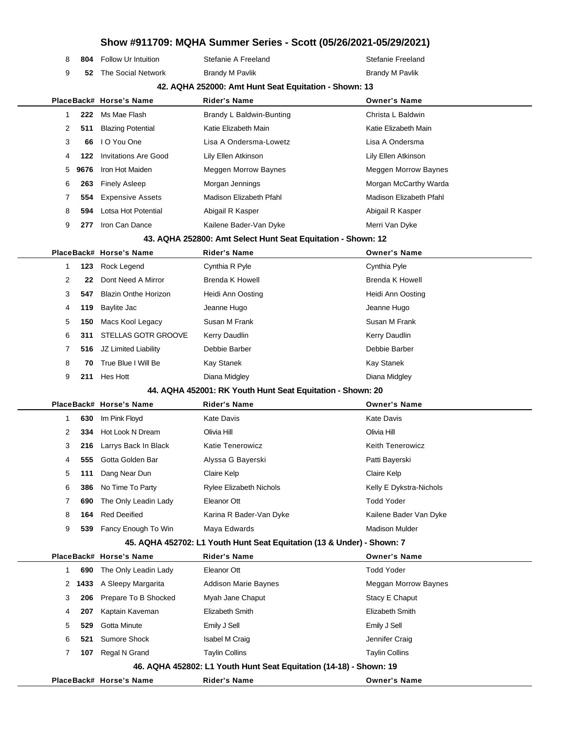| 8              | 804  | <b>Follow Ur Intuition</b>  | Stefanie A Freeland                                                    | Stefanie Freeland           |
|----------------|------|-----------------------------|------------------------------------------------------------------------|-----------------------------|
| 9              | 52   | The Social Network          | <b>Brandy M Pavlik</b>                                                 | <b>Brandy M Pavlik</b>      |
|                |      |                             | 42. AQHA 252000: Amt Hunt Seat Equitation - Shown: 13                  |                             |
|                |      | PlaceBack# Horse's Name     | <b>Rider's Name</b>                                                    | <b>Owner's Name</b>         |
| -1             | 222  | Ms Mae Flash                | Brandy L Baldwin-Bunting                                               | Christa L Baldwin           |
| 2              | 511  | <b>Blazing Potential</b>    | Katie Elizabeth Main                                                   | Katie Elizabeth Main        |
| 3              | 66   | I O You One                 | Lisa A Ondersma-Lowetz                                                 | Lisa A Ondersma             |
| 4              | 122  | <b>Invitations Are Good</b> | Lily Ellen Atkinson                                                    | Lily Ellen Atkinson         |
| 5              | 9676 | Iron Hot Maiden             | Meggen Morrow Baynes                                                   | <b>Meggen Morrow Baynes</b> |
| 6              | 263  | <b>Finely Asleep</b>        | Morgan Jennings                                                        | Morgan McCarthy Warda       |
| 7              | 554  | <b>Expensive Assets</b>     | Madison Elizabeth Pfahl                                                | Madison Elizabeth Pfahl     |
| 8              | 594  | Lotsa Hot Potential         | Abigail R Kasper                                                       | Abigail R Kasper            |
| 9              | 277  | Iron Can Dance              | Kailene Bader-Van Dyke                                                 | Merri Van Dyke              |
|                |      |                             | 43. AQHA 252800: Amt Select Hunt Seat Equitation - Shown: 12           |                             |
|                |      | PlaceBack# Horse's Name     | <b>Rider's Name</b>                                                    | <b>Owner's Name</b>         |
| 1              | 123  | Rock Legend                 | Cynthia R Pyle                                                         | Cynthia Pyle                |
| $\overline{2}$ | 22   | Dont Need A Mirror          | Brenda K Howell                                                        | <b>Brenda K Howell</b>      |
| 3              | 547  | <b>Blazin Onthe Horizon</b> | Heidi Ann Oosting                                                      | Heidi Ann Oosting           |
| 4              | 119  | Baylite Jac                 | Jeanne Hugo                                                            | Jeanne Hugo                 |
| 5              | 150  | Macs Kool Legacy            | Susan M Frank                                                          | Susan M Frank               |
| 6              | 311  | STELLAS GOTR GROOVE         | Kerry Daudlin                                                          | Kerry Daudlin               |
| 7              | 516  | JZ Limited Liability        | Debbie Barber                                                          | Debbie Barber               |
| 8              | 70   | True Blue I Will Be         | <b>Kay Stanek</b>                                                      | Kay Stanek                  |
| 9              | 211  | Hes Hott                    | Diana Midgley                                                          | Diana Midgley               |
|                |      |                             | 44. AQHA 452001: RK Youth Hunt Seat Equitation - Shown: 20             |                             |
|                |      | PlaceBack# Horse's Name     | <b>Rider's Name</b>                                                    | <b>Owner's Name</b>         |
| -1             | 630  | Im Pink Floyd               | Kate Davis                                                             | <b>Kate Davis</b>           |
| 2              | 334  | Hot Look N Dream            | Olivia Hill                                                            | Olivia Hill                 |
| 3              | 216  | Larrys Back In Black        | <b>Katie Tenerowicz</b>                                                | Keith Tenerowicz            |
| 4              |      | 555 Gotta Golden Bar        | Alyssa G Bayerski                                                      | Patti Baverski              |
| 5              | 111  | Dang Near Dun               | Claire Kelp                                                            | Claire Kelp                 |
| 6              | 386  | No Time To Party            | <b>Rylee Elizabeth Nichols</b>                                         | Kelly E Dykstra-Nichols     |
| 7              | 690  | The Only Leadin Lady        | Eleanor Ott                                                            | <b>Todd Yoder</b>           |
| 8              | 164  | <b>Red Deeified</b>         | Karina R Bader-Van Dyke                                                | Kailene Bader Van Dyke      |
| 9              |      | 539 Fancy Enough To Win     | Maya Edwards                                                           | <b>Madison Mulder</b>       |
|                |      |                             | 45. AQHA 452702: L1 Youth Hunt Seat Equitation (13 & Under) - Shown: 7 |                             |
|                |      | PlaceBack# Horse's Name     | <b>Rider's Name</b>                                                    | <b>Owner's Name</b>         |
| 1              | 690  | The Only Leadin Lady        | Eleanor Ott                                                            | <b>Todd Yoder</b>           |
| 2              | 1433 | A Sleepy Margarita          | Addison Marie Baynes                                                   | Meggan Morrow Baynes        |
| 3              | 206  | Prepare To B Shocked        | Myah Jane Chaput                                                       | Stacy E Chaput              |
| 4              | 207  | Kaptain Kaveman             | Elizabeth Smith                                                        | Elizabeth Smith             |
| 5              | 529  | Gotta Minute                | Emily J Sell                                                           | Emily J Sell                |
| 6              | 521  | Sumore Shock                | Isabel M Craig                                                         | Jennifer Craig              |
| 7              | 107  | Regal N Grand               | <b>Taylin Collins</b>                                                  | <b>Taylin Collins</b>       |
|                |      |                             | 46. AQHA 452802: L1 Youth Hunt Seat Equitation (14-18) - Shown: 19     |                             |
|                |      | PlaceBack# Horse's Name     | Rider's Name                                                           | <b>Owner's Name</b>         |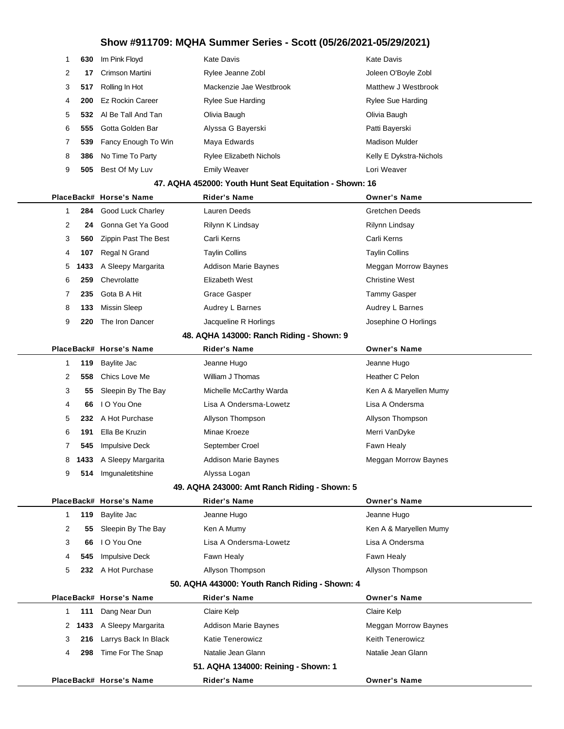|   |                                                         | 630 Im Pink Floyd       | Kate Davis                     | Kate Davis               |  |  |  |  |  |
|---|---------------------------------------------------------|-------------------------|--------------------------------|--------------------------|--|--|--|--|--|
| 2 | 17                                                      | Crimson Martini         | Rylee Jeanne Zobl              | Joleen O'Boyle Zobl      |  |  |  |  |  |
| 3 | 517                                                     | Rolling In Hot          | Mackenzie Jae Westbrook        | Matthew J Westbrook      |  |  |  |  |  |
| 4 |                                                         | 200 Ez Rockin Career    | <b>Rylee Sue Harding</b>       | <b>Rylee Sue Harding</b> |  |  |  |  |  |
| 5 |                                                         | 532 Al Be Tall And Tan  | Olivia Baugh                   | Olivia Baugh             |  |  |  |  |  |
| 6 | 555                                                     | Gotta Golden Bar        | Alyssa G Bayerski              | Patti Bayerski           |  |  |  |  |  |
|   |                                                         | 539 Fancy Enough To Win | Maya Edwards                   | <b>Madison Mulder</b>    |  |  |  |  |  |
| 8 | 386                                                     | No Time To Party        | <b>Rylee Elizabeth Nichols</b> | Kelly E Dykstra-Nichols  |  |  |  |  |  |
| 9 | 505                                                     | Best Of My Luv          | <b>Emily Weaver</b>            | Lori Weaver              |  |  |  |  |  |
|   | 47. AQHA 452000: Youth Hunt Seat Equitation - Shown: 16 |                         |                                |                          |  |  |  |  |  |

|  |                |     |                             |                             | <b>Owner's Name</b>   |
|--|----------------|-----|-----------------------------|-----------------------------|-----------------------|
|  |                |     | PlaceBack# Horse's Name     | <b>Rider's Name</b>         |                       |
|  |                |     | 284 Good Luck Charley       | Lauren Deeds                | Gretchen Deeds        |
|  | $\overline{2}$ | 24  | Gonna Get Ya Good           | Rilynn K Lindsay            | Rilynn Lindsay        |
|  | 3              | 560 | <b>Zippin Past The Best</b> | Carli Kerns                 | Carli Kerns           |
|  | 4              | 107 | Regal N Grand               | <b>Taylin Collins</b>       | <b>Taylin Collins</b> |
|  |                |     | 5 1433 A Sleepy Margarita   | <b>Addison Marie Baynes</b> | Meggan Morrow Baynes  |
|  | 6              | 259 | Chevrolatte                 | Elizabeth West              | <b>Christine West</b> |
|  |                | 235 | Gota B A Hit                | Grace Gasper                | Tammy Gasper          |
|  | 8              | 133 | Missin Sleep                | Audrey L Barnes             | Audrey L Barnes       |
|  | 9              | 220 | The Iron Dancer             | Jacqueline R Horlings       | Josephine O Horlings  |
|  |                |     |                             |                             |                       |

#### **48. AQHA 143000: Ranch Riding - Shown: 9**

| 119 Baylite Jac<br>Jeanne Hugo<br>Jeanne Hugo<br>558 Chics Love Me<br>William J Thomas<br>Heather C Pelon<br>2<br>55 Sleepin By The Bay<br>Ken A & Maryellen Mumy<br>3<br>Michelle McCarthy Warda<br>I O You One<br>Lisa A Ondersma-Lowetz<br>Lisa A Ondersma<br>4<br>66<br>232 A Hot Purchase<br>5<br>Allyson Thompson<br>Allyson Thompson<br>Ella Be Kruzin<br>6<br>191<br>Minae Kroeze<br>Merri VanDyke<br><b>Impulsive Deck</b><br>September Croel<br>Fawn Healy<br>545<br>1433 A Sleepy Margarita<br><b>Addison Marie Baynes</b><br>Meggan Morrow Baynes<br>8<br>Imgunaletitshine<br>Alyssa Logan<br>9<br>514 |  | PlaceBack# Horse's Name | <b>Rider's Name</b> | <b>Owner's Name</b> |
|--------------------------------------------------------------------------------------------------------------------------------------------------------------------------------------------------------------------------------------------------------------------------------------------------------------------------------------------------------------------------------------------------------------------------------------------------------------------------------------------------------------------------------------------------------------------------------------------------------------------|--|-------------------------|---------------------|---------------------|
|                                                                                                                                                                                                                                                                                                                                                                                                                                                                                                                                                                                                                    |  |                         |                     |                     |
|                                                                                                                                                                                                                                                                                                                                                                                                                                                                                                                                                                                                                    |  |                         |                     |                     |
|                                                                                                                                                                                                                                                                                                                                                                                                                                                                                                                                                                                                                    |  |                         |                     |                     |
|                                                                                                                                                                                                                                                                                                                                                                                                                                                                                                                                                                                                                    |  |                         |                     |                     |
|                                                                                                                                                                                                                                                                                                                                                                                                                                                                                                                                                                                                                    |  |                         |                     |                     |
|                                                                                                                                                                                                                                                                                                                                                                                                                                                                                                                                                                                                                    |  |                         |                     |                     |
|                                                                                                                                                                                                                                                                                                                                                                                                                                                                                                                                                                                                                    |  |                         |                     |                     |
|                                                                                                                                                                                                                                                                                                                                                                                                                                                                                                                                                                                                                    |  |                         |                     |                     |
|                                                                                                                                                                                                                                                                                                                                                                                                                                                                                                                                                                                                                    |  |                         |                     |                     |

### **49. AQHA 243000: Amt Ranch Riding - Shown: 5**

|                                                |     | PlaceBack# Horse's Name | <b>Rider's Name</b>    | <b>Owner's Name</b>    |  |  |
|------------------------------------------------|-----|-------------------------|------------------------|------------------------|--|--|
|                                                |     | 119 Baylite Jac         | Jeanne Hugo            | Jeanne Hugo            |  |  |
| 2                                              | 55. | Sleepin By The Bay      | Ken A Mumy             | Ken A & Maryellen Mumy |  |  |
| 3                                              | 66  | I O You One             | Lisa A Ondersma-Lowetz | Lisa A Ondersma        |  |  |
| 4                                              | 545 | <b>Impulsive Deck</b>   | Fawn Healy             | Fawn Healy             |  |  |
| 5                                              | 232 | A Hot Purchase          | Allyson Thompson       | Allyson Thompson       |  |  |
| 50. AQHA 443000: Youth Ranch Riding - Shown: 4 |     |                         |                        |                        |  |  |

|          | PlaceBack# Horse's Name   | <b>Rider's Name</b>                 | <b>Owner's Name</b>     |
|----------|---------------------------|-------------------------------------|-------------------------|
| 111      | Dang Near Dun             | Claire Kelp                         | Claire Kelp             |
|          | 2 1433 A Sleepy Margarita | <b>Addison Marie Baynes</b>         | Meggan Morrow Baynes    |
| 216<br>3 | Larrys Back In Black      | <b>Katie Tenerowicz</b>             | <b>Keith Tenerowicz</b> |
| 298<br>4 | Time For The Snap         | Natalie Jean Glann                  | Natalie Jean Glann      |
|          |                           | 51. AQHA 134000: Reining - Shown: 1 |                         |
|          | PlaceBack# Horse's Name   | <b>Rider's Name</b>                 | <b>Owner's Name</b>     |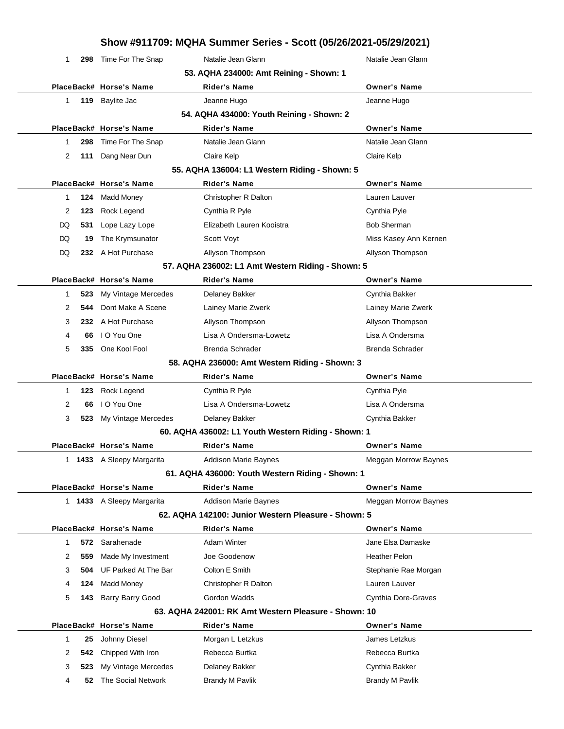|              |      |                           |                                                      | Show #911709: MQHA Summer Series - Scott (05/26/2021-05/29/2021) |
|--------------|------|---------------------------|------------------------------------------------------|------------------------------------------------------------------|
| 1            | 298  | Time For The Snap         | Natalie Jean Glann                                   | Natalie Jean Glann                                               |
|              |      |                           | 53. AQHA 234000: Amt Reining - Shown: 1              |                                                                  |
|              |      | PlaceBack# Horse's Name   | <b>Rider's Name</b>                                  | <b>Owner's Name</b>                                              |
| $\mathbf 1$  | 119  | Baylite Jac               | Jeanne Hugo                                          | Jeanne Hugo                                                      |
|              |      |                           | 54. AQHA 434000: Youth Reining - Shown: 2            |                                                                  |
|              |      | PlaceBack# Horse's Name   | Rider's Name                                         | <b>Owner's Name</b>                                              |
| 1            | 298  | Time For The Snap         | Natalie Jean Glann                                   | Natalie Jean Glann                                               |
| 2            | 111  | Dang Near Dun             | Claire Kelp                                          | Claire Kelp                                                      |
|              |      |                           | 55. AQHA 136004: L1 Western Riding - Shown: 5        |                                                                  |
|              |      | PlaceBack# Horse's Name   | <b>Rider's Name</b>                                  | <b>Owner's Name</b>                                              |
| 1            | 124  | <b>Madd Money</b>         | Christopher R Dalton                                 | Lauren Lauver                                                    |
| 2            | 123  | Rock Legend               | Cynthia R Pyle                                       | Cynthia Pyle                                                     |
| DQ           | 531  | Lope Lazy Lope            | Elizabeth Lauren Kooistra                            | <b>Bob Sherman</b>                                               |
| DQ           | 19   | The Krymsunator           | Scott Voyt                                           | Miss Kasey Ann Kernen                                            |
| DQ           |      | 232 A Hot Purchase        | Allyson Thompson                                     | Allyson Thompson                                                 |
|              |      |                           | 57. AQHA 236002: L1 Amt Western Riding - Shown: 5    |                                                                  |
|              |      | PlaceBack# Horse's Name   | <b>Rider's Name</b>                                  | <b>Owner's Name</b>                                              |
| 1            | 523  | My Vintage Mercedes       | Delaney Bakker                                       | Cynthia Bakker                                                   |
| 2            | 544  | Dont Make A Scene         | Lainey Marie Zwerk                                   | Lainey Marie Zwerk                                               |
| 3            |      | 232 A Hot Purchase        | Allyson Thompson                                     | Allyson Thompson                                                 |
| 4            | 66   | I O You One               | Lisa A Ondersma-Lowetz                               | Lisa A Ondersma                                                  |
| 5            | 335  | One Kool Fool             | Brenda Schrader                                      | <b>Brenda Schrader</b>                                           |
|              |      |                           | 58. AQHA 236000: Amt Western Riding - Shown: 3       |                                                                  |
|              |      | PlaceBack# Horse's Name   | Rider's Name                                         | <b>Owner's Name</b>                                              |
| 1            | 123  | Rock Legend               | Cynthia R Pyle                                       | Cynthia Pyle                                                     |
| 2            | 66   | I O You One               | Lisa A Ondersma-Lowetz                               | Lisa A Ondersma                                                  |
| 3            |      | 523 My Vintage Mercedes   | Delaney Bakker                                       | Cynthia Bakker                                                   |
|              |      |                           | 60. AQHA 436002: L1 Youth Western Riding - Shown: 1  |                                                                  |
|              |      | PlaceBack# Horse's Name   | <b>Rider's Name</b>                                  | <b>Owner's Name</b>                                              |
|              |      | 1 1433 A Sleepy Margarita | <b>Addison Marie Baynes</b>                          | Meggan Morrow Baynes                                             |
|              |      |                           | 61. AQHA 436000: Youth Western Riding - Shown: 1     |                                                                  |
|              |      | PlaceBack# Horse's Name   | Rider's Name                                         | <b>Owner's Name</b>                                              |
|              |      | 1 1433 A Sleepy Margarita | <b>Addison Marie Baynes</b>                          | Meggan Morrow Baynes                                             |
|              |      |                           | 62. AQHA 142100: Junior Western Pleasure - Shown: 5  |                                                                  |
|              |      | PlaceBack# Horse's Name   | Rider's Name                                         | <b>Owner's Name</b>                                              |
| $\mathbf{1}$ |      | 572 Sarahenade            | <b>Adam Winter</b>                                   | Jane Elsa Damaske                                                |
| 2            | 559  | Made My Investment        | Joe Goodenow                                         | <b>Heather Pelon</b>                                             |
| 3            | 504. | UF Parked At The Bar      | Colton E Smith                                       | Stephanie Rae Morgan                                             |
| 4            | 124  | Madd Money                | Christopher R Dalton                                 | Lauren Lauver                                                    |
| 5            | 143  | Barry Barry Good          | Gordon Wadds                                         | Cynthia Dore-Graves                                              |
|              |      |                           | 63. AQHA 242001: RK Amt Western Pleasure - Shown: 10 |                                                                  |
|              |      | PlaceBack# Horse's Name   | Rider's Name                                         | <b>Owner's Name</b>                                              |
| 1            | 25   | Johnny Diesel             | Morgan L Letzkus                                     | James Letzkus                                                    |
| 2            | 542  | Chipped With Iron         | Rebecca Burtka                                       | Rebecca Burtka                                                   |
| 3            | 523  | My Vintage Mercedes       | Delaney Bakker                                       | Cynthia Bakker                                                   |
| 4            | 52   | The Social Network        | <b>Brandy M Pavlik</b>                               | <b>Brandy M Pavlik</b>                                           |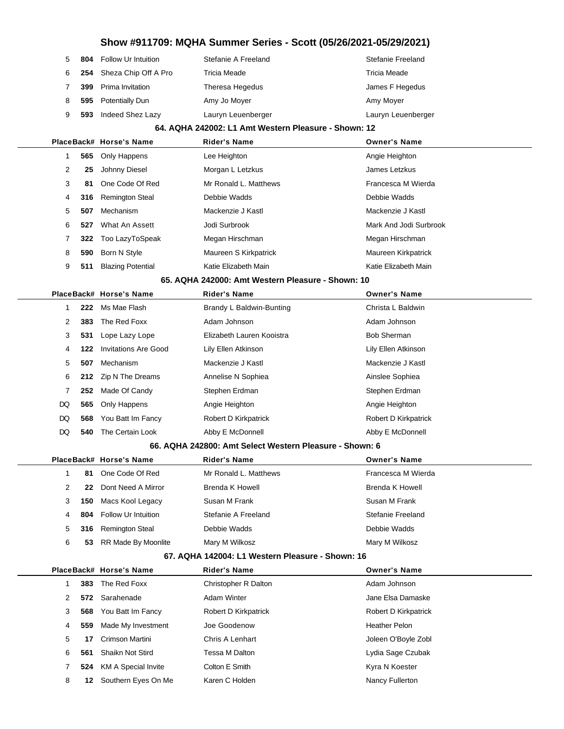|              |     | Show #911709: MQHA Summer Series - Scott (05/26/2021-05/29/2021) |                                                         |                        |  |  |
|--------------|-----|------------------------------------------------------------------|---------------------------------------------------------|------------------------|--|--|
| 5            | 804 | Follow Ur Intuition                                              | Stefanie A Freeland                                     | Stefanie Freeland      |  |  |
| 6            | 254 | Sheza Chip Off A Pro                                             | <b>Tricia Meade</b>                                     | Tricia Meade           |  |  |
| 7            | 399 | Prima Invitation                                                 | Theresa Hegedus                                         | James F Hegedus        |  |  |
| 8            | 595 | Potentially Dun                                                  | Amy Jo Moyer                                            | Amy Moyer              |  |  |
| 9            | 593 | Indeed Shez Lazy                                                 | Lauryn Leuenberger                                      | Lauryn Leuenberger     |  |  |
|              |     |                                                                  | 64. AQHA 242002: L1 Amt Western Pleasure - Shown: 12    |                        |  |  |
|              |     | PlaceBack# Horse's Name                                          | <b>Rider's Name</b>                                     | <b>Owner's Name</b>    |  |  |
| $\mathbf{1}$ | 565 | Only Happens                                                     | Lee Heighton                                            | Angie Heighton         |  |  |
| 2            | 25  | Johnny Diesel                                                    | Morgan L Letzkus                                        | James Letzkus          |  |  |
| 3            | 81  | One Code Of Red                                                  | Mr Ronald L. Matthews                                   | Francesca M Wierda     |  |  |
| 4            | 316 | <b>Remington Steal</b>                                           | Debbie Wadds                                            | Debbie Wadds           |  |  |
| 5            | 507 | Mechanism                                                        | Mackenzie J Kastl                                       | Mackenzie J Kastl      |  |  |
| 6            | 527 | What An Assett                                                   | Jodi Surbrook                                           | Mark And Jodi Surbrook |  |  |
| 7            | 322 | Too LazyToSpeak                                                  | Megan Hirschman                                         | Megan Hirschman        |  |  |
| 8            | 590 | Born N Style                                                     | Maureen S Kirkpatrick                                   | Maureen Kirkpatrick    |  |  |
| 9            | 511 | <b>Blazing Potential</b>                                         | Katie Elizabeth Main                                    | Katie Elizabeth Main   |  |  |
|              |     |                                                                  | 65. AQHA 242000: Amt Western Pleasure - Shown: 10       |                        |  |  |
|              |     | PlaceBack# Horse's Name                                          | <b>Rider's Name</b>                                     | <b>Owner's Name</b>    |  |  |
| 1            | 222 | Ms Mae Flash                                                     | Brandy L Baldwin-Bunting                                | Christa L Baldwin      |  |  |
| 2            | 383 | The Red Foxx                                                     | Adam Johnson                                            | Adam Johnson           |  |  |
| 3            | 531 | Lope Lazy Lope                                                   | Elizabeth Lauren Kooistra                               | <b>Bob Sherman</b>     |  |  |
| 4            | 122 | <b>Invitations Are Good</b>                                      | Lily Ellen Atkinson                                     | Lily Ellen Atkinson    |  |  |
| 5            | 507 | Mechanism                                                        | Mackenzie J Kastl                                       | Mackenzie J Kastl      |  |  |
| 6            | 212 | Zip N The Dreams                                                 | Annelise N Sophiea                                      | Ainslee Sophiea        |  |  |
| 7            | 252 | Made Of Candy                                                    | Stephen Erdman                                          | Stephen Erdman         |  |  |
| DQ           | 565 | Only Happens                                                     | Angie Heighton                                          | Angie Heighton         |  |  |
| DQ           | 568 | You Batt Im Fancy                                                | Robert D Kirkpatrick                                    | Robert D Kirkpatrick   |  |  |
| DQ           | 540 | The Certain Look                                                 | Abby E McDonnell                                        | Abby E McDonnell       |  |  |
|              |     |                                                                  | 66. AQHA 242800: Amt Select Western Pleasure - Shown: 6 |                        |  |  |
|              |     | PlaceBack# Horse's Name                                          | Rider's Name                                            | <b>Owner's Name</b>    |  |  |
| 1            | 81  | One Code Of Red                                                  | Mr Ronald L. Matthews                                   | Francesca M Wierda     |  |  |
| 2            | 22  | Dont Need A Mirror                                               | <b>Brenda K Howell</b>                                  | <b>Brenda K Howell</b> |  |  |
| 3            | 150 | Macs Kool Legacy                                                 | Susan M Frank                                           | Susan M Frank          |  |  |
| 4            | 804 | Follow Ur Intuition                                              | Stefanie A Freeland                                     | Stefanie Freeland      |  |  |
| 5            | 316 | <b>Remington Steal</b>                                           | Debbie Wadds                                            | Debbie Wadds           |  |  |
| 6            | 53  | RR Made By Moonlite                                              | Mary M Wilkosz                                          | Mary M Wilkosz         |  |  |
|              |     |                                                                  | 67. AQHA 142004: L1 Western Pleasure - Shown: 16        |                        |  |  |
|              |     | PlaceBack# Horse's Name                                          | <b>Rider's Name</b>                                     | <b>Owner's Name</b>    |  |  |
| $\mathbf{1}$ | 383 | The Red Foxx                                                     | Christopher R Dalton                                    | Adam Johnson           |  |  |
| 2            | 572 | Sarahenade                                                       | <b>Adam Winter</b>                                      | Jane Elsa Damaske      |  |  |
| 3            | 568 | You Batt Im Fancy                                                | Robert D Kirkpatrick                                    | Robert D Kirkpatrick   |  |  |
| 4            | 559 | Made My Investment                                               | Joe Goodenow                                            | Heather Pelon          |  |  |
| 5            | 17  | Crimson Martini                                                  | Chris A Lenhart                                         | Joleen O'Boyle Zobl    |  |  |

**561** Shaikn Not Stird **Tessa M Dalton** Communication Cydia Sage Czubak **524** KM A Special Invite Colton E Smith **Colton E Smith** Kyra N Koester **12** Southern Eyes On Me Karen C Holden Nancy Fullerton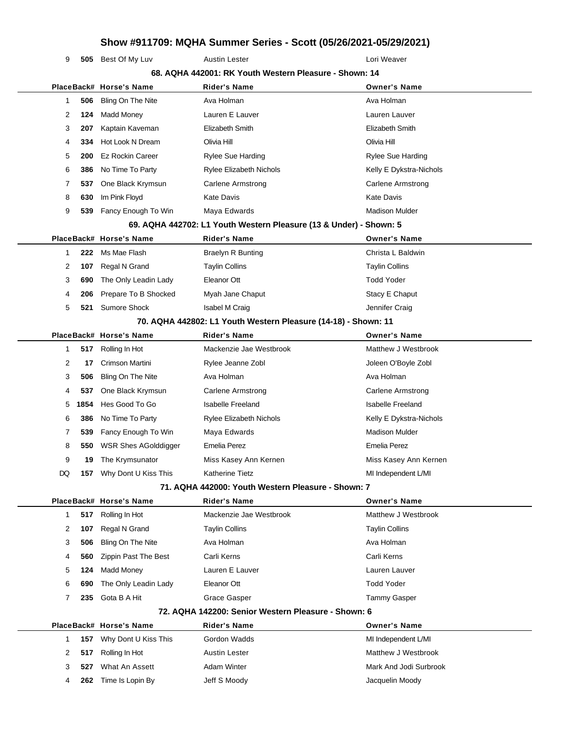**505** Best Of My Luv **Austin Lester Louri Weaver** Lori Weaver

|    |      |                         | 68. AQHA 442001: RK Youth Western Pleasure - Shown: 14             |                          |
|----|------|-------------------------|--------------------------------------------------------------------|--------------------------|
|    |      | PlaceBack# Horse's Name | Rider's Name                                                       | <b>Owner's Name</b>      |
| 1  | 506  | Bling On The Nite       | Ava Holman                                                         | Ava Holman               |
| 2  | 124  | Madd Money              | Lauren E Lauver                                                    | Lauren Lauver            |
| 3  | 207  | Kaptain Kaveman         | Elizabeth Smith                                                    | Elizabeth Smith          |
| 4  | 334  | Hot Look N Dream        | Olivia Hill                                                        | Olivia Hill              |
| 5  | 200  | <b>Ez Rockin Career</b> | Rylee Sue Harding                                                  | Rylee Sue Harding        |
| 6  | 386  | No Time To Party        | Rylee Elizabeth Nichols                                            | Kelly E Dykstra-Nichols  |
| 7  | 537  | One Black Krymsun       | Carlene Armstrong                                                  | <b>Carlene Armstrong</b> |
| 8  | 630  | Im Pink Floyd           | <b>Kate Davis</b>                                                  | Kate Davis               |
| 9  | 539  | Fancy Enough To Win     | Maya Edwards                                                       | <b>Madison Mulder</b>    |
|    |      |                         | 69. AQHA 442702: L1 Youth Western Pleasure (13 & Under) - Shown: 5 |                          |
|    |      | PlaceBack# Horse's Name | <b>Rider's Name</b>                                                | <b>Owner's Name</b>      |
| 1  | 222  | Ms Mae Flash            | <b>Braelyn R Bunting</b>                                           | Christa L Baldwin        |
| 2  | 107  | Regal N Grand           | <b>Taylin Collins</b>                                              | <b>Taylin Collins</b>    |
| 3  | 690  | The Only Leadin Lady    | Eleanor Ott                                                        | <b>Todd Yoder</b>        |
| 4  | 206  | Prepare To B Shocked    | Myah Jane Chaput                                                   | Stacy E Chaput           |
| 5  | 521  | <b>Sumore Shock</b>     | Isabel M Craig                                                     | Jennifer Craig           |
|    |      |                         | 70. AQHA 442802: L1 Youth Western Pleasure (14-18) - Shown: 11     |                          |
|    |      | PlaceBack# Horse's Name | <b>Rider's Name</b>                                                | <b>Owner's Name</b>      |
| 1  | 517  | Rolling In Hot          | Mackenzie Jae Westbrook                                            | Matthew J Westbrook      |
| 2  | 17   | Crimson Martini         | Rylee Jeanne Zobl                                                  | Joleen O'Boyle Zobl      |
| 3  | 506  | Bling On The Nite       | Ava Holman                                                         | Ava Holman               |
| 4  | 537  | One Black Krymsun       | Carlene Armstrong                                                  | Carlene Armstrong        |
| 5  | 1854 | Hes Good To Go          | <b>Isabelle Freeland</b>                                           | <b>Isabelle Freeland</b> |
| 6  | 386  | No Time To Party        | <b>Rylee Elizabeth Nichols</b>                                     | Kelly E Dykstra-Nichols  |
| 7  | 539  | Fancy Enough To Win     | Maya Edwards                                                       | <b>Madison Mulder</b>    |
| 8  | 550  | WSR Shes AGolddigger    | <b>Emelia Perez</b>                                                | <b>Emelia Perez</b>      |
| 9  | 19   | The Krymsunator         | Miss Kasey Ann Kernen                                              | Miss Kasey Ann Kernen    |
| DQ | 157  | Why Dont U Kiss This    | <b>Katherine Tietz</b>                                             | MI Independent L/MI      |
|    |      |                         | 71. AQHA 442000: Youth Western Pleasure - Shown: 7                 |                          |
|    |      | PlaceBack# Horse's Name | Rider's Name                                                       | <b>Owner's Name</b>      |
| 1  | 517  | Rolling In Hot          | Mackenzie Jae Westbrook                                            | Matthew J Westbrook      |
| 2  | 107  | Regal N Grand           | <b>Taylin Collins</b>                                              | <b>Taylin Collins</b>    |
| 3  | 506  | Bling On The Nite       | Ava Holman                                                         | Ava Holman               |
| 4  | 560  | Zippin Past The Best    | Carli Kerns                                                        | Carli Kerns              |
| 5  | 124  | <b>Madd Money</b>       | Lauren E Lauver                                                    | Lauren Lauver            |
| 6  | 690  | The Only Leadin Lady    | Eleanor Ott                                                        | <b>Todd Yoder</b>        |
| 7  | 235  | Gota B A Hit            | Grace Gasper                                                       | <b>Tammy Gasper</b>      |
|    |      |                         | 72. AQHA 142200: Senior Western Pleasure - Shown: 6                |                          |
|    |      | PlaceBack# Horse's Name | <b>Rider's Name</b>                                                | <b>Owner's Name</b>      |
| 1  | 157  | Why Dont U Kiss This    | Gordon Wadds                                                       | MI Independent L/MI      |
| 2  | 517  | Rolling In Hot          | <b>Austin Lester</b>                                               | Matthew J Westbrook      |
|    |      | What An Assett          | <b>Adam Winter</b>                                                 | Mark And Jodi Surbrook   |
| 3  | 527  |                         |                                                                    |                          |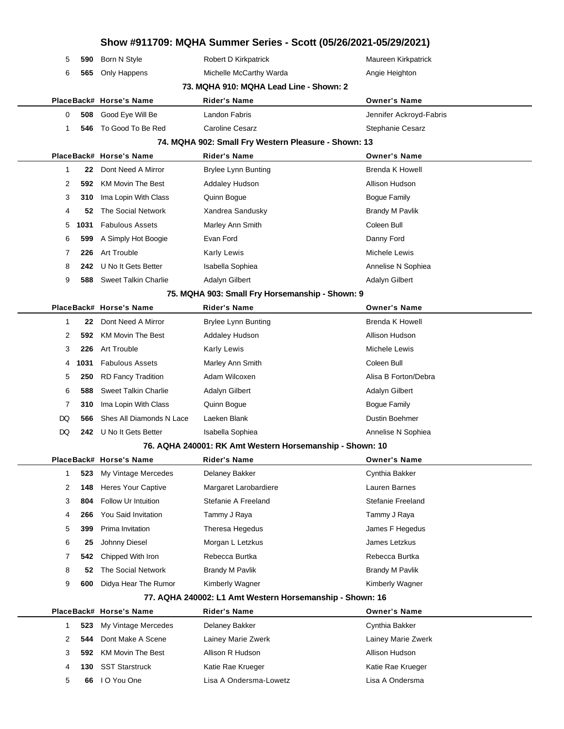|           |                             | Show #911709: MQHA Summer Series - Scott (05/26/2021-05/29/2021) |                         |
|-----------|-----------------------------|------------------------------------------------------------------|-------------------------|
| 5<br>590  | Born N Style                | Robert D Kirkpatrick                                             | Maureen Kirkpatrick     |
| 6<br>565  | Only Happens                | Michelle McCarthy Warda                                          | Angie Heighton          |
|           |                             | 73. MQHA 910: MQHA Lead Line - Shown: 2                          |                         |
|           | PlaceBack# Horse's Name     | Rider's Name                                                     | <b>Owner's Name</b>     |
| 0<br>508  | Good Eye Will Be            | Landon Fabris                                                    | Jennifer Ackroyd-Fabris |
| 1<br>546  | To Good To Be Red           | <b>Caroline Cesarz</b>                                           | <b>Stephanie Cesarz</b> |
|           |                             | 74. MQHA 902: Small Fry Western Pleasure - Shown: 13             |                         |
|           | PlaceBack# Horse's Name     | <b>Rider's Name</b>                                              | <b>Owner's Name</b>     |
| 22<br>1   | Dont Need A Mirror          | <b>Brylee Lynn Bunting</b>                                       | <b>Brenda K Howell</b>  |
| 2<br>592  | <b>KM Movin The Best</b>    | <b>Addaley Hudson</b>                                            | Allison Hudson          |
| 3<br>310  | Ima Lopin With Class        | Quinn Bogue                                                      | <b>Bogue Family</b>     |
| 4<br>52   | The Social Network          | Xandrea Sandusky                                                 | <b>Brandy M Pavlik</b>  |
| 1031<br>5 | <b>Fabulous Assets</b>      | Marley Ann Smith                                                 | Coleen Bull             |
| 6<br>599  | A Simply Hot Boogie         | Evan Ford                                                        | Danny Ford              |
| 7<br>226  | Art Trouble                 | <b>Karly Lewis</b>                                               | Michele Lewis           |
| 8<br>242  | U No It Gets Better         | Isabella Sophiea                                                 | Annelise N Sophiea      |
| 9<br>588  | <b>Sweet Talkin Charlie</b> | Adalyn Gilbert                                                   | <b>Adalyn Gilbert</b>   |
|           |                             | 75. MQHA 903: Small Fry Horsemanship - Shown: 9                  |                         |
|           | PlaceBack# Horse's Name     | <b>Rider's Name</b>                                              | <b>Owner's Name</b>     |
| 1<br>22   | Dont Need A Mirror          | <b>Brylee Lynn Bunting</b>                                       | <b>Brenda K Howell</b>  |
| 2<br>592  | <b>KM Movin The Best</b>    | <b>Addaley Hudson</b>                                            | Allison Hudson          |
| 3<br>226  | <b>Art Trouble</b>          | Karly Lewis                                                      | Michele Lewis           |
| 1031<br>4 | <b>Fabulous Assets</b>      | Marley Ann Smith                                                 | Coleen Bull             |
| 5<br>250  | <b>RD Fancy Tradition</b>   | Adam Wilcoxen                                                    | Alisa B Forton/Debra    |
| 6<br>588  | <b>Sweet Talkin Charlie</b> | Adalyn Gilbert                                                   | <b>Adalyn Gilbert</b>   |
| 7<br>310  | Ima Lopin With Class        | Quinn Bogue                                                      | <b>Bogue Family</b>     |
| DQ<br>566 | Shes All Diamonds N Lace    | Laeken Blank                                                     | Dustin Boehmer          |
| DQ<br>242 | U No It Gets Better         | Isabella Sophiea                                                 | Annelise N Sophiea      |
|           |                             | 76. AQHA 240001: RK Amt Western Horsemanship - Shown: 10         |                         |
|           | PlaceBack# Horse's Name     | <b>Rider's Name</b>                                              | <b>Owner's Name</b>     |
| 523<br>1  | My Vintage Mercedes         | Delaney Bakker                                                   | Cynthia Bakker          |
| 2<br>148  | <b>Heres Your Captive</b>   | Margaret Larobardiere                                            | Lauren Barnes           |
| 3<br>804  | Follow Ur Intuition         | Stefanie A Freeland                                              | Stefanie Freeland       |
| 266<br>4  | You Said Invitation         | Tammy J Raya                                                     | Tammy J Raya            |
| 5<br>399  | Prima Invitation            | Theresa Hegedus                                                  | James F Hegedus         |
| 6<br>25   | Johnny Diesel               | Morgan L Letzkus                                                 | James Letzkus           |
| 7<br>542  | Chipped With Iron           | Rebecca Burtka                                                   | Rebecca Burtka          |
| 8<br>52   | The Social Network          | Brandy M Pavlik                                                  | <b>Brandy M Pavlik</b>  |
| 9<br>600  | Didya Hear The Rumor        | Kimberly Wagner                                                  | Kimberly Wagner         |
|           |                             | 77. AQHA 240002: L1 Amt Western Horsemanship - Shown: 16         |                         |
|           | PlaceBack# Horse's Name     | <b>Rider's Name</b>                                              | <b>Owner's Name</b>     |
| 523<br>1  | My Vintage Mercedes         | Delaney Bakker                                                   | Cynthia Bakker          |
| 2<br>544  | Dont Make A Scene           | Lainey Marie Zwerk                                               | Lainey Marie Zwerk      |
| 3<br>592  | <b>KM Movin The Best</b>    | Allison R Hudson                                                 | Allison Hudson          |
| 4<br>130  | <b>SST Starstruck</b>       | Katie Rae Krueger                                                | Katie Rae Krueger       |
| 5<br>66   | I O You One                 | Lisa A Ondersma-Lowetz                                           | Lisa A Ondersma         |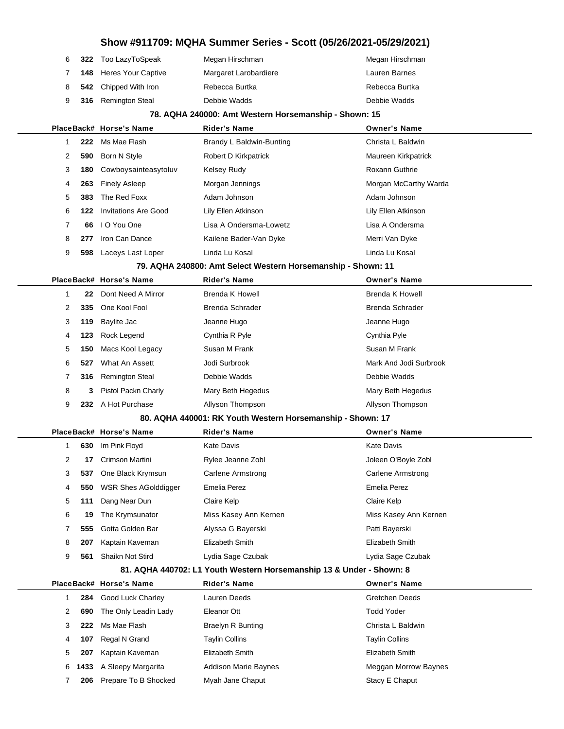|                |     |                             |                                                                      | Show #911709: MQHA Summer Series - Scott (05/26/2021-05/29/2021) |
|----------------|-----|-----------------------------|----------------------------------------------------------------------|------------------------------------------------------------------|
| 6              | 322 | Too LazyToSpeak             | Megan Hirschman                                                      | Megan Hirschman                                                  |
| 7              | 148 | <b>Heres Your Captive</b>   | Margaret Larobardiere                                                | Lauren Barnes                                                    |
| 8              | 542 | Chipped With Iron           | Rebecca Burtka                                                       | Rebecca Burtka                                                   |
| 9              | 316 | <b>Remington Steal</b>      | Debbie Wadds                                                         | Debbie Wadds                                                     |
|                |     |                             | 78. AQHA 240000: Amt Western Horsemanship - Shown: 15                |                                                                  |
|                |     | PlaceBack# Horse's Name     | <b>Rider's Name</b>                                                  | <b>Owner's Name</b>                                              |
| 1              | 222 | Ms Mae Flash                | Brandy L Baldwin-Bunting                                             | Christa L Baldwin                                                |
| 2              | 590 | Born N Style                | Robert D Kirkpatrick                                                 | Maureen Kirkpatrick                                              |
| 3              | 180 | Cowboysainteasytoluv        | Kelsey Rudy                                                          | Roxann Guthrie                                                   |
| 4              | 263 | <b>Finely Asleep</b>        | Morgan Jennings                                                      | Morgan McCarthy Warda                                            |
| 5              | 383 | The Red Foxx                | Adam Johnson                                                         | Adam Johnson                                                     |
| 6              | 122 | <b>Invitations Are Good</b> | Lily Ellen Atkinson                                                  | Lily Ellen Atkinson                                              |
| $\overline{7}$ | 66  | I O You One                 | Lisa A Ondersma-Lowetz                                               | Lisa A Ondersma                                                  |
| 8              | 277 | Iron Can Dance              | Kailene Bader-Van Dyke                                               | Merri Van Dyke                                                   |
| 9              | 598 | Laceys Last Loper           | Linda Lu Kosal                                                       | Linda Lu Kosal                                                   |
|                |     |                             | 79. AQHA 240800: Amt Select Western Horsemanship - Shown: 11         |                                                                  |
|                |     | PlaceBack# Horse's Name     | <b>Rider's Name</b>                                                  | <b>Owner's Name</b>                                              |
| $\mathbf{1}$   | 22  | Dont Need A Mirror          | Brenda K Howell                                                      | <b>Brenda K Howell</b>                                           |
| 2              | 335 | One Kool Fool               | Brenda Schrader                                                      | <b>Brenda Schrader</b>                                           |
| 3              | 119 | Baylite Jac                 | Jeanne Hugo                                                          | Jeanne Hugo                                                      |
| 4              | 123 | Rock Legend                 | Cynthia R Pyle                                                       | Cynthia Pyle                                                     |
| 5              | 150 | Macs Kool Legacy            | Susan M Frank                                                        | Susan M Frank                                                    |
| 6              | 527 | What An Assett              | Jodi Surbrook                                                        | Mark And Jodi Surbrook                                           |
| 7              | 316 | <b>Remington Steal</b>      | Debbie Wadds                                                         | Debbie Wadds                                                     |
| 8              | 3   | Pistol Packn Charly         | Mary Beth Hegedus                                                    | Mary Beth Hegedus                                                |
| 9              |     | 232 A Hot Purchase          | Allyson Thompson                                                     | Allyson Thompson                                                 |
|                |     |                             | 80. AQHA 440001: RK Youth Western Horsemanship - Shown: 17           |                                                                  |
|                |     | PlaceBack# Horse's Name     | <b>Rider's Name</b>                                                  | <b>Owner's Name</b>                                              |
| 1              | 630 | Im Pink Floyd               | Kate Davis                                                           | <b>Kate Davis</b>                                                |
| 2              | 17  | Crimson Martini             | Rylee Jeanne Zobl                                                    | Joleen O'Boyle Zobl                                              |
| 3              | 537 | One Black Krymsun           | <b>Carlene Armstrong</b>                                             | <b>Carlene Armstrong</b>                                         |
| 4              | 550 | <b>WSR Shes AGolddigger</b> | Emelia Perez                                                         | <b>Emelia Perez</b>                                              |
| 5              | 111 | Dang Near Dun               | Claire Kelp                                                          | Claire Kelp                                                      |
| 6              | 19  | The Krymsunator             | Miss Kasey Ann Kernen                                                | Miss Kasey Ann Kernen                                            |
| 7              | 555 | Gotta Golden Bar            | Alyssa G Bayerski                                                    | Patti Bayerski                                                   |
| 8              | 207 | Kaptain Kaveman             | Elizabeth Smith                                                      | Elizabeth Smith                                                  |
| 9              | 561 | Shaikn Not Stird            | Lydia Sage Czubak                                                    | Lydia Sage Czubak                                                |
|                |     |                             | 81. AQHA 440702: L1 Youth Western Horsemanship 13 & Under - Shown: 8 |                                                                  |
|                |     | PlaceBack# Horse's Name     | <b>Rider's Name</b>                                                  | <b>Owner's Name</b>                                              |
| $\mathbf{1}$   | 284 | Good Luck Charley           | Lauren Deeds                                                         | <b>Gretchen Deeds</b>                                            |
| 2              | 690 | The Only Leadin Lady        | Eleanor Ott                                                          | <b>Todd Yoder</b>                                                |
| 3              | 222 | Ms Mae Flash                | <b>Braelyn R Bunting</b>                                             | Christa L Baldwin                                                |
| 4              | 107 | Regal N Grand               | <b>Taylin Collins</b>                                                | <b>Taylin Collins</b>                                            |
| 5              | 207 | Kaptain Kaveman             | Elizabeth Smith                                                      | Elizabeth Smith                                                  |

**1433** A Sleepy Margarita Addison Marie Baynes Mension Meggan Morrow Baynes

**206** Prepare To B Shocked Myah Jane Chaput Maximum Stacy E Chaput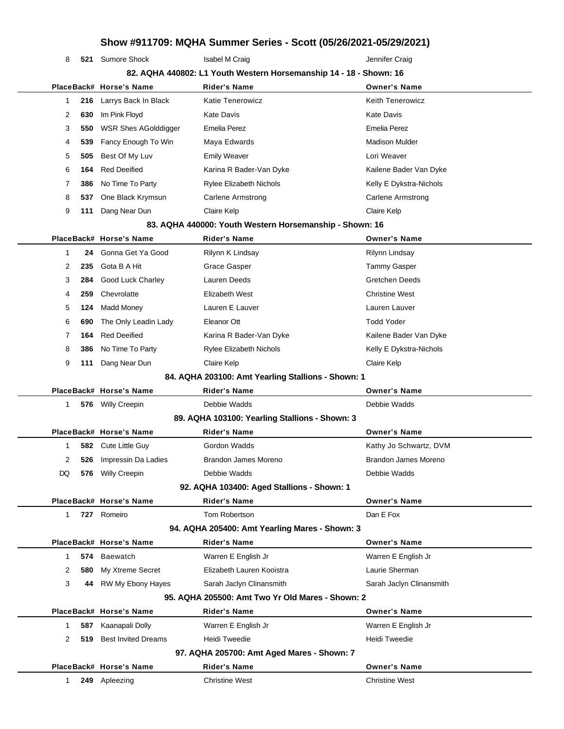| 8            | 521 | Sumore Shock                | Isabel M Craig                                                     | Jennifer Craig           |
|--------------|-----|-----------------------------|--------------------------------------------------------------------|--------------------------|
|              |     |                             | 82. AQHA 440802: L1 Youth Western Horsemanship 14 - 18 - Shown: 16 |                          |
|              |     | PlaceBack# Horse's Name     | <b>Rider's Name</b>                                                | <b>Owner's Name</b>      |
| 1            | 216 | Larrys Back In Black        | Katie Tenerowicz                                                   | <b>Keith Tenerowicz</b>  |
| 2            | 630 | Im Pink Floyd               | <b>Kate Davis</b>                                                  | <b>Kate Davis</b>        |
| 3            | 550 | <b>WSR Shes AGolddigger</b> | Emelia Perez                                                       | <b>Emelia Perez</b>      |
| 4            | 539 | Fancy Enough To Win         | Maya Edwards                                                       | <b>Madison Mulder</b>    |
| 5            | 505 | Best Of My Luv              | Emily Weaver                                                       | Lori Weaver              |
| 6            | 164 | <b>Red Deeified</b>         | Karina R Bader-Van Dyke                                            | Kailene Bader Van Dyke   |
| 7            | 386 | No Time To Party            | <b>Rylee Elizabeth Nichols</b>                                     | Kelly E Dykstra-Nichols  |
| 8            | 537 | One Black Krymsun           | Carlene Armstrong                                                  | Carlene Armstrong        |
| 9            | 111 | Dang Near Dun               | Claire Kelp                                                        | Claire Kelp              |
|              |     |                             | 83. AQHA 440000: Youth Western Horsemanship - Shown: 16            |                          |
|              |     | PlaceBack# Horse's Name     | <b>Rider's Name</b>                                                | <b>Owner's Name</b>      |
| 1            | 24  | Gonna Get Ya Good           | Rilynn K Lindsay                                                   | Rilynn Lindsay           |
| 2            | 235 | Gota B A Hit                | Grace Gasper                                                       | <b>Tammy Gasper</b>      |
| 3            | 284 | <b>Good Luck Charley</b>    | Lauren Deeds                                                       | <b>Gretchen Deeds</b>    |
| 4            | 259 | Chevrolatte                 | Elizabeth West                                                     | <b>Christine West</b>    |
| 5            | 124 | Madd Money                  | Lauren E Lauver                                                    | Lauren Lauver            |
| 6            | 690 | The Only Leadin Lady        | Eleanor Ott                                                        | <b>Todd Yoder</b>        |
| 7            | 164 | <b>Red Deeified</b>         | Karina R Bader-Van Dyke                                            | Kailene Bader Van Dyke   |
| 8            | 386 | No Time To Party            | Rylee Elizabeth Nichols                                            | Kelly E Dykstra-Nichols  |
| 9            | 111 | Dang Near Dun               | Claire Kelp                                                        | Claire Kelp              |
|              |     |                             | 84. AQHA 203100: Amt Yearling Stallions - Shown: 1                 |                          |
|              |     | PlaceBack# Horse's Name     | <b>Rider's Name</b>                                                | <b>Owner's Name</b>      |
| $\mathbf{1}$ |     | 576 Willy Creepin           | Debbie Wadds                                                       | Debbie Wadds             |
|              |     |                             | 89. AQHA 103100: Yearling Stallions - Shown: 3                     |                          |
|              |     | PlaceBack# Horse's Name     | <b>Rider's Name</b>                                                | <b>Owner's Name</b>      |
| 1            |     | 582 Cute Little Guy         | Gordon Wadds                                                       | Kathy Jo Schwartz, DVM   |
| 2            | 526 | Impressin Da Ladies         | Brandon James Moreno                                               | Brandon James Moreno     |
| DQ           | 576 | <b>Willy Creepin</b>        | Debbie Wadds                                                       | Debbie Wadds             |
|              |     |                             | 92. AQHA 103400: Aged Stallions - Shown: 1                         |                          |
|              |     | PlaceBack# Horse's Name     | <b>Rider's Name</b>                                                | <b>Owner's Name</b>      |
| 1            |     | 727 Romeiro                 | Tom Robertson                                                      | Dan E Fox                |
|              |     |                             | 94. AQHA 205400: Amt Yearling Mares - Shown: 3                     |                          |
|              |     | PlaceBack# Horse's Name     | <b>Rider's Name</b>                                                | <b>Owner's Name</b>      |
| $\mathbf{1}$ | 574 | Baewatch                    | Warren E English Jr                                                | Warren E English Jr      |
| 2            | 580 | My Xtreme Secret            | Elizabeth Lauren Kooistra                                          | Laurie Sherman           |
| 3            | 44  | RW My Ebony Hayes           | Sarah Jaclyn Clinansmith                                           | Sarah Jaclyn Clinansmith |
|              |     |                             | 95. AQHA 205500: Amt Two Yr Old Mares - Shown: 2                   |                          |
|              |     |                             |                                                                    |                          |

L

|  |      | PlaceBack# Horse's Name    | <b>Rider's Name</b>                        | <b>Owner's Name</b>   |
|--|------|----------------------------|--------------------------------------------|-----------------------|
|  | 587  | Kaanapali Dolly            | Warren E English Jr                        | Warren E English Jr   |
|  | 519  | <b>Best Invited Dreams</b> | Heidi Tweedie                              | Heidi Tweedie         |
|  |      |                            | 97. AQHA 205700: Amt Aged Mares - Shown: 7 |                       |
|  |      | PlaceBack# Horse's Name    | Rider's Name                               | <b>Owner's Name</b>   |
|  | 249. | Apleezing                  | <b>Christine West</b>                      | <b>Christine West</b> |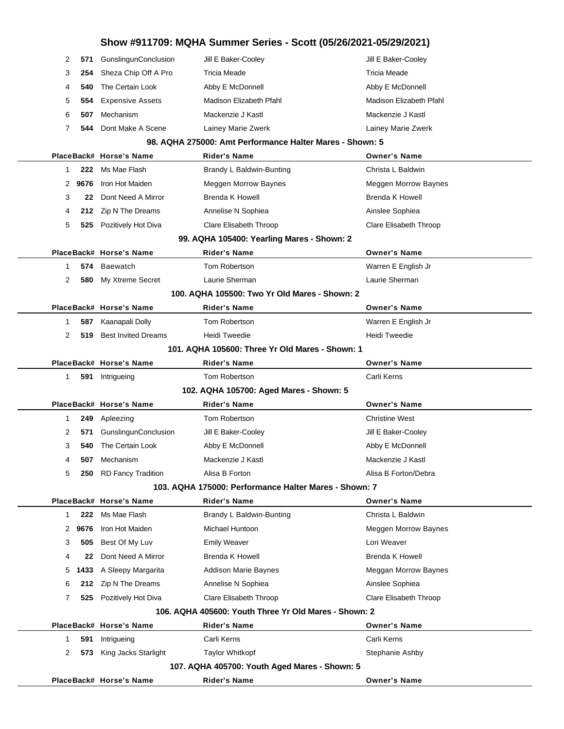|           |                                   | Show #911709: MQHA Summer Series - Scott (05/26/2021-05/29/2021) |                             |
|-----------|-----------------------------------|------------------------------------------------------------------|-----------------------------|
| 2<br>571  | GunslingunConclusion              | Jill E Baker-Cooley                                              | Jill E Baker-Cooley         |
| 3         | Sheza Chip Off A Pro<br>254       | <b>Tricia Meade</b>                                              | <b>Tricia Meade</b>         |
| 4         | The Certain Look<br>540           | Abby E McDonnell                                                 | Abby E McDonnell            |
| 5         | <b>Expensive Assets</b><br>554    | Madison Elizabeth Pfahl                                          | Madison Elizabeth Pfahl     |
| 6<br>507  | Mechanism                         | Mackenzie J Kastl                                                | Mackenzie J Kastl           |
| 7         | Dont Make A Scene<br>544          | Lainey Marie Zwerk                                               | Lainey Marie Zwerk          |
|           |                                   | 98. AQHA 275000: Amt Performance Halter Mares - Shown: 5         |                             |
|           | PlaceBack# Horse's Name           | Rider's Name                                                     | <b>Owner's Name</b>         |
| 1         | Ms Mae Flash<br>222               | Brandy L Baldwin-Bunting                                         | Christa L Baldwin           |
| 9676<br>2 | Iron Hot Maiden                   | Meggen Morrow Baynes                                             | <b>Meggen Morrow Baynes</b> |
| 3         | Dont Need A Mirror<br>22          | <b>Brenda K Howell</b>                                           | <b>Brenda K Howell</b>      |
| 4         | 212 Zip N The Dreams              | Annelise N Sophiea                                               | Ainslee Sophiea             |
| 5         | Pozitively Hot Diva<br>525        | Clare Elisabeth Throop                                           | Clare Elisabeth Throop      |
|           |                                   | 99. AQHA 105400: Yearling Mares - Shown: 2                       |                             |
|           | PlaceBack# Horse's Name           | <b>Rider's Name</b>                                              | <b>Owner's Name</b>         |
| 1         | 574 Baewatch                      | Tom Robertson                                                    | Warren E English Jr         |
| 2         | My Xtreme Secret<br>580           | Laurie Sherman                                                   | Laurie Sherman              |
|           |                                   | 100. AQHA 105500: Two Yr Old Mares - Shown: 2                    |                             |
|           | PlaceBack# Horse's Name           | Rider's Name                                                     | <b>Owner's Name</b>         |
| 1         | Kaanapali Dolly<br>587            | Tom Robertson                                                    | Warren E English Jr         |
| 2         | <b>Best Invited Dreams</b><br>519 | Heidi Tweedie                                                    | Heidi Tweedie               |
|           |                                   | 101. AQHA 105600: Three Yr Old Mares - Shown: 1                  |                             |
|           | PlaceBack# Horse's Name           | Rider's Name                                                     | <b>Owner's Name</b>         |
| 1         | 591 Intrigueing                   | Tom Robertson                                                    | Carli Kerns                 |
|           |                                   | 102. AQHA 105700: Aged Mares - Shown: 5                          |                             |
|           | PlaceBack# Horse's Name           | Rider's Name                                                     | <b>Owner's Name</b>         |
| 1         | Apleezing<br>249                  | Tom Robertson                                                    | <b>Christine West</b>       |
| 2         | GunslingunConclusion<br>571       | Jill E Baker-Cooley                                              | Jill E Baker-Cooley         |
| 3         | 540 The Certain Look              | Abby E McDonnell                                                 | Abby E McDonnell            |
| 4         | 507<br>Mechanism                  | Mackenzie J Kastl                                                | Mackenzie J Kastl           |
| 5         | <b>RD Fancy Tradition</b><br>250  | Alisa B Forton                                                   | Alisa B Forton/Debra        |
|           |                                   | 103. AQHA 175000: Performance Halter Mares - Shown: 7            |                             |
|           | PlaceBack# Horse's Name           | Rider's Name                                                     | <b>Owner's Name</b>         |
| 1         | 222 Ms Mae Flash                  | Brandy L Baldwin-Bunting                                         | Christa L Baldwin           |
| 2<br>9676 | Iron Hot Maiden                   | Michael Huntoon                                                  | <b>Meggen Morrow Baynes</b> |
| 3         | Best Of My Luv<br>505             | <b>Emily Weaver</b>                                              | Lori Weaver                 |
| 4         | Dont Need A Mirror<br>22          | <b>Brenda K Howell</b>                                           | <b>Brenda K Howell</b>      |
| 5<br>1433 | A Sleepy Margarita                | Addison Marie Baynes                                             | Meggan Morrow Baynes        |
| 6         | 212 Zip N The Dreams              | Annelise N Sophiea                                               | Ainslee Sophiea             |
| 7         | 525 Pozitively Hot Diva           | Clare Elisabeth Throop                                           | Clare Elisabeth Throop      |
|           |                                   | 106. AQHA 405600: Youth Three Yr Old Mares - Shown: 2            |                             |
|           | PlaceBack# Horse's Name           | <b>Rider's Name</b>                                              | <b>Owner's Name</b>         |
| -1        | 591<br>Intrigueing                | Carli Kerns                                                      | Carli Kerns                 |
| 2         | 573 King Jacks Starlight          | <b>Taylor Whitkopf</b>                                           | Stephanie Ashby             |
|           |                                   | 107. AQHA 405700: Youth Aged Mares - Shown: 5                    |                             |
|           | PlaceBack# Horse's Name           | <b>Rider's Name</b>                                              | <b>Owner's Name</b>         |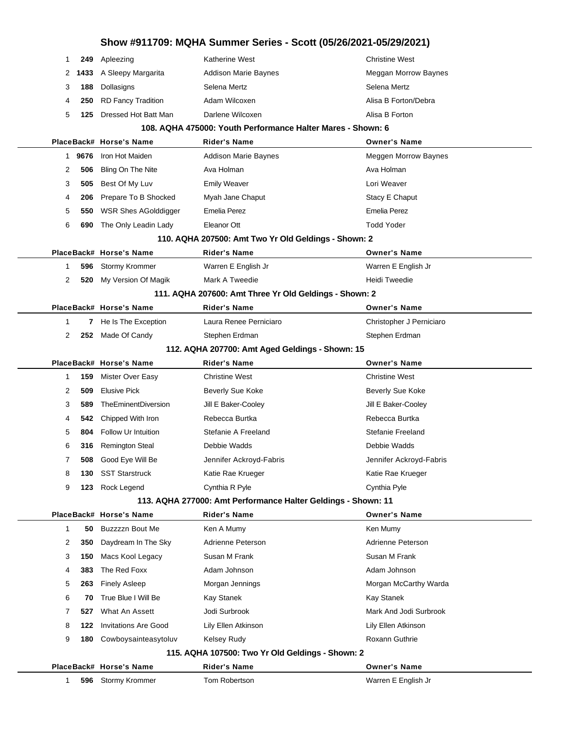| 1  | 249  | Apleezing                   | Katherine West                                                | <b>Christine West</b>       |
|----|------|-----------------------------|---------------------------------------------------------------|-----------------------------|
| 2  | 1433 | A Sleepy Margarita          | <b>Addison Marie Baynes</b>                                   | Meggan Morrow Baynes        |
| 3  | 188  | Dollasigns                  | Selena Mertz                                                  | Selena Mertz                |
| 4  | 250  | <b>RD Fancy Tradition</b>   | Adam Wilcoxen                                                 | Alisa B Forton/Debra        |
| 5  | 125  | Dressed Hot Batt Man        | Darlene Wilcoxen                                              | Alisa B Forton              |
|    |      |                             | 108. AQHA 475000: Youth Performance Halter Mares - Shown: 6   |                             |
|    |      | PlaceBack# Horse's Name     | <b>Rider's Name</b>                                           | <b>Owner's Name</b>         |
| 1  | 9676 | Iron Hot Maiden             | <b>Addison Marie Baynes</b>                                   | <b>Meggen Morrow Baynes</b> |
| 2  | 506  | Bling On The Nite           | Ava Holman                                                    | Ava Holman                  |
| 3  | 505  | Best Of My Luv              | <b>Emily Weaver</b>                                           | Lori Weaver                 |
| 4  | 206  | Prepare To B Shocked        | Myah Jane Chaput                                              | Stacy E Chaput              |
| 5  | 550  | WSR Shes AGolddigger        | Emelia Perez                                                  | <b>Emelia Perez</b>         |
| 6  | 690  | The Only Leadin Lady        | Eleanor Ott                                                   | <b>Todd Yoder</b>           |
|    |      |                             | 110. AQHA 207500: Amt Two Yr Old Geldings - Shown: 2          |                             |
|    |      | PlaceBack# Horse's Name     | <b>Rider's Name</b>                                           | <b>Owner's Name</b>         |
| 1  | 596  | <b>Stormy Krommer</b>       | Warren E English Jr                                           | Warren E English Jr         |
| 2  | 520  | My Version Of Magik         | Mark A Tweedie                                                | <b>Heidi Tweedie</b>        |
|    |      |                             | 111. AQHA 207600: Amt Three Yr Old Geldings - Shown: 2        |                             |
|    |      | PlaceBack# Horse's Name     | <b>Rider's Name</b>                                           | <b>Owner's Name</b>         |
| -1 | 7    | He Is The Exception         | Laura Renee Perniciaro                                        | Christopher J Perniciaro    |
| 2  | 252  | Made Of Candy               | Stephen Erdman                                                | Stephen Erdman              |
|    |      |                             | 112. AQHA 207700: Amt Aged Geldings - Shown: 15               |                             |
|    |      | PlaceBack# Horse's Name     | <b>Rider's Name</b>                                           | <b>Owner's Name</b>         |
| -1 | 159  | Mister Over Easy            | <b>Christine West</b>                                         | <b>Christine West</b>       |
| 2  | 509  | <b>Elusive Pick</b>         | <b>Beverly Sue Koke</b>                                       | Beverly Sue Koke            |
| 3  | 589  | TheEminentDiversion         | Jill E Baker-Cooley                                           | Jill E Baker-Cooley         |
| 4  | 542  | Chipped With Iron           | Rebecca Burtka                                                | Rebecca Burtka              |
| 5  | 804  | <b>Follow Ur Intuition</b>  | Stefanie A Freeland                                           | Stefanie Freeland           |
| 6  | 316  | <b>Remington Steal</b>      | Debbie Wadds                                                  | Debbie Wadds                |
| 7  | 508  | Good Eye Will Be            | Jennifer Ackroyd-Fabris                                       | Jennifer Ackroyd-Fabris     |
| 8  | 130  | <b>SST Starstruck</b>       | Katie Rae Krueger                                             | Katie Rae Krueger           |
| 9  | 123  | Rock Legend                 | Cynthia R Pyle                                                | Cynthia Pyle                |
|    |      |                             | 113. AQHA 277000: Amt Performance Halter Geldings - Shown: 11 |                             |
|    |      | PlaceBack# Horse's Name     | <b>Rider's Name</b>                                           | <b>Owner's Name</b>         |
| 1  | 50   | Buzzzzn Bout Me             | Ken A Mumy                                                    | Ken Mumy                    |
| 2  | 350  | Daydream In The Sky         | Adrienne Peterson                                             | Adrienne Peterson           |
| 3  | 150  | Macs Kool Legacy            | Susan M Frank                                                 | Susan M Frank               |
| 4  | 383  | The Red Foxx                | Adam Johnson                                                  | Adam Johnson                |
| 5  | 263  | <b>Finely Asleep</b>        | Morgan Jennings                                               | Morgan McCarthy Warda       |
| 6  |      |                             |                                                               |                             |
|    | 70   | True Blue I Will Be         | Kay Stanek                                                    | Kay Stanek                  |
| 7  | 527  | What An Assett              | Jodi Surbrook                                                 | Mark And Jodi Surbrook      |
| 8  | 122  | <b>Invitations Are Good</b> | Lily Ellen Atkinson                                           | Lily Ellen Atkinson         |
| 9  | 180  | Cowboysainteasytoluv        | <b>Kelsey Rudy</b>                                            | Roxann Guthrie              |
|    |      |                             | 115. AQHA 107500: Two Yr Old Geldings - Shown: 2              |                             |
|    |      | PlaceBack# Horse's Name     | <b>Rider's Name</b>                                           | <b>Owner's Name</b>         |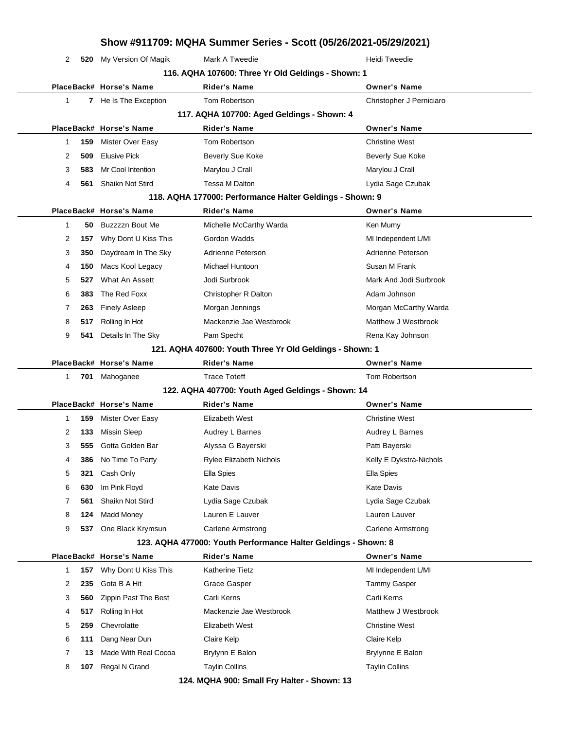|             |     |                         | Show #911709: MQHA Summer Series - Scott (05/26/2021-05/29/2021) |                          |
|-------------|-----|-------------------------|------------------------------------------------------------------|--------------------------|
| 2           | 520 | My Version Of Magik     | Mark A Tweedie                                                   | Heidi Tweedie            |
|             |     |                         | 116. AQHA 107600: Three Yr Old Geldings - Shown: 1               |                          |
|             |     | PlaceBack# Horse's Name | <b>Rider's Name</b>                                              | <b>Owner's Name</b>      |
| 1           |     | 7 He Is The Exception   | Tom Robertson                                                    | Christopher J Perniciaro |
|             |     |                         | 117. AQHA 107700: Aged Geldings - Shown: 4                       |                          |
|             |     | PlaceBack# Horse's Name | <b>Rider's Name</b>                                              | <b>Owner's Name</b>      |
| 1           | 159 | Mister Over Easy        | Tom Robertson                                                    | <b>Christine West</b>    |
| 2           | 509 | <b>Elusive Pick</b>     | <b>Beverly Sue Koke</b>                                          | Beverly Sue Koke         |
| 3           | 583 | Mr Cool Intention       | Marylou J Crall                                                  | Marylou J Crall          |
| 4           | 561 | <b>Shaikn Not Stird</b> | <b>Tessa M Dalton</b>                                            | Lydia Sage Czubak        |
|             |     |                         | 118. AQHA 177000: Performance Halter Geldings - Shown: 9         |                          |
|             |     | PlaceBack# Horse's Name | <b>Rider's Name</b>                                              | <b>Owner's Name</b>      |
| 1           | 50  | Buzzzzn Bout Me         | Michelle McCarthy Warda                                          | Ken Mumy                 |
| 2           | 157 | Why Dont U Kiss This    | Gordon Wadds                                                     | MI Independent L/MI      |
| 3           | 350 | Daydream In The Sky     | Adrienne Peterson                                                | Adrienne Peterson        |
| 4           | 150 | Macs Kool Legacy        | Michael Huntoon                                                  | Susan M Frank            |
| 5           | 527 | What An Assett          | Jodi Surbrook                                                    | Mark And Jodi Surbrook   |
| 6           | 383 | The Red Foxx            | Christopher R Dalton                                             | Adam Johnson             |
| 7           | 263 | <b>Finely Asleep</b>    | Morgan Jennings                                                  | Morgan McCarthy Warda    |
| 8           | 517 | Rolling In Hot          | Mackenzie Jae Westbrook                                          | Matthew J Westbrook      |
| 9           | 541 | Details In The Sky      | Pam Specht                                                       | Rena Kay Johnson         |
|             |     |                         | 121. AQHA 407600: Youth Three Yr Old Geldings - Shown: 1         |                          |
|             |     |                         |                                                                  |                          |
|             |     | PlaceBack# Horse's Name | <b>Rider's Name</b>                                              | <b>Owner's Name</b>      |
| $\mathbf 1$ | 701 | Mahoganee               | <b>Trace Toteff</b>                                              | Tom Robertson            |
|             |     |                         | 122. AQHA 407700: Youth Aged Geldings - Shown: 14                |                          |
|             |     | PlaceBack# Horse's Name | <b>Rider's Name</b>                                              | <b>Owner's Name</b>      |
| 1           | 159 | Mister Over Easy        | Elizabeth West                                                   | <b>Christine West</b>    |
| 2           | 133 | <b>Missin Sleep</b>     | Audrey L Barnes                                                  | Audrey L Barnes          |
| 3           | 555 | Gotta Golden Bar        | Alyssa G Bayerski                                                | Patti Bayerski           |
| 4           | 386 | No Time To Party        | <b>Rylee Elizabeth Nichols</b>                                   | Kelly E Dykstra-Nichols  |
| 5           | 321 | Cash Only               | <b>Ella Spies</b>                                                | Ella Spies               |
| 6           | 630 | Im Pink Floyd           | <b>Kate Davis</b>                                                | <b>Kate Davis</b>        |
| 7           | 561 | Shaikn Not Stird        | Lydia Sage Czubak                                                | Lydia Sage Czubak        |
| 8           | 124 | <b>Madd Money</b>       | Lauren E Lauver                                                  | Lauren Lauver            |
| 9           |     | 537 One Black Krymsun   | Carlene Armstrong                                                | <b>Carlene Armstrong</b> |
|             |     |                         | 123. AQHA 477000: Youth Performance Halter Geldings - Shown: 8   |                          |
|             |     | PlaceBack# Horse's Name | <b>Rider's Name</b>                                              | <b>Owner's Name</b>      |
| 1           | 157 | Why Dont U Kiss This    | <b>Katherine Tietz</b>                                           | MI Independent L/MI      |
| 2           | 235 | Gota B A Hit            | Grace Gasper                                                     | <b>Tammy Gasper</b>      |
| 3           | 560 | Zippin Past The Best    | Carli Kerns                                                      | Carli Kerns              |
| 4           | 517 | Rolling In Hot          | Mackenzie Jae Westbrook                                          | Matthew J Westbrook      |
| 5           | 259 | Chevrolatte             | Elizabeth West                                                   | <b>Christine West</b>    |
| 6           | 111 | Dang Near Dun           | Claire Kelp                                                      | Claire Kelp              |

**107** Regal N Grand **Taylin Collins** Taylin Collins Taylin Collins **124. MQHA 900: Small Fry Halter - Shown: 13**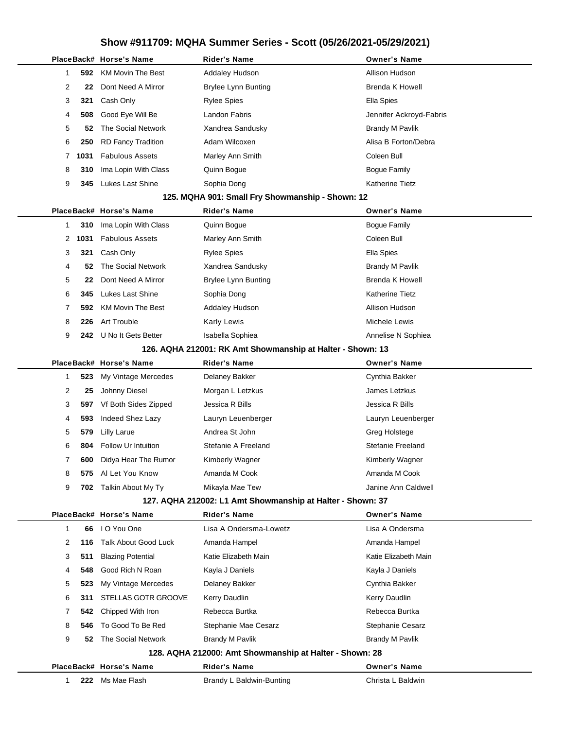|              |      | PlaceBack# Horse's Name     | <b>Rider's Name</b>                                        | <b>Owner's Name</b>     |
|--------------|------|-----------------------------|------------------------------------------------------------|-------------------------|
| 1            | 592  | <b>KM Movin The Best</b>    | <b>Addaley Hudson</b>                                      | Allison Hudson          |
| 2            | 22   | Dont Need A Mirror          | <b>Brylee Lynn Bunting</b>                                 | <b>Brenda K Howell</b>  |
| 3            | 321  | Cash Only                   | <b>Rylee Spies</b>                                         | Ella Spies              |
| 4            | 508  | Good Eye Will Be            | Landon Fabris                                              | Jennifer Ackroyd-Fabris |
| 5            | 52   | The Social Network          | Xandrea Sandusky                                           | <b>Brandy M Pavlik</b>  |
| 6            | 250  | <b>RD Fancy Tradition</b>   | Adam Wilcoxen                                              | Alisa B Forton/Debra    |
| 7            | 1031 | <b>Fabulous Assets</b>      | Marley Ann Smith                                           | Coleen Bull             |
| 8            | 310  | Ima Lopin With Class        | Quinn Bogue                                                | <b>Bogue Family</b>     |
| 9            | 345  | Lukes Last Shine            | Sophia Dong                                                | <b>Katherine Tietz</b>  |
|              |      |                             | 125. MQHA 901: Small Fry Showmanship - Shown: 12           |                         |
|              |      | PlaceBack# Horse's Name     | <b>Rider's Name</b>                                        | <b>Owner's Name</b>     |
| 1            | 310  | Ima Lopin With Class        | Quinn Bogue                                                | <b>Bogue Family</b>     |
| 2            | 1031 | <b>Fabulous Assets</b>      | Marley Ann Smith                                           | Coleen Bull             |
| 3            | 321  | Cash Only                   | <b>Rylee Spies</b>                                         | Ella Spies              |
| 4            | 52   | The Social Network          | Xandrea Sandusky                                           | <b>Brandy M Pavlik</b>  |
| 5            | 22   | Dont Need A Mirror          | <b>Brylee Lynn Bunting</b>                                 | <b>Brenda K Howell</b>  |
| 6            | 345  | Lukes Last Shine            | Sophia Dong                                                | <b>Katherine Tietz</b>  |
| 7            | 592  | <b>KM Movin The Best</b>    | <b>Addaley Hudson</b>                                      | Allison Hudson          |
| 8            | 226  | <b>Art Trouble</b>          | <b>Karly Lewis</b>                                         | Michele Lewis           |
| 9            |      | 242 U No It Gets Better     | Isabella Sophiea                                           | Annelise N Sophiea      |
|              |      |                             | 126. AQHA 212001: RK Amt Showmanship at Halter - Shown: 13 |                         |
|              |      | PlaceBack# Horse's Name     | <b>Rider's Name</b>                                        | <b>Owner's Name</b>     |
| 1            | 523  | My Vintage Mercedes         | <b>Delaney Bakker</b>                                      | Cynthia Bakker          |
| 2            | 25   | Johnny Diesel               | Morgan L Letzkus                                           | James Letzkus           |
| 3            | 597  | Vf Both Sides Zipped        | Jessica R Bills                                            | Jessica R Bills         |
| 4            | 593  | Indeed Shez Lazy            | Lauryn Leuenberger                                         | Lauryn Leuenberger      |
| 5            | 579  | <b>Lilly Larue</b>          | Andrea St John                                             | Greg Holstege           |
| 6            | 804  | <b>Follow Ur Intuition</b>  | Stefanie A Freeland                                        | Stefanie Freeland       |
| 7            | 600  | Didya Hear The Rumor        | Kimberly Wagner                                            | Kimberly Wagner         |
| 8            | 575  | Al Let You Know             | Amanda M Cook                                              | Amanda M Cook           |
| 9            | 702  | Talkin About My Ty          | Mikayla Mae Tew                                            | Janine Ann Caldwell     |
|              |      |                             | 127. AQHA 212002: L1 Amt Showmanship at Halter - Shown: 37 |                         |
|              |      | PlaceBack# Horse's Name     | <b>Rider's Name</b>                                        | <b>Owner's Name</b>     |
| 1            | 66   | I O You One                 | Lisa A Ondersma-Lowetz                                     | Lisa A Ondersma         |
| 2            | 116  | <b>Talk About Good Luck</b> | Amanda Hampel                                              | Amanda Hampel           |
| 3            | 511  | <b>Blazing Potential</b>    | Katie Elizabeth Main                                       | Katie Elizabeth Main    |
| 4            | 548  | Good Rich N Roan            | Kayla J Daniels                                            | Kayla J Daniels         |
| 5            | 523  | My Vintage Mercedes         | Delaney Bakker                                             | Cynthia Bakker          |
| 6            | 311  | STELLAS GOTR GROOVE         | Kerry Daudlin                                              | Kerry Daudlin           |
| 7            | 542  | Chipped With Iron           | Rebecca Burtka                                             | Rebecca Burtka          |
| 8            | 546  | To Good To Be Red           | Stephanie Mae Cesarz                                       | Stephanie Cesarz        |
| 9            | 52   | The Social Network          | Brandy M Pavlik                                            | <b>Brandy M Pavlik</b>  |
|              |      |                             | 128. AQHA 212000: Amt Showmanship at Halter - Shown: 28    |                         |
|              |      | PlaceBack# Horse's Name     | <b>Rider's Name</b>                                        | <b>Owner's Name</b>     |
| $\mathbf{1}$ |      | 222 Ms Mae Flash            | Brandy L Baldwin-Bunting                                   | Christa L Baldwin       |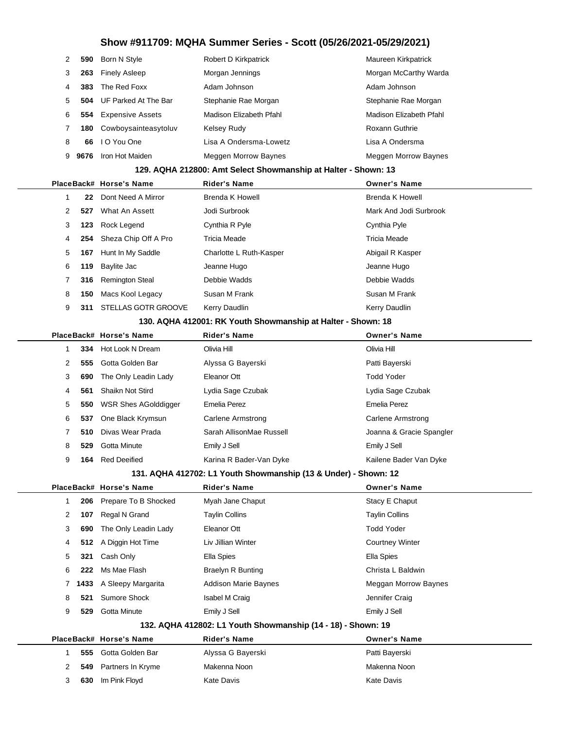| 2            | 590  | Born N Style            | Robert D Kirkpatrick                                            | Maureen Kirkpatrick      |
|--------------|------|-------------------------|-----------------------------------------------------------------|--------------------------|
| 3            | 263  | <b>Finely Asleep</b>    | Morgan Jennings                                                 | Morgan McCarthy Warda    |
| 4            | 383  | The Red Foxx            | Adam Johnson                                                    | Adam Johnson             |
| 5            | 504  | UF Parked At The Bar    | Stephanie Rae Morgan                                            | Stephanie Rae Morgan     |
| 6            | 554  | <b>Expensive Assets</b> | Madison Elizabeth Pfahl                                         | Madison Elizabeth Pfahl  |
| 7            | 180  | Cowboysainteasytoluv    | <b>Kelsey Rudy</b>                                              | Roxann Guthrie           |
| 8            | 66   | I O You One             | Lisa A Ondersma-Lowetz                                          | Lisa A Ondersma          |
| 9            | 9676 | Iron Hot Maiden         | Meggen Morrow Baynes                                            | Meggen Morrow Baynes     |
|              |      |                         | 129. AQHA 212800: Amt Select Showmanship at Halter - Shown: 13  |                          |
|              |      | PlaceBack# Horse's Name | <b>Rider's Name</b>                                             | <b>Owner's Name</b>      |
| 1            | 22   | Dont Need A Mirror      | <b>Brenda K Howell</b>                                          | <b>Brenda K Howell</b>   |
| 2            | 527  | What An Assett          | Jodi Surbrook                                                   | Mark And Jodi Surbrook   |
| 3            | 123  | Rock Legend             | Cynthia R Pyle                                                  | Cynthia Pyle             |
| 4            | 254  | Sheza Chip Off A Pro    | <b>Tricia Meade</b>                                             | Tricia Meade             |
| 5            | 167  | Hunt In My Saddle       | Charlotte L Ruth-Kasper                                         | Abigail R Kasper         |
| 6            | 119  | Baylite Jac             | Jeanne Hugo                                                     | Jeanne Hugo              |
| 7            | 316  | <b>Remington Steal</b>  | Debbie Wadds                                                    | Debbie Wadds             |
| 8            | 150  | Macs Kool Legacy        | Susan M Frank                                                   | Susan M Frank            |
| 9            | 311  | STELLAS GOTR GROOVE     | Kerry Daudlin                                                   | Kerry Daudlin            |
|              |      |                         | 130. AQHA 412001: RK Youth Showmanship at Halter - Shown: 18    |                          |
|              |      | PlaceBack# Horse's Name | <b>Rider's Name</b>                                             | <b>Owner's Name</b>      |
| 1            | 334  | Hot Look N Dream        | Olivia Hill                                                     | Olivia Hill              |
| 2            | 555  | Gotta Golden Bar        | Alyssa G Bayerski                                               | Patti Bayerski           |
| 3            | 690  | The Only Leadin Lady    | Eleanor Ott                                                     | <b>Todd Yoder</b>        |
| 4            | 561  | Shaikn Not Stird        | Lydia Sage Czubak                                               | Lydia Sage Czubak        |
| 5            | 550  | WSR Shes AGolddigger    | <b>Emelia Perez</b>                                             | Emelia Perez             |
| 6            | 537  | One Black Krymsun       | Carlene Armstrong                                               | <b>Carlene Armstrong</b> |
| 7            | 510  | Divas Wear Prada        | Sarah AllisonMae Russell                                        | Joanna & Gracie Spangler |
| 8            | 529  | Gotta Minute            | Emily J Sell                                                    | Emily J Sell             |
| 9            | 164  | <b>Red Deeified</b>     | Karina R Bader-Van Dyke                                         | Kailene Bader Van Dyke   |
|              |      |                         | 131. AQHA 412702: L1 Youth Showmanship (13 & Under) - Shown: 12 |                          |
|              |      | PlaceBack# Horse's Name | <b>Rider's Name</b>                                             | <b>Owner's Name</b>      |
| $\mathbf{1}$ | 206  | Prepare To B Shocked    | Myah Jane Chaput                                                | Stacy E Chaput           |
| 2            | 107  | Regal N Grand           | <b>Taylin Collins</b>                                           | <b>Taylin Collins</b>    |
| 3            | 690  | The Only Leadin Lady    | Eleanor Ott                                                     | <b>Todd Yoder</b>        |
| 4            | 512  | A Diggin Hot Time       | Liv Jillian Winter                                              | <b>Courtney Winter</b>   |
| 5            | 321  | Cash Only               | Ella Spies                                                      | Ella Spies               |
| 6            | 222  | Ms Mae Flash            | Braelyn R Bunting                                               | Christa L Baldwin        |
| 7            | 1433 | A Sleepy Margarita      | <b>Addison Marie Baynes</b>                                     | Meggan Morrow Baynes     |
| 8            | 521  | Sumore Shock            | Isabel M Craig                                                  | Jennifer Craig           |
| 9            | 529  | Gotta Minute            | Emily J Sell                                                    | Emily J Sell             |
|              |      |                         | 132. AQHA 412802: L1 Youth Showmanship (14 - 18) - Shown: 19    |                          |
|              |      | PlaceBack# Horse's Name | Rider's Name                                                    | <b>Owner's Name</b>      |
| 1            | 555  | Gotta Golden Bar        | Alyssa G Bayerski                                               | Patti Bayerski           |
| 2            | 549  | Partners In Kryme       | Makenna Noon                                                    | Makenna Noon             |
| 3            | 630  | Im Pink Floyd           | <b>Kate Davis</b>                                               | <b>Kate Davis</b>        |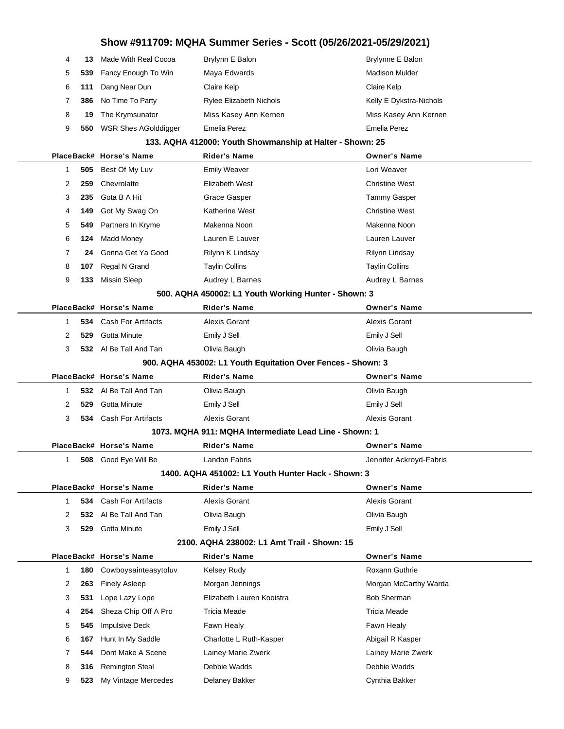| 4           | 13    | Made With Real Cocoa        | Brylynn E Balon                | Brylynne E Balon        |
|-------------|-------|-----------------------------|--------------------------------|-------------------------|
|             |       | 5 539 Fancy Enough To Win   | Maya Edwards                   | <b>Madison Mulder</b>   |
|             | 6 111 | Dang Near Dun               | Claire Kelp                    | Claire Kelp             |
| $7^{\circ}$ | 386   | No Time To Party            | <b>Rylee Elizabeth Nichols</b> | Kelly E Dykstra-Nichols |
| 8           | 19    | The Krymsunator             | Miss Kasey Ann Kernen          | Miss Kasey Ann Kernen   |
| 9           | 550   | <b>WSR Shes AGolddigger</b> | Emelia Perez                   | <b>Emelia Perez</b>     |

### **133. AQHA 412000: Youth Showmanship at Halter - Shown: 25**

|   |     | PlaceBack# Horse's Name       | Rider's Name                                                 | <b>Owner's Name</b>     |
|---|-----|-------------------------------|--------------------------------------------------------------|-------------------------|
| 1 | 505 | Best Of My Luv                | <b>Emily Weaver</b>                                          | Lori Weaver             |
| 2 | 259 | Chevrolatte                   | Elizabeth West                                               | <b>Christine West</b>   |
| 3 | 235 | Gota B A Hit                  | Grace Gasper                                                 | <b>Tammy Gasper</b>     |
| 4 | 149 | Got My Swag On                | <b>Katherine West</b>                                        | <b>Christine West</b>   |
| 5 | 549 | Partners In Kryme             | Makenna Noon                                                 | Makenna Noon            |
| 6 | 124 | <b>Madd Money</b>             | Lauren E Lauver                                              | Lauren Lauver           |
| 7 | 24  | Gonna Get Ya Good             | Rilynn K Lindsay                                             | <b>Rilynn Lindsay</b>   |
| 8 | 107 | Regal N Grand                 | <b>Taylin Collins</b>                                        | <b>Taylin Collins</b>   |
| 9 | 133 | <b>Missin Sleep</b>           | Audrey L Barnes                                              | Audrey L Barnes         |
|   |     |                               | 500. AQHA 450002: L1 Youth Working Hunter - Shown: 3         |                         |
|   |     | PlaceBack# Horse's Name       | <b>Rider's Name</b>                                          | <b>Owner's Name</b>     |
| 1 | 534 | <b>Cash For Artifacts</b>     | <b>Alexis Gorant</b>                                         | <b>Alexis Gorant</b>    |
| 2 | 529 | Gotta Minute                  | Emily J Sell                                                 | Emily J Sell            |
| 3 |     | 532 Al Be Tall And Tan        | Olivia Baugh                                                 | Olivia Baugh            |
|   |     |                               | 900. AQHA 453002: L1 Youth Equitation Over Fences - Shown: 3 |                         |
|   |     | PlaceBack# Horse's Name       | <b>Rider's Name</b>                                          | <b>Owner's Name</b>     |
| 1 |     | 532 Al Be Tall And Tan        | Olivia Baugh                                                 | Olivia Baugh            |
| 2 | 529 | Gotta Minute                  | Emily J Sell                                                 | Emily J Sell            |
| 3 |     | <b>534</b> Cash For Artifacts | Alexis Gorant                                                | Alexis Gorant           |
|   |     |                               | 1073. MQHA 911: MQHA Intermediate Lead Line - Shown: 1       |                         |
|   |     | PlaceBack# Horse's Name       | Rider's Name                                                 | <b>Owner's Name</b>     |
| 1 |     | 508 Good Eye Will Be          | Landon Fabris                                                | Jennifer Ackroyd-Fabris |
|   |     |                               | 1400. AQHA 451002: L1 Youth Hunter Hack - Shown: 3           |                         |
|   |     | PlaceBack# Horse's Name       | Rider's Name                                                 | <b>Owner's Name</b>     |
| 1 | 534 | <b>Cash For Artifacts</b>     | Alexis Gorant                                                | Alexis Gorant           |
| 2 | 532 | Al Be Tall And Tan            | Olivia Baugh                                                 | Olivia Baugh            |
| 3 | 529 | Gotta Minute                  | Emily J Sell                                                 | Emily J Sell            |
|   |     |                               | 2100. AQHA 238002: L1 Amt Trail - Shown: 15                  |                         |
|   |     | PlaceBack# Horse's Name       | Rider's Name                                                 | <b>Owner's Name</b>     |
| 1 | 180 | Cowboysainteasytoluv          | <b>Kelsey Rudy</b>                                           | Roxann Guthrie          |
| 2 | 263 | <b>Finely Asleep</b>          | Morgan Jennings                                              | Morgan McCarthy Warda   |
| 3 | 531 | Lope Lazy Lope                | Elizabeth Lauren Kooistra                                    | <b>Bob Sherman</b>      |
| 4 | 254 | Sheza Chip Off A Pro          | <b>Tricia Meade</b>                                          | <b>Tricia Meade</b>     |
| 5 | 545 | <b>Impulsive Deck</b>         | Fawn Healy                                                   | Fawn Healy              |
| 6 | 167 | Hunt In My Saddle             | Charlotte L Ruth-Kasper                                      | Abigail R Kasper        |
| 7 | 544 | Dont Make A Scene             | Lainey Marie Zwerk                                           | Lainey Marie Zwerk      |
| 8 | 316 | <b>Remington Steal</b>        | Debbie Wadds                                                 | Debbie Wadds            |
|   |     |                               |                                                              |                         |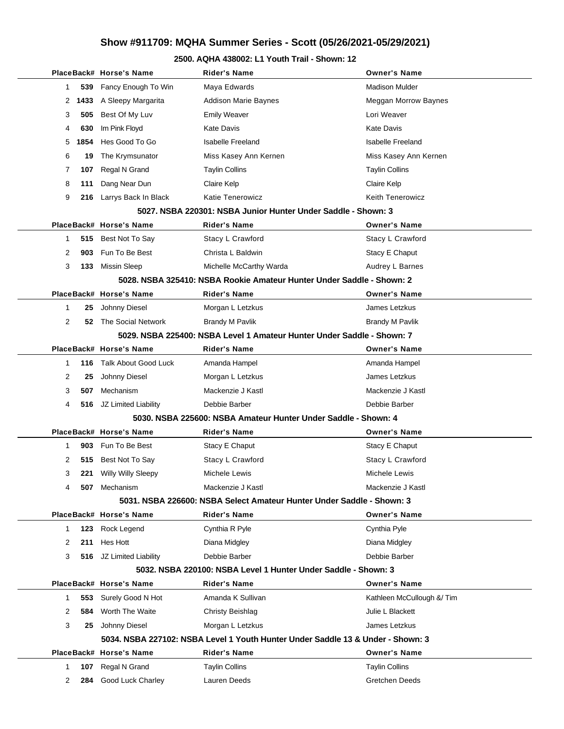### **2500. AQHA 438002: L1 Youth Trail - Shown: 12**

|   |      | PlaceBack# Horse's Name   | Rider's Name                                                                    | <b>Owner's Name</b>       |
|---|------|---------------------------|---------------------------------------------------------------------------------|---------------------------|
| 1 | 539  | Fancy Enough To Win       | Maya Edwards                                                                    | <b>Madison Mulder</b>     |
| 2 | 1433 | A Sleepy Margarita        | <b>Addison Marie Baynes</b>                                                     | Meggan Morrow Baynes      |
| 3 | 505  | Best Of My Luv            | <b>Emily Weaver</b>                                                             | Lori Weaver               |
| 4 | 630  | Im Pink Floyd             | Kate Davis                                                                      | Kate Davis                |
| 5 | 1854 | Hes Good To Go            | <b>Isabelle Freeland</b>                                                        | <b>Isabelle Freeland</b>  |
| 6 | 19   | The Krymsunator           | Miss Kasey Ann Kernen                                                           | Miss Kasey Ann Kernen     |
| 7 | 107  | Regal N Grand             | <b>Taylin Collins</b>                                                           | <b>Taylin Collins</b>     |
| 8 | 111  | Dang Near Dun             | Claire Kelp                                                                     | Claire Kelp               |
| 9 | 216  | Larrys Back In Black      | <b>Katie Tenerowicz</b>                                                         | <b>Keith Tenerowicz</b>   |
|   |      |                           | 5027. NSBA 220301: NSBA Junior Hunter Under Saddle - Shown: 3                   |                           |
|   |      | PlaceBack# Horse's Name   | <b>Rider's Name</b>                                                             | <b>Owner's Name</b>       |
| 1 |      | 515 Best Not To Say       | Stacy L Crawford                                                                | Stacy L Crawford          |
| 2 | 903  | Fun To Be Best            | Christa L Baldwin                                                               | Stacy E Chaput            |
| 3 | 133  | <b>Missin Sleep</b>       | Michelle McCarthy Warda                                                         | Audrey L Barnes           |
|   |      |                           | 5028. NSBA 325410: NSBA Rookie Amateur Hunter Under Saddle - Shown: 2           |                           |
|   |      | PlaceBack# Horse's Name   | Rider's Name                                                                    | <b>Owner's Name</b>       |
| 1 | 25   | Johnny Diesel             | Morgan L Letzkus                                                                | James Letzkus             |
| 2 | 52   | The Social Network        | Brandy M Pavlik                                                                 | <b>Brandy M Pavlik</b>    |
|   |      |                           | 5029. NSBA 225400: NSBA Level 1 Amateur Hunter Under Saddle - Shown: 7          |                           |
|   |      | PlaceBack# Horse's Name   | <b>Rider's Name</b>                                                             | <b>Owner's Name</b>       |
| 1 | 116  | Talk About Good Luck      | Amanda Hampel                                                                   | Amanda Hampel             |
| 2 | 25   | Johnny Diesel             | Morgan L Letzkus                                                                | James Letzkus             |
| 3 | 507  | Mechanism                 | Mackenzie J Kastl                                                               | Mackenzie J Kastl         |
| 4 |      | 516 JZ Limited Liability  | Debbie Barber                                                                   | Debbie Barber             |
|   |      |                           | 5030. NSBA 225600: NSBA Amateur Hunter Under Saddle - Shown: 4                  |                           |
|   |      | PlaceBack# Horse's Name   | <b>Rider's Name</b>                                                             | <b>Owner's Name</b>       |
| 1 | 903  | Fun To Be Best            | Stacy E Chaput                                                                  | Stacy E Chaput            |
| 2 | 515  | Best Not To Say           | Stacy L Crawford                                                                | Stacy L Crawford          |
| 3 | 221  | <b>Willy Willy Sleepy</b> | Michele Lewis                                                                   | Michele Lewis             |
| 4 | 507  | Mechanism                 | Mackenzie J Kastl                                                               | Mackenzie J Kastl         |
|   |      |                           | 5031. NSBA 226600: NSBA Select Amateur Hunter Under Saddle - Shown: 3           |                           |
|   |      | PlaceBack# Horse's Name   | <b>Rider's Name</b>                                                             | <b>Owner's Name</b>       |
| 1 | 123  | Rock Legend               | Cynthia R Pyle                                                                  | Cynthia Pyle              |
| 2 | 211  | Hes Hott                  | Diana Midgley                                                                   | Diana Midgley             |
| 3 | 516  | JZ Limited Liability      | Debbie Barber                                                                   | Debbie Barber             |
|   |      |                           | 5032. NSBA 220100: NSBA Level 1 Hunter Under Saddle - Shown: 3                  |                           |
|   |      | PlaceBack# Horse's Name   | <b>Rider's Name</b>                                                             | <b>Owner's Name</b>       |
| 1 | 553  | Surely Good N Hot         | Amanda K Sullivan                                                               | Kathleen McCullough & Tim |
| 2 | 584  | Worth The Waite           | <b>Christy Beishlag</b>                                                         | Julie L Blackett          |
| 3 | 25   | Johnny Diesel             | Morgan L Letzkus                                                                | James Letzkus             |
|   |      |                           | 5034. NSBA 227102: NSBA Level 1 Youth Hunter Under Saddle 13 & Under - Shown: 3 |                           |
|   |      | PlaceBack# Horse's Name   | <b>Rider's Name</b>                                                             | <b>Owner's Name</b>       |
| 1 | 107  | Regal N Grand             | <b>Taylin Collins</b>                                                           | <b>Taylin Collins</b>     |
| 2 | 284  | Good Luck Charley         | Lauren Deeds                                                                    | Gretchen Deeds            |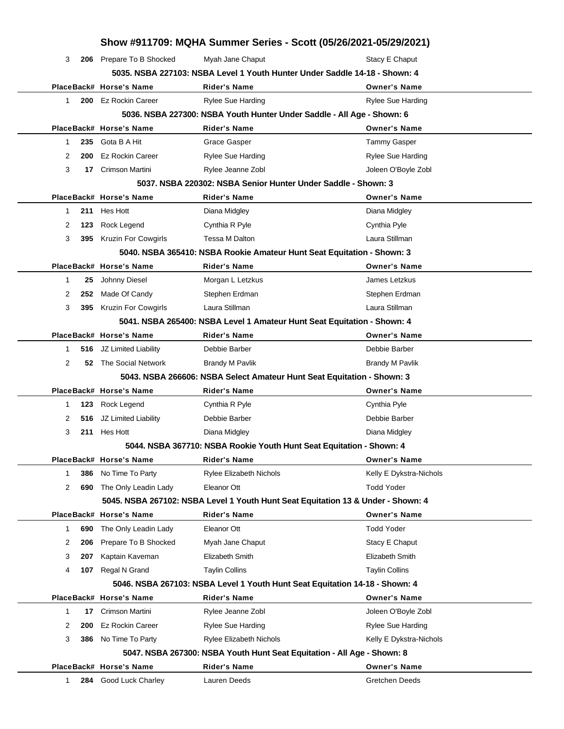| Show #911709: MQHA Summer Series - Scott (05/26/2021-05/29/2021) |                            |                                                                                  |                          |  |  |
|------------------------------------------------------------------|----------------------------|----------------------------------------------------------------------------------|--------------------------|--|--|
| 3<br>206                                                         | Prepare To B Shocked       | Myah Jane Chaput                                                                 | Stacy E Chaput           |  |  |
|                                                                  |                            | 5035. NSBA 227103: NSBA Level 1 Youth Hunter Under Saddle 14-18 - Shown: 4       |                          |  |  |
|                                                                  | PlaceBack# Horse's Name    | <b>Rider's Name</b>                                                              | <b>Owner's Name</b>      |  |  |
| 200<br>1                                                         | <b>Ez Rockin Career</b>    | Rylee Sue Harding                                                                | <b>Rylee Sue Harding</b> |  |  |
|                                                                  |                            | 5036. NSBA 227300: NSBA Youth Hunter Under Saddle - All Age - Shown: 6           |                          |  |  |
|                                                                  | PlaceBack# Horse's Name    | <b>Rider's Name</b>                                                              | <b>Owner's Name</b>      |  |  |
| 235<br>1                                                         | Gota B A Hit               | Grace Gasper                                                                     | <b>Tammy Gasper</b>      |  |  |
| 2<br>200                                                         | <b>Ez Rockin Career</b>    | <b>Rylee Sue Harding</b>                                                         | <b>Rylee Sue Harding</b> |  |  |
| 3<br>17                                                          | Crimson Martini            | Rylee Jeanne Zobl                                                                | Joleen O'Boyle Zobl      |  |  |
|                                                                  |                            | 5037. NSBA 220302: NSBA Senior Hunter Under Saddle - Shown: 3                    |                          |  |  |
|                                                                  | PlaceBack# Horse's Name    | Rider's Name                                                                     | <b>Owner's Name</b>      |  |  |
| 211<br>1                                                         | Hes Hott                   | Diana Midgley                                                                    | Diana Midgley            |  |  |
| 2<br>123                                                         | Rock Legend                | Cynthia R Pyle                                                                   | Cynthia Pyle             |  |  |
| 3<br>395                                                         | <b>Kruzin For Cowgirls</b> | <b>Tessa M Dalton</b>                                                            | Laura Stillman           |  |  |
|                                                                  |                            | 5040. NSBA 365410: NSBA Rookie Amateur Hunt Seat Equitation - Shown: 3           |                          |  |  |
|                                                                  | PlaceBack# Horse's Name    | <b>Rider's Name</b>                                                              | <b>Owner's Name</b>      |  |  |
| 1<br>25                                                          | Johnny Diesel              | Morgan L Letzkus                                                                 | James Letzkus            |  |  |
| 2<br>252                                                         | Made Of Candy              | Stephen Erdman                                                                   | Stephen Erdman           |  |  |
| 3<br>395                                                         | <b>Kruzin For Cowgirls</b> | Laura Stillman                                                                   | Laura Stillman           |  |  |
|                                                                  |                            | 5041. NSBA 265400: NSBA Level 1 Amateur Hunt Seat Equitation - Shown: 4          |                          |  |  |
|                                                                  | PlaceBack# Horse's Name    | <b>Rider's Name</b>                                                              | <b>Owner's Name</b>      |  |  |
| $\mathbf{1}$<br>516                                              | JZ Limited Liability       | Debbie Barber                                                                    | Debbie Barber            |  |  |
| 2<br>52                                                          | The Social Network         | <b>Brandy M Pavlik</b>                                                           | <b>Brandy M Pavlik</b>   |  |  |
|                                                                  |                            | 5043. NSBA 266606: NSBA Select Amateur Hunt Seat Equitation - Shown: 3           |                          |  |  |
|                                                                  | PlaceBack# Horse's Name    | <b>Rider's Name</b>                                                              | <b>Owner's Name</b>      |  |  |
| -1<br>123                                                        | Rock Legend                | Cynthia R Pyle                                                                   | Cynthia Pyle             |  |  |
| 2<br>516                                                         | JZ Limited Liability       | Debbie Barber                                                                    | Debbie Barber            |  |  |
| 3<br>211                                                         | Hes Hott                   | Diana Midgley                                                                    | Diana Midgley            |  |  |
|                                                                  |                            | 5044. NSBA 367710: NSBA Rookie Youth Hunt Seat Equitation - Shown: 4             |                          |  |  |
|                                                                  | PlaceBack# Horse's Name    | <b>Rider's Name</b>                                                              | <b>Owner's Name</b>      |  |  |
| 386<br>1                                                         | No Time To Party           | <b>Rylee Elizabeth Nichols</b>                                                   | Kelly E Dykstra-Nichols  |  |  |
| 2<br>690                                                         | The Only Leadin Lady       | Eleanor Ott                                                                      | <b>Todd Yoder</b>        |  |  |
|                                                                  |                            | 5045. NSBA 267102: NSBA Level 1 Youth Hunt Seat Equitation 13 & Under - Shown: 4 |                          |  |  |
|                                                                  | PlaceBack# Horse's Name    | <b>Rider's Name</b>                                                              | <b>Owner's Name</b>      |  |  |
| 1<br>690                                                         | The Only Leadin Lady       | Eleanor Ott                                                                      | <b>Todd Yoder</b>        |  |  |
| 2<br>206                                                         | Prepare To B Shocked       | Myah Jane Chaput                                                                 | Stacy E Chaput           |  |  |
| 3<br>207                                                         | Kaptain Kaveman            | Elizabeth Smith                                                                  | Elizabeth Smith          |  |  |
| 4<br>107                                                         | Regal N Grand              | <b>Taylin Collins</b>                                                            | <b>Taylin Collins</b>    |  |  |
|                                                                  |                            | 5046. NSBA 267103: NSBA Level 1 Youth Hunt Seat Equitation 14-18 - Shown: 4      |                          |  |  |
|                                                                  | PlaceBack# Horse's Name    | <b>Rider's Name</b>                                                              | <b>Owner's Name</b>      |  |  |
| $\mathbf{1}$<br>17                                               | Crimson Martini            | Rylee Jeanne Zobl                                                                | Joleen O'Boyle Zobl      |  |  |
| 2<br>200                                                         | <b>Ez Rockin Career</b>    | Rylee Sue Harding                                                                | <b>Rylee Sue Harding</b> |  |  |
| 3<br>386                                                         | No Time To Party           | <b>Rylee Elizabeth Nichols</b>                                                   | Kelly E Dykstra-Nichols  |  |  |
|                                                                  |                            | 5047. NSBA 267300: NSBA Youth Hunt Seat Equitation - All Age - Shown: 8          |                          |  |  |
|                                                                  | PlaceBack# Horse's Name    | <b>Rider's Name</b>                                                              | <b>Owner's Name</b>      |  |  |
| 284<br>1                                                         | Good Luck Charley          | Lauren Deeds                                                                     | <b>Gretchen Deeds</b>    |  |  |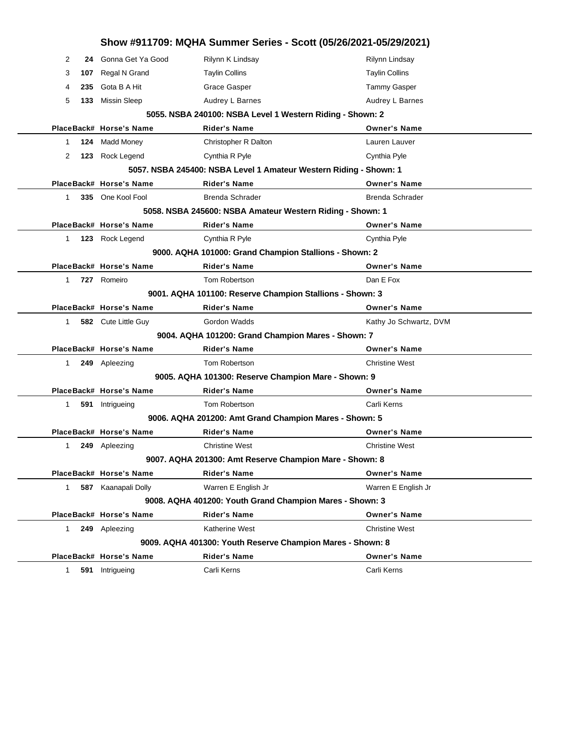|                                                    |     |                         | Show #911709: MQHA Summer Series - Scott (05/26/2021-05/29/2021)  |                        |
|----------------------------------------------------|-----|-------------------------|-------------------------------------------------------------------|------------------------|
| 2                                                  | 24  | Gonna Get Ya Good       | Rilynn K Lindsay                                                  | Rilynn Lindsay         |
| 3                                                  | 107 | Regal N Grand           | <b>Taylin Collins</b>                                             | <b>Taylin Collins</b>  |
| 4                                                  | 235 | Gota B A Hit            | Grace Gasper                                                      | <b>Tammy Gasper</b>    |
| 5                                                  | 133 | Missin Sleep            | Audrey L Barnes                                                   | Audrey L Barnes        |
|                                                    |     |                         | 5055. NSBA 240100: NSBA Level 1 Western Riding - Shown: 2         |                        |
|                                                    |     | PlaceBack# Horse's Name | Rider's Name                                                      | <b>Owner's Name</b>    |
| 1                                                  | 124 | <b>Madd Money</b>       | Christopher R Dalton                                              | Lauren Lauver          |
| 2                                                  | 123 | Rock Legend             | Cynthia R Pyle                                                    | Cynthia Pyle           |
|                                                    |     |                         | 5057. NSBA 245400: NSBA Level 1 Amateur Western Riding - Shown: 1 |                        |
|                                                    |     | PlaceBack# Horse's Name | Rider's Name                                                      | <b>Owner's Name</b>    |
| $\mathbf{1}$                                       |     | 335 One Kool Fool       | Brenda Schrader                                                   | <b>Brenda Schrader</b> |
|                                                    |     |                         | 5058. NSBA 245600: NSBA Amateur Western Riding - Shown: 1         |                        |
|                                                    |     | PlaceBack# Horse's Name | Rider's Name                                                      | <b>Owner's Name</b>    |
| $\mathbf{1}$                                       |     | 123 Rock Legend         | Cynthia R Pyle                                                    | Cynthia Pyle           |
|                                                    |     |                         | 9000. AQHA 101000: Grand Champion Stallions - Shown: 2            |                        |
|                                                    |     | PlaceBack# Horse's Name | <b>Rider's Name</b>                                               | <b>Owner's Name</b>    |
| $\mathbf{1}$                                       |     | 727 Romeiro             | Tom Robertson                                                     | Dan E Fox              |
|                                                    |     |                         | 9001. AQHA 101100: Reserve Champion Stallions - Shown: 3          |                        |
|                                                    |     | PlaceBack# Horse's Name | <b>Rider's Name</b>                                               | <b>Owner's Name</b>    |
| 1                                                  |     | 582 Cute Little Guy     | Gordon Wadds                                                      | Kathy Jo Schwartz, DVM |
| 9004. AQHA 101200: Grand Champion Mares - Shown: 7 |     |                         |                                                                   |                        |
|                                                    |     | PlaceBack# Horse's Name | <b>Rider's Name</b>                                               | <b>Owner's Name</b>    |
| $\mathbf{1}$                                       |     | 249 Apleezing           | Tom Robertson                                                     | <b>Christine West</b>  |
|                                                    |     |                         | 9005. AQHA 101300: Reserve Champion Mare - Shown: 9               |                        |
|                                                    |     | PlaceBack# Horse's Name | <b>Rider's Name</b>                                               | <b>Owner's Name</b>    |
| $\mathbf{1}$                                       |     | 591 Intrigueing         | Tom Robertson                                                     | Carli Kerns            |
|                                                    |     |                         | 9006. AQHA 201200: Amt Grand Champion Mares - Shown: 5            |                        |
|                                                    |     | PlaceBack# Horse's Name | Rider's Name                                                      | <b>Owner's Name</b>    |
| 1                                                  |     | 249 Apleezing           | <b>Christine West</b>                                             | <b>Christine West</b>  |
|                                                    |     |                         | 9007. AQHA 201300: Amt Reserve Champion Mare - Shown: 8           |                        |
|                                                    |     | PlaceBack# Horse's Name | <b>Rider's Name</b>                                               | <b>Owner's Name</b>    |
| $\mathbf{1}$                                       |     | 587 Kaanapali Dolly     | Warren E English Jr                                               | Warren E English Jr    |
|                                                    |     |                         | 9008. AQHA 401200: Youth Grand Champion Mares - Shown: 3          |                        |
|                                                    |     | PlaceBack# Horse's Name | <b>Rider's Name</b>                                               | <b>Owner's Name</b>    |
| 1                                                  |     | 249 Apleezing           | Katherine West                                                    | <b>Christine West</b>  |
|                                                    |     |                         | 9009. AQHA 401300: Youth Reserve Champion Mares - Shown: 8        |                        |
|                                                    |     | PlaceBack# Horse's Name | Rider's Name                                                      | <b>Owner's Name</b>    |
| 1                                                  | 591 | Intrigueing             | Carli Kerns                                                       | Carli Kerns            |
|                                                    |     |                         |                                                                   |                        |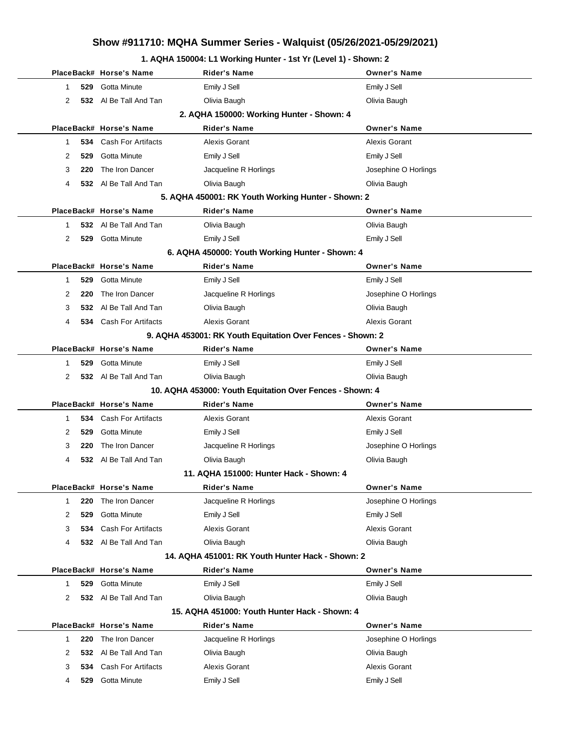### **1. AQHA 150004: L1 Working Hunter - 1st Yr (Level 1) - Shown: 2**

|              |                                           | PlaceBack# Horse's Name       | Rider's Name                                               | <b>Owner's Name</b>  |  |  |  |  |
|--------------|-------------------------------------------|-------------------------------|------------------------------------------------------------|----------------------|--|--|--|--|
| 1.           | 529                                       | Gotta Minute                  | Emily J Sell                                               | Emily J Sell         |  |  |  |  |
| 2            |                                           | 532 Al Be Tall And Tan        | Olivia Baugh                                               | Olivia Baugh         |  |  |  |  |
|              | 2. AQHA 150000: Working Hunter - Shown: 4 |                               |                                                            |                      |  |  |  |  |
|              |                                           | PlaceBack# Horse's Name       | <b>Rider's Name</b>                                        | <b>Owner's Name</b>  |  |  |  |  |
| 1.           |                                           | <b>534</b> Cash For Artifacts | Alexis Gorant                                              | Alexis Gorant        |  |  |  |  |
| 2            | 529                                       | Gotta Minute                  | Emily J Sell                                               | Emily J Sell         |  |  |  |  |
| 3            | 220                                       | The Iron Dancer               | Jacqueline R Horlings                                      | Josephine O Horlings |  |  |  |  |
| 4            |                                           | 532 Al Be Tall And Tan        | Olivia Baugh                                               | Olivia Baugh         |  |  |  |  |
|              |                                           |                               | 5. AQHA 450001: RK Youth Working Hunter - Shown: 2         |                      |  |  |  |  |
|              |                                           | PlaceBack# Horse's Name       | <b>Rider's Name</b>                                        | <b>Owner's Name</b>  |  |  |  |  |
| 1.           |                                           | 532 Al Be Tall And Tan        | Olivia Baugh                                               | Olivia Baugh         |  |  |  |  |
| 2            |                                           | 529 Gotta Minute              | Emily J Sell                                               | Emily J Sell         |  |  |  |  |
|              |                                           |                               | 6. AQHA 450000: Youth Working Hunter - Shown: 4            |                      |  |  |  |  |
|              |                                           | PlaceBack# Horse's Name       | <b>Rider's Name</b>                                        | <b>Owner's Name</b>  |  |  |  |  |
| 1.           | 529                                       | Gotta Minute                  | Emily J Sell                                               | Emily J Sell         |  |  |  |  |
| 2            | 220                                       | The Iron Dancer               | Jacqueline R Horlings                                      | Josephine O Horlings |  |  |  |  |
| 3            |                                           | 532 Al Be Tall And Tan        | Olivia Baugh                                               | Olivia Baugh         |  |  |  |  |
| 4            |                                           | 534 Cash For Artifacts        | Alexis Gorant                                              | Alexis Gorant        |  |  |  |  |
|              |                                           |                               | 9. AQHA 453001: RK Youth Equitation Over Fences - Shown: 2 |                      |  |  |  |  |
|              |                                           | PlaceBack# Horse's Name       | <b>Rider's Name</b>                                        | <b>Owner's Name</b>  |  |  |  |  |
| 1.           | 529                                       | Gotta Minute                  | Emily J Sell                                               | Emily J Sell         |  |  |  |  |
| 2            |                                           | 532 Al Be Tall And Tan        | Olivia Baugh                                               | Olivia Baugh         |  |  |  |  |
|              |                                           |                               | 10. AQHA 453000: Youth Equitation Over Fences - Shown: 4   |                      |  |  |  |  |
|              |                                           | PlaceBack# Horse's Name       | <b>Rider's Name</b>                                        | <b>Owner's Name</b>  |  |  |  |  |
| 1.           |                                           | 534 Cash For Artifacts        | <b>Alexis Gorant</b>                                       | <b>Alexis Gorant</b> |  |  |  |  |
| 2            | 529                                       | Gotta Minute                  | Emily J Sell                                               | Emily J Sell         |  |  |  |  |
| 3            | 220                                       | The Iron Dancer               | Jacqueline R Horlings                                      | Josephine O Horlings |  |  |  |  |
| 4            |                                           | 532 Al Be Tall And Tan        | Olivia Baugh                                               | Olivia Baugh         |  |  |  |  |
|              |                                           |                               | 11. AQHA 151000: Hunter Hack - Shown: 4                    |                      |  |  |  |  |
|              |                                           | PlaceBack# Horse's Name       | <b>Rider's Name</b>                                        | <b>Owner's Name</b>  |  |  |  |  |
| $\mathbf{1}$ | 220                                       | The Iron Dancer               | Jacqueline R Horlings                                      | Josephine O Horlings |  |  |  |  |
| 2            | 529                                       | Gotta Minute                  | Emily J Sell                                               | Emily J Sell         |  |  |  |  |
| 3            |                                           | 534 Cash For Artifacts        | <b>Alexis Gorant</b>                                       | Alexis Gorant        |  |  |  |  |
| 4            |                                           | 532 Al Be Tall And Tan        | Olivia Baugh                                               | Olivia Baugh         |  |  |  |  |
|              |                                           |                               | 14. AQHA 451001: RK Youth Hunter Hack - Shown: 2           |                      |  |  |  |  |
|              |                                           | PlaceBack# Horse's Name       | <b>Rider's Name</b>                                        | <b>Owner's Name</b>  |  |  |  |  |
| 1.           |                                           | 529 Gotta Minute              | Emily J Sell                                               | Emily J Sell         |  |  |  |  |
| 2            |                                           | 532 Al Be Tall And Tan        | Olivia Baugh                                               | Olivia Baugh         |  |  |  |  |
|              |                                           |                               | 15. AQHA 451000: Youth Hunter Hack - Shown: 4              |                      |  |  |  |  |
|              |                                           | PlaceBack# Horse's Name       | <b>Rider's Name</b>                                        | <b>Owner's Name</b>  |  |  |  |  |
| 1            | 220                                       | The Iron Dancer               | Jacqueline R Horlings                                      | Josephine O Horlings |  |  |  |  |
| 2            | 532                                       | Al Be Tall And Tan            | Olivia Baugh                                               | Olivia Baugh         |  |  |  |  |
| 3            |                                           | 534 Cash For Artifacts        | <b>Alexis Gorant</b>                                       | Alexis Gorant        |  |  |  |  |
| 4            |                                           | 529 Gotta Minute              | Emily J Sell                                               | Emily J Sell         |  |  |  |  |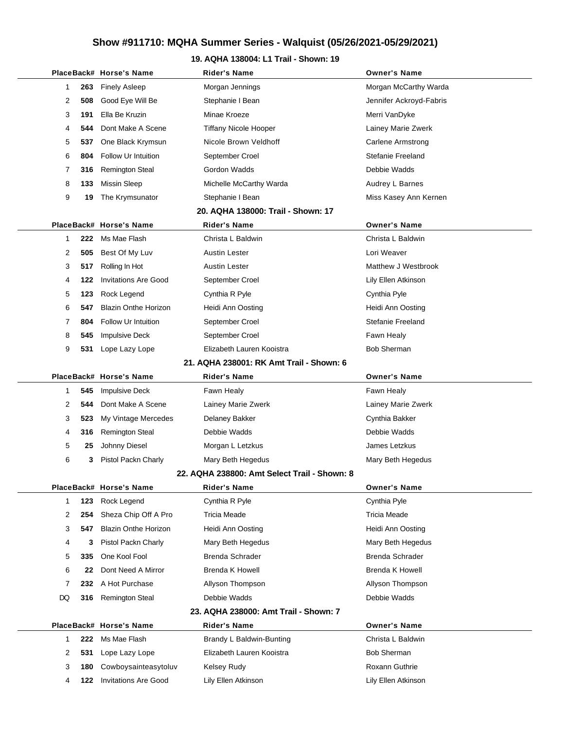### **19. AQHA 138004: L1 Trail - Shown: 19**

|  |    |     | PlaceBack# Horse's Name         | Rider's Name                                 | <b>Owner's Name</b>      |
|--|----|-----|---------------------------------|----------------------------------------------|--------------------------|
|  | 1  | 263 | <b>Finely Asleep</b>            | Morgan Jennings                              | Morgan McCarthy Warda    |
|  | 2  | 508 | Good Eye Will Be                | Stephanie I Bean                             | Jennifer Ackroyd-Fabris  |
|  | 3  | 191 | Ella Be Kruzin                  | Minae Kroeze                                 | Merri VanDyke            |
|  | 4  | 544 | Dont Make A Scene               | <b>Tiffany Nicole Hooper</b>                 | Lainey Marie Zwerk       |
|  | 5  | 537 | One Black Krymsun               | Nicole Brown Veldhoff                        | <b>Carlene Armstrong</b> |
|  | 6  | 804 | Follow Ur Intuition             | September Croel                              | Stefanie Freeland        |
|  | 7  | 316 | <b>Remington Steal</b>          | Gordon Wadds                                 | Debbie Wadds             |
|  | 8  | 133 | <b>Missin Sleep</b>             | Michelle McCarthy Warda                      | Audrey L Barnes          |
|  | 9  | 19  | The Krymsunator                 | Stephanie I Bean                             | Miss Kasey Ann Kernen    |
|  |    |     |                                 | 20. AQHA 138000: Trail - Shown: 17           |                          |
|  |    |     | PlaceBack# Horse's Name         | <b>Rider's Name</b>                          | <b>Owner's Name</b>      |
|  | 1  | 222 | Ms Mae Flash                    | Christa L Baldwin                            | Christa L Baldwin        |
|  | 2  | 505 | Best Of My Luv                  | Austin Lester                                | Lori Weaver              |
|  | 3  | 517 | Rolling In Hot                  | Austin Lester                                | Matthew J Westbrook      |
|  | 4  | 122 | <b>Invitations Are Good</b>     | September Croel                              | Lily Ellen Atkinson      |
|  | 5  | 123 | Rock Legend                     | Cynthia R Pyle                               | Cynthia Pyle             |
|  | 6  | 547 | <b>Blazin Onthe Horizon</b>     | Heidi Ann Oosting                            | Heidi Ann Oosting        |
|  | 7  | 804 | <b>Follow Ur Intuition</b>      | September Croel                              | Stefanie Freeland        |
|  | 8  | 545 | <b>Impulsive Deck</b>           | September Croel                              | Fawn Healy               |
|  | 9  | 531 | Lope Lazy Lope                  | Elizabeth Lauren Kooistra                    | <b>Bob Sherman</b>       |
|  |    |     |                                 | 21. AQHA 238001: RK Amt Trail - Shown: 6     |                          |
|  |    |     | PlaceBack# Horse's Name         | <b>Rider's Name</b>                          | <b>Owner's Name</b>      |
|  | 1  | 545 | <b>Impulsive Deck</b>           | Fawn Healy                                   | Fawn Healy               |
|  | 2  | 544 | Dont Make A Scene               | Lainey Marie Zwerk                           | Lainey Marie Zwerk       |
|  | 3  | 523 | My Vintage Mercedes             | Delaney Bakker                               | Cynthia Bakker           |
|  | 4  | 316 | <b>Remington Steal</b>          | Debbie Wadds                                 | Debbie Wadds             |
|  | 5  | 25  | Johnny Diesel                   | Morgan L Letzkus                             | James Letzkus            |
|  | 6  | 3   | Pistol Packn Charly             | Mary Beth Hegedus                            | Mary Beth Hegedus        |
|  |    |     |                                 | 22. AQHA 238800: Amt Select Trail - Shown: 8 |                          |
|  |    |     | PlaceBack# Horse's Name         | Rider's Name                                 | <b>Owner's Name</b>      |
|  | 1  | 123 | Rock Legend                     | Cynthia R Pyle                               | Cynthia Pyle             |
|  | 2  | 254 | Sheza Chip Off A Pro            | Tricia Meade                                 | Tricia Meade             |
|  | 3  | 547 | <b>Blazin Onthe Horizon</b>     | Heidi Ann Oosting                            | Heidi Ann Oosting        |
|  | 4  | 3   | Pistol Packn Charly             | Mary Beth Hegedus                            | Mary Beth Hegedus        |
|  | 5  | 335 | One Kool Fool                   | Brenda Schrader                              | Brenda Schrader          |
|  | 6  | 22  | Dont Need A Mirror              | <b>Brenda K Howell</b>                       | Brenda K Howell          |
|  | 7  | 232 | A Hot Purchase                  | Allyson Thompson                             | Allyson Thompson         |
|  | DQ | 316 | <b>Remington Steal</b>          | Debbie Wadds                                 | Debbie Wadds             |
|  |    |     |                                 | 23. AQHA 238000: Amt Trail - Shown: 7        |                          |
|  |    |     | PlaceBack# Horse's Name         | <b>Rider's Name</b>                          | <b>Owner's Name</b>      |
|  | 1  | 222 | Ms Mae Flash                    | Brandy L Baldwin-Bunting                     | Christa L Baldwin        |
|  | 2  | 531 | Lope Lazy Lope                  | Elizabeth Lauren Kooistra                    | <b>Bob Sherman</b>       |
|  | 3  | 180 | Cowboysainteasytoluv            | Kelsey Rudy                                  | Roxann Guthrie           |
|  | 4  |     | <b>122</b> Invitations Are Good | Lily Ellen Atkinson                          | Lily Ellen Atkinson      |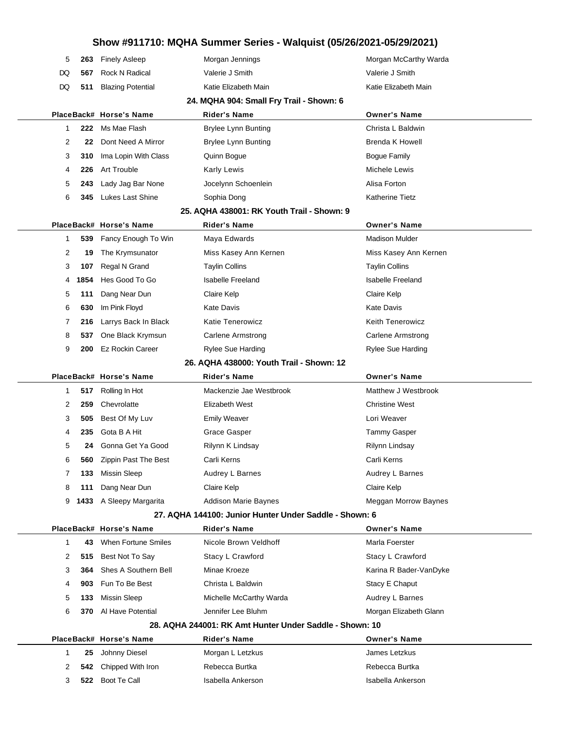| 5                                        | 263                                      | <b>Finely Asleep</b>     | Morgan Jennings                                         | Morgan McCarthy Warda       |  |  |  |
|------------------------------------------|------------------------------------------|--------------------------|---------------------------------------------------------|-----------------------------|--|--|--|
| DQ                                       | 567                                      | Rock N Radical           | Valerie J Smith                                         | Valerie J Smith             |  |  |  |
| DQ                                       | 511                                      | <b>Blazing Potential</b> | Katie Elizabeth Main                                    | Katie Elizabeth Main        |  |  |  |
|                                          | 24. MQHA 904: Small Fry Trail - Shown: 6 |                          |                                                         |                             |  |  |  |
|                                          |                                          | PlaceBack# Horse's Name  | Rider's Name                                            | <b>Owner's Name</b>         |  |  |  |
| 1                                        | 222                                      | Ms Mae Flash             | <b>Brylee Lynn Bunting</b>                              | Christa L Baldwin           |  |  |  |
| 2                                        | 22                                       | Dont Need A Mirror       | <b>Brylee Lynn Bunting</b>                              | Brenda K Howell             |  |  |  |
| 3                                        | 310                                      | Ima Lopin With Class     | Quinn Bogue                                             | <b>Bogue Family</b>         |  |  |  |
| 4                                        | 226                                      | Art Trouble              | Karly Lewis                                             | Michele Lewis               |  |  |  |
| 5                                        | 243                                      | Lady Jag Bar None        | Jocelynn Schoenlein                                     | Alisa Forton                |  |  |  |
| 6                                        | 345                                      | Lukes Last Shine         | Sophia Dong                                             | Katherine Tietz             |  |  |  |
|                                          |                                          |                          | 25. AQHA 438001: RK Youth Trail - Shown: 9              |                             |  |  |  |
|                                          |                                          | PlaceBack# Horse's Name  | <b>Rider's Name</b>                                     | <b>Owner's Name</b>         |  |  |  |
| 1                                        | 539                                      | Fancy Enough To Win      | Maya Edwards                                            | <b>Madison Mulder</b>       |  |  |  |
| 2                                        | 19                                       | The Krymsunator          | Miss Kasey Ann Kernen                                   | Miss Kasey Ann Kernen       |  |  |  |
| 3                                        | 107                                      | Regal N Grand            | <b>Taylin Collins</b>                                   | <b>Taylin Collins</b>       |  |  |  |
| 4                                        | 1854                                     | Hes Good To Go           | Isabelle Freeland                                       | <b>Isabelle Freeland</b>    |  |  |  |
| 5                                        | 111                                      | Dang Near Dun            | Claire Kelp                                             | Claire Kelp                 |  |  |  |
| 6                                        | 630                                      | Im Pink Floyd            | Kate Davis                                              | <b>Kate Davis</b>           |  |  |  |
| 7                                        | 216                                      | Larrys Back In Black     | <b>Katie Tenerowicz</b>                                 | <b>Keith Tenerowicz</b>     |  |  |  |
| 8                                        | 537                                      | One Black Krymsun        | <b>Carlene Armstrong</b>                                | <b>Carlene Armstrong</b>    |  |  |  |
| 9                                        | 200                                      | <b>Ez Rockin Career</b>  | Rylee Sue Harding                                       | <b>Rylee Sue Harding</b>    |  |  |  |
| 26. AQHA 438000: Youth Trail - Shown: 12 |                                          |                          |                                                         |                             |  |  |  |
|                                          |                                          | PlaceBack# Horse's Name  | <b>Rider's Name</b>                                     | <b>Owner's Name</b>         |  |  |  |
| 1                                        | 517                                      | Rolling In Hot           | Mackenzie Jae Westbrook                                 | Matthew J Westbrook         |  |  |  |
| 2                                        | 259                                      | Chevrolatte              | Elizabeth West                                          | <b>Christine West</b>       |  |  |  |
| 3                                        | 505                                      | Best Of My Luv           | <b>Emily Weaver</b>                                     | Lori Weaver                 |  |  |  |
| 4                                        | 235                                      | Gota B A Hit             | Grace Gasper                                            | <b>Tammy Gasper</b>         |  |  |  |
| 5                                        | 24                                       | Gonna Get Ya Good        | Rilynn K Lindsay                                        | Rilynn Lindsay              |  |  |  |
| 6                                        |                                          | 560 Zippin Past The Best | Carli Kerns                                             | Carli Kerns                 |  |  |  |
| 7                                        | 133                                      | <b>Missin Sleep</b>      | Audrey L Barnes                                         | Audrey L Barnes             |  |  |  |
| 8                                        | 111                                      | Dang Near Dun            | Claire Kelp                                             | Claire Kelp                 |  |  |  |
| 9                                        |                                          | 1433 A Sleepy Margarita  | <b>Addison Marie Baynes</b>                             | <b>Meggan Morrow Baynes</b> |  |  |  |
|                                          |                                          |                          | 27. AQHA 144100: Junior Hunter Under Saddle - Shown: 6  |                             |  |  |  |
|                                          |                                          | PlaceBack# Horse's Name  | <b>Rider's Name</b>                                     | <b>Owner's Name</b>         |  |  |  |
| 1                                        | 43                                       | When Fortune Smiles      | Nicole Brown Veldhoff                                   | Marla Foerster              |  |  |  |
| 2                                        |                                          | 515 Best Not To Say      | Stacy L Crawford                                        | Stacy L Crawford            |  |  |  |
| 3                                        | 364                                      | Shes A Southern Bell     | Minae Kroeze                                            | Karina R Bader-VanDyke      |  |  |  |
| 4                                        | 903                                      | Fun To Be Best           | Christa L Baldwin                                       | Stacy E Chaput              |  |  |  |
| 5                                        | 133                                      | Missin Sleep             | Michelle McCarthy Warda                                 | Audrey L Barnes             |  |  |  |
| 6                                        | 370                                      | Al Have Potential        | Jennifer Lee Bluhm                                      | Morgan Elizabeth Glann      |  |  |  |
|                                          |                                          |                          | 28. AQHA 244001: RK Amt Hunter Under Saddle - Shown: 10 |                             |  |  |  |
|                                          |                                          | PlaceBack# Horse's Name  | <b>Rider's Name</b>                                     | <b>Owner's Name</b>         |  |  |  |
| 1                                        | 25                                       | Johnny Diesel            | Morgan L Letzkus                                        | James Letzkus               |  |  |  |
| 2                                        | 542                                      | Chipped With Iron        | Rebecca Burtka                                          | Rebecca Burtka              |  |  |  |
| 3                                        |                                          | 522 Boot Te Call         | Isabella Ankerson                                       | Isabella Ankerson           |  |  |  |
|                                          |                                          |                          |                                                         |                             |  |  |  |

 $\overline{\phantom{0}}$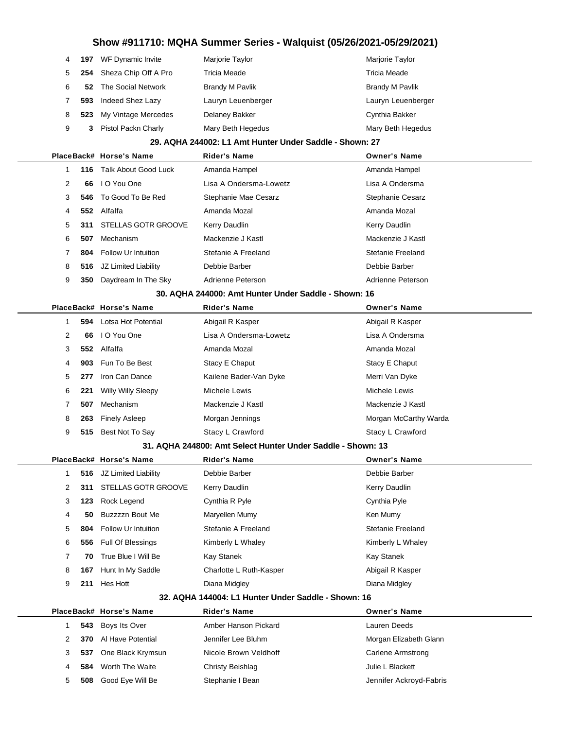|     |                     | Marjorie Taylor                                                                      | Marjorie Taylor        |
|-----|---------------------|--------------------------------------------------------------------------------------|------------------------|
| 254 |                     | Tricia Meade                                                                         | <b>Tricia Meade</b>    |
|     |                     | <b>Brandy M Pavlik</b>                                                               | <b>Brandy M Pavlik</b> |
| 593 | Indeed Shez Lazy    | Lauryn Leuenberger                                                                   | Lauryn Leuenberger     |
| 523 | My Vintage Mercedes | Delaney Bakker                                                                       | Cynthia Bakker         |
| 3   | Pistol Packn Charly | Mary Beth Hegedus                                                                    | Mary Beth Hegedus      |
|     |                     | <b>197</b> WF Dynamic Invite<br>Sheza Chip Off A Pro<br><b>52</b> The Social Network |                        |

#### **29. AQHA 244002: L1 Amt Hunter Under Saddle - Shown: 27**

|   |      | PlaceBack# Horse's Name    | <b>Rider's Name</b>    | <b>Owner's Name</b> |
|---|------|----------------------------|------------------------|---------------------|
|   | 116. | Talk About Good Luck       | Amanda Hampel          | Amanda Hampel       |
| 2 | 66   | I O You One                | Lisa A Ondersma-Lowetz | Lisa A Ondersma     |
| 3 |      | 546 To Good To Be Red      | Stephanie Mae Cesarz   | Stephanie Cesarz    |
| 4 | 552  | Alfalfa                    | Amanda Mozal           | Amanda Mozal        |
| 5 | 311  | <b>STELLAS GOTR GROOVE</b> | Kerry Daudlin          | Kerry Daudlin       |
| 6 | 507  | Mechanism                  | Mackenzie J Kastl      | Mackenzie J Kastl   |
|   | 804  | Follow Ur Intuition        | Stefanie A Freeland    | Stefanie Freeland   |
| 8 | 516  | JZ Limited Liability       | Debbie Barber          | Debbie Barber       |
| 9 | 350  | Daydream In The Sky        | Adrienne Peterson      | Adrienne Peterson   |
|   |      |                            |                        |                     |

#### **30. AQHA 244000: Amt Hunter Under Saddle - Shown: 16**

|   |     | PlaceBack# Horse's Name   | <b>Rider's Name</b>    | <b>Owner's Name</b>   |
|---|-----|---------------------------|------------------------|-----------------------|
|   |     | 594 Lotsa Hot Potential   | Abigail R Kasper       | Abigail R Kasper      |
| 2 | 66  | I O You One               | Lisa A Ondersma-Lowetz | Lisa A Ondersma       |
| 3 |     | 552 Alfalfa               | Amanda Mozal           | Amanda Mozal          |
| 4 |     | 903 Fun To Be Best        | Stacy E Chaput         | Stacy E Chaput        |
| 5 | 277 | Iron Can Dance            | Kailene Bader-Van Dyke | Merri Van Dyke        |
| 6 | 221 | <b>Willy Willy Sleepy</b> | Michele Lewis          | Michele Lewis         |
|   | 507 | Mechanism                 | Mackenzie J Kastl      | Mackenzie J Kastl     |
| 8 | 263 | <b>Finely Asleep</b>      | Morgan Jennings        | Morgan McCarthy Warda |
| 9 | 515 | Best Not To Say           | Stacy L Crawford       | Stacy L Crawford      |
|   |     |                           |                        |                       |

#### **31. AQHA 244800: Amt Select Hunter Under Saddle - Shown: 13**

|   |     | PlaceBack# Horse's Name    | <b>Rider's Name</b>     | <b>Owner's Name</b> |
|---|-----|----------------------------|-------------------------|---------------------|
|   |     | 516 JZ Limited Liability   | Debbie Barber           | Debbie Barber       |
| 2 | 311 | <b>STELLAS GOTR GROOVE</b> | Kerry Daudlin           | Kerry Daudlin       |
| 3 | 123 | Rock Legend                | Cynthia R Pyle          | Cynthia Pyle        |
| 4 | 50  | Buzzzzn Bout Me            | Maryellen Mumy          | Ken Mumy            |
| 5 | 804 | Follow Ur Intuition        | Stefanie A Freeland     | Stefanie Freeland   |
| 6 | 556 | Full Of Blessings          | Kimberly L Whaley       | Kimberly L Whaley   |
|   | 70  | True Blue I Will Be        | Kay Stanek              | Kay Stanek          |
| 8 | 167 | Hunt In My Saddle          | Charlotte L Ruth-Kasper | Abigail R Kasper    |
| 9 | 211 | Hes Hott                   | Diana Midgley           | Diana Midgley       |
|   |     |                            |                         |                     |

#### **32. AQHA 144004: L1 Hunter Under Saddle - Shown: 16**

|   |     | PlaceBack# Horse's Name | <b>Rider's Name</b>   | <b>Owner's Name</b>     |
|---|-----|-------------------------|-----------------------|-------------------------|
|   |     | 543 Boys Its Over       | Amber Hanson Pickard  | Lauren Deeds            |
|   | 370 | Al Have Potential       | Jennifer Lee Bluhm    | Morgan Elizabeth Glann  |
| 3 | 537 | One Black Krymsun       | Nicole Brown Veldhoff | Carlene Armstrong       |
| 4 | 584 | Worth The Waite         | Christy Beishlag      | Julie L Blackett        |
| 5 | 508 | Good Eye Will Be        | Stephanie I Bean      | Jennifer Ackroyd-Fabris |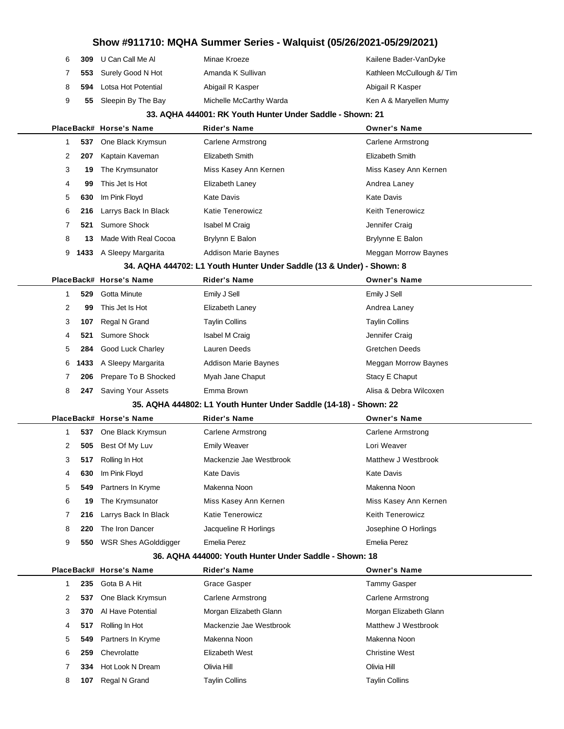| 6 | 309 | U Can Call Me Al      | Minae Kroeze            | Kailene Bader-VanDyke     |
|---|-----|-----------------------|-------------------------|---------------------------|
|   |     | 553 Surely Good N Hot | Amanda K Sullivan       | Kathleen McCullough & Tim |
|   | 594 | Lotsa Hot Potential   | Abigail R Kasper        | Abigail R Kasper          |
|   | 55  | Sleepin By The Bay    | Michelle McCarthy Warda | Ken A & Maryellen Mumy    |

#### **33. AQHA 444001: RK Youth Hunter Under Saddle - Shown: 21**

|  |   |      | PlaceBack# Horse's Name | <b>Rider's Name</b>         | <b>Owner's Name</b>         |
|--|---|------|-------------------------|-----------------------------|-----------------------------|
|  |   | 537  | One Black Krymsun       | Carlene Armstrong           | Carlene Armstrong           |
|  | 2 | 207  | Kaptain Kaveman         | Elizabeth Smith             | Elizabeth Smith             |
|  | 3 | 19   | The Krymsunator         | Miss Kasey Ann Kernen       | Miss Kasey Ann Kernen       |
|  | 4 | 99   | This Jet Is Hot         | Elizabeth Laney             | Andrea Laney                |
|  | 5 | 630  | Im Pink Floyd           | Kate Davis                  | <b>Kate Davis</b>           |
|  | 6 | 216  | Larrys Back In Black    | <b>Katie Tenerowicz</b>     | <b>Keith Tenerowicz</b>     |
|  |   | 521  | Sumore Shock            | Isabel M Craig              | Jennifer Craig              |
|  | 8 | 13   | Made With Real Cocoa    | Brylynn E Balon             | Brylynne E Balon            |
|  | 9 | 1433 | A Sleepy Margarita      | <b>Addison Marie Baynes</b> | <b>Meggan Morrow Baynes</b> |
|  |   |      |                         |                             |                             |

### **34. AQHA 444702: L1 Youth Hunter Under Saddle (13 & Under) - Shown: 8**

|   |     | PlaceBack# Horse's Name   | <b>Rider's Name</b>         | <b>Owner's Name</b>    |
|---|-----|---------------------------|-----------------------------|------------------------|
|   | 529 | Gotta Minute              | Emily J Sell                | Emily J Sell           |
| 2 | 99  | This Jet Is Hot           | Elizabeth Laney             | Andrea Laney           |
| 3 | 107 | Regal N Grand             | Taylin Collins              | <b>Taylin Collins</b>  |
| 4 |     | 521 Sumore Shock          | <b>Isabel M Craig</b>       | Jennifer Craig         |
| 5 |     | 284 Good Luck Charley     | Lauren Deeds                | <b>Gretchen Deeds</b>  |
|   |     | 6 1433 A Sleepy Margarita | <b>Addison Marie Baynes</b> | Meggan Morrow Baynes   |
|   |     | 206 Prepare To B Shocked  | Myah Jane Chaput            | Stacy E Chaput         |
| 8 | 247 | Saving Your Assets        | Emma Brown                  | Alisa & Debra Wilcoxen |

#### **35. AQHA 444802: L1 Youth Hunter Under Saddle (14-18) - Shown: 22**

|   |     | PlaceBack# Horse's Name     | <b>Rider's Name</b>     | <b>Owner's Name</b>     |
|---|-----|-----------------------------|-------------------------|-------------------------|
|   | 537 | One Black Krymsun           | Carlene Armstrong       | Carlene Armstrong       |
| 2 | 505 | Best Of My Luv              | <b>Emily Weaver</b>     | Lori Weaver             |
| 3 | 517 | Rolling In Hot              | Mackenzie Jae Westbrook | Matthew J Westbrook     |
| 4 | 630 | Im Pink Floyd               | Kate Davis              | Kate Davis              |
| 5 | 549 | Partners In Kryme           | Makenna Noon            | Makenna Noon            |
| 6 | 19  | The Krymsunator             | Miss Kasey Ann Kernen   | Miss Kasey Ann Kernen   |
|   | 216 | Larrys Back In Black        | Katie Tenerowicz        | <b>Keith Tenerowicz</b> |
| 8 | 220 | The Iron Dancer             | Jacqueline R Horlings   | Josephine O Horlings    |
| 9 | 550 | <b>WSR Shes AGolddigger</b> | Emelia Perez            | Emelia Perez            |
|   |     |                             |                         |                         |

#### **36. AQHA 444000: Youth Hunter Under Saddle - Shown: 18**

|   |      | PlaceBack# Horse's Name | <b>Rider's Name</b>     | <b>Owner's Name</b>    |
|---|------|-------------------------|-------------------------|------------------------|
|   | 235. | Gota B A Hit            | Grace Gasper            | Tammy Gasper           |
| 2 | 537  | One Black Krymsun       | Carlene Armstrong       | Carlene Armstrong      |
| 3 | 370  | Al Have Potential       | Morgan Elizabeth Glann  | Morgan Elizabeth Glann |
| 4 | 517  | Rolling In Hot          | Mackenzie Jae Westbrook | Matthew J Westbrook    |
| 5 | 549  | Partners In Kryme       | Makenna Noon            | Makenna Noon           |
| 6 | 259  | Chevrolatte             | Elizabeth West          | <b>Christine West</b>  |
|   | 334  | Hot Look N Dream        | Olivia Hill             | Olivia Hill            |
| 8 | 107  | Regal N Grand           | Taylin Collins          | <b>Taylin Collins</b>  |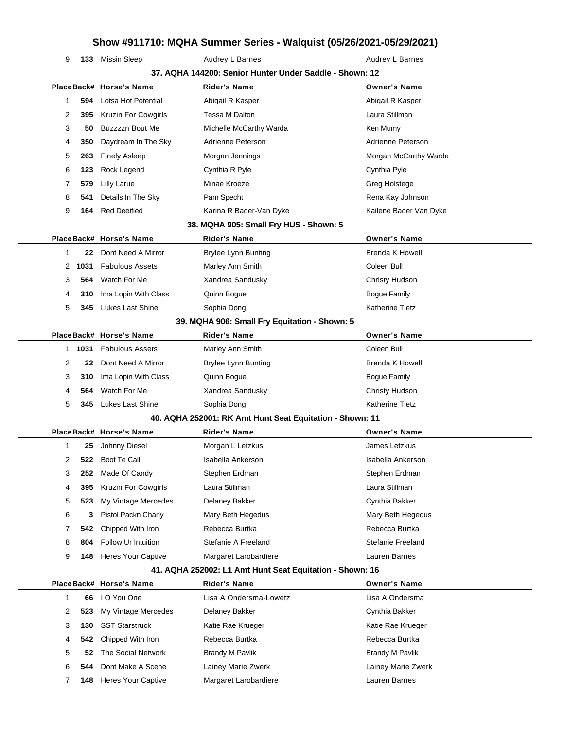**133** Missin Sleep **Audrey L Barnes** Audrey L Barnes Audrey L Barnes

|              |        |                         | 37. AQHA 144200: Senior Hunter Under Saddle - Shown: 12  |                        |
|--------------|--------|-------------------------|----------------------------------------------------------|------------------------|
|              |        | PlaceBack# Horse's Name | <b>Rider's Name</b>                                      | <b>Owner's Name</b>    |
| $\mathbf{1}$ | 594    | Lotsa Hot Potential     | Abigail R Kasper                                         | Abigail R Kasper       |
| 2            | 395    | Kruzin For Cowgirls     | Tessa M Dalton                                           | Laura Stillman         |
| 3            | 50     | Buzzzzn Bout Me         | Michelle McCarthy Warda                                  | Ken Mumy               |
| 4            | 350    | Daydream In The Sky     | Adrienne Peterson                                        | Adrienne Peterson      |
| 5            | 263    | <b>Finely Asleep</b>    | Morgan Jennings                                          | Morgan McCarthy Warda  |
| 6            | 123    | Rock Legend             | Cynthia R Pyle                                           | Cynthia Pyle           |
| 7            | 579    | <b>Lilly Larue</b>      | Minae Kroeze                                             | <b>Greg Holstege</b>   |
| 8            | 541    | Details In The Sky      | Pam Specht                                               | Rena Kay Johnson       |
| 9            | 164    | <b>Red Deeified</b>     | Karina R Bader-Van Dyke                                  | Kailene Bader Van Dyke |
|              |        |                         | 38. MQHA 905: Small Fry HUS - Shown: 5                   |                        |
|              |        | PlaceBack# Horse's Name | <b>Rider's Name</b>                                      | <b>Owner's Name</b>    |
| 1            | 22     | Dont Need A Mirror      | <b>Brylee Lynn Bunting</b>                               | <b>Brenda K Howell</b> |
| 2            | 1031   | <b>Fabulous Assets</b>  | Marley Ann Smith                                         | Coleen Bull            |
| 3            | 564    | Watch For Me            | Xandrea Sandusky                                         | Christy Hudson         |
| 4            | 310    | Ima Lopin With Class    | Quinn Bogue                                              | <b>Bogue Family</b>    |
| 5            | 345    | <b>Lukes Last Shine</b> | Sophia Dong                                              | <b>Katherine Tietz</b> |
|              |        |                         | 39. MQHA 906: Small Fry Equitation - Shown: 5            |                        |
|              |        | PlaceBack# Horse's Name | <b>Rider's Name</b>                                      | <b>Owner's Name</b>    |
|              | 1 1031 | <b>Fabulous Assets</b>  | Marley Ann Smith                                         | Coleen Bull            |
| 2            | 22     | Dont Need A Mirror      | <b>Brylee Lynn Bunting</b>                               | <b>Brenda K Howell</b> |
| 3            | 310    | Ima Lopin With Class    | Quinn Bogue                                              | <b>Bogue Family</b>    |
| 4            | 564    | Watch For Me            | Xandrea Sandusky                                         | Christy Hudson         |
| 5            | 345    | <b>Lukes Last Shine</b> | Sophia Dong                                              | Katherine Tietz        |
|              |        |                         | 40. AQHA 252001: RK Amt Hunt Seat Equitation - Shown: 11 |                        |
|              |        | PlaceBack# Horse's Name | <b>Rider's Name</b>                                      | <b>Owner's Name</b>    |
| 1            | 25     | Johnny Diesel           | Morgan L Letzkus                                         | James Letzkus          |
| 2            | 522    | Boot Te Call            | Isabella Ankerson                                        | Isabella Ankerson      |
| 3            | 252    | Made Of Candy           | Stephen Erdman                                           | Stephen Erdman         |
| 4            | 395    | Kruzin For Cowgirls     | Laura Stillman                                           | Laura Stillman         |
| 5            | 523    | My Vintage Mercedes     | Delaney Bakker                                           | Cynthia Bakker         |
| 6            | 3      | Pistol Packn Charly     | Mary Beth Hegedus                                        | Mary Beth Hegedus      |
| 7            | 542    | Chipped With Iron       | Rebecca Burtka                                           | Rebecca Burtka         |
| 8            | 804    | Follow Ur Intuition     | Stefanie A Freeland                                      | Stefanie Freeland      |
| 9            | 148    | Heres Your Captive      | Margaret Larobardiere                                    | Lauren Barnes          |
|              |        |                         | 41. AQHA 252002: L1 Amt Hunt Seat Equitation - Shown: 16 |                        |
|              |        | PlaceBack# Horse's Name | <b>Rider's Name</b>                                      | <b>Owner's Name</b>    |
| $\mathbf{1}$ | 66     | I O You One             | Lisa A Ondersma-Lowetz                                   | Lisa A Ondersma        |
| 2            | 523    | My Vintage Mercedes     | Delaney Bakker                                           | Cynthia Bakker         |
| 3            | 130    | <b>SST Starstruck</b>   | Katie Rae Krueger                                        | Katie Rae Krueger      |
| 4            | 542    | Chipped With Iron       | Rebecca Burtka                                           | Rebecca Burtka         |
| 5            | 52     | The Social Network      | <b>Brandy M Pavlik</b>                                   | <b>Brandy M Pavlik</b> |
| 6            | 544    | Dont Make A Scene       | Lainey Marie Zwerk                                       | Lainey Marie Zwerk     |

**148** Heres Your Captive Margaret Larobardiere **Lauren Barnes** Lauren Barnes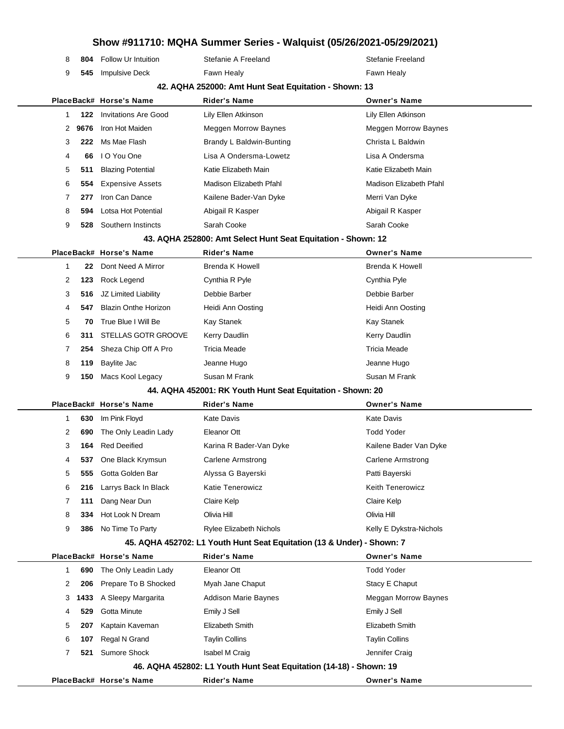| 8 |      | <b>804</b> Follow Ur Intuition | Stefanie A Freeland                                                    | Stefanie Freeland           |
|---|------|--------------------------------|------------------------------------------------------------------------|-----------------------------|
| 9 |      | 545 Impulsive Deck             | Fawn Healy                                                             | Fawn Healy                  |
|   |      |                                | 42. AQHA 252000: Amt Hunt Seat Equitation - Shown: 13                  |                             |
|   |      | PlaceBack# Horse's Name        | <b>Rider's Name</b>                                                    | <b>Owner's Name</b>         |
| 1 | 122  | <b>Invitations Are Good</b>    | Lily Ellen Atkinson                                                    | Lily Ellen Atkinson         |
| 2 | 9676 | Iron Hot Maiden                | <b>Meggen Morrow Baynes</b>                                            | <b>Meggen Morrow Baynes</b> |
| 3 | 222  | Ms Mae Flash                   | Brandy L Baldwin-Bunting                                               | Christa L Baldwin           |
| 4 | 66   | I O You One                    | Lisa A Ondersma-Lowetz                                                 | Lisa A Ondersma             |
| 5 | 511  | <b>Blazing Potential</b>       | Katie Elizabeth Main                                                   | Katie Elizabeth Main        |
| 6 | 554  | <b>Expensive Assets</b>        | Madison Elizabeth Pfahl                                                | Madison Elizabeth Pfahl     |
| 7 | 277  | Iron Can Dance                 | Kailene Bader-Van Dyke                                                 | Merri Van Dyke              |
| 8 | 594  | Lotsa Hot Potential            | Abigail R Kasper                                                       | Abigail R Kasper            |
| 9 | 528  | Southern Instincts             | Sarah Cooke                                                            | Sarah Cooke                 |
|   |      |                                | 43. AQHA 252800: Amt Select Hunt Seat Equitation - Shown: 12           |                             |
|   |      | PlaceBack# Horse's Name        | Rider's Name                                                           | <b>Owner's Name</b>         |
| 1 | 22   | Dont Need A Mirror             | Brenda K Howell                                                        | <b>Brenda K Howell</b>      |
| 2 | 123  | Rock Legend                    | Cynthia R Pyle                                                         | Cynthia Pyle                |
| 3 | 516  | JZ Limited Liability           | Debbie Barber                                                          | Debbie Barber               |
| 4 | 547  | <b>Blazin Onthe Horizon</b>    | Heidi Ann Oosting                                                      | Heidi Ann Oosting           |
| 5 | 70   | True Blue I Will Be            | Kay Stanek                                                             | Kay Stanek                  |
| 6 | 311  | STELLAS GOTR GROOVE            | Kerry Daudlin                                                          | Kerry Daudlin               |
| 7 |      | 254 Sheza Chip Off A Pro       | <b>Tricia Meade</b>                                                    | Tricia Meade                |
| 8 | 119  | Baylite Jac                    | Jeanne Hugo                                                            | Jeanne Hugo                 |
| 9 | 150  | Macs Kool Legacy               | Susan M Frank                                                          | Susan M Frank               |
|   |      |                                | 44. AQHA 452001: RK Youth Hunt Seat Equitation - Shown: 20             |                             |
|   |      | PlaceBack# Horse's Name        | <b>Rider's Name</b>                                                    | <b>Owner's Name</b>         |
| 1 | 630  | Im Pink Floyd                  | <b>Kate Davis</b>                                                      | Kate Davis                  |
| 2 | 690  | The Only Leadin Lady           | Eleanor Ott                                                            | <b>Todd Yoder</b>           |
| 3 | 164  | <b>Red Deeified</b>            | Karina R Bader-Van Dyke                                                | Kailene Bader Van Dyke      |
|   | 537  | One Black Krymsun              | Carlene Armstrong                                                      | <b>Carlene Armstrong</b>    |
| 5 | 555  | Gotta Golden Bar               | Alyssa G Bayerski                                                      | Patti Bayerski              |
| 6 | 216  | Larrys Back In Black           | Katie Tenerowicz                                                       | Keith Tenerowicz            |
| 7 | 111  | Dang Near Dun                  | Claire Kelp                                                            | Claire Kelp                 |
| 8 | 334  | Hot Look N Dream               | Olivia Hill                                                            | Olivia Hill                 |
| 9 |      | 386 No Time To Party           | <b>Rylee Elizabeth Nichols</b>                                         | Kelly E Dykstra-Nichols     |
|   |      |                                | 45. AQHA 452702: L1 Youth Hunt Seat Equitation (13 & Under) - Shown: 7 |                             |
|   |      | PlaceBack# Horse's Name        | <b>Rider's Name</b>                                                    | <b>Owner's Name</b>         |
| 1 | 690  | The Only Leadin Lady           | Eleanor Ott                                                            | <b>Todd Yoder</b>           |
| 2 | 206  | Prepare To B Shocked           | Myah Jane Chaput                                                       | Stacy E Chaput              |
| 3 | 1433 | A Sleepy Margarita             | <b>Addison Marie Baynes</b>                                            | Meggan Morrow Baynes        |
| 4 | 529  | Gotta Minute                   | Emily J Sell                                                           | Emily J Sell                |
| 5 | 207  | Kaptain Kaveman                | Elizabeth Smith                                                        | Elizabeth Smith             |
| 6 | 107  | Regal N Grand                  | <b>Taylin Collins</b>                                                  | <b>Taylin Collins</b>       |
| 7 | 521  | Sumore Shock                   | Isabel M Craig                                                         | Jennifer Craig              |
|   |      |                                | 46. AQHA 452802: L1 Youth Hunt Seat Equitation (14-18) - Shown: 19     |                             |
|   |      | PlaceBack# Horse's Name        | <b>Rider's Name</b>                                                    | <b>Owner's Name</b>         |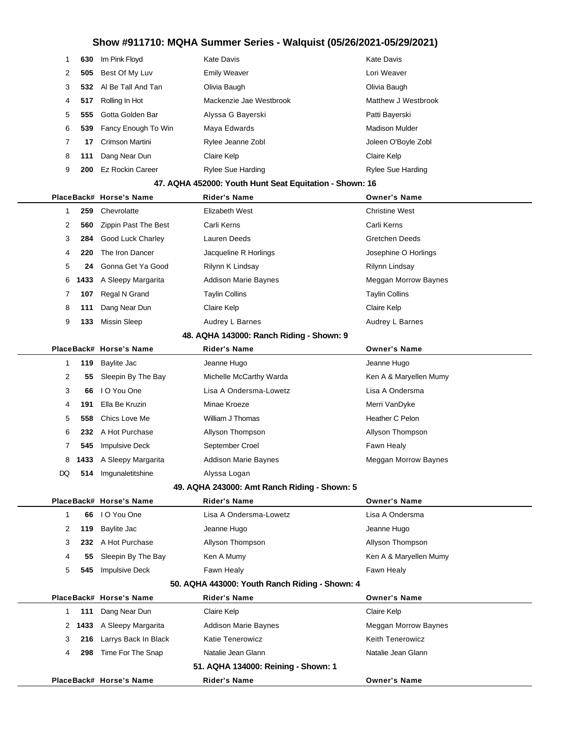| 1 | 630  | Im Pink Floyd               | <b>Kate Davis</b>                                       | <b>Kate Davis</b>           |
|---|------|-----------------------------|---------------------------------------------------------|-----------------------------|
| 2 | 505  | Best Of My Luv              | <b>Emily Weaver</b>                                     | Lori Weaver                 |
| 3 | 532  | AI Be Tall And Tan          | Olivia Baugh                                            | Olivia Baugh                |
| 4 | 517  | Rolling In Hot              | Mackenzie Jae Westbrook                                 | Matthew J Westbrook         |
| 5 | 555  | Gotta Golden Bar            | Alyssa G Bayerski                                       | Patti Bayerski              |
| 6 | 539  | Fancy Enough To Win         | Maya Edwards                                            | <b>Madison Mulder</b>       |
| 7 | 17   | <b>Crimson Martini</b>      | Rylee Jeanne Zobl                                       | Joleen O'Boyle Zobl         |
| 8 | 111  | Dang Near Dun               | Claire Kelp                                             | Claire Kelp                 |
| 9 | 200  | <b>Ez Rockin Career</b>     | <b>Rylee Sue Harding</b>                                | <b>Rylee Sue Harding</b>    |
|   |      |                             | 47. AQHA 452000: Youth Hunt Seat Equitation - Shown: 16 |                             |
|   |      | PlaceBack# Horse's Name     | <b>Rider's Name</b>                                     | <b>Owner's Name</b>         |
| 1 | 259  | Chevrolatte                 | <b>Elizabeth West</b>                                   | <b>Christine West</b>       |
| 2 | 560  | <b>Zippin Past The Best</b> | Carli Kerns                                             | Carli Kerns                 |
| 3 | 284  | Good Luck Charley           | <b>Lauren Deeds</b>                                     | <b>Gretchen Deeds</b>       |
| 4 | 220  | The Iron Dancer             | Jacqueline R Horlings                                   | Josephine O Horlings        |
| 5 | 24   | Gonna Get Ya Good           | Rilynn K Lindsay                                        | Rilynn Lindsay              |
| 6 | 1433 | A Sleepy Margarita          | <b>Addison Marie Baynes</b>                             | <b>Meggan Morrow Baynes</b> |
| 7 | 107  | Regal N Grand               | <b>Taylin Collins</b>                                   | <b>Taylin Collins</b>       |
| 8 | 111  | Dang Near Dun               | Claire Kelp                                             | Claire Kelp                 |
| 9 | 133  | <b>Missin Sleep</b>         | Audrey L Barnes                                         | Audrey L Barnes             |
|   |      |                             | 48. AQHA 143000: Ranch Riding - Shown: 9                |                             |
|   |      | PlaceBack# Horse's Name     | <b>Rider's Name</b>                                     | <b>Owner's Name</b>         |
| 1 | 119  | Baylite Jac                 | Jeanne Hugo                                             | Jeanne Hugo                 |
| 2 | 55   | Sleepin By The Bay          | Michelle McCarthy Warda                                 | Ken A & Maryellen Mumy      |
| 3 | 66   | I O You One                 | Lisa A Ondersma-Lowetz                                  | Lisa A Ondersma             |
| 4 |      | 191 Fila Be Kruzin          | Minae Kroeze                                            | Merri VanDvke               |

| 4                                            | 191    | Ella Be Kruzin        | Minae Kroeze                | Merri VanDyke        |  |
|----------------------------------------------|--------|-----------------------|-----------------------------|----------------------|--|
| 5                                            | 558    | Chics Love Me         | William J Thomas            | Heather C Pelon      |  |
| 6                                            | 232    | A Hot Purchase        | Allyson Thompson            | Allyson Thompson     |  |
|                                              | 545    | <b>Impulsive Deck</b> | September Croel             | Fawn Healy           |  |
|                                              | 8 1433 | A Sleepy Margarita    | <b>Addison Marie Baynes</b> | Meggan Morrow Baynes |  |
| DQ.                                          | 514    | Imqunaletitshine      | Alyssa Logan                |                      |  |
| 49. AQHA 243000: Amt Ranch Riding - Shown: 5 |        |                       |                             |                      |  |

### **PlaceBack# Horse's Name Rider's Name Owner's Name 66** I O You One Lisa A Ondersma-Lowetz Lisa A Ondersma **119** Baylite Jac Jeanne Hugo Jeanne Hugo **232** A Hot Purchase **Allyson Thompson** Allyson Thompson **55** Sleepin By The Bay Ken A Mumy **Ken A Acknowledge Communist Communist Communist Communist Communist Communist Communist Communist Communist Communist Communist Communist Communist Communist Communist Communist Commun 545** Impulsive Deck **Fawn Healy** Fawn Healy Fawn Healy **50. AQHA 443000: Youth Ranch Riding - Shown: 4 PlaceBack# Horse's Name Rider's Name Owner's Name**

|   |     | PlaceBack# Horse's Name   | Rider's Name                        | owner sname             |
|---|-----|---------------------------|-------------------------------------|-------------------------|
|   | 111 | Dang Near Dun             | Claire Kelp                         | Claire Kelp             |
|   |     | 2 1433 A Sleepy Margarita | <b>Addison Marie Baynes</b>         | Meggan Morrow Baynes    |
| 3 |     | 216 Larrys Back In Black  | <b>Katie Tenerowicz</b>             | <b>Keith Tenerowicz</b> |
| 4 | 298 | Time For The Snap         | Natalie Jean Glann                  | Natalie Jean Glann      |
|   |     |                           | 51. AQHA 134000: Reining - Shown: 1 |                         |
|   |     | PlaceBack# Horse's Name   | <b>Rider's Name</b>                 | <b>Owner's Name</b>     |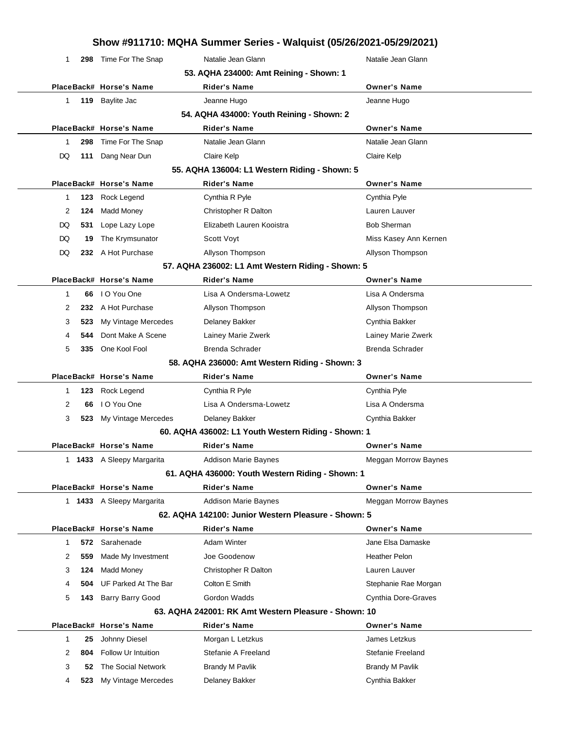| Show #911710: MQHA Summer Series - Walquist (05/26/2021-05/29/2021) |  |
|---------------------------------------------------------------------|--|
|---------------------------------------------------------------------|--|

| 1  |     | 298 Time For The Snap     | Natalie Jean Glann                                   | Natalie Jean Glann          |
|----|-----|---------------------------|------------------------------------------------------|-----------------------------|
|    |     |                           | 53. AQHA 234000: Amt Reining - Shown: 1              |                             |
|    |     | PlaceBack# Horse's Name   | <b>Rider's Name</b>                                  | <b>Owner's Name</b>         |
| 1. |     | 119 Baylite Jac           | Jeanne Hugo                                          | Jeanne Hugo                 |
|    |     |                           | 54. AQHA 434000: Youth Reining - Shown: 2            |                             |
|    |     | PlaceBack# Horse's Name   | <b>Rider's Name</b>                                  | <b>Owner's Name</b>         |
| 1  | 298 | Time For The Snap         | Natalie Jean Glann                                   | Natalie Jean Glann          |
| DQ | 111 | Dang Near Dun             | Claire Kelp                                          | Claire Kelp                 |
|    |     |                           | 55. AQHA 136004: L1 Western Riding - Shown: 5        |                             |
|    |     | PlaceBack# Horse's Name   | <b>Rider's Name</b>                                  | <b>Owner's Name</b>         |
| 1  | 123 | Rock Legend               | Cynthia R Pyle                                       | Cynthia Pyle                |
| 2  | 124 | Madd Money                | Christopher R Dalton                                 | Lauren Lauver               |
|    |     |                           | Elizabeth Lauren Kooistra                            |                             |
| DQ | 531 | Lope Lazy Lope            |                                                      | <b>Bob Sherman</b>          |
| DQ | 19  | The Krymsunator           | Scott Voyt                                           | Miss Kasey Ann Kernen       |
| DQ |     | 232 A Hot Purchase        | Allyson Thompson                                     | Allyson Thompson            |
|    |     |                           | 57. AQHA 236002: L1 Amt Western Riding - Shown: 5    |                             |
|    |     | PlaceBack# Horse's Name   | <b>Rider's Name</b>                                  | <b>Owner's Name</b>         |
| 1  |     | 66 IO You One             | Lisa A Ondersma-Lowetz                               | Lisa A Ondersma             |
| 2  |     | 232 A Hot Purchase        | Allyson Thompson                                     | Allyson Thompson            |
| 3  | 523 | My Vintage Mercedes       | Delaney Bakker                                       | Cynthia Bakker              |
| 4  | 544 | Dont Make A Scene         | Lainey Marie Zwerk                                   | Lainey Marie Zwerk          |
| 5  |     | 335 One Kool Fool         | Brenda Schrader                                      | <b>Brenda Schrader</b>      |
|    |     |                           | 58. AQHA 236000: Amt Western Riding - Shown: 3       |                             |
|    |     | PlaceBack# Horse's Name   | Rider's Name                                         | <b>Owner's Name</b>         |
|    |     |                           |                                                      |                             |
| 1  | 123 | Rock Legend               | Cynthia R Pyle                                       | Cynthia Pyle                |
| 2  | 66  | I O You One               | Lisa A Ondersma-Lowetz                               | Lisa A Ondersma             |
| 3  |     | 523 My Vintage Mercedes   | Delaney Bakker                                       | Cynthia Bakker              |
|    |     |                           | 60. AQHA 436002: L1 Youth Western Riding - Shown: 1  |                             |
|    |     | PlaceBack# Horse's Name   | <b>Rider's Name</b>                                  | <b>Owner's Name</b>         |
|    |     | 1433 A Sleepy Margarita   | Addison Marie Baynes                                 | Meggan Morrow Baynes        |
|    |     |                           | 61. AQHA 436000: Youth Western Riding - Shown: 1     |                             |
|    |     | PlaceBack# Horse's Name   | <b>Rider's Name</b>                                  | <b>Owner's Name</b>         |
|    |     | 1 1433 A Sleepy Margarita | <b>Addison Marie Baynes</b>                          | <b>Meggan Morrow Baynes</b> |
|    |     |                           | 62. AQHA 142100: Junior Western Pleasure - Shown: 5  |                             |
|    |     | PlaceBack# Horse's Name   | Rider's Name                                         | <b>Owner's Name</b>         |
| 1  |     | 572 Sarahenade            | <b>Adam Winter</b>                                   | Jane Elsa Damaske           |
| 2  | 559 | Made My Investment        | Joe Goodenow                                         | <b>Heather Pelon</b>        |
| 3  | 124 | Madd Money                | Christopher R Dalton                                 | Lauren Lauver               |
| 4  | 504 | UF Parked At The Bar      | Colton E Smith                                       | Stephanie Rae Morgan        |
| 5  | 143 | <b>Barry Barry Good</b>   | Gordon Wadds                                         | <b>Cynthia Dore-Graves</b>  |
|    |     |                           | 63. AQHA 242001: RK Amt Western Pleasure - Shown: 10 |                             |
|    |     | PlaceBack# Horse's Name   | Rider's Name                                         | <b>Owner's Name</b>         |
| 1  | 25  | Johnny Diesel             | Morgan L Letzkus                                     | James Letzkus               |
| 2  | 804 | Follow Ur Intuition       | Stefanie A Freeland                                  | Stefanie Freeland           |
| 3  | 52  | The Social Network        | <b>Brandy M Pavlik</b>                               | <b>Brandy M Pavlik</b>      |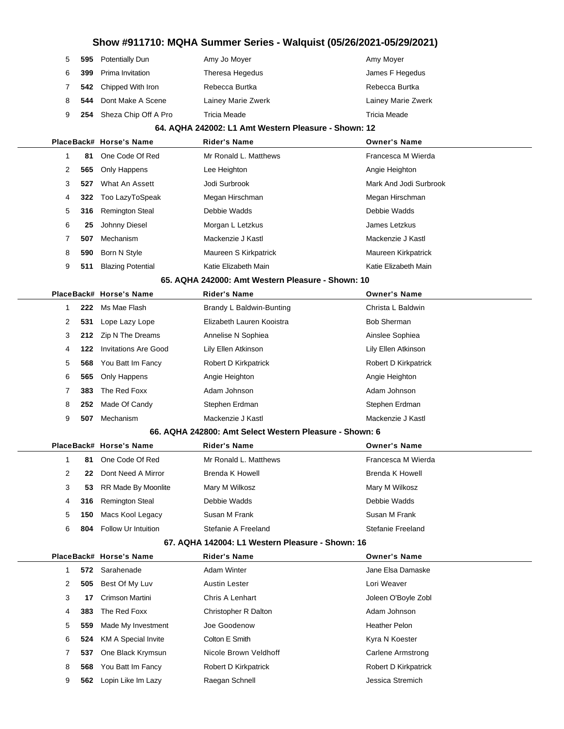|   |     |                             |                                                         | Amy Moyer              |
|---|-----|-----------------------------|---------------------------------------------------------|------------------------|
| 5 | 595 | <b>Potentially Dun</b>      | Amy Jo Moyer                                            |                        |
| 6 | 399 | Prima Invitation            | Theresa Hegedus                                         | James F Hegedus        |
| 7 | 542 | Chipped With Iron           | Rebecca Burtka                                          | Rebecca Burtka         |
| 8 | 544 | Dont Make A Scene           | Lainey Marie Zwerk                                      | Lainey Marie Zwerk     |
| 9 | 254 | Sheza Chip Off A Pro        | <b>Tricia Meade</b>                                     | Tricia Meade           |
|   |     |                             | 64. AQHA 242002: L1 Amt Western Pleasure - Shown: 12    |                        |
|   |     | PlaceBack# Horse's Name     | <b>Rider's Name</b>                                     | <b>Owner's Name</b>    |
| 1 | 81  | One Code Of Red             | Mr Ronald L. Matthews                                   | Francesca M Wierda     |
| 2 | 565 | Only Happens                | Lee Heighton                                            | Angie Heighton         |
| 3 | 527 | What An Assett              | Jodi Surbrook                                           | Mark And Jodi Surbrook |
| 4 | 322 | Too LazyToSpeak             | Megan Hirschman                                         | Megan Hirschman        |
| 5 | 316 | <b>Remington Steal</b>      | Debbie Wadds                                            | Debbie Wadds           |
| 6 | 25  | Johnny Diesel               | Morgan L Letzkus                                        | James Letzkus          |
| 7 | 507 | Mechanism                   | Mackenzie J Kastl                                       | Mackenzie J Kastl      |
| 8 | 590 | Born N Style                | Maureen S Kirkpatrick                                   | Maureen Kirkpatrick    |
| 9 | 511 | <b>Blazing Potential</b>    | Katie Elizabeth Main                                    | Katie Elizabeth Main   |
|   |     |                             | 65. AQHA 242000: Amt Western Pleasure - Shown: 10       |                        |
|   |     | PlaceBack# Horse's Name     | <b>Rider's Name</b>                                     | <b>Owner's Name</b>    |
| 1 | 222 | Ms Mae Flash                | Brandy L Baldwin-Bunting                                | Christa L Baldwin      |
| 2 | 531 | Lope Lazy Lope              | Elizabeth Lauren Kooistra                               | <b>Bob Sherman</b>     |
| 3 | 212 | Zip N The Dreams            | Annelise N Sophiea                                      | Ainslee Sophiea        |
| 4 | 122 | <b>Invitations Are Good</b> | Lily Ellen Atkinson                                     | Lily Ellen Atkinson    |
| 5 | 568 | You Batt Im Fancy           | Robert D Kirkpatrick                                    | Robert D Kirkpatrick   |
| 6 | 565 | Only Happens                | Angie Heighton                                          | Angie Heighton         |
| 7 | 383 | The Red Foxx                | Adam Johnson                                            | Adam Johnson           |
| 8 | 252 | Made Of Candy               | Stephen Erdman                                          | Stephen Erdman         |
| 9 | 507 | Mechanism                   | Mackenzie J Kastl                                       | Mackenzie J Kastl      |
|   |     |                             | 66. AQHA 242800: Amt Select Western Pleasure - Shown: 6 |                        |
|   |     | PlaceBack# Horse's Name     | <b>Rider's Name</b>                                     | <b>Owner's Name</b>    |
| 1 | 81  | One Code Of Red             | Mr Ronald L. Matthews                                   | Francesca M Wierda     |
| 2 | 22  | Dont Need A Mirror          | <b>Brenda K Howell</b>                                  | <b>Brenda K Howell</b> |
| 3 | 53  | RR Made By Moonlite         | Mary M Wilkosz                                          | Mary M Wilkosz         |
| 4 | 316 | <b>Remington Steal</b>      | Debbie Wadds                                            | Debbie Wadds           |
| 5 | 150 | Macs Kool Legacy            | Susan M Frank                                           | Susan M Frank          |
| 6 | 804 | Follow Ur Intuition         | Stefanie A Freeland                                     | Stefanie Freeland      |
|   |     |                             | 67. AQHA 142004: L1 Western Pleasure - Shown: 16        |                        |
|   |     | PlaceBack# Horse's Name     | <b>Rider's Name</b>                                     | <b>Owner's Name</b>    |
| 1 | 572 | Sarahenade                  | <b>Adam Winter</b>                                      | Jane Elsa Damaske      |
| 2 | 505 | Best Of My Luv              | <b>Austin Lester</b>                                    | Lori Weaver            |
| 3 | 17  | Crimson Martini             | Chris A Lenhart                                         | Joleen O'Boyle Zobl    |
| 4 | 383 | The Red Foxx                | Christopher R Dalton                                    | Adam Johnson           |
| 5 | 559 | Made My Investment          | Joe Goodenow                                            | <b>Heather Pelon</b>   |
| 6 | 524 | <b>KM A Special Invite</b>  | Colton E Smith                                          | Kyra N Koester         |
| 7 | 537 | One Black Krymsun           | Nicole Brown Veldhoff                                   | Carlene Armstrong      |
| 8 | 568 | You Batt Im Fancy           | Robert D Kirkpatrick                                    | Robert D Kirkpatrick   |
| 9 |     | 562 Lopin Like Im Lazy      | Raegan Schnell                                          | Jessica Stremich       |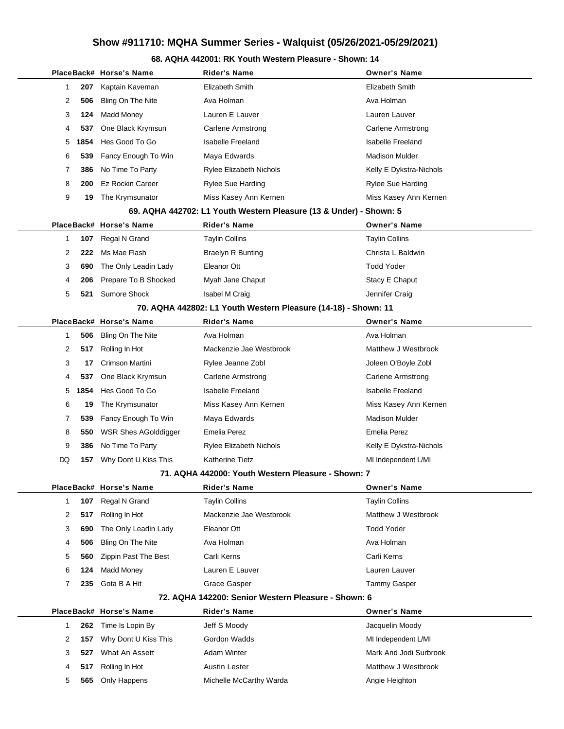### **68. AQHA 442001: RK Youth Western Pleasure - Shown: 14**

|  |    |      | PlaceBack# Horse's Name     | <b>Rider's Name</b>                                                | <b>Owner's Name</b>      |
|--|----|------|-----------------------------|--------------------------------------------------------------------|--------------------------|
|  | 1  | 207  | Kaptain Kaveman             | Elizabeth Smith                                                    | Elizabeth Smith          |
|  | 2  | 506  | Bling On The Nite           | Ava Holman                                                         | Ava Holman               |
|  | 3  | 124  | Madd Money                  | Lauren E Lauver                                                    | Lauren Lauver            |
|  | 4  | 537  | One Black Krymsun           | Carlene Armstrong                                                  | Carlene Armstrong        |
|  | 5  | 1854 | Hes Good To Go              | <b>Isabelle Freeland</b>                                           | <b>Isabelle Freeland</b> |
|  | 6  | 539  | Fancy Enough To Win         | Maya Edwards                                                       | Madison Mulder           |
|  | 7  | 386  | No Time To Party            | <b>Rylee Elizabeth Nichols</b>                                     | Kelly E Dykstra-Nichols  |
|  | 8  | 200  | <b>Ez Rockin Career</b>     | Rylee Sue Harding                                                  | Rylee Sue Harding        |
|  | 9  | 19   | The Krymsunator             | Miss Kasey Ann Kernen                                              | Miss Kasey Ann Kernen    |
|  |    |      |                             | 69. AQHA 442702: L1 Youth Western Pleasure (13 & Under) - Shown: 5 |                          |
|  |    |      | PlaceBack# Horse's Name     | Rider's Name                                                       | <b>Owner's Name</b>      |
|  | 1  | 107  | Regal N Grand               | Taylin Collins                                                     | <b>Taylin Collins</b>    |
|  | 2  | 222  | Ms Mae Flash                | Braelyn R Bunting                                                  | Christa L Baldwin        |
|  | 3  | 690  | The Only Leadin Lady        | Eleanor Ott                                                        | <b>Todd Yoder</b>        |
|  | 4  | 206  | Prepare To B Shocked        | Myah Jane Chaput                                                   | Stacy E Chaput           |
|  | 5  | 521  | <b>Sumore Shock</b>         | Isabel M Craig                                                     | Jennifer Craig           |
|  |    |      |                             | 70. AQHA 442802: L1 Youth Western Pleasure (14-18) - Shown: 11     |                          |
|  |    |      | PlaceBack# Horse's Name     | <b>Rider's Name</b>                                                | <b>Owner's Name</b>      |
|  | 1  | 506  | Bling On The Nite           | Ava Holman                                                         | Ava Holman               |
|  | 2  | 517  | Rolling In Hot              | Mackenzie Jae Westbrook                                            | Matthew J Westbrook      |
|  | 3  | 17   | Crimson Martini             | Rylee Jeanne Zobl                                                  | Joleen O'Boyle Zobl      |
|  | 4  | 537  | One Black Krymsun           | Carlene Armstrong                                                  | Carlene Armstrong        |
|  | 5  | 1854 | Hes Good To Go              | <b>Isabelle Freeland</b>                                           | <b>Isabelle Freeland</b> |
|  | 6  | 19   | The Krymsunator             | Miss Kasey Ann Kernen                                              | Miss Kasey Ann Kernen    |
|  | 7  | 539  | Fancy Enough To Win         | Maya Edwards                                                       | <b>Madison Mulder</b>    |
|  | 8  | 550  | <b>WSR Shes AGolddigger</b> | Emelia Perez                                                       | Emelia Perez             |
|  | 9  | 386  | No Time To Party            | <b>Rylee Elizabeth Nichols</b>                                     | Kelly E Dykstra-Nichols  |
|  | DQ | 157  | Why Dont U Kiss This        | Katherine Tietz                                                    | MI Independent L/MI      |
|  |    |      |                             | 71. AQHA 442000: Youth Western Pleasure - Shown: 7                 |                          |
|  |    |      | PlaceBack# Horse's Name     | Rider's Name                                                       | Owner's Name             |
|  | 1  | 107  | Regal N Grand               | <b>Taylin Collins</b>                                              | <b>Taylin Collins</b>    |
|  | 2  | 517  | Rolling In Hot              | Mackenzie Jae Westbrook                                            | Matthew J Westbrook      |
|  | 3  | 690  | The Only Leadin Lady        | Eleanor Ott                                                        | <b>Todd Yoder</b>        |
|  | 4  | 506  | Bling On The Nite           | Ava Holman                                                         | Ava Holman               |
|  | 5  | 560  | <b>Zippin Past The Best</b> | Carli Kerns                                                        | Carli Kerns              |
|  | 6  | 124  | <b>Madd Money</b>           | Lauren E Lauver                                                    | Lauren Lauver            |
|  | 7  | 235  | Gota B A Hit                | Grace Gasper                                                       | Tammy Gasper             |
|  |    |      |                             | 72. AQHA 142200: Senior Western Pleasure - Shown: 6                |                          |
|  |    |      | PlaceBack# Horse's Name     | <b>Rider's Name</b>                                                | <b>Owner's Name</b>      |
|  | 1  | 262  | Time Is Lopin By            | Jeff S Moody                                                       | Jacquelin Moody          |
|  | 2  | 157  | Why Dont U Kiss This        | Gordon Wadds                                                       | MI Independent L/MI      |
|  | 3  | 527  | What An Assett              | Adam Winter                                                        | Mark And Jodi Surbrook   |
|  | 4  | 517  | Rolling In Hot              | <b>Austin Lester</b>                                               | Matthew J Westbrook      |
|  | 5  | 565  | Only Happens                | Michelle McCarthy Warda                                            | Angie Heighton           |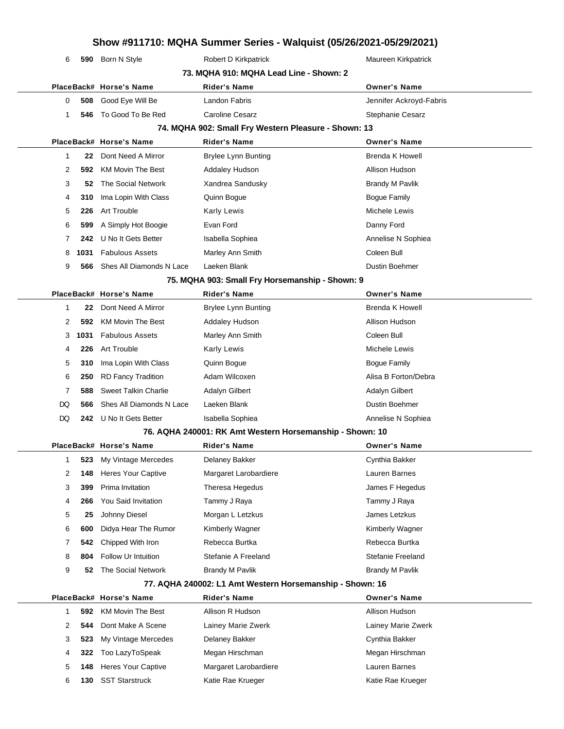|                                         | 6  |      | 590 Born N Style               | Robert D Kirkpatrick                                     | Maureen Kirkpatrick      |
|-----------------------------------------|----|------|--------------------------------|----------------------------------------------------------|--------------------------|
| 73. MQHA 910: MQHA Lead Line - Shown: 2 |    |      |                                |                                                          |                          |
|                                         |    |      | PlaceBack# Horse's Name        | <b>Rider's Name</b>                                      | <b>Owner's Name</b>      |
|                                         | 0  | 508  | Good Eye Will Be               | Landon Fabris                                            | Jennifer Ackroyd-Fabris  |
|                                         | 1  | 546  | To Good To Be Red              | Caroline Cesarz                                          | Stephanie Cesarz         |
|                                         |    |      |                                | 74. MQHA 902: Small Fry Western Pleasure - Shown: 13     |                          |
|                                         |    |      | PlaceBack# Horse's Name        | <b>Rider's Name</b>                                      | <b>Owner's Name</b>      |
|                                         | 1  | 22   | Dont Need A Mirror             | <b>Brylee Lynn Bunting</b>                               | <b>Brenda K Howell</b>   |
|                                         | 2  | 592  | <b>KM Movin The Best</b>       | <b>Addaley Hudson</b>                                    | Allison Hudson           |
|                                         | 3  | 52   | The Social Network             | Xandrea Sandusky                                         | <b>Brandy M Pavlik</b>   |
|                                         | 4  | 310  | Ima Lopin With Class           | Quinn Bogue                                              | <b>Bogue Family</b>      |
|                                         | 5  | 226  | <b>Art Trouble</b>             | <b>Karly Lewis</b>                                       | Michele Lewis            |
|                                         | 6  | 599  | A Simply Hot Boogie            | Evan Ford                                                | Danny Ford               |
|                                         | 7  | 242  | U No It Gets Better            | Isabella Sophiea                                         | Annelise N Sophiea       |
|                                         | 8  | 1031 | <b>Fabulous Assets</b>         | Marley Ann Smith                                         | Coleen Bull              |
|                                         | 9  | 566  | Shes All Diamonds N Lace       | Laeken Blank                                             | <b>Dustin Boehmer</b>    |
|                                         |    |      |                                | 75. MQHA 903: Small Fry Horsemanship - Shown: 9          |                          |
|                                         |    |      | PlaceBack# Horse's Name        | Rider's Name                                             | <b>Owner's Name</b>      |
|                                         | 1  | 22   | Dont Need A Mirror             | <b>Brylee Lynn Bunting</b>                               | <b>Brenda K Howell</b>   |
|                                         | 2  | 592  | <b>KM Movin The Best</b>       | <b>Addaley Hudson</b>                                    | Allison Hudson           |
|                                         | 3  | 1031 | <b>Fabulous Assets</b>         | Marley Ann Smith                                         | Coleen Bull              |
|                                         | 4  | 226  | Art Trouble                    | <b>Karly Lewis</b>                                       | Michele Lewis            |
|                                         | 5  | 310  | Ima Lopin With Class           | Quinn Bogue                                              | <b>Bogue Family</b>      |
|                                         | 6  | 250  | <b>RD Fancy Tradition</b>      | Adam Wilcoxen                                            | Alisa B Forton/Debra     |
|                                         | 7  | 588  | <b>Sweet Talkin Charlie</b>    | Adalyn Gilbert                                           | <b>Adalyn Gilbert</b>    |
|                                         | DQ | 566  | Shes All Diamonds N Lace       | Laeken Blank                                             | <b>Dustin Boehmer</b>    |
|                                         | DQ | 242  | U No It Gets Better            | Isabella Sophiea                                         | Annelise N Sophiea       |
|                                         |    |      |                                | 76. AQHA 240001: RK Amt Western Horsemanship - Shown: 10 |                          |
|                                         |    |      | PlaceBack# Horse's Name        | Rider's Name                                             | <b>Owner's Name</b>      |
|                                         | 1  |      | <b>523</b> My Vintage Mercedes | Delaney Bakker                                           | Cynthia Bakker           |
|                                         | 2  | 148  | <b>Heres Your Captive</b>      | Margaret Larobardiere                                    | Lauren Barnes            |
|                                         | 3  | 399  | Prima Invitation               | Theresa Hegedus                                          | James F Hegedus          |
|                                         | 4  | 266  | You Said Invitation            | Tammy J Raya                                             | Tammy J Raya             |
|                                         | 5  | 25   | Johnny Diesel                  | Morgan L Letzkus                                         | James Letzkus            |
|                                         | 6  | 600  | Didya Hear The Rumor           | Kimberly Wagner                                          | Kimberly Wagner          |
|                                         | 7  | 542  | Chipped With Iron              | Rebecca Burtka                                           | Rebecca Burtka           |
|                                         | 8  | 804  | Follow Ur Intuition            | Stefanie A Freeland                                      | <b>Stefanie Freeland</b> |
|                                         | 9  | 52   | The Social Network             | <b>Brandy M Pavlik</b>                                   | <b>Brandy M Pavlik</b>   |
|                                         |    |      |                                | 77. AQHA 240002: L1 Amt Western Horsemanship - Shown: 16 |                          |
|                                         |    |      | PlaceBack# Horse's Name        | Rider's Name                                             | <b>Owner's Name</b>      |
|                                         | 1  | 592  | <b>KM Movin The Best</b>       | Allison R Hudson                                         | Allison Hudson           |
|                                         | 2  | 544  | Dont Make A Scene              | Lainey Marie Zwerk                                       | Lainey Marie Zwerk       |
|                                         | 3  | 523  | My Vintage Mercedes            | Delaney Bakker                                           | Cynthia Bakker           |
|                                         | 4  | 322  | Too LazyToSpeak                | Megan Hirschman                                          | Megan Hirschman          |
|                                         | 5  | 148  | Heres Your Captive             | Margaret Larobardiere                                    | Lauren Barnes            |
|                                         | 6  | 130  | <b>SST Starstruck</b>          | Katie Rae Krueger                                        | Katie Rae Krueger        |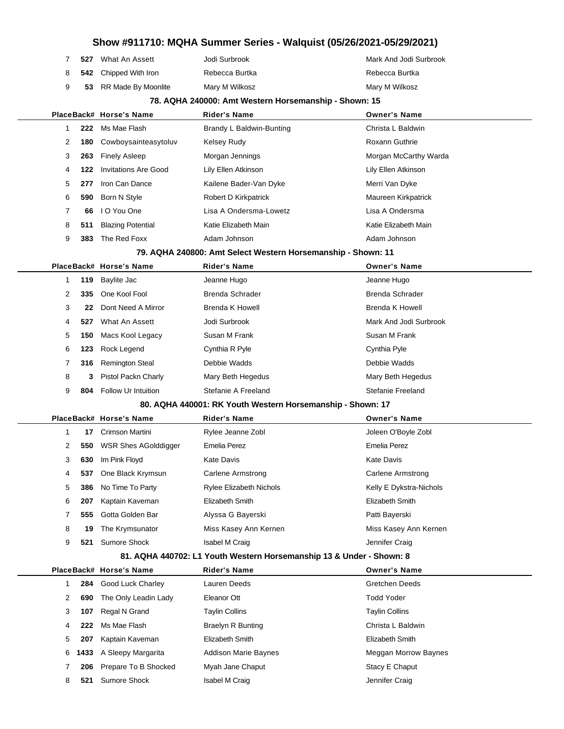| 527 | What An Assett                 | Jodi Surbrook  | Mark And Jodi Surbrook |
|-----|--------------------------------|----------------|------------------------|
|     | 8 <b>542</b> Chipped With Iron | Rebecca Burtka | Rebecca Burtka         |
|     | 53 RR Made By Moonlite         | Mary M Wilkosz | Mary M Wilkosz         |

#### **78. AQHA 240000: Amt Western Horsemanship - Shown: 15**

|  |   |     | PlaceBack# Horse's Name     | <b>Rider's Name</b>                                          | <b>Owner's Name</b>      |
|--|---|-----|-----------------------------|--------------------------------------------------------------|--------------------------|
|  | 1 | 222 | Ms Mae Flash                | Brandy L Baldwin-Bunting                                     | Christa L Baldwin        |
|  | 2 | 180 | Cowboysainteasytoluv        | Kelsey Rudy                                                  | Roxann Guthrie           |
|  | 3 | 263 | <b>Finely Asleep</b>        | Morgan Jennings                                              | Morgan McCarthy Warda    |
|  | 4 | 122 | <b>Invitations Are Good</b> | Lily Ellen Atkinson                                          | Lily Ellen Atkinson      |
|  | 5 | 277 | Iron Can Dance              | Kailene Bader-Van Dyke                                       | Merri Van Dyke           |
|  | 6 | 590 | Born N Style                | Robert D Kirkpatrick                                         | Maureen Kirkpatrick      |
|  | 7 | 66  | I O You One                 | Lisa A Ondersma-Lowetz                                       | Lisa A Ondersma          |
|  | 8 | 511 | <b>Blazing Potential</b>    | Katie Elizabeth Main                                         | Katie Elizabeth Main     |
|  | 9 | 383 | The Red Foxx                | Adam Johnson                                                 | Adam Johnson             |
|  |   |     |                             | 79. AQHA 240800: Amt Select Western Horsemanship - Shown: 11 |                          |
|  |   |     | PlaceBack# Horse's Name     | Rider's Name                                                 | <b>Owner's Name</b>      |
|  | 1 | 119 | Baylite Jac                 | Jeanne Hugo                                                  | Jeanne Hugo              |
|  | 2 | 335 | One Kool Fool               | <b>Brenda Schrader</b>                                       | Brenda Schrader          |
|  | 3 | 22  | Dont Need A Mirror          | <b>Brenda K Howell</b>                                       | <b>Brenda K Howell</b>   |
|  | 4 | 527 | What An Assett              | Jodi Surbrook                                                | Mark And Jodi Surbrook   |
|  | 5 | 150 | Macs Kool Legacy            | Susan M Frank                                                | Susan M Frank            |
|  | 6 | 123 | Rock Legend                 | Cynthia R Pyle                                               | Cynthia Pyle             |
|  | 7 | 316 | <b>Remington Steal</b>      | Debbie Wadds                                                 | Debbie Wadds             |
|  | 8 | 3   | Pistol Packn Charly         | Mary Beth Hegedus                                            | Mary Beth Hegedus        |
|  | 9 | 804 | <b>Follow Ur Intuition</b>  | Stefanie A Freeland                                          | <b>Stefanie Freeland</b> |
|  |   |     |                             | 80. AQHA 440001: RK Youth Western Horsemanship - Shown: 17   |                          |
|  |   |     | PlaceBack# Horse's Name     | Rider's Name                                                 | <b>Owner's Name</b>      |
|  | 1 | 17  | Crimson Martini             | Rylee Jeanne Zobl                                            | Joleen O'Boyle Zobl      |
|  | 2 | 550 | <b>WSR Shes AGolddigger</b> | <b>Emelia Perez</b>                                          | <b>Emelia Perez</b>      |
|  | 3 | 630 | Im Pink Floyd               | <b>Kate Davis</b>                                            | <b>Kate Davis</b>        |
|  | 4 | 537 | One Black Krymsun           | Carlene Armstrong                                            | Carlene Armstrong        |
|  | 5 | 386 | No Time To Party            | <b>Rylee Elizabeth Nichols</b>                               | Kelly E Dykstra-Nichols  |
|  | 6 | 207 | Kaptain Kaveman             | Elizabeth Smith                                              | Elizabeth Smith          |
|  | 7 | 555 | Gotta Golden Bar            | Alyssa G Bayerski                                            | Patti Bayerski           |
|  | 8 | 19  | The Krymsunator             | Miss Kasey Ann Kernen                                        | Miss Kasey Ann Kernen    |
|  | 9 | 521 | Sumore Shock                | <b>Isabel M Craig</b>                                        | Jennifer Craig           |

### **81. AQHA 440702: L1 Youth Western Horsemanship 13 & Under - Shown: 8**

|   |     | PlaceBack# Horse's Name   | <b>Rider's Name</b>         | <b>Owner's Name</b>   |
|---|-----|---------------------------|-----------------------------|-----------------------|
|   | 284 | Good Luck Charley         | Lauren Deeds                | <b>Gretchen Deeds</b> |
| 2 | 690 | The Only Leadin Lady      | Eleanor Ott                 | <b>Todd Yoder</b>     |
| 3 | 107 | Regal N Grand             | <b>Taylin Collins</b>       | <b>Taylin Collins</b> |
| 4 | 222 | Ms Mae Flash              | <b>Braelyn R Bunting</b>    | Christa L Baldwin     |
| 5 | 207 | Kaptain Kaveman           | Elizabeth Smith             | Elizabeth Smith       |
|   |     | 6 1433 A Sleepy Margarita | <b>Addison Marie Baynes</b> | Meggan Morrow Baynes  |
|   |     | 206 Prepare To B Shocked  | Myah Jane Chaput            | Stacy E Chaput        |
| 8 | 521 | <b>Sumore Shock</b>       | <b>Isabel M Craig</b>       | Jennifer Craig        |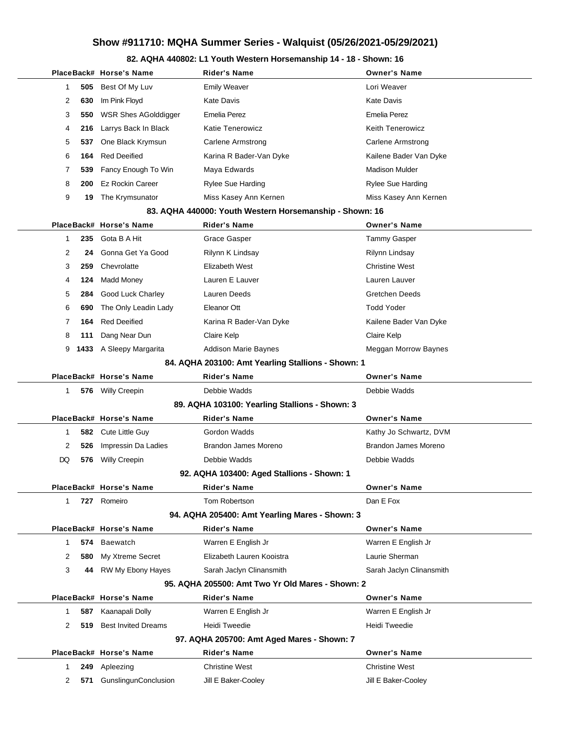### **82. AQHA 440802: L1 Youth Western Horsemanship 14 - 18 - Shown: 16**

|              |     | PlaceBack# Horse's Name     | Rider's Name                                            | <b>Owner's Name</b>      |
|--------------|-----|-----------------------------|---------------------------------------------------------|--------------------------|
| 1            | 505 | Best Of My Luv              | <b>Emily Weaver</b>                                     | Lori Weaver              |
| 2            | 630 | Im Pink Floyd               | <b>Kate Davis</b>                                       | <b>Kate Davis</b>        |
| 3            | 550 | <b>WSR Shes AGolddigger</b> | <b>Emelia Perez</b>                                     | <b>Emelia Perez</b>      |
| 4            | 216 | Larrys Back In Black        | Katie Tenerowicz                                        | <b>Keith Tenerowicz</b>  |
| 5            | 537 | One Black Krymsun           | Carlene Armstrong                                       | Carlene Armstrong        |
| 6            | 164 | <b>Red Deeified</b>         | Karina R Bader-Van Dyke                                 | Kailene Bader Van Dyke   |
| 7            | 539 | Fancy Enough To Win         | Maya Edwards                                            | <b>Madison Mulder</b>    |
| 8            | 200 | Ez Rockin Career            | <b>Rylee Sue Harding</b>                                | <b>Rylee Sue Harding</b> |
| 9            | 19  | The Krymsunator             | Miss Kasey Ann Kernen                                   | Miss Kasey Ann Kernen    |
|              |     |                             | 83. AQHA 440000: Youth Western Horsemanship - Shown: 16 |                          |
|              |     | PlaceBack# Horse's Name     | <b>Rider's Name</b>                                     | <b>Owner's Name</b>      |
| 1            | 235 | Gota B A Hit                | Grace Gasper                                            | Tammy Gasper             |
| 2            | 24  | Gonna Get Ya Good           | Rilynn K Lindsay                                        | Rilynn Lindsay           |
| 3            | 259 | Chevrolatte                 | Elizabeth West                                          | <b>Christine West</b>    |
| 4            | 124 | <b>Madd Money</b>           | Lauren E Lauver                                         | Lauren Lauver            |
| 5            | 284 | Good Luck Charley           | Lauren Deeds                                            | <b>Gretchen Deeds</b>    |
| 6            | 690 | The Only Leadin Lady        | Eleanor Ott                                             | <b>Todd Yoder</b>        |
| 7            | 164 | <b>Red Deeified</b>         | Karina R Bader-Van Dyke                                 | Kailene Bader Van Dyke   |
| 8            | 111 | Dang Near Dun               | Claire Kelp                                             | Claire Kelp              |
| 9            |     | 1433 A Sleepy Margarita     | <b>Addison Marie Baynes</b>                             | Meggan Morrow Baynes     |
|              |     |                             | 84. AQHA 203100: Amt Yearling Stallions - Shown: 1      |                          |
|              |     | PlaceBack# Horse's Name     | Rider's Name                                            | <b>Owner's Name</b>      |
| 1            |     | 576 Willy Creepin           | Debbie Wadds                                            | Debbie Wadds             |
|              |     |                             | 89. AQHA 103100: Yearling Stallions - Shown: 3          |                          |
|              |     | PlaceBack# Horse's Name     | <b>Rider's Name</b>                                     | <b>Owner's Name</b>      |
| 1            |     | 582 Cute Little Guy         | Gordon Wadds                                            | Kathy Jo Schwartz, DVM   |
| 2            | 526 | Impressin Da Ladies         | <b>Brandon James Moreno</b>                             | Brandon James Moreno     |
| DQ           | 576 | Willy Creepin               | Debbie Wadds                                            | Debbie Wadds             |
|              |     |                             | 92. AQHA 103400: Aged Stallions - Shown: 1              |                          |
|              |     | PlaceBack# Horse's Name     | <b>Rider's Name</b>                                     | <b>Owner's Name</b>      |
| $\mathbf{1}$ |     | 727 Romeiro                 | Tom Robertson                                           | Dan E Fox                |
|              |     |                             | 94. AQHA 205400: Amt Yearling Mares - Shown: 3          |                          |
|              |     | PlaceBack# Horse's Name     | <b>Rider's Name</b>                                     | <b>Owner's Name</b>      |
| 1            |     | 574 Baewatch                | Warren E English Jr                                     | Warren E English Jr      |
| 2            | 580 | My Xtreme Secret            | Elizabeth Lauren Kooistra                               | Laurie Sherman           |
| 3            |     | 44 RW My Ebony Hayes        | Sarah Jaclyn Clinansmith                                | Sarah Jaclyn Clinansmith |
|              |     |                             | 95. AQHA 205500: Amt Two Yr Old Mares - Shown: 2        |                          |
|              |     | PlaceBack# Horse's Name     | <b>Rider's Name</b>                                     | <b>Owner's Name</b>      |
| 1            | 587 | Kaanapali Dolly             | Warren E English Jr                                     | Warren E English Jr      |
| 2            | 519 | <b>Best Invited Dreams</b>  | Heidi Tweedie                                           | <b>Heidi Tweedie</b>     |
|              |     |                             | 97. AQHA 205700: Amt Aged Mares - Shown: 7              |                          |
|              |     | PlaceBack# Horse's Name     | <b>Rider's Name</b>                                     | <b>Owner's Name</b>      |
| 1            | 249 | Apleezing                   | <b>Christine West</b>                                   | <b>Christine West</b>    |
| 2            | 571 | GunslingunConclusion        | Jill E Baker-Cooley                                     | Jill E Baker-Cooley      |
|              |     |                             |                                                         |                          |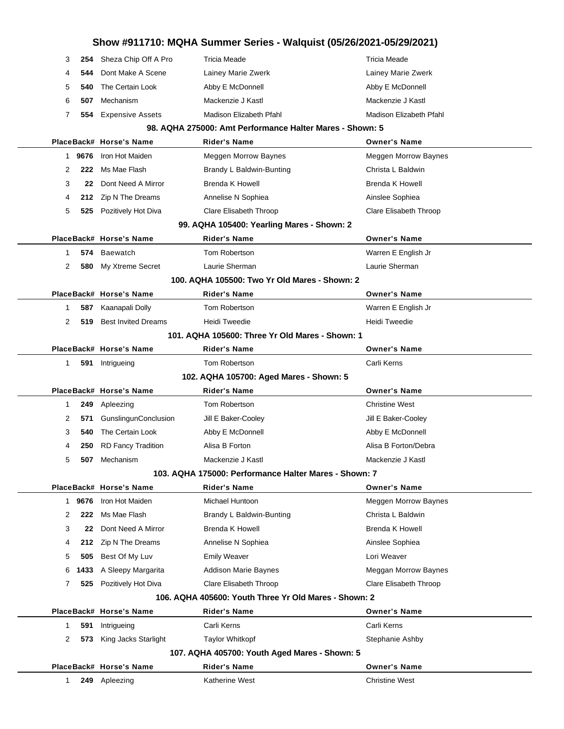|                                                 |        |                             | Show #911710: MQHA Summer Series - Walquist (05/26/2021-05/29/2021) |                             |  |  |
|-------------------------------------------------|--------|-----------------------------|---------------------------------------------------------------------|-----------------------------|--|--|
| 3                                               | 254    | Sheza Chip Off A Pro        | <b>Tricia Meade</b>                                                 | <b>Tricia Meade</b>         |  |  |
| 4                                               | 544    | Dont Make A Scene           | Lainey Marie Zwerk                                                  | Lainey Marie Zwerk          |  |  |
| 5                                               | 540    | The Certain Look            | Abby E McDonnell                                                    | Abby E McDonnell            |  |  |
| 6                                               | 507    | Mechanism                   | Mackenzie J Kastl                                                   | Mackenzie J Kastl           |  |  |
| 7                                               | 554    | <b>Expensive Assets</b>     | Madison Elizabeth Pfahl                                             | Madison Elizabeth Pfahl     |  |  |
|                                                 |        |                             | 98. AQHA 275000: Amt Performance Halter Mares - Shown: 5            |                             |  |  |
|                                                 |        | PlaceBack# Horse's Name     | <b>Rider's Name</b>                                                 | <b>Owner's Name</b>         |  |  |
|                                                 | 1 9676 | Iron Hot Maiden             | <b>Meggen Morrow Baynes</b>                                         | <b>Meggen Morrow Baynes</b> |  |  |
| 2                                               | 222    | Ms Mae Flash                | Brandy L Baldwin-Bunting                                            | Christa L Baldwin           |  |  |
| 3                                               | 22     | Dont Need A Mirror          | Brenda K Howell                                                     | <b>Brenda K Howell</b>      |  |  |
| 4                                               | 212    | Zip N The Dreams            | Annelise N Sophiea                                                  | Ainslee Sophiea             |  |  |
| 5                                               |        | 525 Pozitively Hot Diva     | Clare Elisabeth Throop                                              | Clare Elisabeth Throop      |  |  |
|                                                 |        |                             | 99. AQHA 105400: Yearling Mares - Shown: 2                          |                             |  |  |
|                                                 |        | PlaceBack# Horse's Name     | <b>Rider's Name</b>                                                 | <b>Owner's Name</b>         |  |  |
| 1                                               | 574    | <b>Baewatch</b>             | Tom Robertson                                                       | Warren E English Jr         |  |  |
| 2                                               | 580    | My Xtreme Secret            | Laurie Sherman                                                      | Laurie Sherman              |  |  |
|                                                 |        |                             | 100. AQHA 105500: Two Yr Old Mares - Shown: 2                       |                             |  |  |
|                                                 |        | PlaceBack# Horse's Name     | Rider's Name                                                        | <b>Owner's Name</b>         |  |  |
| 1                                               | 587    | Kaanapali Dolly             | Tom Robertson                                                       | Warren E English Jr         |  |  |
| 2                                               | 519    | <b>Best Invited Dreams</b>  | Heidi Tweedie                                                       | Heidi Tweedie               |  |  |
| 101. AQHA 105600: Three Yr Old Mares - Shown: 1 |        |                             |                                                                     |                             |  |  |
|                                                 |        | PlaceBack# Horse's Name     | Rider's Name                                                        | <b>Owner's Name</b>         |  |  |
| 1                                               |        | 591 Intrigueing             | Tom Robertson                                                       | Carli Kerns                 |  |  |
|                                                 |        |                             | 102. AQHA 105700: Aged Mares - Shown: 5                             |                             |  |  |
|                                                 |        | PlaceBack# Horse's Name     | <b>Rider's Name</b>                                                 | <b>Owner's Name</b>         |  |  |
| 1                                               | 249    | Apleezing                   | Tom Robertson                                                       | <b>Christine West</b>       |  |  |
| 2                                               | 571    | <b>GunslingunConclusion</b> | Jill E Baker-Cooley                                                 | Jill E Baker-Cooley         |  |  |
| 3                                               | 540    | The Certain Look            | Abby E McDonnell                                                    | Abby E McDonnell            |  |  |
| 4                                               | 250    | <b>RD Fancy Tradition</b>   | Alisa B Forton                                                      | Alisa B Forton/Debra        |  |  |
| 5                                               | 507    | Mechanism                   | Mackenzie J Kastl                                                   | Mackenzie J Kastl           |  |  |
|                                                 |        |                             | 103. AQHA 175000: Performance Halter Mares - Shown: 7               |                             |  |  |
|                                                 |        | PlaceBack# Horse's Name     | Rider's Name                                                        | <b>Owner's Name</b>         |  |  |
| 1                                               | 9676   | Iron Hot Maiden             | Michael Huntoon                                                     | Meggen Morrow Baynes        |  |  |
| 2                                               | 222    | Ms Mae Flash                | Brandy L Baldwin-Bunting                                            | Christa L Baldwin           |  |  |
| 3                                               | 22     | Dont Need A Mirror          | <b>Brenda K Howell</b>                                              | <b>Brenda K Howell</b>      |  |  |
| 4                                               | 212    | Zip N The Dreams            | Annelise N Sophiea                                                  | Ainslee Sophiea             |  |  |
| 5                                               | 505    | Best Of My Luv              | <b>Emily Weaver</b>                                                 | Lori Weaver                 |  |  |
| 6                                               | 1433   | A Sleepy Margarita          | <b>Addison Marie Baynes</b>                                         | Meggan Morrow Baynes        |  |  |
| 7                                               | 525    | Pozitively Hot Diva         | <b>Clare Elisabeth Throop</b>                                       | Clare Elisabeth Throop      |  |  |
|                                                 |        |                             | 106. AQHA 405600: Youth Three Yr Old Mares - Shown: 2               |                             |  |  |
|                                                 |        | PlaceBack# Horse's Name     | <b>Rider's Name</b>                                                 | <b>Owner's Name</b>         |  |  |
| 1                                               | 591    | Intrigueing                 | Carli Kerns                                                         | Carli Kerns                 |  |  |
| 2                                               | 573    | King Jacks Starlight        | Taylor Whitkopf                                                     | Stephanie Ashby             |  |  |
|                                                 |        |                             | 107. AQHA 405700: Youth Aged Mares - Shown: 5                       |                             |  |  |
|                                                 |        | PlaceBack# Horse's Name     | <b>Rider's Name</b>                                                 | <b>Owner's Name</b>         |  |  |
| 1.                                              |        | 249 Apleezing               | Katherine West                                                      | <b>Christine West</b>       |  |  |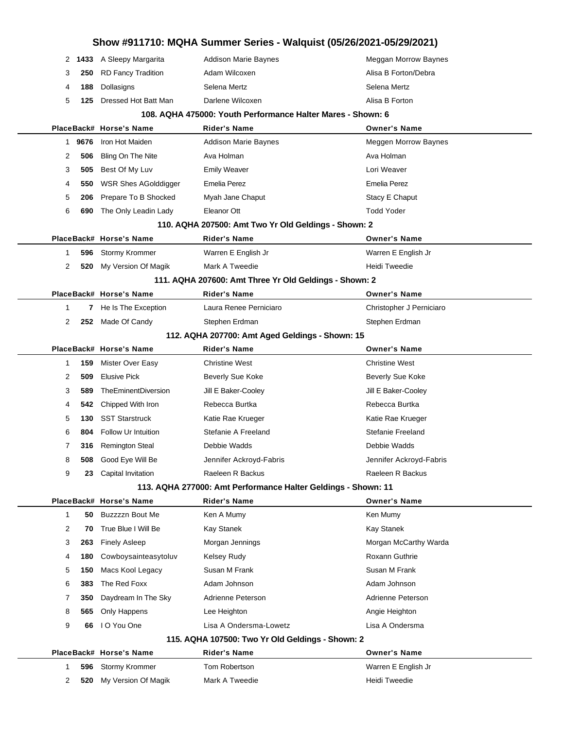|    | 2 1433 | A Sleepy Margarita         | <b>Addison Marie Baynes</b>                                   | Meggan Morrow Baynes     |  |
|----|--------|----------------------------|---------------------------------------------------------------|--------------------------|--|
| 3  | 250    | <b>RD Fancy Tradition</b>  | Adam Wilcoxen                                                 | Alisa B Forton/Debra     |  |
| 4  | 188    | Dollasigns                 | Selena Mertz                                                  | Selena Mertz             |  |
| 5  | 125    | Dressed Hot Batt Man       | Darlene Wilcoxen                                              | Alisa B Forton           |  |
|    |        |                            | 108. AQHA 475000: Youth Performance Halter Mares - Shown: 6   |                          |  |
|    |        | PlaceBack# Horse's Name    | <b>Rider's Name</b>                                           | <b>Owner's Name</b>      |  |
| 1. | 9676   | Iron Hot Maiden            | <b>Addison Marie Baynes</b>                                   | Meggen Morrow Baynes     |  |
| 2  | 506    | Bling On The Nite          | Ava Holman                                                    | Ava Holman               |  |
| 3  | 505    | Best Of My Luv             | <b>Emily Weaver</b>                                           | Lori Weaver              |  |
| 4  | 550    | WSR Shes AGolddigger       | Emelia Perez                                                  | <b>Emelia Perez</b>      |  |
| 5  | 206    | Prepare To B Shocked       | Myah Jane Chaput                                              | Stacy E Chaput           |  |
| 6  | 690    | The Only Leadin Lady       | Eleanor Ott                                                   | <b>Todd Yoder</b>        |  |
|    |        |                            | 110. AQHA 207500: Amt Two Yr Old Geldings - Shown: 2          |                          |  |
|    |        | PlaceBack# Horse's Name    | Rider's Name                                                  | <b>Owner's Name</b>      |  |
| 1  | 596    | Stormy Krommer             | Warren E English Jr                                           | Warren E English Jr      |  |
| 2  | 520    | My Version Of Magik        | Mark A Tweedie                                                | Heidi Tweedie            |  |
|    |        |                            | 111. AQHA 207600: Amt Three Yr Old Geldings - Shown: 2        |                          |  |
|    |        | PlaceBack# Horse's Name    | <b>Rider's Name</b>                                           | <b>Owner's Name</b>      |  |
| 1  | 7      | He Is The Exception        | Laura Renee Perniciaro                                        | Christopher J Perniciaro |  |
| 2  |        | 252 Made Of Candy          | Stephen Erdman                                                | Stephen Erdman           |  |
|    |        |                            | 112. AQHA 207700: Amt Aged Geldings - Shown: 15               |                          |  |
|    |        | PlaceBack# Horse's Name    | <b>Rider's Name</b>                                           | <b>Owner's Name</b>      |  |
| 1  | 159    | Mister Over Easy           | <b>Christine West</b>                                         | <b>Christine West</b>    |  |
| 2  | 509    | <b>Elusive Pick</b>        | <b>Beverly Sue Koke</b>                                       | <b>Beverly Sue Koke</b>  |  |
| 3  | 589    | TheEminentDiversion        | Jill E Baker-Cooley                                           | Jill E Baker-Cooley      |  |
| 4  | 542    | Chipped With Iron          | Rebecca Burtka                                                | Rebecca Burtka           |  |
| 5  | 130    | <b>SST Starstruck</b>      | Katie Rae Krueger                                             | Katie Rae Krueger        |  |
| 6  | 804    | <b>Follow Ur Intuition</b> | Stefanie A Freeland                                           | Stefanie Freeland        |  |
|    |        |                            |                                                               |                          |  |
| 7  | 316    | <b>Remington Steal</b>     | Debbie Wadds                                                  | Debbie Wadds             |  |
| 8  | 508    | Good Eye Will Be           | Jennifer Ackroyd-Fabris                                       | Jennifer Ackroyd-Fabris  |  |
| 9  | 23     | Capital Invitation         | Raeleen R Backus                                              | Raeleen R Backus         |  |
|    |        |                            | 113. AQHA 277000: Amt Performance Halter Geldings - Shown: 11 |                          |  |
|    |        | PlaceBack# Horse's Name    | <b>Rider's Name</b>                                           | <b>Owner's Name</b>      |  |
| 1  | 50     | Buzzzzn Bout Me            | Ken A Mumy                                                    | Ken Mumy                 |  |
| 2  | 70     | True Blue I Will Be        | Kay Stanek                                                    | Kay Stanek               |  |
| 3  | 263    | <b>Finely Asleep</b>       | Morgan Jennings                                               | Morgan McCarthy Warda    |  |
| 4  | 180    | Cowboysainteasytoluv       | Kelsey Rudy                                                   | Roxann Guthrie           |  |
| 5  | 150    | Macs Kool Legacy           | Susan M Frank                                                 | Susan M Frank            |  |
| 6  | 383    | The Red Foxx               | Adam Johnson                                                  | Adam Johnson             |  |
| 7  | 350    | Daydream In The Sky        | Adrienne Peterson                                             | Adrienne Peterson        |  |
| 8  | 565    | Only Happens               | Lee Heighton                                                  | Angie Heighton           |  |
| 9  | 66     | I O You One                | Lisa A Ondersma-Lowetz                                        | Lisa A Ondersma          |  |
|    |        |                            | 115. AQHA 107500: Two Yr Old Geldings - Shown: 2              |                          |  |
|    |        | PlaceBack# Horse's Name    | <b>Rider's Name</b>                                           | <b>Owner's Name</b>      |  |
| 1  | 596    | Stormy Krommer             | Tom Robertson                                                 | Warren E English Jr      |  |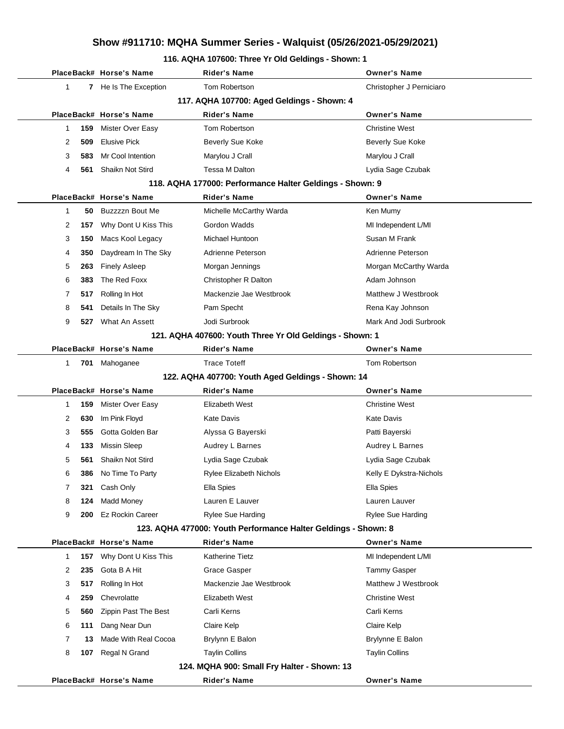### **116. AQHA 107600: Three Yr Old Geldings - Shown: 1**

|   |     | PlaceBack# Horse's Name | <b>Rider's Name</b>                                            | <b>Owner's Name</b>      |
|---|-----|-------------------------|----------------------------------------------------------------|--------------------------|
| 1 |     | 7 He Is The Exception   | Tom Robertson                                                  | Christopher J Perniciaro |
|   |     |                         | 117. AQHA 107700: Aged Geldings - Shown: 4                     |                          |
|   |     | PlaceBack# Horse's Name | <b>Rider's Name</b>                                            | <b>Owner's Name</b>      |
| 1 | 159 | Mister Over Easy        | Tom Robertson                                                  | <b>Christine West</b>    |
| 2 | 509 | <b>Elusive Pick</b>     | <b>Beverly Sue Koke</b>                                        | <b>Beverly Sue Koke</b>  |
| 3 | 583 | Mr Cool Intention       | Marylou J Crall                                                | Marylou J Crall          |
| 4 | 561 | <b>Shaikn Not Stird</b> | Tessa M Dalton                                                 | Lydia Sage Czubak        |
|   |     |                         | 118. AQHA 177000: Performance Halter Geldings - Shown: 9       |                          |
|   |     | PlaceBack# Horse's Name | Rider's Name                                                   | <b>Owner's Name</b>      |
| 1 | 50  | Buzzzzn Bout Me         | Michelle McCarthy Warda                                        | Ken Mumy                 |
| 2 | 157 | Why Dont U Kiss This    | Gordon Wadds                                                   | MI Independent L/MI      |
| 3 | 150 | Macs Kool Legacy        | Michael Huntoon                                                | Susan M Frank            |
| 4 | 350 | Daydream In The Sky     | Adrienne Peterson                                              | Adrienne Peterson        |
| 5 | 263 | <b>Finely Asleep</b>    | Morgan Jennings                                                | Morgan McCarthy Warda    |
| 6 | 383 | The Red Foxx            | Christopher R Dalton                                           | Adam Johnson             |
| 7 | 517 | Rolling In Hot          | Mackenzie Jae Westbrook                                        | Matthew J Westbrook      |
| 8 | 541 | Details In The Sky      | Pam Specht                                                     | Rena Kay Johnson         |
| 9 | 527 | What An Assett          | Jodi Surbrook                                                  | Mark And Jodi Surbrook   |
|   |     |                         | 121. AQHA 407600: Youth Three Yr Old Geldings - Shown: 1       |                          |
|   |     | PlaceBack# Horse's Name | <b>Rider's Name</b>                                            | <b>Owner's Name</b>      |
| 1 |     | 701 Mahoganee           | <b>Trace Toteff</b>                                            | Tom Robertson            |
|   |     |                         | 122. AQHA 407700: Youth Aged Geldings - Shown: 14              |                          |
|   |     | PlaceBack# Horse's Name | Rider's Name                                                   | <b>Owner's Name</b>      |
| 1 | 159 | Mister Over Easy        | Elizabeth West                                                 | <b>Christine West</b>    |
| 2 | 630 | Im Pink Floyd           | Kate Davis                                                     | <b>Kate Davis</b>        |
| 3 | 555 | Gotta Golden Bar        | Alyssa G Bayerski                                              | Patti Bayerski           |
| 4 | 133 | <b>Missin Sleep</b>     | Audrey L Barnes                                                | Audrey L Barnes          |
| 5 | 561 | Shaikn Not Stird        | Lydia Sage Czubak                                              | Lydia Sage Czubak        |
| 6 | 386 | No Time To Party        | <b>Rylee Elizabeth Nichols</b>                                 | Kelly E Dykstra-Nichols  |
| 7 | 321 | Cash Only               | Ella Spies                                                     | Ella Spies               |
| 8 | 124 | <b>Madd Money</b>       | Lauren E Lauver                                                | Lauren Lauver            |
| 9 | 200 | <b>Ez Rockin Career</b> | Rylee Sue Harding                                              | <b>Rylee Sue Harding</b> |
|   |     |                         | 123. AQHA 477000: Youth Performance Halter Geldings - Shown: 8 |                          |
|   |     | PlaceBack# Horse's Name | Rider's Name                                                   | <b>Owner's Name</b>      |
| 1 | 157 | Why Dont U Kiss This    | Katherine Tietz                                                | MI Independent L/MI      |
| 2 | 235 | Gota B A Hit            | <b>Grace Gasper</b>                                            | Tammy Gasper             |
| 3 | 517 | Rolling In Hot          | Mackenzie Jae Westbrook                                        | Matthew J Westbrook      |
| 4 | 259 | Chevrolatte             | Elizabeth West                                                 | <b>Christine West</b>    |
| 5 | 560 | Zippin Past The Best    | Carli Kerns                                                    | Carli Kerns              |
| 6 | 111 | Dang Near Dun           | Claire Kelp                                                    | Claire Kelp              |
| 7 | 13  | Made With Real Cocoa    | Brylynn E Balon                                                | Brylynne E Balon         |
| 8 | 107 | Regal N Grand           | <b>Taylin Collins</b>                                          | <b>Taylin Collins</b>    |
|   |     |                         | 124. MQHA 900: Small Fry Halter - Shown: 13                    |                          |
|   |     | PlaceBack# Horse's Name | <b>Rider's Name</b>                                            | <b>Owner's Name</b>      |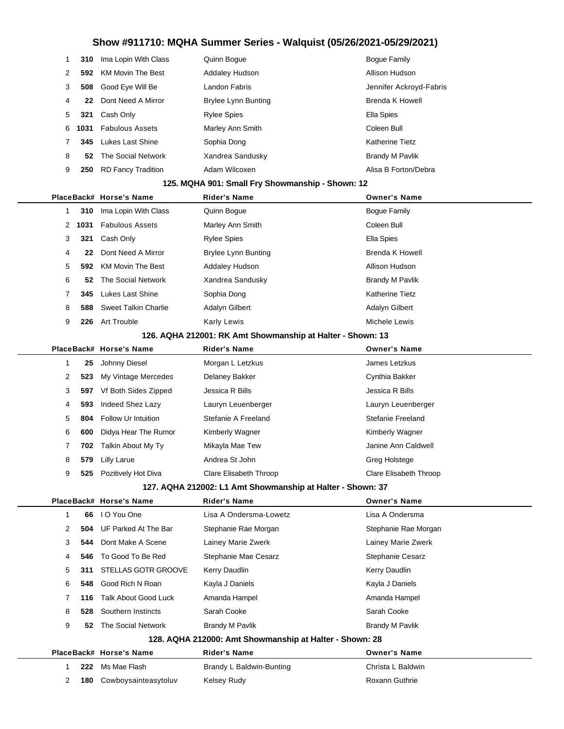|    | 310 | Ima Lopin With Class        | Quinn Boque                | Bogue Family            |
|----|-----|-----------------------------|----------------------------|-------------------------|
| 2  |     | 592 KM Movin The Best       | <b>Addaley Hudson</b>      | Allison Hudson          |
| 3  |     | 508 Good Eye Will Be        | Landon Fabris              | Jennifer Ackroyd-Fabris |
| 4  | 22  | Dont Need A Mirror          | <b>Brylee Lynn Bunting</b> | Brenda K Howell         |
| 5  | 321 | Cash Only                   | <b>Rylee Spies</b>         | Ella Spies              |
| 6. |     | 1031 Fabulous Assets        | Marley Ann Smith           | Coleen Bull             |
|    |     | <b>345</b> Lukes Last Shine | Sophia Dong                | <b>Katherine Tietz</b>  |
| 8  | 52  | The Social Network          | Xandrea Sandusky           | <b>Brandy M Pavlik</b>  |
| 9  | 250 | <b>RD Fancy Tradition</b>   | Adam Wilcoxen              | Alisa B Forton/Debra    |
|    |     |                             |                            |                         |

### **125. MQHA 901: Small Fry Showmanship - Shown: 12**

|   |        | PlaceBack# Horse's Name | <b>Rider's Name</b>        | <b>Owner's Name</b>    |
|---|--------|-------------------------|----------------------------|------------------------|
|   | 310    | Ima Lopin With Class    | Quinn Bogue                | Bogue Family           |
|   | 2 1031 | <b>Fabulous Assets</b>  | Marley Ann Smith           | Coleen Bull            |
| 3 | 321    | Cash Only               | <b>Rylee Spies</b>         | Ella Spies             |
| 4 | 22     | Dont Need A Mirror      | <b>Brylee Lynn Bunting</b> | <b>Brenda K Howell</b> |
| 5 | 592    | KM Movin The Best       | <b>Addaley Hudson</b>      | Allison Hudson         |
| 6 | 52     | The Social Network      | Xandrea Sandusky           | <b>Brandy M Pavlik</b> |
|   | 345    | <b>Lukes Last Shine</b> | Sophia Dong                | <b>Katherine Tietz</b> |
| 8 | 588    | Sweet Talkin Charlie    | Adalyn Gilbert             | Adalyn Gilbert         |
| 9 | 226    | Art Trouble             | <b>Karly Lewis</b>         | Michele Lewis          |

### **126. AQHA 212001: RK Amt Showmanship at Halter - Shown: 13**

|                      |      | PlaceBack# Horse's Name | <b>Rider's Name</b>    | <b>Owner's Name</b>    |
|----------------------|------|-------------------------|------------------------|------------------------|
|                      | 25   | Johnny Diesel           | Morgan L Letzkus       | James Letzkus          |
| $\mathbf{2}^{\circ}$ | 523  | My Vintage Mercedes     | Delaney Bakker         | Cynthia Bakker         |
| 3                    | 597  | Vf Both Sides Zipped    | Jessica R Bills        | Jessica R Bills        |
| $\overline{4}$       | 593  | Indeed Shez Lazy        | Lauryn Leuenberger     | Lauryn Leuenberger     |
| 5                    |      | 804 Follow Ur Intuition | Stefanie A Freeland    | Stefanie Freeland      |
| 6                    | 600  | Didya Hear The Rumor    | Kimberly Wagner        | Kimberly Wagner        |
|                      | 702. | Talkin About My Ty      | Mikayla Mae Tew        | Janine Ann Caldwell    |
| 8                    | 579  | Lilly Larue             | Andrea St John         | Greg Holstege          |
| 9                    | 525  | Pozitively Hot Diva     | Clare Elisabeth Throop | Clare Elisabeth Throop |
|                      |      |                         |                        |                        |

### **127. AQHA 212002: L1 Amt Showmanship at Halter - Shown: 37**

|                                                         |   |     | PlaceBack# Horse's Name     | <b>Rider's Name</b>      | <b>Owner's Name</b>  |
|---------------------------------------------------------|---|-----|-----------------------------|--------------------------|----------------------|
|                                                         |   | 66  | I O You One                 | Lisa A Ondersma-Lowetz   | Lisa A Ondersma      |
|                                                         | 2 | 504 | UF Parked At The Bar        | Stephanie Rae Morgan     | Stephanie Rae Morgan |
|                                                         | 3 | 544 | Dont Make A Scene           | Lainey Marie Zwerk       | Lainey Marie Zwerk   |
|                                                         | 4 | 546 | To Good To Be Red           | Stephanie Mae Cesarz     | Stephanie Cesarz     |
|                                                         | 5 | 311 | <b>STELLAS GOTR GROOVE</b>  | Kerry Daudlin            | Kerry Daudlin        |
|                                                         | 6 | 548 | Good Rich N Roan            | Kayla J Daniels          | Kayla J Daniels      |
|                                                         |   | 116 | <b>Talk About Good Luck</b> | Amanda Hampel            | Amanda Hampel        |
|                                                         | 8 | 528 | Southern Instincts          | Sarah Cooke              | Sarah Cooke          |
|                                                         | 9 | 52  | The Social Network          | Brandy M Pavlik          | Brandy M Pavlik      |
| 128. AQHA 212000: Amt Showmanship at Halter - Shown: 28 |   |     |                             |                          |                      |
|                                                         |   |     | PlaceBack# Horse's Name     | <b>Rider's Name</b>      | <b>Owner's Name</b>  |
|                                                         |   | 222 | Ms Mae Flash                | Brandy L Baldwin-Bunting | Christa L Baldwin    |
|                                                         | 2 | 180 | Cowboysainteasytoluv        | Kelsey Rudy              | Roxann Guthrie       |
|                                                         |   |     |                             |                          |                      |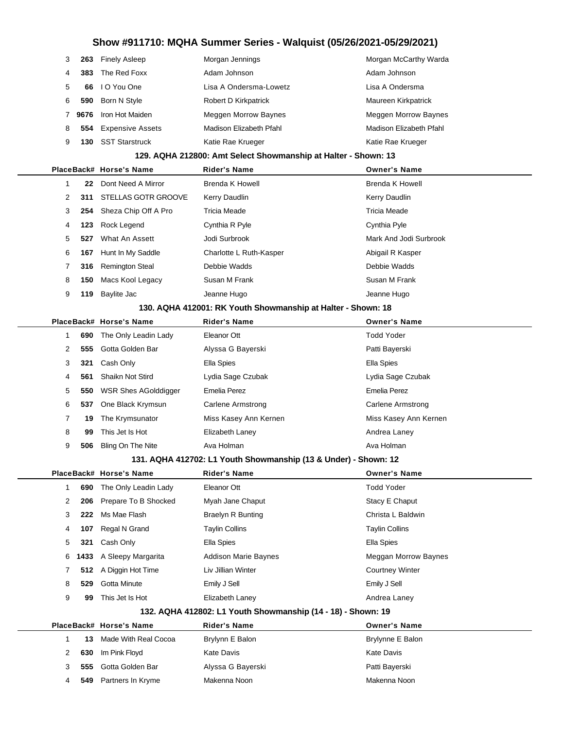|   | 263  | <b>Finely Asleep</b>    | Morgan Jennings             | Morgan McCarthy Warda       |
|---|------|-------------------------|-----------------------------|-----------------------------|
| 4 | 383  | The Red Foxx            | Adam Johnson                | Adam Johnson                |
| 5 | 66.  | I O You One             | Lisa A Ondersma-Lowetz      | Lisa A Ondersma             |
| 6 | 590  | Born N Style            | Robert D Kirkpatrick        | Maureen Kirkpatrick         |
|   | 9676 | Iron Hot Maiden         | <b>Meggen Morrow Baynes</b> | <b>Meggen Morrow Baynes</b> |
| 8 | 554  | <b>Expensive Assets</b> | Madison Elizabeth Pfahl     | Madison Elizabeth Pfahl     |
| 9 | 130  | <b>SST Starstruck</b>   | Katie Rae Krueger           | Katie Rae Krueger           |

### **129. AQHA 212800: Amt Select Showmanship at Halter - Shown: 13**

|   |                                                                                              | PlaceBack# Horse's Name  | <b>Rider's Name</b>     | <b>Owner's Name</b>    |  |  |  |
|---|----------------------------------------------------------------------------------------------|--------------------------|-------------------------|------------------------|--|--|--|
|   | 22                                                                                           | Dont Need A Mirror       | Brenda K Howell         | Brenda K Howell        |  |  |  |
| 2 | 311                                                                                          | STELLAS GOTR GROOVE      | Kerry Daudlin           | Kerry Daudlin          |  |  |  |
| 3 |                                                                                              | 254 Sheza Chip Off A Pro | Tricia Meade            | Tricia Meade           |  |  |  |
| 4 | 123                                                                                          | Rock Legend              | Cynthia R Pyle          | Cynthia Pyle           |  |  |  |
| 5 | 527                                                                                          | What An Assett           | Jodi Surbrook           | Mark And Jodi Surbrook |  |  |  |
| 6 | 167                                                                                          | Hunt In My Saddle        | Charlotte L Ruth-Kasper | Abigail R Kasper       |  |  |  |
|   | 316                                                                                          | <b>Remington Steal</b>   | Debbie Wadds            | Debbie Wadds           |  |  |  |
| 8 | 150                                                                                          | Macs Kool Legacy         | Susan M Frank           | Susan M Frank          |  |  |  |
| 9 | 119                                                                                          | Baylite Jac              | Jeanne Hugo             | Jeanne Hugo            |  |  |  |
|   | $100 \pm 0.0111$ $110001 \pm 0.11$ $V_{\text{unit}}$ $R_{\text{boundary}}$ $\pm 11$ $\pm 11$ |                          |                         |                        |  |  |  |

#### **130. AQHA 412001: RK Youth Showmanship at Halter - Shown: 18**

|  |   |     | PlaceBack# Horse's Name     | <b>Rider's Name</b>   | <b>Owner's Name</b>   |
|--|---|-----|-----------------------------|-----------------------|-----------------------|
|  |   | 690 | The Only Leadin Lady        | Eleanor Ott           | <b>Todd Yoder</b>     |
|  | 2 | 555 | Gotta Golden Bar            | Alyssa G Bayerski     | Patti Bayerski        |
|  | 3 | 321 | Cash Only                   | Ella Spies            | Ella Spies            |
|  | 4 | 561 | Shaikn Not Stird            | Lydia Sage Czubak     | Lydia Sage Czubak     |
|  | 5 | 550 | <b>WSR Shes AGolddigger</b> | Emelia Perez          | Emelia Perez          |
|  | 6 | 537 | One Black Krymsun           | Carlene Armstrong     | Carlene Armstrong     |
|  |   | 19  | The Krymsunator             | Miss Kasey Ann Kernen | Miss Kasey Ann Kernen |
|  | 8 | 99  | This Jet Is Hot             | Elizabeth Laney       | Andrea Laney          |
|  | 9 | 506 | Bling On The Nite           | Ava Holman            | Ava Holman            |

#### **131. AQHA 412702: L1 Youth Showmanship (13 & Under) - Shown: 12**

|   |     | PlaceBack# Horse's Name   | <b>Rider's Name</b>         | <b>Owner's Name</b>    |
|---|-----|---------------------------|-----------------------------|------------------------|
|   | 690 | The Only Leadin Lady      | Eleanor Ott                 | <b>Todd Yoder</b>      |
| 2 |     | 206 Prepare To B Shocked  | Myah Jane Chaput            | Stacy E Chaput         |
| 3 | 222 | Ms Mae Flash              | <b>Braelyn R Bunting</b>    | Christa L Baldwin      |
| 4 | 107 | Regal N Grand             | <b>Taylin Collins</b>       | <b>Taylin Collins</b>  |
| 5 | 321 | Cash Only                 | Ella Spies                  | Ella Spies             |
|   |     | 6 1433 A Sleepy Margarita | <b>Addison Marie Baynes</b> | Meggan Morrow Baynes   |
|   |     | 512 A Diggin Hot Time     | Liv Jillian Winter          | <b>Courtney Winter</b> |
| 8 | 529 | Gotta Minute              | Emily J Sell                | Emily J Sell           |
| 9 | 99  | This Jet Is Hot           | Elizabeth Laney             | Andrea Laney           |
|   |     |                           |                             |                        |

### **132. AQHA 412802: L1 Youth Showmanship (14 - 18) - Shown: 19**

|  |     | PlaceBack# Horse's Name | <b>Rider's Name</b> | <b>Owner's Name</b> |
|--|-----|-------------------------|---------------------|---------------------|
|  | 13  | Made With Real Cocoa    | Brylynn E Balon     | Brylynne E Balon    |
|  | 630 | Im Pink Floyd           | Kate Davis          | Kate Davis          |
|  | 555 | Gotta Golden Bar        | Alyssa G Bayerski   | Patti Bayerski      |
|  | 549 | Partners In Kryme       | Makenna Noon        | Makenna Noon        |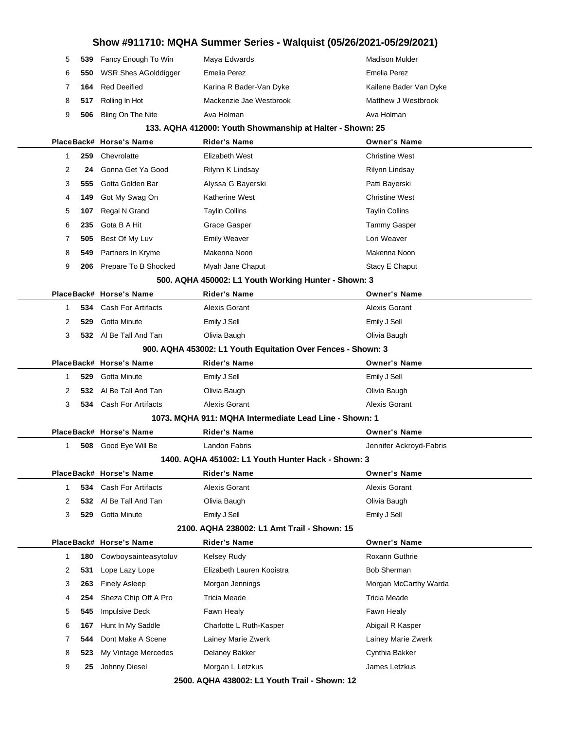# **Show #911710: MQHA Summer Series - Walquist (05/26/2021-05/29/2021) 539** Fancy Enough To Win Maya Edwards Macken Mulder Madison Mulder **550** WSR Shes AGolddigger Emelia Perez Emelia Perez **164** Red Deeified **Karina R Bader-Van Dyke** Kailene Bader Van Dyke **517** Rolling In Hot Mackenzie Jae Westbrook Matthew J Westbrook **506** Bling On The Nite **Ava Holman** Ava Holman Ava Holman Ava Holman **133. AQHA 412000: Youth Showmanship at Halter - Shown: 25 PlaceBack# Horse's Name Rider's Name Owner's Name 259** Chevrolatte **Elizabeth West** Christine West **24** Gonna Get Ya Good Rilynn K Lindsay Rilynn Lindsay Rilynn Lindsay **555** Gotta Golden Bar **Alyssa G Bayerski** Patti Bayerski **149** Got My Swag On Katherine West Christine West **107** Regal N Grand Taylin Collins Taylin Collins **235** Gota B A Hit **Grace Gasper** The State Gasper Tammy Gasper **505** Best Of My Luv **Emily Weaver** Emily Weaver **549** Partners In Kryme Makenna Noon Makenna Noon **206** Prepare To B Shocked Myah Jane Chaput Number 2006 Prepare To B Shocked **500. AQHA 450002: L1 Youth Working Hunter - Shown: 3 PlaceBack# Horse's Name Rider's Name Owner's Name 534** Cash For Artifacts **Alexis Gorant Alexis Gorant** Alexis Gorant Alexis Gorant **529** Gotta Minute Emily J Sell Emily J Sell **532** Al Be Tall And Tan Olivia Baugh Olivia Baugh **900. AQHA 453002: L1 Youth Equitation Over Fences - Shown: 3 PlaceBack# Horse's Name Rider's Name Owner's Name 529** Gotta Minute Emily J Sell Emily J Sell **532** Al Be Tall And Tan Olivia Baugh Olivia Baugh **534** Cash For Artifacts **Alexis Gorant** Alexis Gorant Alexis Gorant Alexis Gorant **1073. MQHA 911: MQHA Intermediate Lead Line - Shown: 1 PlaceBack# Horse's Name Rider's Name Owner's Name 508** Good Eye Will Be **Landon Fabris Community Constructs Landon Fabris Jennifer Ackroyd-Fabris 1400. AQHA 451002: L1 Youth Hunter Hack - Shown: 3 PlaceBack# Horse's Name Rider's Name Owner's Name 534** Cash For Artifacts **Alexis Gorant Alexis Gorant** Alexis Gorant Alexis Gorant **532** Al Be Tall And Tan Olivia Baugh Olivia Baugh **529** Gotta Minute Emily J Sell Emily J Sell **2100. AQHA 238002: L1 Amt Trail - Shown: 15 PlaceBack# Horse's Name Rider's Name Owner's Name 180** Cowboysainteasytoluv Kelsey Rudy **Roxann** Guthrie **531** Lope Lazy Lope **Elizabeth Lauren Kooistra** Bob Sherman **263** Finely Asleep Morgan Jennings Morgan McCarthy Warda **254** Sheza Chip Off A Pro Tricia Meade Tricia Meade Tricia Meade **545** Impulsive Deck **Fawn Healy** Fawn Healy Fawn Healy **167** Hunt In My Saddle Charlotte L Ruth-Kasper Abigail R Kasper **544** Dont Make A Scene Lainey Marie Zwerk Lainey Marie Zwerk **523** My Vintage Mercedes Delaney Bakker Cynthia Bakker Cynthia Bakker **25** Johnny Diesel Morgan L Letzkus James Letzkus

**2500. AQHA 438002: L1 Youth Trail - Shown: 12**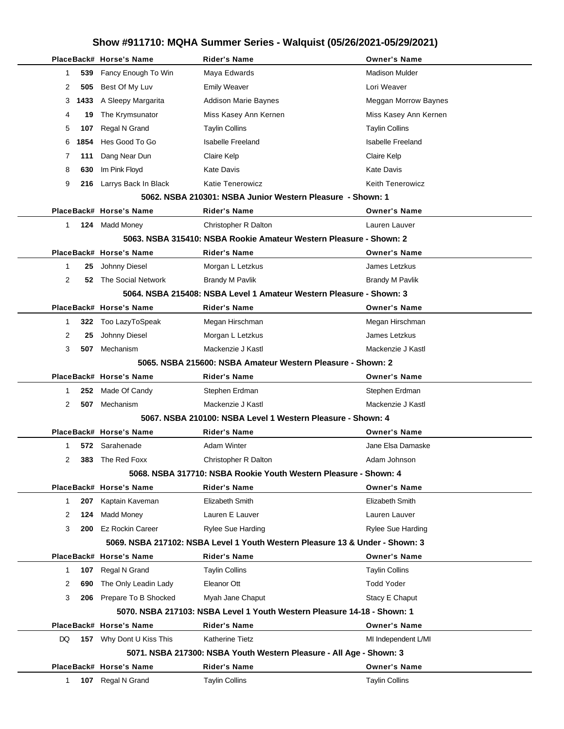|              |      | PlaceBack# Horse's Name      | <b>Rider's Name</b>                                                          | <b>Owner's Name</b>      |
|--------------|------|------------------------------|------------------------------------------------------------------------------|--------------------------|
| 1            | 539  | Fancy Enough To Win          | Maya Edwards                                                                 | <b>Madison Mulder</b>    |
| 2            | 505  | Best Of My Luv               | <b>Emily Weaver</b>                                                          | Lori Weaver              |
| 3            | 1433 | A Sleepy Margarita           | Addison Marie Baynes                                                         | Meggan Morrow Baynes     |
| 4            | 19   | The Krymsunator              | Miss Kasey Ann Kernen                                                        | Miss Kasey Ann Kernen    |
| 5            | 107  | Regal N Grand                | <b>Taylin Collins</b>                                                        | <b>Taylin Collins</b>    |
| 6            | 1854 | Hes Good To Go               | Isabelle Freeland                                                            | <b>Isabelle Freeland</b> |
| 7            | 111  | Dang Near Dun                | Claire Kelp                                                                  | Claire Kelp              |
| 8            | 630  | Im Pink Floyd                | <b>Kate Davis</b>                                                            | <b>Kate Davis</b>        |
| 9            |      | 216 Larrys Back In Black     | Katie Tenerowicz                                                             | <b>Keith Tenerowicz</b>  |
|              |      |                              | 5062. NSBA 210301: NSBA Junior Western Pleasure - Shown: 1                   |                          |
|              |      | PlaceBack# Horse's Name      | <b>Rider's Name</b>                                                          | <b>Owner's Name</b>      |
| 1            |      | 124 Madd Money               | Christopher R Dalton                                                         | Lauren Lauver            |
|              |      |                              | 5063. NSBA 315410: NSBA Rookie Amateur Western Pleasure - Shown: 2           |                          |
|              |      | PlaceBack# Horse's Name      | <b>Rider's Name</b>                                                          | <b>Owner's Name</b>      |
| 1            | 25   | Johnny Diesel                | Morgan L Letzkus                                                             | James Letzkus            |
| 2            |      | <b>52</b> The Social Network | Brandy M Pavlik                                                              | <b>Brandy M Pavlik</b>   |
|              |      |                              | 5064, NSBA 215408: NSBA Level 1 Amateur Western Pleasure - Shown: 3          |                          |
|              |      | PlaceBack# Horse's Name      | <b>Rider's Name</b>                                                          | <b>Owner's Name</b>      |
| 1            | 322  | Too LazyToSpeak              | Megan Hirschman                                                              | Megan Hirschman          |
| 2            | 25   | Johnny Diesel                | Morgan L Letzkus                                                             | James Letzkus            |
| 3            | 507  | Mechanism                    | Mackenzie J Kastl                                                            | Mackenzie J Kastl        |
|              |      |                              | 5065. NSBA 215600: NSBA Amateur Western Pleasure - Shown: 2                  |                          |
|              |      | PlaceBack# Horse's Name      | <b>Rider's Name</b>                                                          | <b>Owner's Name</b>      |
| 1            | 252  | Made Of Candy                | Stephen Erdman                                                               | Stephen Erdman           |
| 2            | 507  | Mechanism                    | Mackenzie J Kastl                                                            | Mackenzie J Kastl        |
|              |      |                              | 5067, NSBA 210100: NSBA Level 1 Western Pleasure - Shown: 4                  |                          |
|              |      | PlaceBack# Horse's Name      | <b>Rider's Name</b>                                                          | <b>Owner's Name</b>      |
| 1            |      | 572 Sarahenade               | <b>Adam Winter</b>                                                           | Jane Elsa Damaske        |
| 2            |      | 383 The Red Foxx             | Christopher R Dalton                                                         | Adam Johnson             |
|              |      |                              | 5068. NSBA 317710: NSBA Rookie Youth Western Pleasure - Shown: 4             |                          |
|              |      | PlaceBack# Horse's Name      | <b>Rider's Name</b>                                                          | <b>Owner's Name</b>      |
| $\mathbf{1}$ | 207  | Kaptain Kaveman              | Elizabeth Smith                                                              | Elizabeth Smith          |
| 2            | 124  | <b>Madd Money</b>            | Lauren E Lauver                                                              | Lauren Lauver            |
| 3            | 200  | <b>Ez Rockin Career</b>      | <b>Rylee Sue Harding</b>                                                     | <b>Rylee Sue Harding</b> |
|              |      |                              | 5069, NSBA 217102: NSBA Level 1 Youth Western Pleasure 13 & Under - Shown: 3 |                          |
|              |      | PlaceBack# Horse's Name      | <b>Rider's Name</b>                                                          | <b>Owner's Name</b>      |
| 1            | 107  | Regal N Grand                | <b>Taylin Collins</b>                                                        | <b>Taylin Collins</b>    |
| 2            | 690  | The Only Leadin Lady         | Eleanor Ott                                                                  | <b>Todd Yoder</b>        |
| 3            | 206  | Prepare To B Shocked         | Myah Jane Chaput                                                             | Stacy E Chaput           |
|              |      |                              | 5070. NSBA 217103: NSBA Level 1 Youth Western Pleasure 14-18 - Shown: 1      |                          |
|              |      | PlaceBack# Horse's Name      | <b>Rider's Name</b>                                                          | <b>Owner's Name</b>      |
| DQ.          |      | 157 Why Dont U Kiss This     | Katherine Tietz                                                              | MI Independent L/MI      |
|              |      |                              | 5071. NSBA 217300: NSBA Youth Western Pleasure - All Age - Shown: 3          |                          |
|              |      | PlaceBack# Horse's Name      | <b>Rider's Name</b>                                                          | <b>Owner's Name</b>      |
| 1            |      | 107 Regal N Grand            | <b>Taylin Collins</b>                                                        | <b>Taylin Collins</b>    |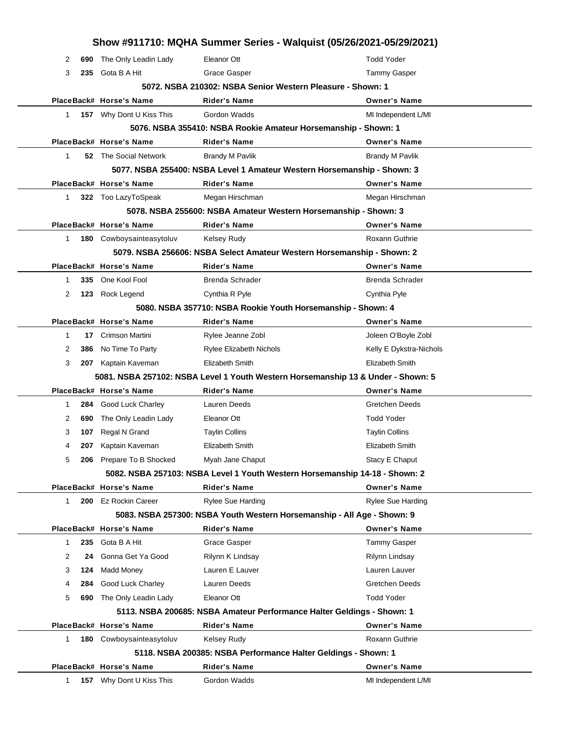|              |     |                              |                                                                                  | Show #911710: MQHA Summer Series - Walquist (05/26/2021-05/29/2021) |
|--------------|-----|------------------------------|----------------------------------------------------------------------------------|---------------------------------------------------------------------|
| 2            | 690 | The Only Leadin Lady         | Eleanor Ott                                                                      | <b>Todd Yoder</b>                                                   |
| 3            | 235 | Gota B A Hit                 | Grace Gasper                                                                     | <b>Tammy Gasper</b>                                                 |
|              |     |                              | 5072. NSBA 210302: NSBA Senior Western Pleasure - Shown: 1                       |                                                                     |
|              |     | PlaceBack# Horse's Name      | <b>Rider's Name</b>                                                              | <b>Owner's Name</b>                                                 |
| 1            |     | 157 Why Dont U Kiss This     | Gordon Wadds                                                                     | MI Independent L/MI                                                 |
|              |     |                              | 5076. NSBA 355410: NSBA Rookie Amateur Horsemanship - Shown: 1                   |                                                                     |
|              |     | PlaceBack# Horse's Name      | <b>Rider's Name</b>                                                              | <b>Owner's Name</b>                                                 |
| 1            |     | <b>52</b> The Social Network | <b>Brandy M Pavlik</b>                                                           | <b>Brandy M Pavlik</b>                                              |
|              |     |                              | 5077. NSBA 255400: NSBA Level 1 Amateur Western Horsemanship - Shown: 3          |                                                                     |
|              |     | PlaceBack# Horse's Name      | <b>Rider's Name</b>                                                              | <b>Owner's Name</b>                                                 |
| 1            |     | 322 Too LazyToSpeak          | Megan Hirschman                                                                  | Megan Hirschman                                                     |
|              |     |                              | 5078. NSBA 255600: NSBA Amateur Western Horsemanship - Shown: 3                  |                                                                     |
|              |     | PlaceBack# Horse's Name      | <b>Rider's Name</b>                                                              | <b>Owner's Name</b>                                                 |
| $\mathbf{1}$ |     | 180 Cowboysainteasytoluv     | <b>Kelsey Rudy</b>                                                               | Roxann Guthrie                                                      |
|              |     |                              | 5079. NSBA 256606: NSBA Select Amateur Western Horsemanship - Shown: 2           |                                                                     |
|              |     | PlaceBack# Horse's Name      | <b>Rider's Name</b>                                                              | <b>Owner's Name</b>                                                 |
| 1            | 335 | One Kool Fool                | Brenda Schrader                                                                  | Brenda Schrader                                                     |
| 2            |     | 123 Rock Legend              | Cynthia R Pyle                                                                   | Cynthia Pyle                                                        |
|              |     |                              | 5080. NSBA 357710: NSBA Rookie Youth Horsemanship - Shown: 4                     |                                                                     |
|              |     | PlaceBack# Horse's Name      | <b>Rider's Name</b>                                                              | <b>Owner's Name</b>                                                 |
| 1            | 17  | Crimson Martini              | Rylee Jeanne Zobl                                                                | Joleen O'Boyle Zobl                                                 |
| 2            | 386 | No Time To Party             | <b>Rylee Elizabeth Nichols</b>                                                   | Kelly E Dykstra-Nichols                                             |
| 3            |     | 207 Kaptain Kaveman          | Elizabeth Smith                                                                  | Elizabeth Smith                                                     |
|              |     |                              | 5081. NSBA 257102: NSBA Level 1 Youth Western Horsemanship 13 & Under - Shown: 5 |                                                                     |
|              |     | PlaceBack# Horse's Name      | <b>Rider's Name</b>                                                              | <b>Owner's Name</b>                                                 |
| 1            |     | 284 Good Luck Charley        | Lauren Deeds                                                                     | <b>Gretchen Deeds</b>                                               |
| 2            | 690 | The Only Leadin Lady         | Eleanor Ott                                                                      | <b>Todd Yoder</b>                                                   |
| 3            | 107 | Regal N Grand                | <b>Taylin Collins</b>                                                            | <b>Taylin Collins</b>                                               |
| 4            | 207 | Kaptain Kaveman              | Elizabeth Smith                                                                  | Elizabeth Smith                                                     |
| 5            | 206 | Prepare To B Shocked         | Myah Jane Chaput                                                                 | Stacy E Chaput                                                      |
|              |     |                              | 5082. NSBA 257103: NSBA Level 1 Youth Western Horsemanship 14-18 - Shown: 2      |                                                                     |
|              |     | PlaceBack# Horse's Name      | <b>Rider's Name</b>                                                              | <b>Owner's Name</b>                                                 |
| 1            | 200 | Ez Rockin Career             | <b>Rylee Sue Harding</b>                                                         | Rylee Sue Harding                                                   |
|              |     |                              | 5083. NSBA 257300: NSBA Youth Western Horsemanship - All Age - Shown: 9          |                                                                     |
|              |     | PlaceBack# Horse's Name      | Rider's Name                                                                     | <b>Owner's Name</b>                                                 |
| $\mathbf{1}$ | 235 | Gota B A Hit                 | Grace Gasper                                                                     | <b>Tammy Gasper</b>                                                 |
| 2            | 24  | Gonna Get Ya Good            | Rilynn K Lindsay                                                                 | Rilynn Lindsay                                                      |
| 3            | 124 | Madd Money                   | Lauren E Lauver                                                                  | Lauren Lauver                                                       |
| 4            | 284 | Good Luck Charley            | Lauren Deeds                                                                     | <b>Gretchen Deeds</b>                                               |
| 5            | 690 | The Only Leadin Lady         | Eleanor Ott                                                                      | <b>Todd Yoder</b>                                                   |
|              |     |                              | 5113. NSBA 200685: NSBA Amateur Performance Halter Geldings - Shown: 1           |                                                                     |
|              |     | PlaceBack# Horse's Name      | <b>Rider's Name</b>                                                              | <b>Owner's Name</b>                                                 |
| 1            |     | 180 Cowboysainteasytoluv     | <b>Kelsey Rudy</b>                                                               | Roxann Guthrie                                                      |
|              |     |                              | 5118. NSBA 200385: NSBA Performance Halter Geldings - Shown: 1                   |                                                                     |
|              |     | PlaceBack# Horse's Name      | Rider's Name                                                                     | <b>Owner's Name</b>                                                 |
| $\mathbf{1}$ |     | 157 Why Dont U Kiss This     | Gordon Wadds                                                                     | MI Independent L/MI                                                 |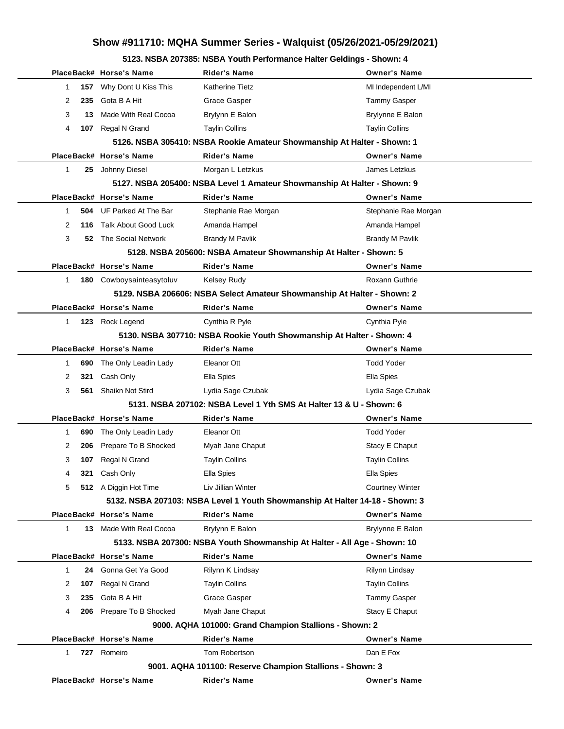**5123. NSBA 207385: NSBA Youth Performance Halter Geldings - Shown: 4**

|              |     | PlaceBack# Horse's Name        | Rider's Name                                                                 | <b>Owner's Name</b>    |
|--------------|-----|--------------------------------|------------------------------------------------------------------------------|------------------------|
| 1            |     | 157 Why Dont U Kiss This       | Katherine Tietz                                                              | MI Independent L/MI    |
| 2            | 235 | Gota B A Hit                   | Grace Gasper                                                                 | Tammy Gasper           |
| 3            | 13. | Made With Real Cocoa           | Brylynn E Balon                                                              | Brylynne E Balon       |
| 4            |     | 107 Regal N Grand              | <b>Taylin Collins</b>                                                        | <b>Taylin Collins</b>  |
|              |     |                                | 5126. NSBA 305410: NSBA Rookie Amateur Showmanship At Halter - Shown: 1      |                        |
|              |     | PlaceBack# Horse's Name        | <b>Rider's Name</b>                                                          | <b>Owner's Name</b>    |
| 1            |     | 25 Johnny Diesel               | Morgan L Letzkus                                                             | James Letzkus          |
|              |     |                                | 5127. NSBA 205400: NSBA Level 1 Amateur Showmanship At Halter - Shown: 9     |                        |
|              |     | PlaceBack# Horse's Name        | <b>Rider's Name</b>                                                          | <b>Owner's Name</b>    |
| 1            |     | 504 UF Parked At The Bar       | Stephanie Rae Morgan                                                         | Stephanie Rae Morgan   |
| 2            | 116 | Talk About Good Luck           | Amanda Hampel                                                                | Amanda Hampel          |
| 3            |     | <b>52</b> The Social Network   | Brandy M Pavlik                                                              | <b>Brandy M Pavlik</b> |
|              |     |                                | 5128. NSBA 205600: NSBA Amateur Showmanship At Halter - Shown: 5             |                        |
|              |     | PlaceBack# Horse's Name        | <b>Rider's Name</b>                                                          | <b>Owner's Name</b>    |
| $\mathbf{1}$ |     | 180 Cowboysainteasytoluv       | <b>Kelsey Rudy</b>                                                           | <b>Roxann Guthrie</b>  |
|              |     |                                | 5129. NSBA 206606: NSBA Select Amateur Showmanship At Halter - Shown: 2      |                        |
|              |     | PlaceBack# Horse's Name        | <b>Rider's Name</b>                                                          | <b>Owner's Name</b>    |
| 1            |     | 123 Rock Legend                | Cynthia R Pyle                                                               | Cynthia Pyle           |
|              |     |                                | 5130. NSBA 307710: NSBA Rookie Youth Showmanship At Halter - Shown: 4        |                        |
|              |     | PlaceBack# Horse's Name        | <b>Rider's Name</b>                                                          | <b>Owner's Name</b>    |
| 1            | 690 | The Only Leadin Lady           | Eleanor Ott                                                                  | <b>Todd Yoder</b>      |
| 2            | 321 | Cash Only                      | Ella Spies                                                                   | Ella Spies             |
| 3            |     | 561 Shaikn Not Stird           | Lydia Sage Czubak                                                            | Lydia Sage Czubak      |
|              |     |                                | 5131. NSBA 207102: NSBA Level 1 Yth SMS At Halter 13 & U - Shown: 6          |                        |
|              |     | PlaceBack# Horse's Name        | <b>Rider's Name</b>                                                          | <b>Owner's Name</b>    |
| 1            | 690 | The Only Leadin Lady           | Eleanor Ott                                                                  | <b>Todd Yoder</b>      |
| 2            | 206 | Prepare To B Shocked           | Myah Jane Chaput                                                             | Stacy E Chaput         |
| 3            |     | 107 Regal N Grand              | <b>Taylin Collins</b>                                                        | <b>Taylin Collins</b>  |
| 4            | 321 | Cash Only                      | Ella Spies                                                                   | Ella Spies             |
| 5            |     | 512 A Diggin Hot Time          | Liv Jillian Winter                                                           | <b>Courtney Winter</b> |
|              |     |                                | 5132. NSBA 207103: NSBA Level 1 Youth Showmanship At Halter 14-18 - Shown: 3 |                        |
|              |     | PlaceBack# Horse's Name        | <b>Rider's Name</b>                                                          | <b>Owner's Name</b>    |
| 1            |     | <b>13</b> Made With Real Cocoa | Brylynn E Balon                                                              | Brylynne E Balon       |
|              |     |                                | 5133. NSBA 207300: NSBA Youth Showmanship At Halter - All Age - Shown: 10    |                        |
|              |     | PlaceBack# Horse's Name        | <b>Rider's Name</b>                                                          | <b>Owner's Name</b>    |
| 1            |     | 24 Gonna Get Ya Good           | Rilynn K Lindsay                                                             | Rilynn Lindsay         |
| 2            | 107 | Regal N Grand                  | <b>Taylin Collins</b>                                                        | <b>Taylin Collins</b>  |
| 3            | 235 | Gota B A Hit                   | Grace Gasper                                                                 | <b>Tammy Gasper</b>    |
| 4            |     | 206 Prepare To B Shocked       | Myah Jane Chaput                                                             | Stacy E Chaput         |
|              |     |                                | 9000. AQHA 101000: Grand Champion Stallions - Shown: 2                       |                        |
|              |     | PlaceBack# Horse's Name        | <b>Rider's Name</b>                                                          | <b>Owner's Name</b>    |
| 1            |     | 727 Romeiro                    | Tom Robertson                                                                | Dan E Fox              |
|              |     |                                | 9001. AQHA 101100: Reserve Champion Stallions - Shown: 3                     |                        |
|              |     | PlaceBack# Horse's Name        | <b>Rider's Name</b>                                                          | <b>Owner's Name</b>    |